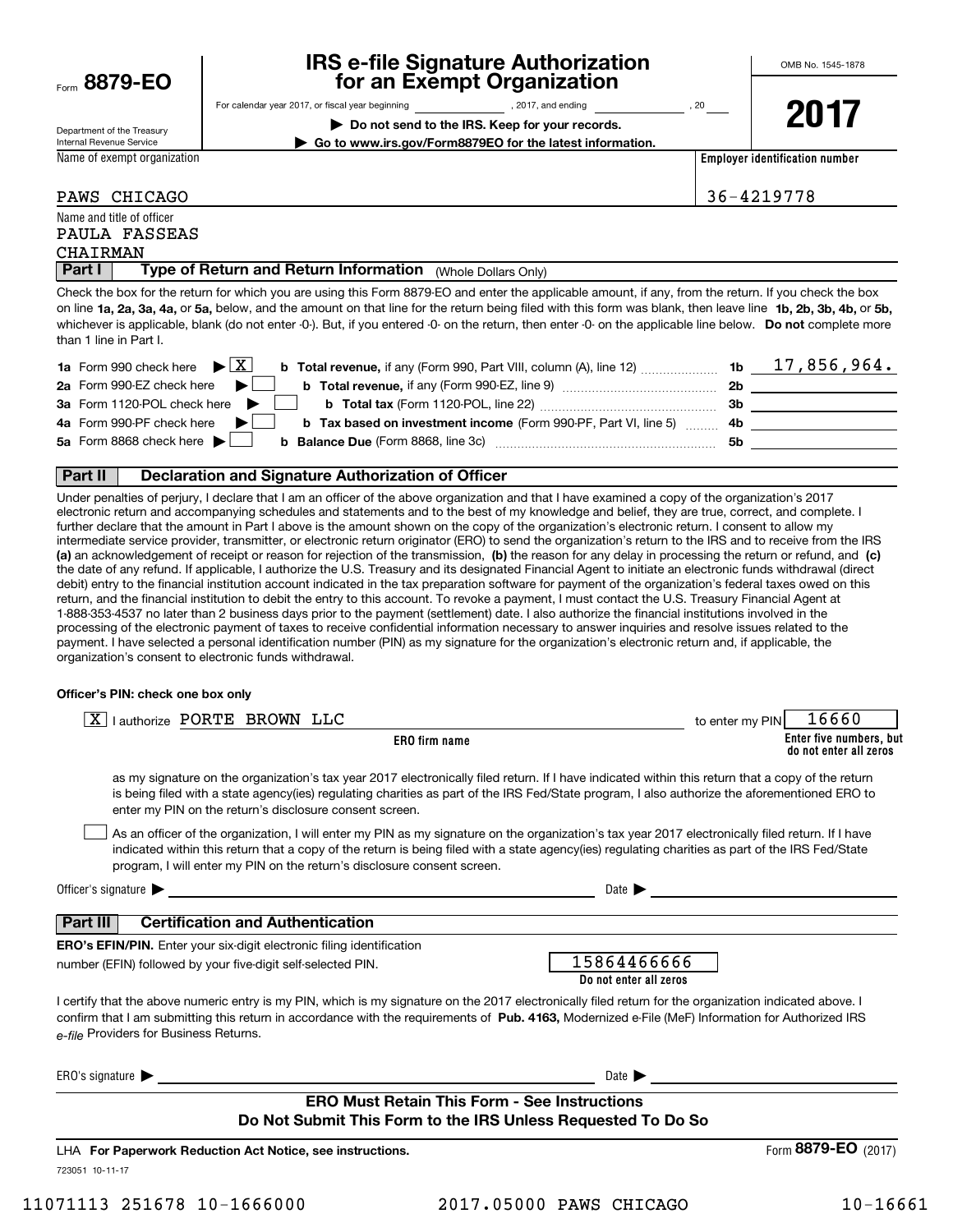| Form | <i>տ</i> 8879-l | EΟ |  |
|------|-----------------|----|--|
|      |                 |    |  |

# **IRS e-file Signature Authorization for an Exempt Organization**

**| Do not send to the IRS. Keep for your records.**

For calendar year 2017, or fiscal year beginning and the set of the set of 2017, and ending the set of 20 year

**2017**

| Department of the Treasury  |
|-----------------------------|
| Internal Revenue Service    |
| Name of exempt organization |

**| Go to www.irs.gov/Form8879EO for the latest information.**

**Employer identification number**

# PAWS CHICAGO 36-4219778

| CHAIRMAN | Name and title of officer<br>PAULA FASSEAS |                                                                                                                                               |
|----------|--------------------------------------------|-----------------------------------------------------------------------------------------------------------------------------------------------|
| Part I   | Type of Return and Return Information      | (Whole Dollars Only)                                                                                                                          |
|          |                                            | Check the box for the return for which you are using this Form 8879-FO and enter the applicable amount, if any, from the return, If you check |

on line **1a, 2a, 3a, 4a,** or **5a,** below, and the amount on that line for the return being filed with this form was blank, then leave line **1b, 2b, 3b, 4b,** or **5b,** whichever is applicable, blank (do not enter -0-). But, if you entered -0- on the return, then enter -0- on the applicable line below. **Do not** complete more Check the box for the return for which you are using this Form 8879-EO and enter the applicable amount, if any, from the return. If you check the box than 1 line in Part I.

| <b>1a</b> Form 990 check here $\triangleright$ $\boxed{X}$<br><b>b</b> Total revenue, if any (Form 990, Part VIII, column (A), line 12)                 | 1b  | 17,856,964. |
|---------------------------------------------------------------------------------------------------------------------------------------------------------|-----|-------------|
| 2a Form 990-EZ check here $\blacktriangleright$<br><b>b</b> Total revenue, if any (Form 990-EZ, line 9) <b>Constanting</b>                              | 2b  |             |
| 3a Form 1120-POL check here                                                                                                                             | 3b  |             |
| 4a Form 990-PF check here $\blacktriangleright$<br><b>b Tax based on investment income</b> (Form 990-PF, Part VI, line 5)                               | -4b |             |
| 5a Form 8868 check here $\blacktriangleright$<br><b>b</b> Balance Due (Form 8868, line 3c) <b>Constanting Division</b> Balance Due (Form 8868, line 3c) | 5b  |             |
|                                                                                                                                                         |     |             |

### **Part II Declaration and Signature Authorization of Officer**

**(a)** an acknowledgement of receipt or reason for rejection of the transmission, (b) the reason for any delay in processing the return or refund, and (c) Under penalties of perjury, I declare that I am an officer of the above organization and that I have examined a copy of the organization's 2017 electronic return and accompanying schedules and statements and to the best of my knowledge and belief, they are true, correct, and complete. I further declare that the amount in Part I above is the amount shown on the copy of the organization's electronic return. I consent to allow my intermediate service provider, transmitter, or electronic return originator (ERO) to send the organization's return to the IRS and to receive from the IRS the date of any refund. If applicable, I authorize the U.S. Treasury and its designated Financial Agent to initiate an electronic funds withdrawal (direct debit) entry to the financial institution account indicated in the tax preparation software for payment of the organization's federal taxes owed on this return, and the financial institution to debit the entry to this account. To revoke a payment, I must contact the U.S. Treasury Financial Agent at 1-888-353-4537 no later than 2 business days prior to the payment (settlement) date. I also authorize the financial institutions involved in the processing of the electronic payment of taxes to receive confidential information necessary to answer inquiries and resolve issues related to the payment. I have selected a personal identification number (PIN) as my signature for the organization's electronic return and, if applicable, the organization's consent to electronic funds withdrawal.

#### **Officer's PIN: check one box only**

| I authorize PORTE BROWN LLC<br>X.                                                                                                                                                                                                                                                                                                                                                | 16660<br>to enter my PIN                          |
|----------------------------------------------------------------------------------------------------------------------------------------------------------------------------------------------------------------------------------------------------------------------------------------------------------------------------------------------------------------------------------|---------------------------------------------------|
| ERO firm name                                                                                                                                                                                                                                                                                                                                                                    | Enter five numbers, but<br>do not enter all zeros |
| as my signature on the organization's tax year 2017 electronically filed return. If I have indicated within this return that a copy of the return<br>is being filed with a state agency(ies) regulating charities as part of the IRS Fed/State program, I also authorize the aforementioned ERO to<br>enter my PIN on the return's disclosure consent screen.                    |                                                   |
| As an officer of the organization, I will enter my PIN as my signature on the organization's tax year 2017 electronically filed return. If I have<br>indicated within this return that a copy of the return is being filed with a state agency(ies) regulating charities as part of the IRS Fed/State<br>program, I will enter my PIN on the return's disclosure consent screen. |                                                   |
| Officer's signature $\blacktriangleright$<br><u> 1980 - Johann John Stein, fransk politik (f. 1980)</u>                                                                                                                                                                                                                                                                          | Date $\blacktriangleright$                        |
| <b>Certification and Authentication</b><br>∣ Part III I                                                                                                                                                                                                                                                                                                                          |                                                   |
| <b>ERO's EFIN/PIN.</b> Enter your six-digit electronic filing identification                                                                                                                                                                                                                                                                                                     |                                                   |
| number (EFIN) followed by your five-digit self-selected PIN.                                                                                                                                                                                                                                                                                                                     | 15864466666<br>Do not enter all zeros             |
| I certify that the above numeric entry is my PIN, which is my signature on the 2017 electronically filed return for the organization indicated above. I<br>confirm that I am submitting this return in accordance with the requirements of Pub. 4163. Modernized e-File (MeF) Information for Authorized IRS<br>e-file Providers for Business Returns.                           |                                                   |
|                                                                                                                                                                                                                                                                                                                                                                                  | $Date \rightarrow$                                |
| <b>ERO Must Retain This Form - See Instructions</b><br>Do Not Submit This Form to the IRS Unless Requested To Do So                                                                                                                                                                                                                                                              |                                                   |
| LHA For Paperwork Reduction Act Notice, see instructions.<br>723051 10-11-17                                                                                                                                                                                                                                                                                                     | Form 8879-EO (2017)                               |
|                                                                                                                                                                                                                                                                                                                                                                                  |                                                   |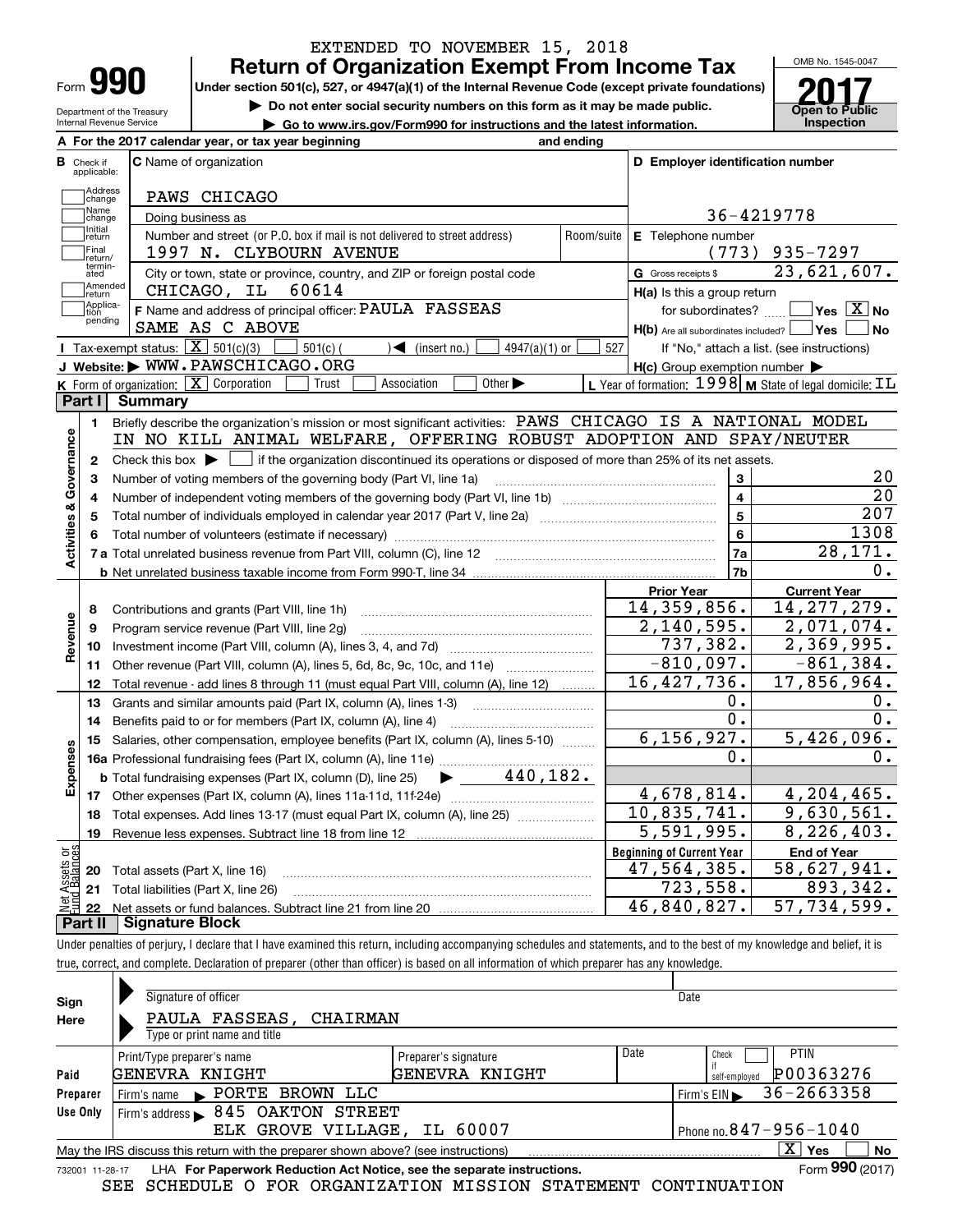| Form |  |
|------|--|

Department of the Treasury Internal Revenue Service

# **Return of Organization Exempt From Income Tax** EXTENDED TO NOVEMBER 15, 2018

**Under section 501(c), 527, or 4947(a)(1) of the Internal Revenue Code (except private foundations)**

**| Do not enter social security numbers on this form as it may be made public.**

▶ Go to www.irs.gov/Form990 for instructions and the latest information. **Inspection** 



|                         |                                     | A For the 2017 calendar year, or tax year beginning                                                                                                 | and ending |                                                                       |                              |                                                                    |  |  |  |
|-------------------------|-------------------------------------|-----------------------------------------------------------------------------------------------------------------------------------------------------|------------|-----------------------------------------------------------------------|------------------------------|--------------------------------------------------------------------|--|--|--|
| в                       | Check if<br>applicable:             | <b>C</b> Name of organization                                                                                                                       |            | D Employer identification number                                      |                              |                                                                    |  |  |  |
|                         | Address<br>change                   | PAWS CHICAGO                                                                                                                                        |            |                                                                       |                              |                                                                    |  |  |  |
|                         | Name<br>Doing business as<br>change |                                                                                                                                                     |            |                                                                       |                              | 36-4219778                                                         |  |  |  |
|                         | Initial<br>return                   | Number and street (or P.O. box if mail is not delivered to street address)                                                                          | Room/suite | E Telephone number                                                    |                              |                                                                    |  |  |  |
|                         | Final<br>return/                    | 1997 N. CLYBOURN AVENUE                                                                                                                             |            |                                                                       | 935-7297<br>(773)            |                                                                    |  |  |  |
|                         | termin-<br>ated                     | City or town, state or province, country, and ZIP or foreign postal code                                                                            |            | G Gross receipts \$                                                   |                              | 23,621,607.                                                        |  |  |  |
|                         | Amended<br>return                   | CHICAGO, IL<br>60614                                                                                                                                |            | $H(a)$ is this a group return                                         |                              |                                                                    |  |  |  |
|                         | Applica-<br>tion<br>pending         | F Name and address of principal officer: PAULA FASSEAS<br>SAME AS C ABOVE                                                                           |            | for subordinates?<br>$H(b)$ Are all subordinates included? $\Box$ Yes |                              | $\sqrt{}$ Yes $\sqrt{}$ X $\sqrt{}$ No<br>∣ No                     |  |  |  |
|                         |                                     | Tax-exempt status: $\boxed{\mathbf{X}}$ 501(c)(3)<br>$501(c)$ (<br>$\sqrt{\bullet}$ (insert no.)<br>$4947(a)(1)$ or                                 | 527        |                                                                       |                              | If "No," attach a list. (see instructions)                         |  |  |  |
|                         |                                     | J Website: WWW.PAWSCHICAGO.ORG                                                                                                                      |            | $H(c)$ Group exemption number $\blacktriangleright$                   |                              |                                                                    |  |  |  |
|                         |                                     | K Form of organization:   X Corporation<br>Other $\blacktriangleright$<br>Trust<br>Association                                                      |            |                                                                       |                              | L Year of formation: $1998$ M State of legal domicile: $\text{TL}$ |  |  |  |
|                         | Part I                              | Summary                                                                                                                                             |            |                                                                       |                              |                                                                    |  |  |  |
|                         | 1.                                  | Briefly describe the organization's mission or most significant activities: PAWS CHICAGO IS A NATIONAL MODEL                                        |            |                                                                       |                              |                                                                    |  |  |  |
| Activities & Governance |                                     | IN NO KILL ANIMAL WELFARE, OFFERING ROBUST ADOPTION AND SPAY/NEUTER                                                                                 |            |                                                                       |                              |                                                                    |  |  |  |
|                         | $\mathbf{2}$                        | Check this box $\blacktriangleright$ $\blacksquare$ if the organization discontinued its operations or disposed of more than 25% of its net assets. |            |                                                                       |                              |                                                                    |  |  |  |
|                         | 3                                   | Number of voting members of the governing body (Part VI, line 1a)                                                                                   |            |                                                                       | 3<br>$\overline{\mathbf{4}}$ | 20                                                                 |  |  |  |
|                         | 4                                   |                                                                                                                                                     |            |                                                                       |                              | $\overline{20}$                                                    |  |  |  |
|                         | 5                                   |                                                                                                                                                     |            |                                                                       |                              | 207                                                                |  |  |  |
|                         | 6                                   |                                                                                                                                                     |            |                                                                       |                              | 1308                                                               |  |  |  |
|                         |                                     |                                                                                                                                                     |            |                                                                       |                              | 28,171.                                                            |  |  |  |
|                         |                                     |                                                                                                                                                     |            |                                                                       | 7 <sub>b</sub>               | О.                                                                 |  |  |  |
|                         |                                     |                                                                                                                                                     |            | <b>Prior Year</b>                                                     |                              | <b>Current Year</b>                                                |  |  |  |
|                         | 8                                   | Contributions and grants (Part VIII, line 1h)                                                                                                       |            | 14,359,856.                                                           |                              | 14, 277, 279.                                                      |  |  |  |
|                         | 9                                   | Program service revenue (Part VIII, line 2g)                                                                                                        |            | 2, 140, 595.                                                          |                              | $\overline{2,071,074}$ .                                           |  |  |  |
| Revenue                 | 10                                  |                                                                                                                                                     |            | 737,382.                                                              |                              | 2,369,995.                                                         |  |  |  |
|                         | 11                                  | Other revenue (Part VIII, column (A), lines 5, 6d, 8c, 9c, 10c, and 11e)                                                                            |            | $-810,097.$                                                           |                              | $-861, 384.$                                                       |  |  |  |
|                         | 12                                  | Total revenue - add lines 8 through 11 (must equal Part VIII, column (A), line 12)                                                                  |            | 16, 427, 736.                                                         |                              | $\overline{17}$ , 856, 964.                                        |  |  |  |
|                         | 13                                  | Grants and similar amounts paid (Part IX, column (A), lines 1-3)                                                                                    |            |                                                                       | 0.                           | ο.                                                                 |  |  |  |
|                         | 14                                  |                                                                                                                                                     |            |                                                                       | 0.                           | 0.                                                                 |  |  |  |
|                         | 15                                  | Salaries, other compensation, employee benefits (Part IX, column (A), lines 5-10)                                                                   |            | 6, 156, 927.                                                          |                              | 5,426,096.                                                         |  |  |  |
|                         |                                     |                                                                                                                                                     |            |                                                                       | 0.                           | 0.                                                                 |  |  |  |
| Expenses                |                                     | 440,182.<br><b>b</b> Total fundraising expenses (Part IX, column (D), line 25)                                                                      |            |                                                                       |                              |                                                                    |  |  |  |
|                         |                                     |                                                                                                                                                     |            | 4,678,814.                                                            |                              | 4, 204, 465.                                                       |  |  |  |
|                         | 18                                  | Total expenses. Add lines 13-17 (must equal Part IX, column (A), line 25) [                                                                         |            | 10,835,741.                                                           |                              | 9,630,561.                                                         |  |  |  |
|                         | 19                                  |                                                                                                                                                     |            | 5,591,995.                                                            |                              | 8, 226, 403.                                                       |  |  |  |
| ăğ                      |                                     |                                                                                                                                                     |            | <b>Beginning of Current Year</b>                                      |                              | <b>End of Year</b>                                                 |  |  |  |
| 2                       | 20                                  | Total assets (Part X, line 16)                                                                                                                      |            | 47,564,385.                                                           |                              | 58,627,941.                                                        |  |  |  |
|                         | 21                                  | Total liabilities (Part X, line 26)                                                                                                                 |            | 723,558.                                                              |                              | 893,342.                                                           |  |  |  |
|                         | 22<br>Part II                       | <b>Signature Block</b>                                                                                                                              |            | 46,840,827.                                                           |                              | $\overline{57}$ , 734, 599.                                        |  |  |  |
|                         |                                     |                                                                                                                                                     |            |                                                                       |                              |                                                                    |  |  |  |

Under penalties of perjury, I declare that I have examined this return, including accompanying schedules and statements, and to the best of my knowledge and belief, it is true, correct, and complete. Declaration of preparer (other than officer) is based on all information of which preparer has any knowledge.

| Sign                                                                                                     | Signature of officer                                                                                         |                      |                              | Date                       |  |  |  |  |
|----------------------------------------------------------------------------------------------------------|--------------------------------------------------------------------------------------------------------------|----------------------|------------------------------|----------------------------|--|--|--|--|
| Here                                                                                                     | PAULA FASSEAS,<br>CHAIRMAN                                                                                   |                      |                              |                            |  |  |  |  |
|                                                                                                          | Type or print name and title                                                                                 |                      |                              |                            |  |  |  |  |
|                                                                                                          | Print/Type preparer's name                                                                                   | Preparer's signature | Date                         | <b>PTIN</b><br>Check       |  |  |  |  |
| Paid                                                                                                     | GENEVRA KNIGHT                                                                                               | GENEVRA KNIGHT       |                              | P00363276<br>self-employed |  |  |  |  |
| Preparer                                                                                                 | Firm's name PORTE BROWN LLC                                                                                  |                      |                              | 36-2663358<br>Firm's $EIN$ |  |  |  |  |
| Use Only                                                                                                 | 845 OAKTON STREET<br>Firm's address                                                                          |                      |                              |                            |  |  |  |  |
|                                                                                                          | ELK GROVE VILLAGE, IL 60007                                                                                  |                      | Phone no. $847 - 956 - 1040$ |                            |  |  |  |  |
| $X \mid Y$ es<br>No<br>May the IRS discuss this return with the preparer shown above? (see instructions) |                                                                                                              |                      |                              |                            |  |  |  |  |
|                                                                                                          | Form 990 (2017)<br>LHA For Paperwork Reduction Act Notice, see the separate instructions.<br>732001 11-28-17 |                      |                              |                            |  |  |  |  |

SEE SCHEDULE O FOR ORGANIZATION MISSION STATEMENT CONTINUATION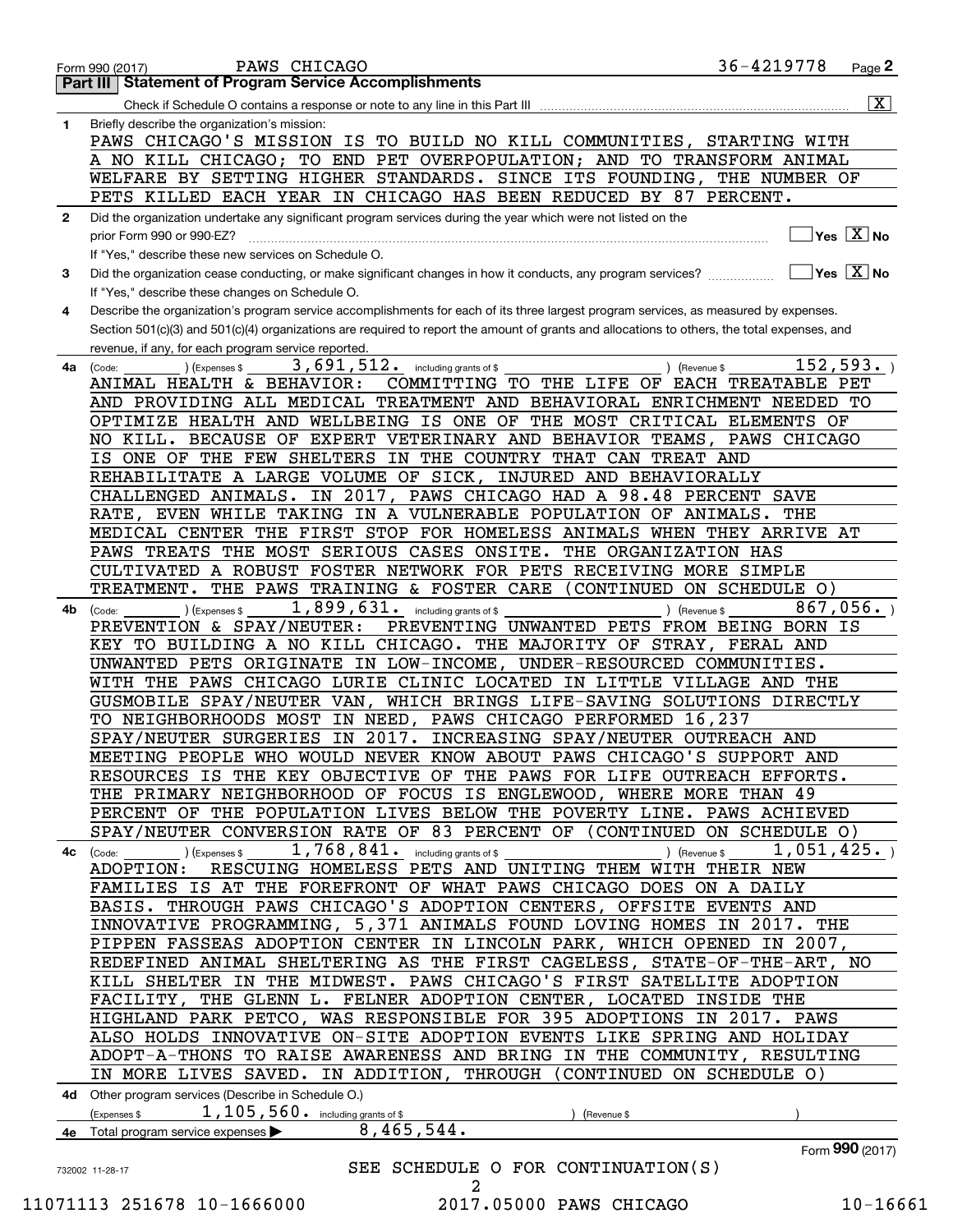|              | PAWS CHICAGO<br>Form 990 (2017)<br>Part III Statement of Program Service Accomplishments                                                     | 36-4219778           | Page $2$                                         |
|--------------|----------------------------------------------------------------------------------------------------------------------------------------------|----------------------|--------------------------------------------------|
|              |                                                                                                                                              |                      | $\boxed{\mathbf{X}}$                             |
| 1.           | Briefly describe the organization's mission:                                                                                                 |                      |                                                  |
|              | PAWS CHICAGO'S MISSION IS TO BUILD NO KILL COMMUNITIES, STARTING WITH                                                                        |                      |                                                  |
|              |                                                                                                                                              |                      |                                                  |
|              | A NO KILL CHICAGO; TO END PET OVERPOPULATION; AND TO TRANSFORM ANIMAL                                                                        |                      |                                                  |
|              | WELFARE BY SETTING HIGHER STANDARDS. SINCE ITS FOUNDING, THE NUMBER OF                                                                       |                      |                                                  |
|              | PETS KILLED EACH YEAR IN CHICAGO HAS BEEN REDUCED BY 87 PERCENT.                                                                             |                      |                                                  |
| $\mathbf{2}$ | Did the organization undertake any significant program services during the year which were not listed on the                                 |                      |                                                  |
|              | prior Form 990 or 990-EZ?                                                                                                                    |                      | $\overline{\ }$ Yes $\overline{\phantom{a}X}$ No |
|              | If "Yes," describe these new services on Schedule O.                                                                                         |                      |                                                  |
| 3            | Did the organization cease conducting, or make significant changes in how it conducts, any program services?                                 |                      | $\overline{\ }$ Yes $\overline{\rm{X}}$ No       |
|              | If "Yes," describe these changes on Schedule O.                                                                                              |                      |                                                  |
|              |                                                                                                                                              |                      |                                                  |
| 4            | Describe the organization's program service accomplishments for each of its three largest program services, as measured by expenses.         |                      |                                                  |
|              | Section 501(c)(3) and 501(c)(4) organizations are required to report the amount of grants and allocations to others, the total expenses, and |                      |                                                  |
|              | revenue, if any, for each program service reported.                                                                                          |                      |                                                  |
| 4a           | 3,691,512.<br>(Expenses \$<br>including grants of \$<br>(Code:<br>) (Revenue \$                                                              |                      | 152, 593.                                        |
|              | ANIMAL HEALTH & BEHAVIOR:<br>COMMITTING TO THE LIFE OF EACH TREATABLE PET                                                                    |                      |                                                  |
|              | AND PROVIDING ALL MEDICAL TREATMENT AND BEHAVIORAL ENRICHMENT NEEDED TO                                                                      |                      |                                                  |
|              | OPTIMIZE HEALTH AND WELLBEING IS ONE OF THE MOST CRITICAL ELEMENTS OF                                                                        |                      |                                                  |
|              | NO KILL. BECAUSE OF EXPERT VETERINARY AND BEHAVIOR TEAMS, PAWS CHICAGO                                                                       |                      |                                                  |
|              | IS ONE OF THE FEW SHELTERS IN THE COUNTRY THAT CAN TREAT AND                                                                                 |                      |                                                  |
|              |                                                                                                                                              |                      |                                                  |
|              | REHABILITATE A LARGE VOLUME OF SICK, INJURED AND BEHAVIORALLY                                                                                |                      |                                                  |
|              | CHALLENGED ANIMALS. IN 2017, PAWS CHICAGO HAD A 98.48 PERCENT SAVE                                                                           |                      |                                                  |
|              | RATE, EVEN WHILE TAKING IN A VULNERABLE POPULATION OF ANIMALS. THE                                                                           |                      |                                                  |
|              | MEDICAL CENTER THE FIRST STOP FOR HOMELESS ANIMALS WHEN THEY ARRIVE AT                                                                       |                      |                                                  |
|              | PAWS TREATS THE MOST SERIOUS CASES ONSITE. THE ORGANIZATION HAS                                                                              |                      |                                                  |
|              | CULTIVATED A ROBUST FOSTER NETWORK FOR PETS RECEIVING MORE SIMPLE                                                                            |                      |                                                  |
|              | TREATMENT. THE PAWS TRAINING & FOSTER CARE (CONTINUED ON SCHEDULE O)                                                                         |                      |                                                  |
| 4b           | 1,899,631.<br>including grants of \$<br>) (Expenses \$<br>) (Revenue \$<br>(Code:                                                            |                      | 867,056.                                         |
|              | PREVENTING UNWANTED PETS FROM BEING BORN IS<br>PREVENTION & SPAY/NEUTER:                                                                     |                      |                                                  |
|              | KEY TO BUILDING A NO KILL CHICAGO. THE MAJORITY OF STRAY, FERAL AND                                                                          |                      |                                                  |
|              |                                                                                                                                              |                      |                                                  |
|              | UNWANTED PETS ORIGINATE IN LOW-INCOME, UNDER-RESOURCED COMMUNITIES.                                                                          |                      |                                                  |
|              | WITH THE PAWS CHICAGO LURIE CLINIC LOCATED IN LITTLE VILLAGE AND THE                                                                         |                      |                                                  |
|              | GUSMOBILE SPAY/NEUTER VAN, WHICH BRINGS LIFE-SAVING SOLUTIONS DIRECTLY                                                                       |                      |                                                  |
|              | TO NEIGHBORHOODS MOST IN NEED, PAWS CHICAGO PERFORMED 16,237                                                                                 |                      |                                                  |
|              | SPAY/NEUTER SURGERIES IN 2017. INCREASING SPAY/NEUTER OUTREACH AND                                                                           |                      |                                                  |
|              | MEETING PEOPLE WHO WOULD NEVER KNOW ABOUT PAWS CHICAGO'S SUPPORT AND                                                                         |                      |                                                  |
|              | RESOURCES IS THE KEY OBJECTIVE OF THE PAWS FOR LIFE OUTREACH EFFORTS.                                                                        |                      |                                                  |
|              | THE PRIMARY NEIGHBORHOOD OF FOCUS IS ENGLEWOOD, WHERE MORE THAN 49                                                                           |                      |                                                  |
|              | PERCENT OF THE POPULATION LIVES BELOW THE POVERTY LINE. PAWS ACHIEVED                                                                        |                      |                                                  |
|              | SPAY/NEUTER CONVERSION RATE OF 83 PERCENT OF (CONTINUED ON SCHEDULE O)                                                                       |                      |                                                  |
|              |                                                                                                                                              |                      |                                                  |
| 4c           | 1,768,841.<br>including grants of \$<br>(Expenses \$<br>) (Revenue \$<br>(Code:                                                              | 1,051,425.           |                                                  |
|              | RESCUING HOMELESS PETS AND UNITING THEM WITH THEIR NEW<br>ADOPTION:                                                                          |                      |                                                  |
|              | FAMILIES IS AT THE FOREFRONT OF WHAT PAWS CHICAGO DOES ON A DAILY                                                                            |                      |                                                  |
|              | BASIS. THROUGH PAWS CHICAGO'S ADOPTION CENTERS, OFFSITE EVENTS AND                                                                           |                      |                                                  |
|              | INNOVATIVE PROGRAMMING, 5,371 ANIMALS FOUND LOVING HOMES IN 2017. THE                                                                        |                      |                                                  |
|              | PIPPEN FASSEAS ADOPTION CENTER IN LINCOLN PARK, WHICH OPENED IN 2007,                                                                        |                      |                                                  |
|              | REDEFINED ANIMAL SHELTERING AS THE FIRST CAGELESS,                                                                                           | STATE-OF-THE-ART, NO |                                                  |
|              | KILL SHELTER IN THE MIDWEST. PAWS CHICAGO'S FIRST SATELLITE ADOPTION                                                                         |                      |                                                  |
|              | FACILITY, THE GLENN L. FELNER ADOPTION CENTER, LOCATED INSIDE THE                                                                            |                      |                                                  |
|              |                                                                                                                                              |                      |                                                  |
|              | HIGHLAND PARK PETCO, WAS RESPONSIBLE FOR 395 ADOPTIONS IN 2017. PAWS                                                                         |                      |                                                  |
|              | ALSO HOLDS INNOVATIVE ON-SITE ADOPTION EVENTS LIKE SPRING AND HOLIDAY                                                                        |                      |                                                  |
|              | ADOPT-A-THONS TO RAISE AWARENESS AND BRING IN THE COMMUNITY, RESULTING                                                                       |                      |                                                  |
|              | IN MORE LIVES SAVED. IN ADDITION, THROUGH<br>(CONTINUED ON SCHEDULE O)                                                                       |                      |                                                  |
|              | 4d Other program services (Describe in Schedule O.)                                                                                          |                      |                                                  |
|              | 1, 105, 560. including grants of \$<br>Expenses \$<br>(Revenue \$                                                                            |                      |                                                  |
| 4е           | 8,465,544.<br>Total program service expenses                                                                                                 |                      |                                                  |
|              |                                                                                                                                              |                      | Form 990 (2017)                                  |
|              | SEE SCHEDULE O FOR CONTINUATION(S)<br>732002 11-28-17                                                                                        |                      |                                                  |
|              | 2                                                                                                                                            |                      |                                                  |
|              | 11071113 251678 10-1666000<br>2017.05000 PAWS CHICAGO                                                                                        |                      | $10 - 16661$                                     |
|              |                                                                                                                                              |                      |                                                  |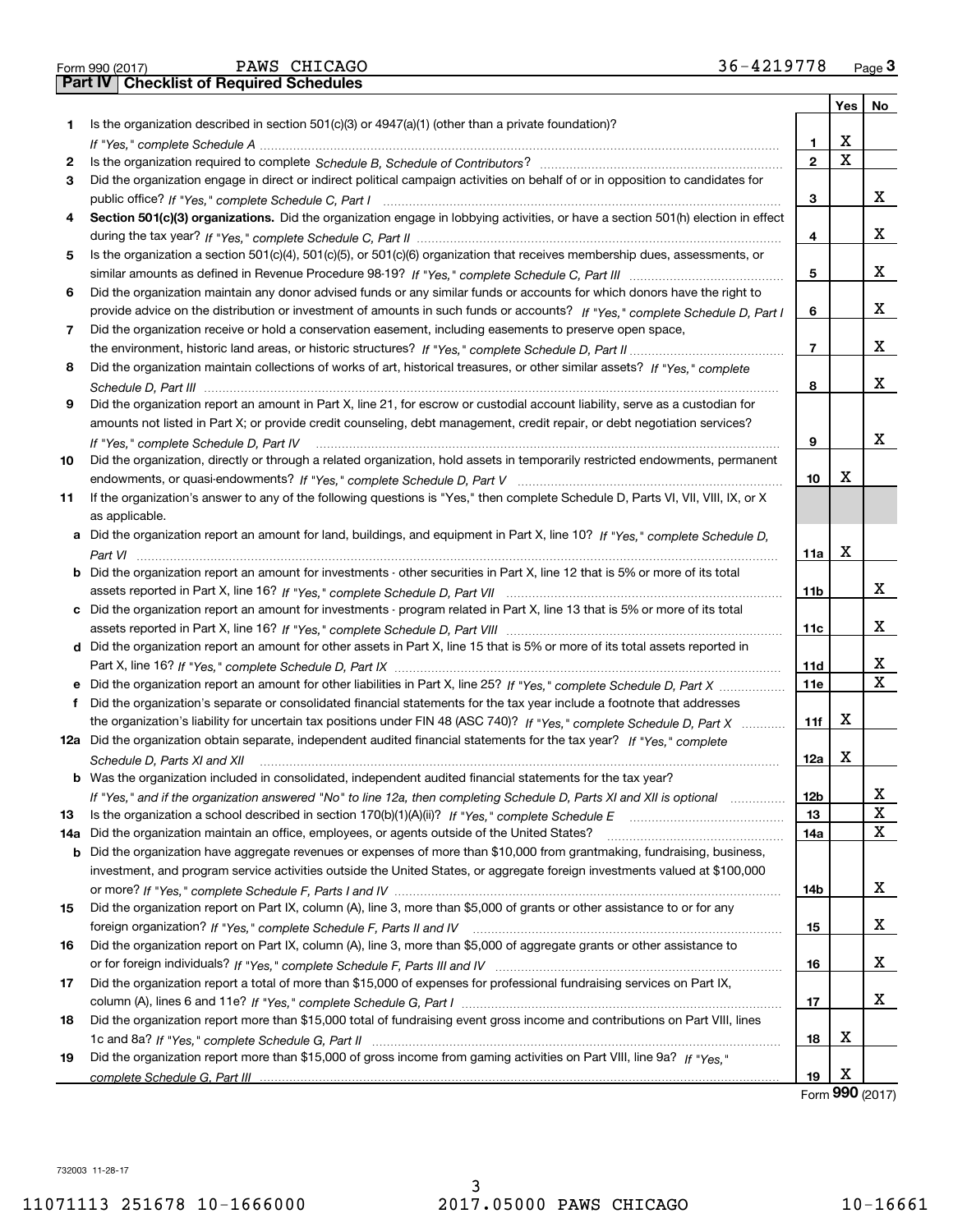|  | Form 990 (2017) |
|--|-----------------|

Form 990 (2017) Page **3Part IV Checklist of Required Schedules** PAWS CHICAGO 36-4219778

|    |                                                                                                                                      |                          | Yes         | No          |
|----|--------------------------------------------------------------------------------------------------------------------------------------|--------------------------|-------------|-------------|
| 1  | Is the organization described in section $501(c)(3)$ or $4947(a)(1)$ (other than a private foundation)?                              |                          |             |             |
|    |                                                                                                                                      | 1                        | х           |             |
| 2  |                                                                                                                                      | $\overline{2}$           | $\mathbf x$ |             |
| 3  | Did the organization engage in direct or indirect political campaign activities on behalf of or in opposition to candidates for      |                          |             |             |
|    |                                                                                                                                      | 3                        |             | х           |
| 4  | Section 501(c)(3) organizations. Did the organization engage in lobbying activities, or have a section 501(h) election in effect     |                          |             |             |
|    |                                                                                                                                      | 4                        |             | х           |
| 5  | Is the organization a section 501(c)(4), 501(c)(5), or 501(c)(6) organization that receives membership dues, assessments, or         |                          |             |             |
|    |                                                                                                                                      | 5                        |             | х           |
| 6  | Did the organization maintain any donor advised funds or any similar funds or accounts for which donors have the right to            |                          |             |             |
|    | provide advice on the distribution or investment of amounts in such funds or accounts? If "Yes," complete Schedule D, Part I         | 6                        |             | х           |
| 7  | Did the organization receive or hold a conservation easement, including easements to preserve open space,                            |                          |             |             |
|    |                                                                                                                                      | $\overline{\phantom{a}}$ |             | x           |
| 8  | Did the organization maintain collections of works of art, historical treasures, or other similar assets? If "Yes," complete         |                          |             |             |
|    |                                                                                                                                      | 8                        |             | х           |
| 9  | Did the organization report an amount in Part X, line 21, for escrow or custodial account liability, serve as a custodian for        |                          |             |             |
|    | amounts not listed in Part X; or provide credit counseling, debt management, credit repair, or debt negotiation services?            |                          |             |             |
|    | If "Yes," complete Schedule D, Part IV                                                                                               | 9                        |             | х           |
| 10 | Did the organization, directly or through a related organization, hold assets in temporarily restricted endowments, permanent        |                          |             |             |
|    |                                                                                                                                      | 10                       | х           |             |
| 11 | If the organization's answer to any of the following questions is "Yes," then complete Schedule D, Parts VI, VII, VIII, IX, or X     |                          |             |             |
|    | as applicable.                                                                                                                       |                          |             |             |
|    | a Did the organization report an amount for land, buildings, and equipment in Part X, line 10? If "Yes," complete Schedule D,        |                          |             |             |
|    |                                                                                                                                      | 11a                      | х           |             |
|    | <b>b</b> Did the organization report an amount for investments - other securities in Part X, line 12 that is 5% or more of its total |                          |             |             |
|    |                                                                                                                                      | 11b                      |             | x           |
|    | c Did the organization report an amount for investments - program related in Part X, line 13 that is 5% or more of its total         |                          |             |             |
|    |                                                                                                                                      | 11c                      |             | х           |
|    | d Did the organization report an amount for other assets in Part X, line 15 that is 5% or more of its total assets reported in       |                          |             |             |
|    |                                                                                                                                      | 11d                      |             | x           |
|    | e Did the organization report an amount for other liabilities in Part X, line 25? If "Yes," complete Schedule D, Part X              | 11e                      |             | $\mathbf X$ |
| f  | Did the organization's separate or consolidated financial statements for the tax year include a footnote that addresses              |                          |             |             |
|    | the organization's liability for uncertain tax positions under FIN 48 (ASC 740)? If "Yes," complete Schedule D, Part X               | 11f                      | х           |             |
|    | 12a Did the organization obtain separate, independent audited financial statements for the tax year? If "Yes," complete              |                          |             |             |
|    | Schedule D, Parts XI and XII                                                                                                         | 12a                      | х           |             |
|    | <b>b</b> Was the organization included in consolidated, independent audited financial statements for the tax year?                   |                          |             |             |
|    | If "Yes," and if the organization answered "No" to line 12a, then completing Schedule D, Parts XI and XII is optional                | 12D                      |             | ᅀ           |
| 13 | Is the organization a school described in section 170(b)(1)(A)(ii)? If "Yes," complete Schedule E                                    | 13                       |             | X           |
|    | 14a Did the organization maintain an office, employees, or agents outside of the United States?                                      | 14a                      |             | x           |
|    | <b>b</b> Did the organization have aggregate revenues or expenses of more than \$10,000 from grantmaking, fundraising, business,     |                          |             |             |
|    | investment, and program service activities outside the United States, or aggregate foreign investments valued at \$100,000           |                          |             |             |
|    |                                                                                                                                      | 14b                      |             | x           |
| 15 | Did the organization report on Part IX, column (A), line 3, more than \$5,000 of grants or other assistance to or for any            |                          |             |             |
|    |                                                                                                                                      | 15                       |             | x           |
| 16 | Did the organization report on Part IX, column (A), line 3, more than \$5,000 of aggregate grants or other assistance to             |                          |             |             |
|    |                                                                                                                                      | 16                       |             | x           |
| 17 | Did the organization report a total of more than \$15,000 of expenses for professional fundraising services on Part IX,              |                          |             |             |
|    |                                                                                                                                      | 17                       |             | х           |
| 18 | Did the organization report more than \$15,000 total of fundraising event gross income and contributions on Part VIII, lines         |                          |             |             |
|    |                                                                                                                                      | 18                       | x           |             |
| 19 | Did the organization report more than \$15,000 of gross income from gaming activities on Part VIII, line 9a? If "Yes."               |                          |             |             |
|    |                                                                                                                                      | 19                       | х           |             |

Form (2017) **990**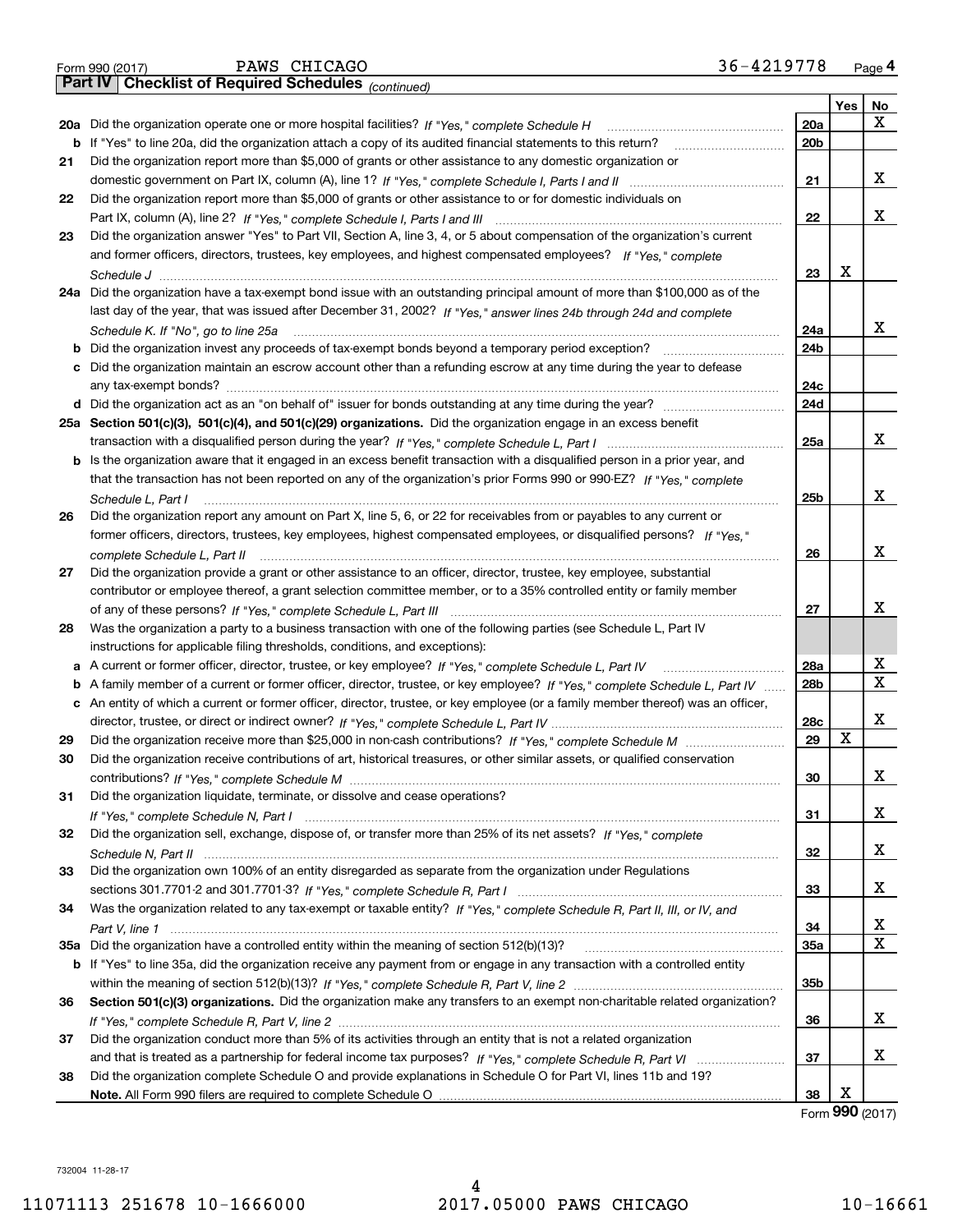|          | PAWS CHICAGO<br>Form 990 (2017)                                                                                                     | 36-4219778      |     | Page 4          |
|----------|-------------------------------------------------------------------------------------------------------------------------------------|-----------------|-----|-----------------|
|          | <b>Checklist of Required Schedules (continued)</b><br>Part IV                                                                       |                 |     |                 |
|          |                                                                                                                                     |                 | Yes | No              |
|          |                                                                                                                                     | 20a             |     | x               |
|          | b If "Yes" to line 20a, did the organization attach a copy of its audited financial statements to this return?                      | 20 <sub>b</sub> |     |                 |
| 21       | Did the organization report more than \$5,000 of grants or other assistance to any domestic organization or                         |                 |     |                 |
|          |                                                                                                                                     | 21              |     | x               |
| 22       | Did the organization report more than \$5,000 of grants or other assistance to or for domestic individuals on                       |                 |     |                 |
|          |                                                                                                                                     | 22              |     | x               |
| 23       | Did the organization answer "Yes" to Part VII, Section A, line 3, 4, or 5 about compensation of the organization's current          |                 |     |                 |
|          | and former officers, directors, trustees, key employees, and highest compensated employees? If "Yes," complete                      |                 |     |                 |
|          |                                                                                                                                     | 23              | X   |                 |
|          | 24a Did the organization have a tax-exempt bond issue with an outstanding principal amount of more than \$100,000 as of the         |                 |     |                 |
|          | last day of the year, that was issued after December 31, 2002? If "Yes," answer lines 24b through 24d and complete                  |                 |     |                 |
|          |                                                                                                                                     | 24a             |     | x               |
|          | <b>b</b> Did the organization invest any proceeds of tax-exempt bonds beyond a temporary period exception?                          | 24b             |     |                 |
|          | c Did the organization maintain an escrow account other than a refunding escrow at any time during the year to defease              |                 |     |                 |
|          |                                                                                                                                     | 24c             |     |                 |
|          |                                                                                                                                     | 24d             |     |                 |
|          | 25a Section 501(c)(3), 501(c)(4), and 501(c)(29) organizations. Did the organization engage in an excess benefit                    |                 |     |                 |
|          |                                                                                                                                     | 25a             |     | x               |
|          | <b>b</b> Is the organization aware that it engaged in an excess benefit transaction with a disqualified person in a prior year, and |                 |     |                 |
|          | that the transaction has not been reported on any of the organization's prior Forms 990 or 990-EZ? If "Yes," complete               |                 |     |                 |
|          | Schedule L, Part I                                                                                                                  | 25b             |     | x               |
| 26       | Did the organization report any amount on Part X, line 5, 6, or 22 for receivables from or payables to any current or               |                 |     |                 |
|          | former officers, directors, trustees, key employees, highest compensated employees, or disqualified persons? If "Yes."              |                 |     |                 |
|          | complete Schedule L, Part II                                                                                                        | 26              |     | x               |
| 27       | Did the organization provide a grant or other assistance to an officer, director, trustee, key employee, substantial                |                 |     |                 |
|          | contributor or employee thereof, a grant selection committee member, or to a 35% controlled entity or family member                 |                 |     |                 |
|          |                                                                                                                                     | 27              |     | x               |
| 28       | Was the organization a party to a business transaction with one of the following parties (see Schedule L, Part IV                   |                 |     |                 |
|          | instructions for applicable filing thresholds, conditions, and exceptions):                                                         |                 |     | х               |
|          |                                                                                                                                     | 28a             |     | X               |
|          | b A family member of a current or former officer, director, trustee, or key employee? If "Yes," complete Schedule L, Part IV        | 28b             |     |                 |
|          | c An entity of which a current or former officer, director, trustee, or key employee (or a family member thereof) was an officer,   |                 |     | x               |
|          |                                                                                                                                     | 28c<br>29       | X   |                 |
| 29<br>30 |                                                                                                                                     |                 |     |                 |
|          | Did the organization receive contributions of art, historical treasures, or other similar assets, or qualified conservation         | 30              |     | x               |
| 31       | Did the organization liquidate, terminate, or dissolve and cease operations?                                                        |                 |     |                 |
|          |                                                                                                                                     | 31              |     | x               |
| 32       | Did the organization sell, exchange, dispose of, or transfer more than 25% of its net assets? If "Yes," complete                    |                 |     |                 |
|          |                                                                                                                                     | 32              |     | X               |
| 33       | Did the organization own 100% of an entity disregarded as separate from the organization under Regulations                          |                 |     |                 |
|          |                                                                                                                                     | 33              |     | x               |
| 34       | Was the organization related to any tax-exempt or taxable entity? If "Yes," complete Schedule R, Part II, III, or IV, and           |                 |     |                 |
|          |                                                                                                                                     | 34              |     | x               |
|          |                                                                                                                                     | 35a             |     | X               |
|          | b If "Yes" to line 35a, did the organization receive any payment from or engage in any transaction with a controlled entity         |                 |     |                 |
|          |                                                                                                                                     | 35b             |     |                 |
| 36       | Section 501(c)(3) organizations. Did the organization make any transfers to an exempt non-charitable related organization?          |                 |     |                 |
|          |                                                                                                                                     | 36              |     | x               |
| 37       | Did the organization conduct more than 5% of its activities through an entity that is not a related organization                    |                 |     |                 |
|          | and that is treated as a partnership for federal income tax purposes? If "Yes," complete Schedule R, Part VI                        | 37              |     | x               |
| 38       | Did the organization complete Schedule O and provide explanations in Schedule O for Part VI, lines 11b and 19?                      |                 |     |                 |
|          |                                                                                                                                     | 38              | х   |                 |
|          |                                                                                                                                     |                 |     | Form 990 (2017) |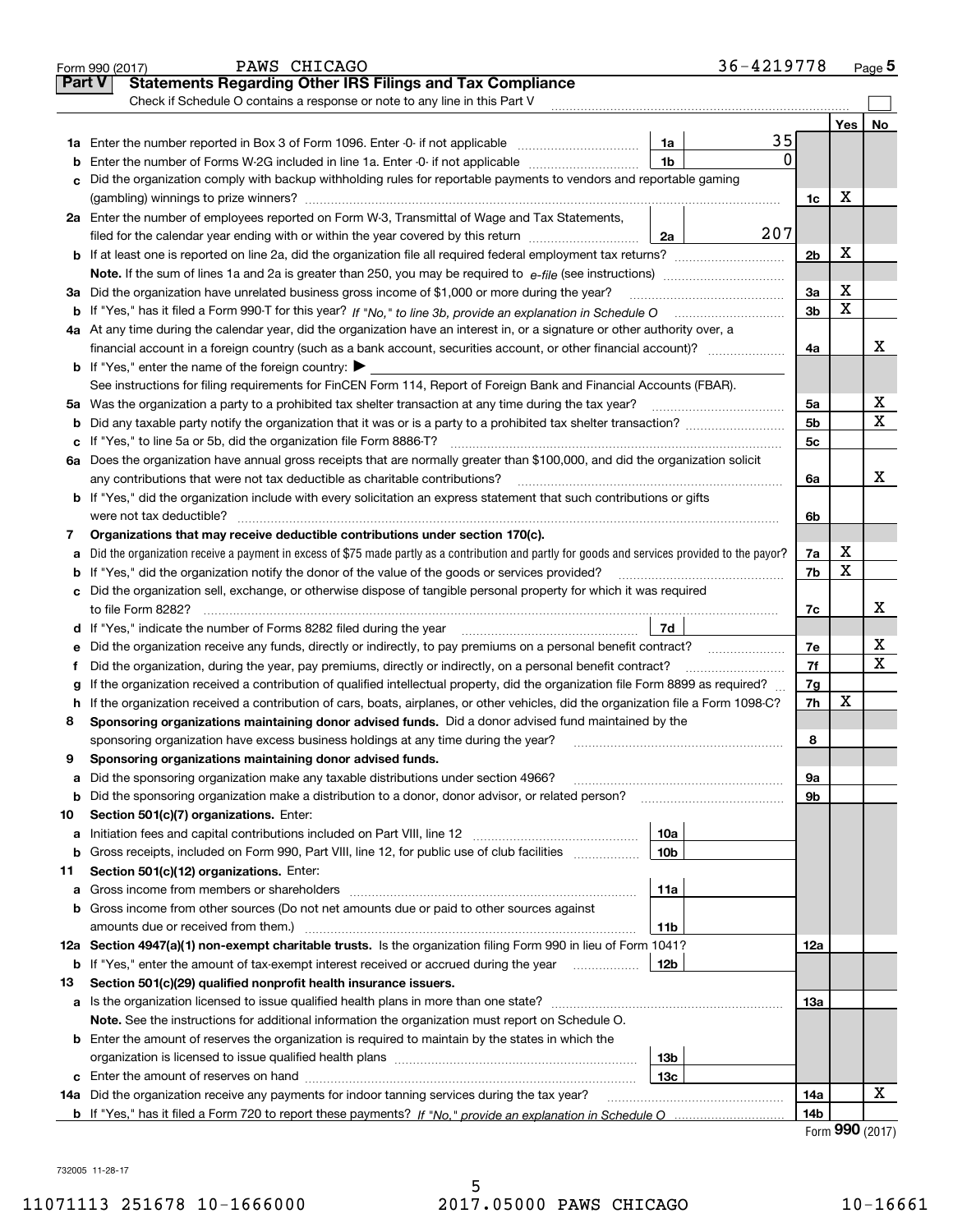|               | 36-4219778<br>PAWS CHICAGO<br>Form 990 (2017)                                                                                                                                                                                        |                |     | Page 5 |
|---------------|--------------------------------------------------------------------------------------------------------------------------------------------------------------------------------------------------------------------------------------|----------------|-----|--------|
| <b>Part V</b> | <b>Statements Regarding Other IRS Filings and Tax Compliance</b>                                                                                                                                                                     |                |     |        |
|               | Check if Schedule O contains a response or note to any line in this Part V                                                                                                                                                           |                |     |        |
|               |                                                                                                                                                                                                                                      |                | Yes | No     |
|               | 35<br>1a                                                                                                                                                                                                                             |                |     |        |
| b             | 1b<br>Enter the number of Forms W-2G included in line 1a. Enter -0- if not applicable                                                                                                                                                | $\Omega$       |     |        |
| с             | Did the organization comply with backup withholding rules for reportable payments to vendors and reportable gaming                                                                                                                   |                |     |        |
|               |                                                                                                                                                                                                                                      | 1c             | х   |        |
|               | 2a Enter the number of employees reported on Form W-3, Transmittal of Wage and Tax Statements,                                                                                                                                       |                |     |        |
|               | 207<br>filed for the calendar year ending with or within the year covered by this return<br>2a                                                                                                                                       |                |     |        |
|               |                                                                                                                                                                                                                                      | 2 <sub>b</sub> | х   |        |
|               |                                                                                                                                                                                                                                      |                |     |        |
| За            | Did the organization have unrelated business gross income of \$1,000 or more during the year?                                                                                                                                        | 3a             | х   |        |
|               |                                                                                                                                                                                                                                      | 3 <sub>b</sub> | X   |        |
|               | 4a At any time during the calendar year, did the organization have an interest in, or a signature or other authority over, a                                                                                                         |                |     |        |
|               | financial account in a foreign country (such as a bank account, securities account, or other financial account)?                                                                                                                     | 4a             |     | х      |
|               | <b>b</b> If "Yes," enter the name of the foreign country: $\blacktriangleright$                                                                                                                                                      |                |     |        |
|               | See instructions for filing requirements for FinCEN Form 114, Report of Foreign Bank and Financial Accounts (FBAR).                                                                                                                  |                |     |        |
|               | 5a Was the organization a party to a prohibited tax shelter transaction at any time during the tax year?                                                                                                                             | 5a             |     | х      |
| b             |                                                                                                                                                                                                                                      | 5b             |     | X      |
| с             | If "Yes," to line 5a or 5b, did the organization file Form 8886-T?                                                                                                                                                                   | 5с             |     |        |
|               | 6a Does the organization have annual gross receipts that are normally greater than \$100,000, and did the organization solicit                                                                                                       |                |     |        |
|               | any contributions that were not tax deductible as charitable contributions?                                                                                                                                                          | 6a             |     | x      |
|               | <b>b</b> If "Yes," did the organization include with every solicitation an express statement that such contributions or gifts                                                                                                        |                |     |        |
|               | were not tax deductible?                                                                                                                                                                                                             | 6b             |     |        |
| 7             | Organizations that may receive deductible contributions under section 170(c).                                                                                                                                                        |                |     |        |
| a             | Did the organization receive a payment in excess of \$75 made partly as a contribution and partly for goods and services provided to the payor?                                                                                      | 7a             | х   |        |
| b             | If "Yes," did the organization notify the donor of the value of the goods or services provided?                                                                                                                                      | 7b             | X   |        |
|               | c Did the organization sell, exchange, or otherwise dispose of tangible personal property for which it was required                                                                                                                  |                |     |        |
|               |                                                                                                                                                                                                                                      | 7c             |     | x      |
|               | 7d<br>d If "Yes," indicate the number of Forms 8282 filed during the year [11] [11] No. 2010 [12] Henry Marian Marian Marian Marian Marian Marian Marian Marian Marian Marian Marian Marian Marian Marian Marian Marian Marian Maria |                |     |        |
| е             |                                                                                                                                                                                                                                      | 7e             |     | х      |
| f             | Did the organization, during the year, pay premiums, directly or indirectly, on a personal benefit contract?                                                                                                                         | 7f             |     | х      |
| g             | If the organization received a contribution of qualified intellectual property, did the organization file Form 8899 as required?                                                                                                     | 7g             |     |        |
| h.            | If the organization received a contribution of cars, boats, airplanes, or other vehicles, did the organization file a Form 1098-C?                                                                                                   | 7h             | X   |        |
| 8             | Sponsoring organizations maintaining donor advised funds. Did a donor advised fund maintained by the                                                                                                                                 |                |     |        |
|               | sponsoring organization have excess business holdings at any time during the year?                                                                                                                                                   | 8              |     |        |
|               | Sponsoring organizations maintaining donor advised funds.                                                                                                                                                                            |                |     |        |
| а             | Did the sponsoring organization make any taxable distributions under section 4966?                                                                                                                                                   | 9а             |     |        |
| b             | Did the sponsoring organization make a distribution to a donor, donor advisor, or related person?                                                                                                                                    | 9b             |     |        |
| 10            | Section 501(c)(7) organizations. Enter:                                                                                                                                                                                              |                |     |        |
| а             | 10a<br>Initiation fees and capital contributions included on Part VIII, line 12                                                                                                                                                      |                |     |        |
| b             | 10 <sub>b</sub><br>Gross receipts, included on Form 990, Part VIII, line 12, for public use of club facilities                                                                                                                       |                |     |        |
| 11            | Section 501(c)(12) organizations. Enter:                                                                                                                                                                                             |                |     |        |
| а             | 11a<br>Gross income from members or shareholders                                                                                                                                                                                     |                |     |        |
| b             | Gross income from other sources (Do not net amounts due or paid to other sources against                                                                                                                                             |                |     |        |
|               | amounts due or received from them.)<br>11b                                                                                                                                                                                           |                |     |        |
|               | 12a Section 4947(a)(1) non-exempt charitable trusts. Is the organization filing Form 990 in lieu of Form 1041?                                                                                                                       | 12a            |     |        |
| b             | If "Yes," enter the amount of tax-exempt interest received or accrued during the year <i>manuming</i><br>12b                                                                                                                         |                |     |        |
| 13            | Section 501(c)(29) qualified nonprofit health insurance issuers.                                                                                                                                                                     |                |     |        |
|               | a Is the organization licensed to issue qualified health plans in more than one state?                                                                                                                                               | 13а            |     |        |
|               | Note. See the instructions for additional information the organization must report on Schedule O.                                                                                                                                    |                |     |        |
|               | <b>b</b> Enter the amount of reserves the organization is required to maintain by the states in which the                                                                                                                            |                |     |        |
|               | 13 <sub>b</sub>                                                                                                                                                                                                                      |                |     |        |
|               | 13с                                                                                                                                                                                                                                  |                |     | х      |
|               | 14a Did the organization receive any payments for indoor tanning services during the tax year?                                                                                                                                       | 14a            |     |        |
|               |                                                                                                                                                                                                                                      | 14b            | റററ |        |

Form (2017) **990**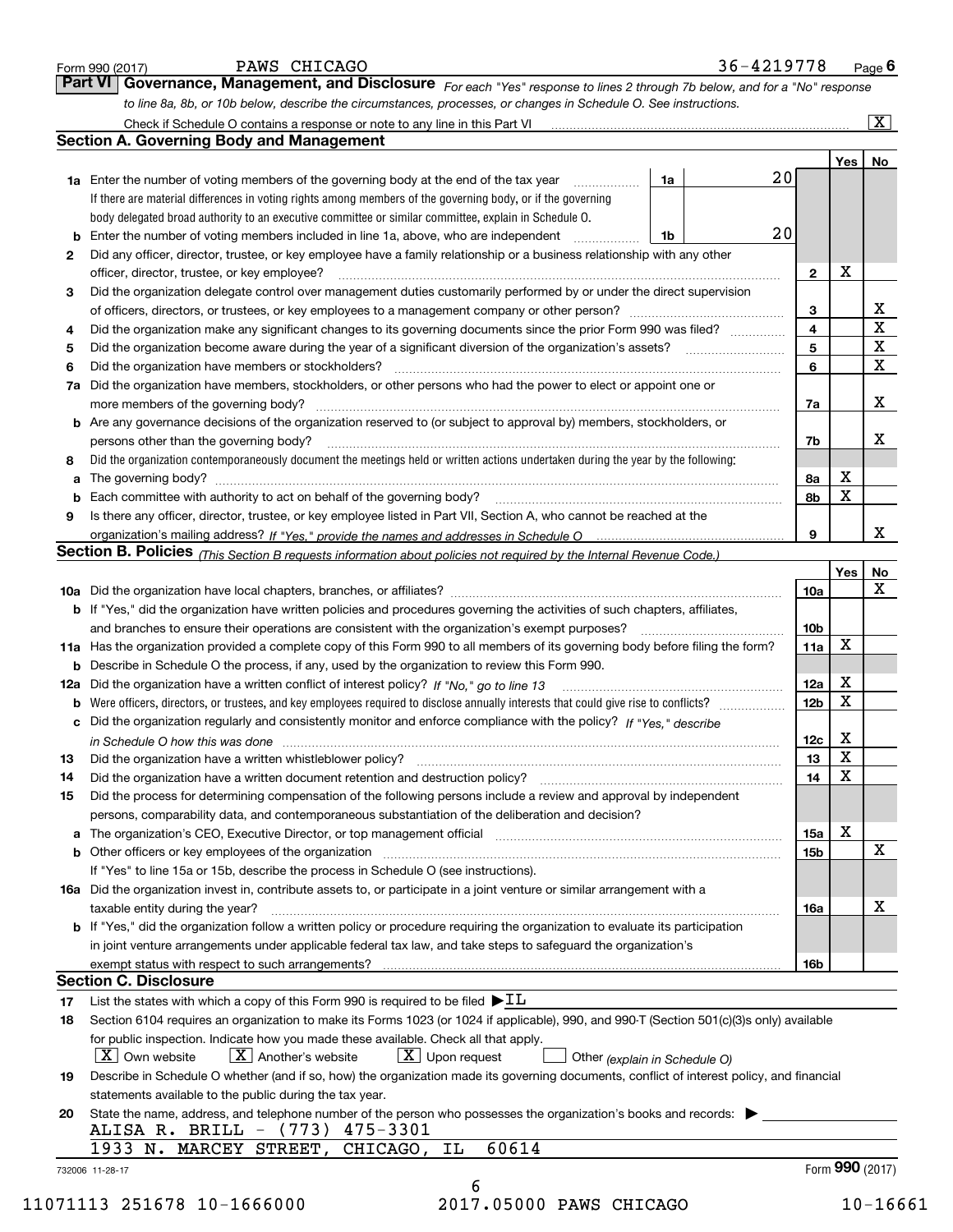|     |                                                                                                                                                                                                                                |    |                 |             | $\overline{\mathbf{x}}$      |
|-----|--------------------------------------------------------------------------------------------------------------------------------------------------------------------------------------------------------------------------------|----|-----------------|-------------|------------------------------|
|     | <b>Section A. Governing Body and Management</b>                                                                                                                                                                                |    |                 |             |                              |
|     | 1a<br><b>1a</b> Enter the number of voting members of the governing body at the end of the tax year                                                                                                                            | 20 |                 | Yes         | No                           |
|     | If there are material differences in voting rights among members of the governing body, or if the governing                                                                                                                    |    |                 |             |                              |
|     | body delegated broad authority to an executive committee or similar committee, explain in Schedule O.                                                                                                                          |    |                 |             |                              |
|     | Enter the number of voting members included in line 1a, above, who are independent <i>manumum</i><br>1b                                                                                                                        | 20 |                 |             |                              |
|     |                                                                                                                                                                                                                                |    |                 |             |                              |
| 2   | Did any officer, director, trustee, or key employee have a family relationship or a business relationship with any other                                                                                                       |    |                 | X           |                              |
|     | officer, director, trustee, or key employee?                                                                                                                                                                                   |    | $\mathbf{2}$    |             |                              |
| 3   | Did the organization delegate control over management duties customarily performed by or under the direct supervision                                                                                                          |    |                 |             |                              |
|     |                                                                                                                                                                                                                                |    | 3               |             | X<br>$\overline{\mathbf{X}}$ |
| 4   | Did the organization make any significant changes to its governing documents since the prior Form 990 was filed?                                                                                                               |    | 4               |             |                              |
| 5   | Did the organization become aware during the year of a significant diversion of the organization's assets? <i>marrouum</i> match                                                                                               |    | 5               |             | $\mathbf X$                  |
| 6   |                                                                                                                                                                                                                                |    | 6               |             | $\mathbf X$                  |
| 7a  | Did the organization have members, stockholders, or other persons who had the power to elect or appoint one or                                                                                                                 |    |                 |             |                              |
|     |                                                                                                                                                                                                                                |    | 7a              |             | х                            |
|     | <b>b</b> Are any governance decisions of the organization reserved to (or subject to approval by) members, stockholders, or                                                                                                    |    |                 |             |                              |
|     | persons other than the governing body?                                                                                                                                                                                         |    | 7b              |             | х                            |
| 8   | Did the organization contemporaneously document the meetings held or written actions undertaken during the year by the following:                                                                                              |    |                 |             |                              |
| a   |                                                                                                                                                                                                                                |    | 8а              | х           |                              |
| b   |                                                                                                                                                                                                                                |    | 8b              | X           |                              |
| 9   | Is there any officer, director, trustee, or key employee listed in Part VII, Section A, who cannot be reached at the                                                                                                           |    |                 |             |                              |
|     |                                                                                                                                                                                                                                |    | 9               |             | x                            |
|     | Section B. Policies (This Section B requests information about policies not required by the Internal Revenue Code.)                                                                                                            |    |                 |             |                              |
|     |                                                                                                                                                                                                                                |    |                 | Yes         | No                           |
|     |                                                                                                                                                                                                                                |    | <b>10a</b>      |             | X                            |
|     | b If "Yes," did the organization have written policies and procedures governing the activities of such chapters, affiliates,                                                                                                   |    |                 |             |                              |
|     |                                                                                                                                                                                                                                |    | 10 <sub>b</sub> |             |                              |
|     | 11a Has the organization provided a complete copy of this Form 990 to all members of its governing body before filing the form?                                                                                                |    | 11a             | x           |                              |
|     | <b>b</b> Describe in Schedule O the process, if any, used by the organization to review this Form 990.                                                                                                                         |    |                 |             |                              |
| 12a |                                                                                                                                                                                                                                |    | 12a             | x           |                              |
| b   |                                                                                                                                                                                                                                |    | 12 <sub>b</sub> | х           |                              |
| с   | Did the organization regularly and consistently monitor and enforce compliance with the policy? If "Yes," describe                                                                                                             |    |                 |             |                              |
|     | in Schedule O how this was done measured and continuum control to the distribution of the state of the state o                                                                                                                 |    | 12c             | x           |                              |
|     |                                                                                                                                                                                                                                |    | 13              | $\mathbf X$ |                              |
| 14  | Did the organization have a written document retention and destruction policy? [11] manufaction policy? [11] manufaction policy? [11] manufaction policy? [11] manufaction policy? [11] manufaction policy? [11] manufaction p |    | 14              | X           |                              |
| 15  | Did the process for determining compensation of the following persons include a review and approval by independent                                                                                                             |    |                 |             |                              |
|     | persons, comparability data, and contemporaneous substantiation of the deliberation and decision?                                                                                                                              |    |                 |             |                              |
| a   | The organization's CEO, Executive Director, or top management official [111] [11] manumerror manumerror contracts                                                                                                              |    | 15a             | x           |                              |
|     |                                                                                                                                                                                                                                |    | 15b             |             | $\mathbf X$                  |
|     | If "Yes" to line 15a or 15b, describe the process in Schedule O (see instructions).                                                                                                                                            |    |                 |             |                              |
|     | 16a Did the organization invest in, contribute assets to, or participate in a joint venture or similar arrangement with a                                                                                                      |    |                 |             |                              |
|     | taxable entity during the year?                                                                                                                                                                                                |    | 16a             |             | х                            |
|     | b If "Yes," did the organization follow a written policy or procedure requiring the organization to evaluate its participation                                                                                                 |    |                 |             |                              |
|     | in joint venture arrangements under applicable federal tax law, and take steps to safeguard the organization's                                                                                                                 |    |                 |             |                              |
|     |                                                                                                                                                                                                                                |    | 16b             |             |                              |
|     | <b>Section C. Disclosure</b>                                                                                                                                                                                                   |    |                 |             |                              |
| 17  | List the states with which a copy of this Form 990 is required to be filed $\blacktriangleright$ IL                                                                                                                            |    |                 |             |                              |
| 18  | Section 6104 requires an organization to make its Forms 1023 (or 1024 if applicable), 990, and 990-T (Section 501(c)(3)s only) available                                                                                       |    |                 |             |                              |
|     | for public inspection. Indicate how you made these available. Check all that apply.                                                                                                                                            |    |                 |             |                              |
|     | $ X $ Own website<br>$X$ Another's website<br>$\lfloor x \rfloor$ Upon request<br>Other (explain in Schedule O)                                                                                                                |    |                 |             |                              |
|     |                                                                                                                                                                                                                                |    |                 |             |                              |
|     |                                                                                                                                                                                                                                |    |                 |             |                              |
| 19  | Describe in Schedule O whether (and if so, how) the organization made its governing documents, conflict of interest policy, and financial                                                                                      |    |                 |             |                              |
|     | statements available to the public during the tax year.                                                                                                                                                                        |    |                 |             |                              |
| 20  | State the name, address, and telephone number of the person who possesses the organization's books and records:                                                                                                                |    |                 |             |                              |
|     | ALISA R. BRILL - (773) 475-3301<br>60614<br>1933 N. MARCEY STREET, CHICAGO, IL                                                                                                                                                 |    |                 |             |                              |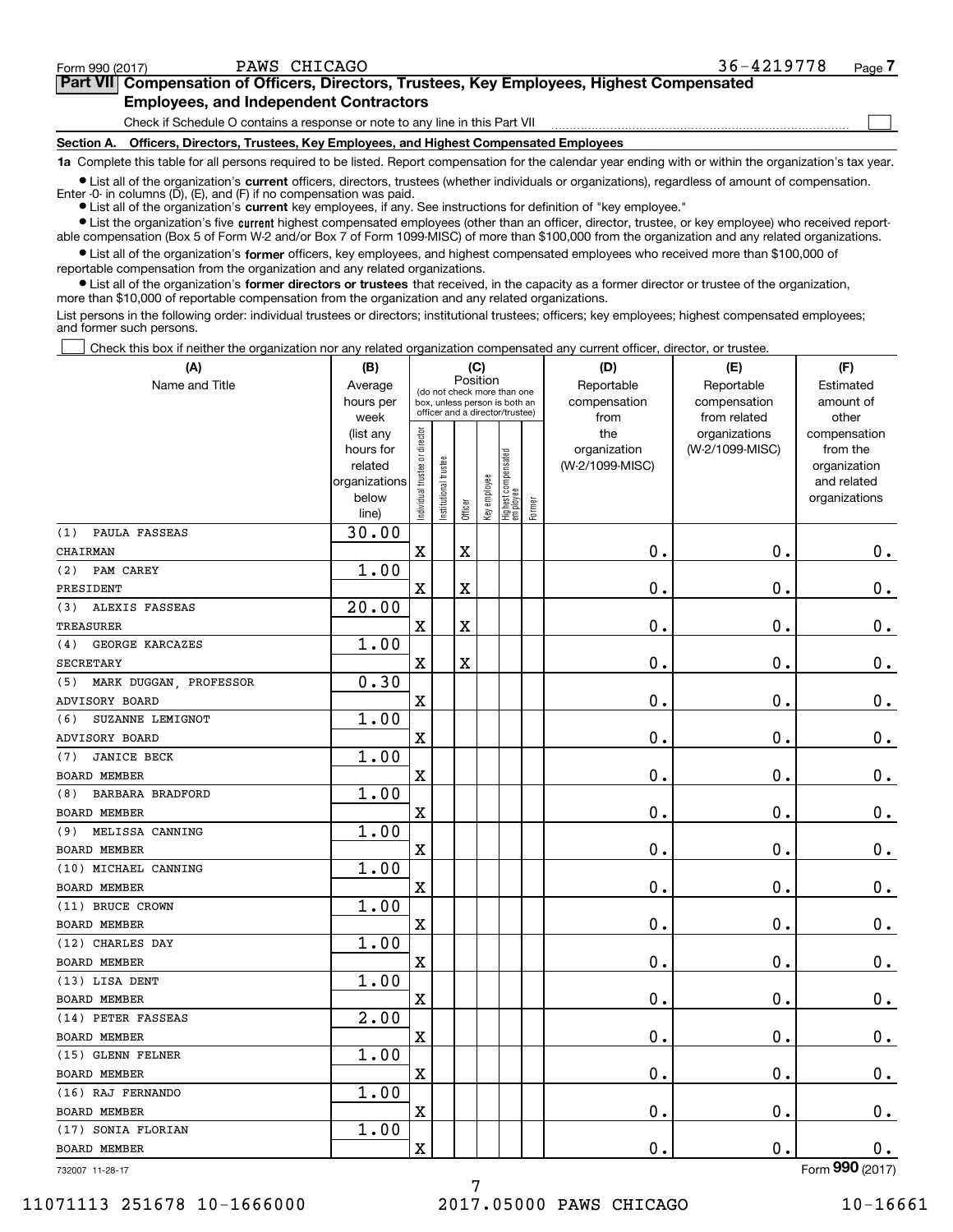$\mathcal{L}^{\text{max}}$ 

| orm 990 (2017) <sup>.</sup> | PAWS CHICAGO                                                                               | 36-4219778 | Page $\prime$ |
|-----------------------------|--------------------------------------------------------------------------------------------|------------|---------------|
|                             | Part VII Compensation of Officers, Directors, Trustees, Key Employees, Highest Compensated |            |               |
|                             | <b>Employees, and Independent Contractors</b>                                              |            |               |

Check if Schedule O contains a response or note to any line in this Part VII

**Section A. Officers, Directors, Trustees, Key Employees, and Highest Compensated Employees**

**1a**  Complete this table for all persons required to be listed. Report compensation for the calendar year ending with or within the organization's tax year.

**•** List all of the organization's current officers, directors, trustees (whether individuals or organizations), regardless of amount of compensation. Enter -0- in columns  $(D)$ ,  $(E)$ , and  $(F)$  if no compensation was paid.

● List all of the organization's **current** key employees, if any. See instructions for definition of "key employee."

**•** List the organization's five current highest compensated employees (other than an officer, director, trustee, or key employee) who received reportable compensation (Box 5 of Form W-2 and/or Box 7 of Form 1099-MISC) of more than \$100,000 from the organization and any related organizations.

 $\bullet$  List all of the organization's **former** officers, key employees, and highest compensated employees who received more than \$100,000 of reportable compensation from the organization and any related organizations.

**•** List all of the organization's former directors or trustees that received, in the capacity as a former director or trustee of the organization, more than \$10,000 of reportable compensation from the organization and any related organizations.

List persons in the following order: individual trustees or directors; institutional trustees; officers; key employees; highest compensated employees; and former such persons.

Check this box if neither the organization nor any related organization compensated any current officer, director, or trustee.  $\mathcal{L}^{\text{max}}$ 

| (A)                           | (B)                      |                                |                                                                  |         | (C)          |                                  |            | (D)             | (E)             | (F)                         |
|-------------------------------|--------------------------|--------------------------------|------------------------------------------------------------------|---------|--------------|----------------------------------|------------|-----------------|-----------------|-----------------------------|
| Name and Title                | Average                  |                                | Position<br>(do not check more than one                          |         |              |                                  | Reportable | Reportable      | Estimated       |                             |
|                               | hours per                |                                | box, unless person is both an<br>officer and a director/trustee) |         | compensation | compensation                     | amount of  |                 |                 |                             |
|                               | week                     |                                |                                                                  |         |              |                                  |            | from            | from related    | other                       |
|                               | (list any                |                                |                                                                  |         |              |                                  |            | the             | organizations   | compensation                |
|                               | hours for                |                                |                                                                  |         |              |                                  |            | organization    | (W-2/1099-MISC) | from the                    |
|                               | related<br>organizations |                                |                                                                  |         |              |                                  |            | (W-2/1099-MISC) |                 | organization<br>and related |
|                               | below                    |                                |                                                                  |         |              |                                  |            |                 |                 | organizations               |
|                               | line)                    | Individual trustee or director | Institutional trustee                                            | Officer | Key employee | Highest compensated<br> employee | Former     |                 |                 |                             |
| PAULA FASSEAS<br>(1)          | 30.00                    |                                |                                                                  |         |              |                                  |            |                 |                 |                             |
| CHAIRMAN                      |                          | X                              |                                                                  | X       |              |                                  |            | 0.              | $\mathbf 0$ .   | 0.                          |
| PAM CAREY<br>(2)              | 1.00                     |                                |                                                                  |         |              |                                  |            |                 |                 |                             |
| PRESIDENT                     |                          | X                              |                                                                  | X       |              |                                  |            | 0.              | $\mathbf 0$ .   | $\mathbf 0$ .               |
| (3)<br>ALEXIS FASSEAS         | 20.00                    |                                |                                                                  |         |              |                                  |            |                 |                 |                             |
| TREASURER                     |                          | X                              |                                                                  | X       |              |                                  |            | 0.              | $\mathbf 0$ .   | $\mathbf 0$ .               |
| <b>GEORGE KARCAZES</b><br>(4) | 1.00                     |                                |                                                                  |         |              |                                  |            |                 |                 |                             |
| <b>SECRETARY</b>              |                          | X                              |                                                                  | X       |              |                                  |            | 0.              | $\mathbf 0$ .   | $\mathbf 0$ .               |
| MARK DUGGAN, PROFESSOR<br>(5) | 0.30                     |                                |                                                                  |         |              |                                  |            |                 |                 |                             |
| ADVISORY BOARD                |                          | X                              |                                                                  |         |              |                                  |            | 0.              | $\mathbf 0$ .   | $\mathbf 0$ .               |
| SUZANNE LEMIGNOT<br>(6)       | 1.00                     |                                |                                                                  |         |              |                                  |            |                 |                 |                             |
| ADVISORY BOARD                |                          | X                              |                                                                  |         |              |                                  |            | 0.              | $\mathbf 0$ .   | $\mathbf 0$ .               |
| <b>JANICE BECK</b><br>(7)     | 1.00                     |                                |                                                                  |         |              |                                  |            |                 |                 |                             |
| <b>BOARD MEMBER</b>           |                          | X                              |                                                                  |         |              |                                  |            | 0.              | $\mathbf 0$ .   | $\mathbf 0$ .               |
| BARBARA BRADFORD<br>(8)       | 1.00                     |                                |                                                                  |         |              |                                  |            |                 |                 |                             |
| <b>BOARD MEMBER</b>           |                          | X                              |                                                                  |         |              |                                  |            | 0.              | $\mathbf 0$ .   | $\mathbf 0$ .               |
| MELISSA CANNING<br>(9)        | 1.00                     |                                |                                                                  |         |              |                                  |            |                 |                 |                             |
| BOARD MEMBER                  |                          | X                              |                                                                  |         |              |                                  |            | 0.              | 0.              | $\mathbf 0$ .               |
| (10) MICHAEL CANNING          | 1.00                     |                                |                                                                  |         |              |                                  |            |                 |                 |                             |
| <b>BOARD MEMBER</b>           |                          | X                              |                                                                  |         |              |                                  |            | 0.              | 0.              | $\mathbf 0$ .               |
| (11) BRUCE CROWN              | 1.00                     |                                |                                                                  |         |              |                                  |            |                 |                 |                             |
| <b>BOARD MEMBER</b>           |                          | X                              |                                                                  |         |              |                                  |            | 0.              | 0.              | $\mathbf 0$ .               |
| (12) CHARLES DAY              | 1.00                     |                                |                                                                  |         |              |                                  |            |                 |                 |                             |
| <b>BOARD MEMBER</b>           |                          | X                              |                                                                  |         |              |                                  |            | 0.              | 0.              | 0.                          |
| (13) LISA DENT                | 1.00                     |                                |                                                                  |         |              |                                  |            |                 |                 |                             |
| BOARD MEMBER                  |                          | X                              |                                                                  |         |              |                                  |            | 0.              | 0.              | 0.                          |
| (14) PETER FASSEAS            | 2.00                     |                                |                                                                  |         |              |                                  |            |                 |                 |                             |
| BOARD MEMBER                  |                          | X                              |                                                                  |         |              |                                  |            | 0.              | 0.              | 0.                          |
| (15) GLENN FELNER             | 1.00                     |                                |                                                                  |         |              |                                  |            |                 |                 |                             |
| BOARD MEMBER                  |                          | X                              |                                                                  |         |              |                                  |            | $\mathbf 0$ .   | $\mathbf 0$ .   | 0.                          |
| (16) RAJ FERNANDO             | 1.00                     |                                |                                                                  |         |              |                                  |            |                 |                 |                             |
| BOARD MEMBER                  |                          | x                              |                                                                  |         |              |                                  |            | 0.              | $\mathbf 0$ .   | $0_{.}$                     |
| (17) SONIA FLORIAN            | 1.00                     |                                |                                                                  |         |              |                                  |            |                 |                 |                             |
| BOARD MEMBER                  |                          | x                              |                                                                  |         |              |                                  |            | 0.              | $\mathbf 0$ .   | 0.                          |
| 732007 11-28-17               |                          |                                |                                                                  |         |              |                                  |            |                 |                 | Form 990 (2017)             |

732007 11-28-17

11071113 251678 10-1666000 2017.05000 PAWS CHICAGO 10-16661

7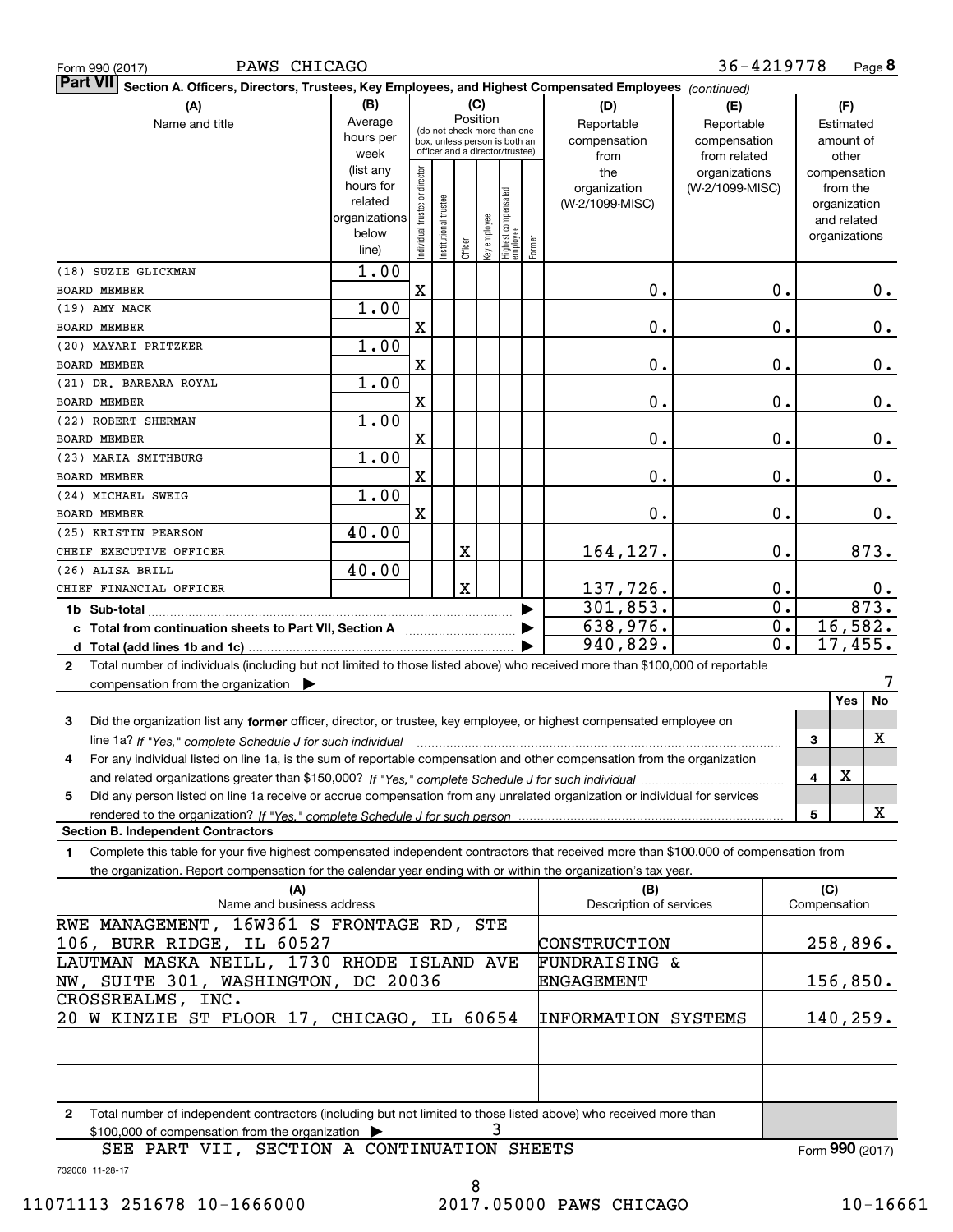| PAWS CHICAGO<br>Form 990 (2017)                                                                                                         |               |                                |                                                              |          |   |                                                 |        |                                | 36-4219778      |                             |                     |               | Page 8 |
|-----------------------------------------------------------------------------------------------------------------------------------------|---------------|--------------------------------|--------------------------------------------------------------|----------|---|-------------------------------------------------|--------|--------------------------------|-----------------|-----------------------------|---------------------|---------------|--------|
| <b>Part VII</b><br>Section A. Officers, Directors, Trustees, Key Employees, and Highest Compensated Employees (continued)               |               |                                |                                                              |          |   |                                                 |        |                                |                 |                             |                     |               |        |
| (A)                                                                                                                                     | (B)           |                                |                                                              | (C)      |   |                                                 |        | (D)                            | (E)             |                             |                     | (F)           |        |
| Name and title                                                                                                                          | Average       |                                |                                                              | Position |   |                                                 |        | Reportable                     | Reportable      |                             |                     | Estimated     |        |
|                                                                                                                                         | hours per     |                                | (do not check more than one<br>box, unless person is both an |          |   |                                                 |        | compensation                   | compensation    | amount of<br>other          |                     |               |        |
|                                                                                                                                         | week          |                                | officer and a director/trustee)                              |          |   |                                                 |        | from                           | from related    |                             |                     |               |        |
|                                                                                                                                         | (list any     |                                |                                                              |          |   |                                                 |        | the                            | organizations   |                             |                     | compensation  |        |
|                                                                                                                                         | hours for     |                                |                                                              |          |   |                                                 |        | organization                   | (W-2/1099-MISC) |                             |                     | from the      |        |
|                                                                                                                                         | related       |                                |                                                              |          |   |                                                 |        | (W-2/1099-MISC)                |                 |                             |                     | organization  |        |
|                                                                                                                                         | organizations |                                |                                                              |          |   |                                                 |        |                                |                 |                             |                     | and related   |        |
|                                                                                                                                         | below         | Individual trustee or director | nstitutional trustee                                         |          |   |                                                 | Former |                                |                 |                             |                     | organizations |        |
|                                                                                                                                         | line)         |                                |                                                              | Officer  |   | Key employee<br>Highest compensated<br>employee |        |                                |                 |                             |                     |               |        |
| (18) SUZIE GLICKMAN                                                                                                                     | 1.00          |                                |                                                              |          |   |                                                 |        |                                |                 |                             |                     |               |        |
| <b>BOARD MEMBER</b>                                                                                                                     |               | $\mathbf x$                    |                                                              |          |   |                                                 |        | 0.                             |                 | 0.                          |                     |               | 0.     |
| (19) AMY MACK                                                                                                                           | 1.00          |                                |                                                              |          |   |                                                 |        |                                |                 |                             |                     |               |        |
| <b>BOARD MEMBER</b>                                                                                                                     |               | $\mathbf X$                    |                                                              |          |   |                                                 |        | 0.                             |                 | 0.                          |                     |               | 0.     |
| (20) MAYARI PRITZKER                                                                                                                    | 1.00          |                                |                                                              |          |   |                                                 |        |                                |                 |                             |                     |               |        |
| <b>BOARD MEMBER</b>                                                                                                                     |               | $\mathbf X$                    |                                                              |          |   |                                                 |        | 0.                             |                 | 0.                          |                     |               | 0.     |
| (21) DR. BARBARA ROYAL                                                                                                                  | 1.00          |                                |                                                              |          |   |                                                 |        |                                |                 |                             |                     |               |        |
| <b>BOARD MEMBER</b>                                                                                                                     |               | X                              |                                                              |          |   |                                                 |        | 0.                             |                 | 0.                          |                     |               | 0.     |
| (22) ROBERT SHERMAN                                                                                                                     | 1.00          |                                |                                                              |          |   |                                                 |        |                                |                 |                             |                     |               |        |
| <b>BOARD MEMBER</b>                                                                                                                     |               | X                              |                                                              |          |   |                                                 |        | 0.                             |                 | 0.                          |                     |               | 0.     |
| (23) MARIA SMITHBURG                                                                                                                    | 1.00          |                                |                                                              |          |   |                                                 |        |                                |                 |                             |                     |               |        |
| BOARD MEMBER                                                                                                                            |               | X                              |                                                              |          |   |                                                 |        | 0.                             |                 | 0.                          |                     |               | 0.     |
|                                                                                                                                         |               |                                |                                                              |          |   |                                                 |        |                                |                 |                             |                     |               |        |
| (24) MICHAEL SWEIG                                                                                                                      | 1.00          |                                |                                                              |          |   |                                                 |        |                                |                 |                             |                     |               |        |
| BOARD MEMBER                                                                                                                            |               | X                              |                                                              |          |   |                                                 |        | 0.                             |                 | 0.                          |                     |               | 0.     |
| (25) KRISTIN PEARSON                                                                                                                    | 40.00         |                                |                                                              |          |   |                                                 |        |                                |                 |                             |                     |               |        |
| CHEIF EXECUTIVE OFFICER                                                                                                                 |               |                                |                                                              | X        |   |                                                 |        | 164,127.                       |                 | 0.                          |                     |               | 873.   |
| (26) ALISA BRILL                                                                                                                        | 40.00         |                                |                                                              |          |   |                                                 |        |                                |                 |                             |                     |               |        |
| CHIEF FINANCIAL OFFICER                                                                                                                 |               |                                |                                                              | X        |   |                                                 |        | 137,726.                       |                 | 0.                          |                     |               | 0.     |
|                                                                                                                                         |               |                                |                                                              |          |   |                                                 |        | 301,853.                       |                 | $\overline{\mathfrak{o}}$ . |                     |               | 873.   |
| c Total from continuation sheets to Part VII, Section A                                                                                 |               |                                |                                                              |          |   |                                                 |        | 638,976.                       |                 | $\overline{0}$ .            |                     | 16,582.       |        |
|                                                                                                                                         |               |                                |                                                              |          |   |                                                 |        | 940,829.                       |                 | $\overline{0}$ .            |                     | 17,455.       |        |
| Total number of individuals (including but not limited to those listed above) who received more than \$100,000 of reportable<br>2       |               |                                |                                                              |          |   |                                                 |        |                                |                 |                             |                     |               |        |
| compensation from the organization $\blacktriangleright$                                                                                |               |                                |                                                              |          |   |                                                 |        |                                |                 |                             |                     |               | 7      |
|                                                                                                                                         |               |                                |                                                              |          |   |                                                 |        |                                |                 |                             |                     | Yes           | No     |
| Did the organization list any former officer, director, or trustee, key employee, or highest compensated employee on<br>3               |               |                                |                                                              |          |   |                                                 |        |                                |                 |                             |                     |               |        |
| line 1a? If "Yes," complete Schedule J for such individual manufactured contained and the Ves," complete Schedule J for such individual |               |                                |                                                              |          |   |                                                 |        |                                |                 |                             | 3                   |               | х      |
| For any individual listed on line 1a, is the sum of reportable compensation and other compensation from the organization                |               |                                |                                                              |          |   |                                                 |        |                                |                 |                             |                     |               |        |
|                                                                                                                                         |               |                                |                                                              |          |   |                                                 |        |                                |                 |                             | 4                   | х             |        |
| Did any person listed on line 1a receive or accrue compensation from any unrelated organization or individual for services<br>5         |               |                                |                                                              |          |   |                                                 |        |                                |                 |                             |                     |               |        |
|                                                                                                                                         |               |                                |                                                              |          |   |                                                 |        |                                |                 |                             | 5                   |               | x      |
| rendered to the organization? If "Yes." complete Schedule J for such person<br><b>Section B. Independent Contractors</b>                |               |                                |                                                              |          |   |                                                 |        |                                |                 |                             |                     |               |        |
| Complete this table for your five highest compensated independent contractors that received more than \$100,000 of compensation from    |               |                                |                                                              |          |   |                                                 |        |                                |                 |                             |                     |               |        |
| 1                                                                                                                                       |               |                                |                                                              |          |   |                                                 |        |                                |                 |                             |                     |               |        |
| the organization. Report compensation for the calendar year ending with or within the organization's tax year.                          |               |                                |                                                              |          |   |                                                 |        |                                |                 |                             |                     |               |        |
| (A)<br>Name and business address                                                                                                        |               |                                |                                                              |          |   |                                                 |        | (B)<br>Description of services |                 |                             | (C)<br>Compensation |               |        |
|                                                                                                                                         |               |                                |                                                              |          |   |                                                 |        |                                |                 |                             |                     |               |        |
| RWE MANAGEMENT, 16W361 S FRONTAGE RD, STE                                                                                               |               |                                |                                                              |          |   |                                                 |        |                                |                 |                             |                     |               |        |
| 106, BURR RIDGE, IL 60527                                                                                                               |               |                                |                                                              |          |   |                                                 |        | CONSTRUCTION                   |                 |                             |                     | 258,896.      |        |
| LAUTMAN MASKA NEILL, 1730 RHODE ISLAND AVE                                                                                              |               |                                |                                                              |          |   |                                                 |        | <b>FUNDRAISING &amp;</b>       |                 |                             |                     |               |        |
| NW, SUITE 301, WASHINGTON, DC 20036                                                                                                     |               |                                |                                                              |          |   |                                                 |        | <b>ENGAGEMENT</b>              |                 | 156,850.                    |                     |               |        |
| CROSSREALMS, INC.                                                                                                                       |               |                                |                                                              |          |   |                                                 |        |                                |                 |                             |                     |               |        |
| 20 W KINZIE ST FLOOR 17, CHICAGO, IL 60654                                                                                              |               |                                |                                                              |          |   |                                                 |        | <b>INFORMATION SYSTEMS</b>     |                 |                             |                     | 140, 259.     |        |
|                                                                                                                                         |               |                                |                                                              |          |   |                                                 |        |                                |                 |                             |                     |               |        |
|                                                                                                                                         |               |                                |                                                              |          |   |                                                 |        |                                |                 |                             |                     |               |        |
|                                                                                                                                         |               |                                |                                                              |          |   |                                                 |        |                                |                 |                             |                     |               |        |
| Total number of independent contractors (including but not limited to those listed above) who received more than<br>2                   |               |                                |                                                              |          |   |                                                 |        |                                |                 |                             |                     |               |        |
| \$100,000 of compensation from the organization                                                                                         |               |                                |                                                              |          | 3 |                                                 |        |                                |                 |                             |                     |               |        |
|                                                                                                                                         |               |                                |                                                              |          |   |                                                 |        |                                |                 |                             |                     | מחח           |        |

SEE PART VII, SECTION A CONTINUATION SHEETS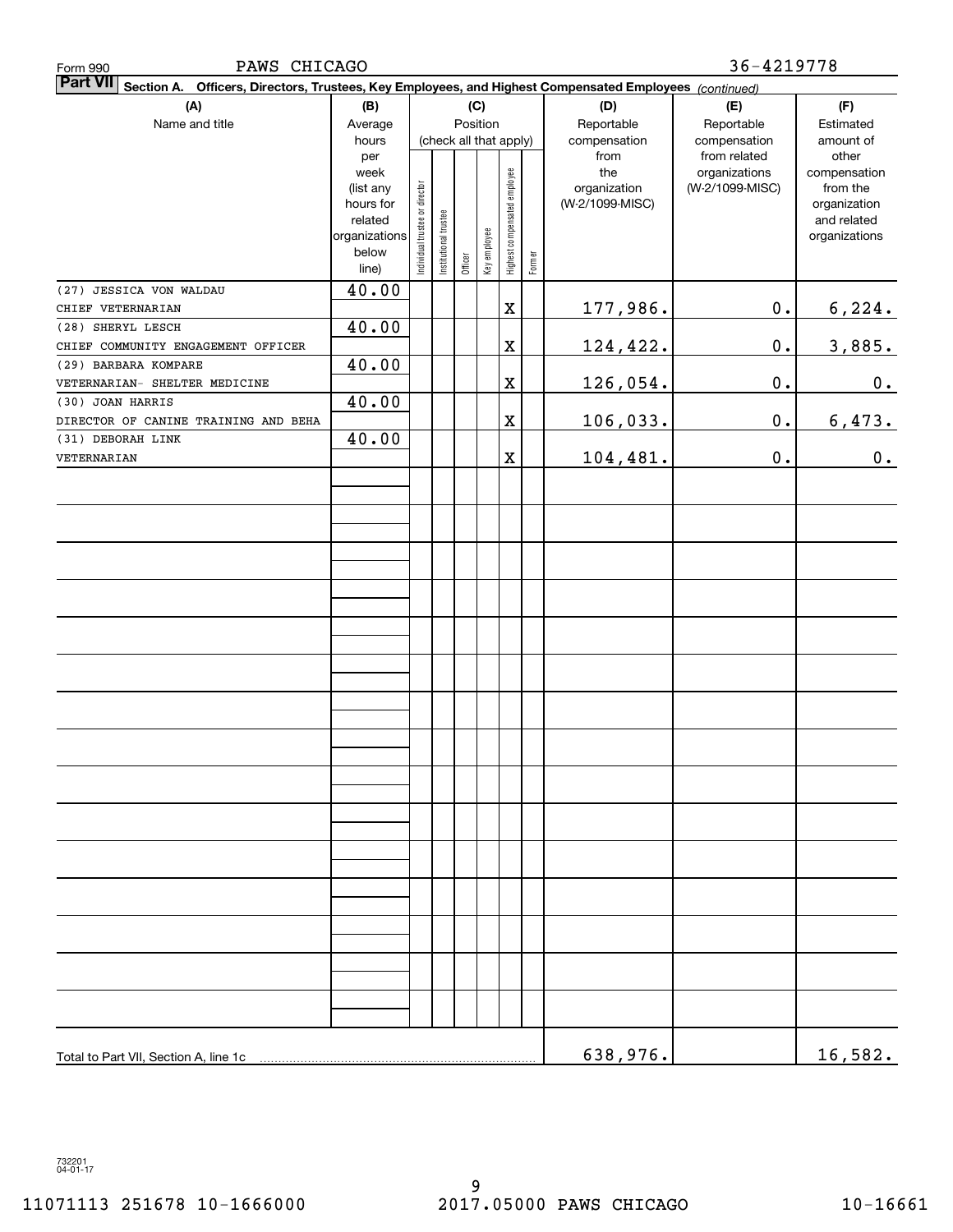| PAWS CHICAGO<br>Form 990                                                                                                  |                     |                                |                       |         |              |                              |            | 36-4219778      |                                  |                          |
|---------------------------------------------------------------------------------------------------------------------------|---------------------|--------------------------------|-----------------------|---------|--------------|------------------------------|------------|-----------------|----------------------------------|--------------------------|
| <b>Part VII</b><br>Section A. Officers, Directors, Trustees, Key Employees, and Highest Compensated Employees (continued) |                     |                                |                       |         |              |                              |            |                 |                                  |                          |
| (A)                                                                                                                       | (B)                 |                                |                       |         | (C)          |                              |            | (D)             | (E)                              | (F)                      |
| Name and title                                                                                                            | Position<br>Average |                                |                       |         |              |                              | Reportable | Reportable      | Estimated                        |                          |
|                                                                                                                           | hours               |                                |                       |         |              | (check all that apply)       |            | compensation    | compensation                     | amount of                |
|                                                                                                                           | per                 |                                |                       |         |              |                              |            | from<br>the     | from related                     | other                    |
|                                                                                                                           | week<br>(list any   |                                |                       |         |              |                              |            | organization    | organizations<br>(W-2/1099-MISC) | compensation<br>from the |
|                                                                                                                           | hours for           |                                |                       |         |              |                              |            | (W-2/1099-MISC) |                                  | organization             |
|                                                                                                                           | related             |                                |                       |         |              |                              |            |                 |                                  | and related              |
|                                                                                                                           | organizations       | Individual trustee or director | Institutional trustee |         | Key employee | Highest compensated employee |            |                 |                                  | organizations            |
|                                                                                                                           | below<br>line)      |                                |                       | Officer |              |                              | Former     |                 |                                  |                          |
|                                                                                                                           |                     |                                |                       |         |              |                              |            |                 |                                  |                          |
| (27) JESSICA VON WALDAU<br>CHIEF VETERNARIAN                                                                              | 40.00               |                                |                       |         |              | X                            |            |                 | $0$ .                            |                          |
| (28) SHERYL LESCH                                                                                                         | 40.00               |                                |                       |         |              |                              |            | <u>177,986.</u> |                                  | 6,224.                   |
| CHIEF COMMUNITY ENGAGEMENT OFFICER                                                                                        |                     |                                |                       |         |              | X                            |            | <u>124,422.</u> | 0.                               | 3,885.                   |
| (29) BARBARA KOMPARE                                                                                                      | 40.00               |                                |                       |         |              |                              |            |                 |                                  |                          |
| VETERNARIAN- SHELTER MEDICINE                                                                                             |                     |                                |                       |         |              | $\mathbf X$                  |            | 126,054.        | $\mathbf 0$ .                    | 0.                       |
| (30) JOAN HARRIS                                                                                                          | 40.00               |                                |                       |         |              |                              |            |                 |                                  |                          |
| DIRECTOR OF CANINE TRAINING AND BEHA                                                                                      |                     |                                |                       |         |              | $\mathbf X$                  |            | 106,033.        | $0$ .                            | 6,473.                   |
| (31) DEBORAH LINK                                                                                                         | 40.00               |                                |                       |         |              |                              |            |                 |                                  |                          |
| VETERNARIAN                                                                                                               |                     |                                |                       |         |              | $\mathbf X$                  |            | 104,481.        | 0.                               | 0.                       |
|                                                                                                                           |                     |                                |                       |         |              |                              |            |                 |                                  |                          |
|                                                                                                                           |                     |                                |                       |         |              |                              |            |                 |                                  |                          |
|                                                                                                                           |                     |                                |                       |         |              |                              |            |                 |                                  |                          |
|                                                                                                                           |                     |                                |                       |         |              |                              |            |                 |                                  |                          |
|                                                                                                                           |                     |                                |                       |         |              |                              |            |                 |                                  |                          |
|                                                                                                                           |                     |                                |                       |         |              |                              |            |                 |                                  |                          |
|                                                                                                                           |                     |                                |                       |         |              |                              |            |                 |                                  |                          |
|                                                                                                                           |                     |                                |                       |         |              |                              |            |                 |                                  |                          |
|                                                                                                                           |                     |                                |                       |         |              |                              |            |                 |                                  |                          |
|                                                                                                                           |                     |                                |                       |         |              |                              |            |                 |                                  |                          |
|                                                                                                                           |                     |                                |                       |         |              |                              |            |                 |                                  |                          |
|                                                                                                                           |                     |                                |                       |         |              |                              |            |                 |                                  |                          |
|                                                                                                                           |                     |                                |                       |         |              |                              |            |                 |                                  |                          |
|                                                                                                                           |                     |                                |                       |         |              |                              |            |                 |                                  |                          |
|                                                                                                                           |                     |                                |                       |         |              |                              |            |                 |                                  |                          |
|                                                                                                                           |                     |                                |                       |         |              |                              |            |                 |                                  |                          |
|                                                                                                                           |                     |                                |                       |         |              |                              |            |                 |                                  |                          |
|                                                                                                                           |                     |                                |                       |         |              |                              |            |                 |                                  |                          |
|                                                                                                                           |                     |                                |                       |         |              |                              |            |                 |                                  |                          |
|                                                                                                                           |                     |                                |                       |         |              |                              |            |                 |                                  |                          |
|                                                                                                                           |                     |                                |                       |         |              |                              |            |                 |                                  |                          |
|                                                                                                                           |                     |                                |                       |         |              |                              |            |                 |                                  |                          |
|                                                                                                                           |                     |                                |                       |         |              |                              |            |                 |                                  |                          |
|                                                                                                                           |                     |                                |                       |         |              |                              |            |                 |                                  |                          |
|                                                                                                                           |                     |                                |                       |         |              |                              |            |                 |                                  |                          |
|                                                                                                                           |                     |                                |                       |         |              |                              |            |                 |                                  |                          |
|                                                                                                                           |                     |                                |                       |         |              |                              |            |                 |                                  |                          |
|                                                                                                                           |                     |                                |                       |         |              |                              |            |                 |                                  |                          |
|                                                                                                                           |                     |                                |                       |         |              |                              |            |                 |                                  |                          |
| Total to Part VII, Section A, line 1c                                                                                     |                     |                                |                       |         |              |                              |            | 638,976.        |                                  | 16,582.                  |

732201 04-01-17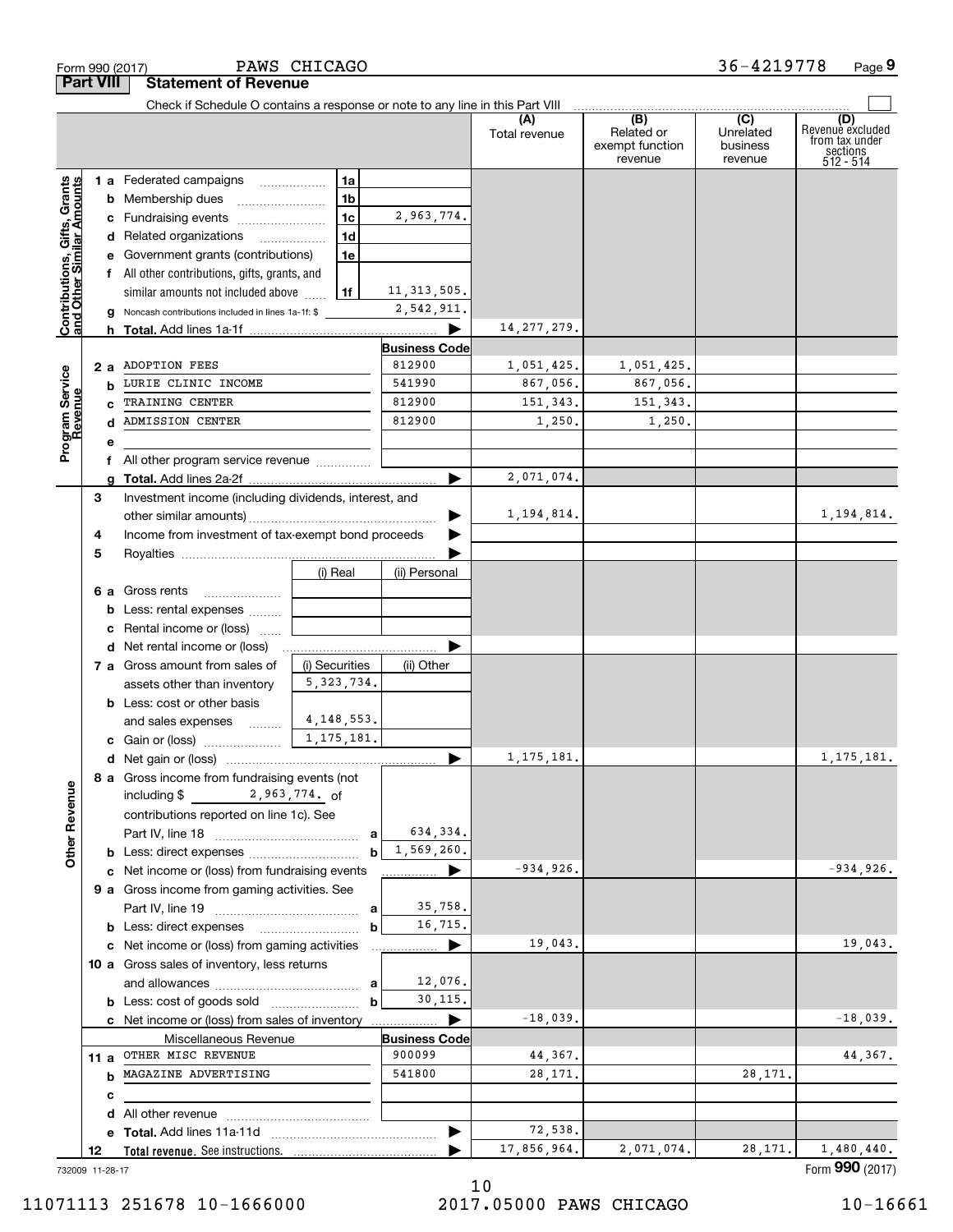| Contributions, Gifts, Grants<br>and Other Similar Amounts<br>2а<br>Program Service<br>Revenue | h. | Check if Schedule O contains a response or note to any line in this Part VIII<br>1 a Federated campaigns<br><b>b</b> Membership dues<br>c Fundraising events<br>d Related organizations<br>e Government grants (contributions)<br>f All other contributions, gifts, grants, and |                | 1a<br>1b<br>1 <sub>c</sub> |                      | (A)<br>Total revenue | $\overline{(B)}$<br>Related or<br>exempt function<br>revenue | $\overline{C}$<br>Unrelated<br>business | (D)<br>Revenuè excluded<br>from tax under |
|-----------------------------------------------------------------------------------------------|----|---------------------------------------------------------------------------------------------------------------------------------------------------------------------------------------------------------------------------------------------------------------------------------|----------------|----------------------------|----------------------|----------------------|--------------------------------------------------------------|-----------------------------------------|-------------------------------------------|
|                                                                                               |    |                                                                                                                                                                                                                                                                                 |                |                            |                      |                      |                                                              |                                         | sections<br>512 - 514                     |
|                                                                                               |    |                                                                                                                                                                                                                                                                                 |                |                            |                      |                      |                                                              | revenue                                 |                                           |
|                                                                                               |    |                                                                                                                                                                                                                                                                                 |                |                            |                      |                      |                                                              |                                         |                                           |
|                                                                                               |    |                                                                                                                                                                                                                                                                                 |                |                            | 2,963,774.           |                      |                                                              |                                         |                                           |
|                                                                                               |    |                                                                                                                                                                                                                                                                                 |                | 1 <sub>d</sub>             |                      |                      |                                                              |                                         |                                           |
|                                                                                               |    |                                                                                                                                                                                                                                                                                 |                | 1e                         |                      |                      |                                                              |                                         |                                           |
|                                                                                               |    |                                                                                                                                                                                                                                                                                 |                |                            |                      |                      |                                                              |                                         |                                           |
|                                                                                               |    |                                                                                                                                                                                                                                                                                 |                | 1f                         | 11, 313, 505.        |                      |                                                              |                                         |                                           |
|                                                                                               |    | similar amounts not included above                                                                                                                                                                                                                                              |                |                            | 2,542,911.           |                      |                                                              |                                         |                                           |
|                                                                                               |    | Noncash contributions included in lines 1a-1f: \$                                                                                                                                                                                                                               |                |                            |                      | 14, 277, 279.        |                                                              |                                         |                                           |
|                                                                                               |    |                                                                                                                                                                                                                                                                                 |                |                            | <b>Business Code</b> |                      |                                                              |                                         |                                           |
|                                                                                               |    | <b>ADOPTION FEES</b>                                                                                                                                                                                                                                                            |                |                            | 812900               | 1,051,425.           | 1,051,425.                                                   |                                         |                                           |
|                                                                                               | b  | LURIE CLINIC INCOME                                                                                                                                                                                                                                                             |                |                            | 541990               | 867,056.             | 867,056.                                                     |                                         |                                           |
|                                                                                               |    | TRAINING CENTER                                                                                                                                                                                                                                                                 |                |                            | 812900               | 151, 343.            | 151,343.                                                     |                                         |                                           |
|                                                                                               | C. | ADMISSION CENTER                                                                                                                                                                                                                                                                |                |                            | 812900               | 1,250.               | 1,250.                                                       |                                         |                                           |
|                                                                                               | d  |                                                                                                                                                                                                                                                                                 |                |                            |                      |                      |                                                              |                                         |                                           |
|                                                                                               | е  |                                                                                                                                                                                                                                                                                 |                |                            |                      |                      |                                                              |                                         |                                           |
|                                                                                               |    | f All other program service revenue                                                                                                                                                                                                                                             |                |                            |                      | 2,071,074.           |                                                              |                                         |                                           |
|                                                                                               |    | Investment income (including dividends, interest, and                                                                                                                                                                                                                           |                |                            |                      |                      |                                                              |                                         |                                           |
| З                                                                                             |    |                                                                                                                                                                                                                                                                                 |                |                            |                      | 1,194,814.           |                                                              |                                         | 1,194,814.                                |
|                                                                                               |    |                                                                                                                                                                                                                                                                                 |                |                            |                      |                      |                                                              |                                         |                                           |
| 4                                                                                             |    | Income from investment of tax-exempt bond proceeds                                                                                                                                                                                                                              |                |                            |                      |                      |                                                              |                                         |                                           |
| 5                                                                                             |    |                                                                                                                                                                                                                                                                                 |                |                            |                      |                      |                                                              |                                         |                                           |
|                                                                                               |    |                                                                                                                                                                                                                                                                                 | (i) Real       |                            | (ii) Personal        |                      |                                                              |                                         |                                           |
|                                                                                               |    | <b>6 a</b> Gross rents                                                                                                                                                                                                                                                          |                |                            |                      |                      |                                                              |                                         |                                           |
|                                                                                               | b  | Less: rental expenses                                                                                                                                                                                                                                                           |                |                            |                      |                      |                                                              |                                         |                                           |
|                                                                                               | c  | Rental income or (loss)                                                                                                                                                                                                                                                         |                |                            |                      |                      |                                                              |                                         |                                           |
|                                                                                               | d  |                                                                                                                                                                                                                                                                                 |                |                            |                      |                      |                                                              |                                         |                                           |
|                                                                                               |    | 7 a Gross amount from sales of                                                                                                                                                                                                                                                  | (i) Securities |                            | (ii) Other           |                      |                                                              |                                         |                                           |
|                                                                                               |    | assets other than inventory                                                                                                                                                                                                                                                     |                | 5, 323, 734.               |                      |                      |                                                              |                                         |                                           |
|                                                                                               |    | <b>b</b> Less: cost or other basis                                                                                                                                                                                                                                              |                |                            |                      |                      |                                                              |                                         |                                           |
|                                                                                               |    | and sales expenses                                                                                                                                                                                                                                                              |                | 4, 148, 553.               |                      |                      |                                                              |                                         |                                           |
|                                                                                               |    |                                                                                                                                                                                                                                                                                 | 1, 175, 181.   |                            |                      |                      |                                                              |                                         |                                           |
|                                                                                               |    |                                                                                                                                                                                                                                                                                 |                |                            | ▶                    | 1,175,181.           |                                                              |                                         | 1, 175, 181.                              |
|                                                                                               |    | 8 a Gross income from fundraising events (not                                                                                                                                                                                                                                   |                |                            |                      |                      |                                                              |                                         |                                           |
|                                                                                               |    | 2,963,774. of<br>including $$$                                                                                                                                                                                                                                                  |                |                            |                      |                      |                                                              |                                         |                                           |
| <b>Other Revenue</b>                                                                          |    | contributions reported on line 1c). See                                                                                                                                                                                                                                         |                |                            |                      |                      |                                                              |                                         |                                           |
|                                                                                               |    |                                                                                                                                                                                                                                                                                 |                | a                          | 634,334.             |                      |                                                              |                                         |                                           |
|                                                                                               |    |                                                                                                                                                                                                                                                                                 |                | $\mathbf{b}$               | 1,569,260.           |                      |                                                              |                                         |                                           |
|                                                                                               |    | c Net income or (loss) from fundraising events                                                                                                                                                                                                                                  |                |                            |                      | $-934,926.$          |                                                              |                                         | $-934,926.$                               |
|                                                                                               |    | 9 a Gross income from gaming activities. See                                                                                                                                                                                                                                    |                |                            |                      |                      |                                                              |                                         |                                           |
|                                                                                               |    |                                                                                                                                                                                                                                                                                 |                | a                          | 35,758.              |                      |                                                              |                                         |                                           |
|                                                                                               |    | <b>b</b> Less: direct expenses <b>manually</b>                                                                                                                                                                                                                                  |                | b                          | 16,715.              |                      |                                                              |                                         |                                           |
|                                                                                               |    | c Net income or (loss) from gaming activities                                                                                                                                                                                                                                   |                |                            | ▶<br>.               | 19,043.              |                                                              |                                         | 19,043.                                   |
|                                                                                               |    | 10 a Gross sales of inventory, less returns                                                                                                                                                                                                                                     |                |                            |                      |                      |                                                              |                                         |                                           |
|                                                                                               |    |                                                                                                                                                                                                                                                                                 |                | a                          | 12,076.              |                      |                                                              |                                         |                                           |
|                                                                                               |    |                                                                                                                                                                                                                                                                                 |                | b                          | 30, 115.             |                      |                                                              |                                         |                                           |
|                                                                                               |    |                                                                                                                                                                                                                                                                                 |                |                            |                      | $-18,039.$           |                                                              |                                         | $-18,039.$                                |
|                                                                                               |    | Miscellaneous Revenue                                                                                                                                                                                                                                                           |                |                            | <b>Business Code</b> |                      |                                                              |                                         |                                           |
|                                                                                               |    | 11 a OTHER MISC REVENUE                                                                                                                                                                                                                                                         |                |                            | 900099               | 44,367.              |                                                              |                                         | 44,367.                                   |
|                                                                                               |    | <b>b</b> MAGAZINE ADVERTISING                                                                                                                                                                                                                                                   |                |                            | 541800               | 28,171.              |                                                              | 28, 171.                                |                                           |
|                                                                                               | с  |                                                                                                                                                                                                                                                                                 |                |                            |                      |                      |                                                              |                                         |                                           |
|                                                                                               | d  |                                                                                                                                                                                                                                                                                 |                |                            |                      |                      |                                                              |                                         |                                           |
|                                                                                               |    |                                                                                                                                                                                                                                                                                 |                |                            | ▶                    | 72,538.              |                                                              |                                         |                                           |
| 12                                                                                            |    |                                                                                                                                                                                                                                                                                 |                |                            |                      | 17,856,964.          | 2,071,074.                                                   | 28, 171.                                | 1,480,440.<br>Form 990 (2017)             |

Form 990 (2017) Page PAWS CHICAGO

732009 11-28-17

## 10 11071113 251678 10-1666000 2017.05000 PAWS CHICAGO 10-16661

**9**

36-4219778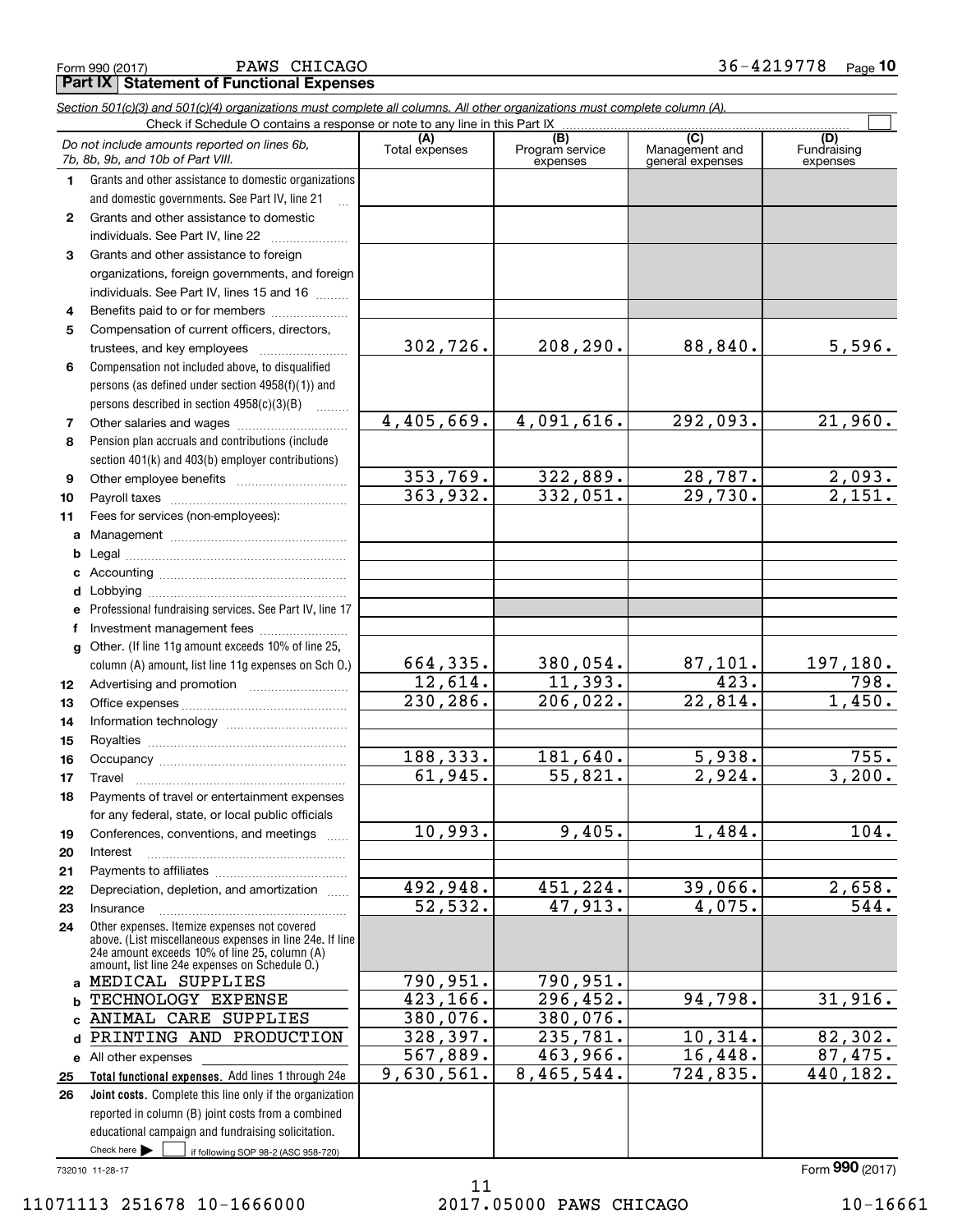**Part IX | Statement of Functional Expenses** PAWS CHICAGO

|                  | Section 501(c)(3) and 501(c)(4) organizations must complete all columns. All other organizations must complete column (A).<br>Check if Schedule O contains a response or note to any line in this Part IX |                       |                             |                                    |                              |
|------------------|-----------------------------------------------------------------------------------------------------------------------------------------------------------------------------------------------------------|-----------------------|-----------------------------|------------------------------------|------------------------------|
|                  | Do not include amounts reported on lines 6b,                                                                                                                                                              | (A)                   | (B)                         | (C)                                | (D)<br>Fundraising           |
|                  | 7b, 8b, 9b, and 10b of Part VIII.                                                                                                                                                                         | Total expenses        | Program service<br>expenses | Management and<br>general expenses | expenses                     |
| $\mathbf{1}$     | Grants and other assistance to domestic organizations                                                                                                                                                     |                       |                             |                                    |                              |
|                  | and domestic governments. See Part IV, line 21                                                                                                                                                            |                       |                             |                                    |                              |
| $\mathbf{2}$     | Grants and other assistance to domestic                                                                                                                                                                   |                       |                             |                                    |                              |
|                  | individuals. See Part IV, line 22                                                                                                                                                                         |                       |                             |                                    |                              |
| 3                | Grants and other assistance to foreign                                                                                                                                                                    |                       |                             |                                    |                              |
|                  | organizations, foreign governments, and foreign                                                                                                                                                           |                       |                             |                                    |                              |
|                  | individuals. See Part IV, lines 15 and 16                                                                                                                                                                 |                       |                             |                                    |                              |
| 4                | Benefits paid to or for members                                                                                                                                                                           |                       |                             |                                    |                              |
| 5                | Compensation of current officers, directors,                                                                                                                                                              |                       |                             |                                    |                              |
|                  | trustees, and key employees                                                                                                                                                                               | 302,726.              | 208, 290.                   | 88,840.                            | 5,596.                       |
| 6                | Compensation not included above, to disqualified                                                                                                                                                          |                       |                             |                                    |                              |
|                  | persons (as defined under section 4958(f)(1)) and                                                                                                                                                         |                       |                             |                                    |                              |
|                  | persons described in section 4958(c)(3)(B)<br>1.1.1.1.1.1.1                                                                                                                                               |                       |                             |                                    |                              |
| 7                |                                                                                                                                                                                                           | 4,405,669.            | 4,091,616.                  | 292,093.                           | 21,960.                      |
| 8                | Pension plan accruals and contributions (include                                                                                                                                                          |                       |                             |                                    |                              |
|                  | section 401(k) and 403(b) employer contributions)                                                                                                                                                         |                       |                             |                                    |                              |
| 9                |                                                                                                                                                                                                           | 353,769.              | 322,889.                    | 28,787.                            | $\frac{2,093.}{2,151.}$      |
| 10               |                                                                                                                                                                                                           | 363,932.              | 332,051.                    | 29,730.                            |                              |
| 11               | Fees for services (non-employees):                                                                                                                                                                        |                       |                             |                                    |                              |
| a                |                                                                                                                                                                                                           |                       |                             |                                    |                              |
| b                |                                                                                                                                                                                                           |                       |                             |                                    |                              |
| c                |                                                                                                                                                                                                           |                       |                             |                                    |                              |
| d                |                                                                                                                                                                                                           |                       |                             |                                    |                              |
| е                | Professional fundraising services. See Part IV, line 17                                                                                                                                                   |                       |                             |                                    |                              |
| f                | Investment management fees                                                                                                                                                                                |                       |                             |                                    |                              |
| $\mathbf{q}$     | Other. (If line 11g amount exceeds 10% of line 25,                                                                                                                                                        |                       |                             |                                    |                              |
|                  | column (A) amount, list line 11g expenses on Sch O.)                                                                                                                                                      | 664,335.              | 380,054.                    | 87,101.                            | $\frac{197,180.}{798.}$      |
| 12 <sup>12</sup> |                                                                                                                                                                                                           | 12,614.               | 11,393.                     | $\overline{423}$ .                 |                              |
| 13               |                                                                                                                                                                                                           | 230, 286.             | 206,022.                    | 22,814.                            | 1,450.                       |
| 14               |                                                                                                                                                                                                           |                       |                             |                                    |                              |
| 15               |                                                                                                                                                                                                           |                       |                             |                                    |                              |
| 16               |                                                                                                                                                                                                           | 188,333.              | 181,640.                    | 5,938.                             | 755.                         |
| 17               |                                                                                                                                                                                                           | $\overline{61,945}$ . | $\overline{55,821}$ .       | 2,924.                             | 3,200.                       |
| 18               | Payments of travel or entertainment expenses                                                                                                                                                              |                       |                             |                                    |                              |
|                  | for any federal, state, or local public officials                                                                                                                                                         |                       |                             |                                    |                              |
| 19               | Conferences, conventions, and meetings                                                                                                                                                                    | 10,993.               | 9,405.                      | 1,484.                             | 104.                         |
| 20               | Interest                                                                                                                                                                                                  |                       |                             |                                    |                              |
| 21               |                                                                                                                                                                                                           | 492,948.              | 451,224.                    | 39,066.                            |                              |
| 22               | Depreciation, depletion, and amortization                                                                                                                                                                 | 52,532.               | 47,913.                     | 4,075.                             | 2,658.<br>$\overline{544}$ . |
| 23               | Insurance                                                                                                                                                                                                 |                       |                             |                                    |                              |
| 24               | Other expenses. Itemize expenses not covered<br>above. (List miscellaneous expenses in line 24e. If line                                                                                                  |                       |                             |                                    |                              |
|                  | 24e amount exceeds 10% of line 25, column (A)                                                                                                                                                             |                       |                             |                                    |                              |
|                  | amount, list line 24e expenses on Schedule O.)<br>a MEDICAL SUPPLIES                                                                                                                                      | 790,951.              | 790,951.                    |                                    |                              |
|                  | TECHNOLOGY EXPENSE                                                                                                                                                                                        | 423,166.              | 296,452.                    | 94,798.                            | 31,916.                      |
| b<br>C           | ANIMAL CARE SUPPLIES                                                                                                                                                                                      | 380,076.              | 380,076.                    |                                    |                              |
| d                | PRINTING AND PRODUCTION                                                                                                                                                                                   | 328,397.              | 235,781.                    | 10,314.                            | 82,302.                      |
|                  | e All other expenses                                                                                                                                                                                      | 567,889.              | 463,966.                    | 16,448.                            | 87,475.                      |
| 25               | Total functional expenses. Add lines 1 through 24e                                                                                                                                                        | 9,630,561.            | 8,465,544.                  | 724,835.                           | 440,182.                     |
| 26               | Joint costs. Complete this line only if the organization                                                                                                                                                  |                       |                             |                                    |                              |
|                  | reported in column (B) joint costs from a combined                                                                                                                                                        |                       |                             |                                    |                              |
|                  | educational campaign and fundraising solicitation.                                                                                                                                                        |                       |                             |                                    |                              |
|                  | Check here $\blacktriangleright$<br>if following SOP 98-2 (ASC 958-720)                                                                                                                                   |                       |                             |                                    |                              |

732010 11-28-17

Form (2017) **990**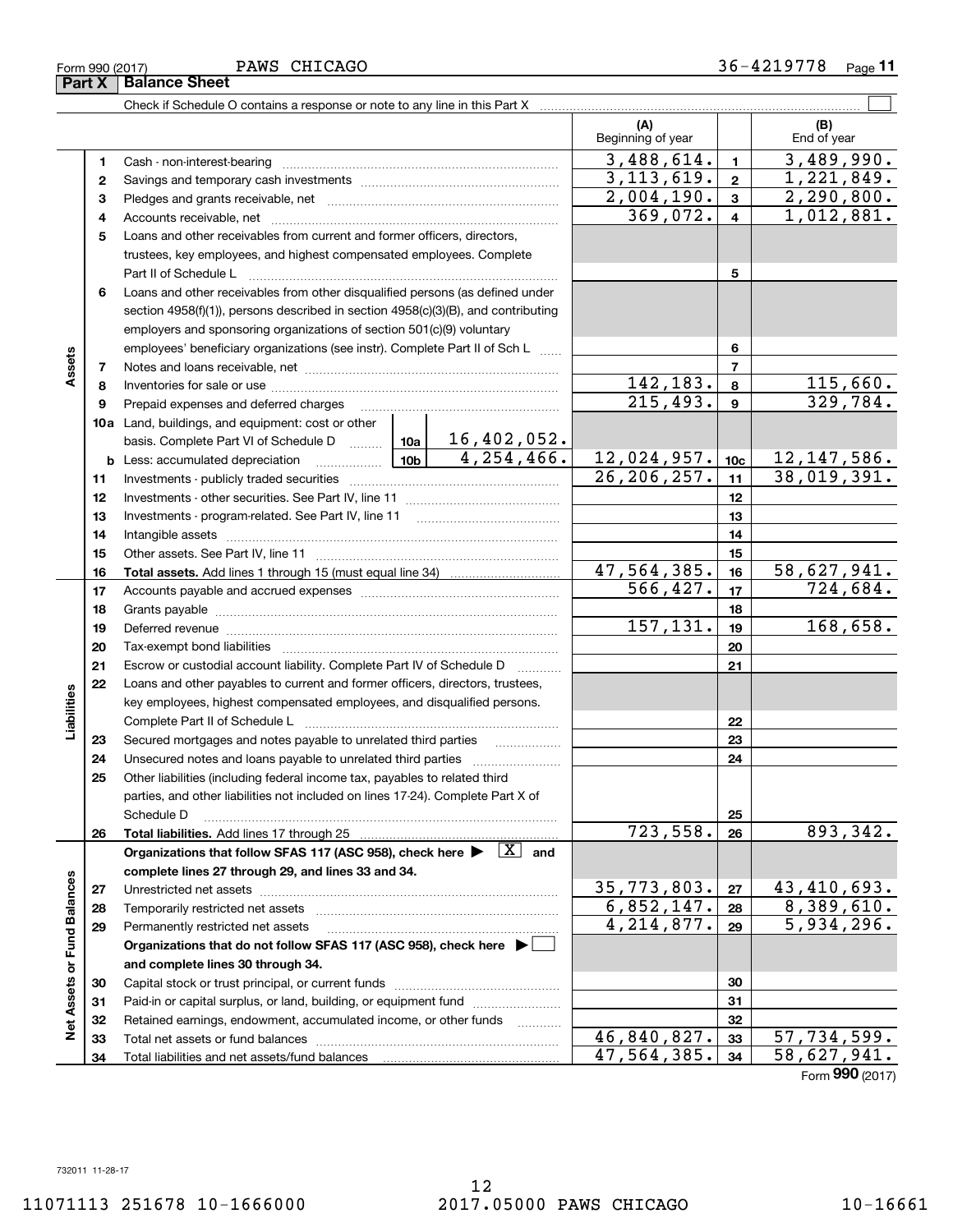$\mathcal{L}^{\text{max}}$ 

Form (2017) **990**

#### **(A) (B)** Beginning of year | | End of year 3,488,614. 3,489,990. **11**Cash - non-interest-bearing ~~~~~~~~~~~~~~~~~~~~~~~~~  $3,113,619$ .  $2 \mid 1,221,849$ . **22**Savings and temporary cash investments ~~~~~~~~~~~~~~~~~~ $2,004,190.$   $3 \mid 2,290,800.$ **33** Pledges and grants receivable, net  $\ldots$  **multimes contained and grants receivable**, net **multimes contained and grants receivable**, net **multimes contained and grants receivable**  $369,072.$  4 1,012,881. Accounts receivable, net ~~~~~~~~~~~~~~~~~~~~~~~~~~ **445**Loans and other receivables from current and former officers, directors, trustees, key employees, and highest compensated employees. Complete Part II of Schedule L ~~~~~~~~~~~~~~~~~~~~~~~~~~~~ **5**Loans and other receivables from other disqualified persons (as defined under **6**section 4958(f)(1)), persons described in section 4958(c)(3)(B), and contributing employers and sponsoring organizations of section 501(c)(9) voluntary employees' beneficiary organizations (see instr). Complete Part II of Sch L **6Assets 77**Notes and loans receivable, net ~~~~~~~~~~~~~~~~~~~~~~~  $142, 183. | 8 | 115, 660.$ **88**Inventories for sale or use ~~~~~~~~~~~~~~~~~~~~~~~~~~  $215,493.$  9 329,784. **9**Prepaid expenses and deferred charges **910a**Land, buildings, and equipment: cost or other 16,402,052. basis. Complete Part VI of Schedule D will aller  $4,254,466.$  12,024,957. 10c 12,147,586. **10cb** Less: accumulated depreciation \_\_\_\_\_\_\_\_\_\_\_\_\_\_\_ Lub  $26,206,257.$  11 38,019,391. **1111**Investments - publicly traded securities ~~~~~~~~~~~~~~~~~~~ **1212**Investments - other securities. See Part IV, line 11 ~~~~~~~~~~~~~~**13**Investments - program-related. See Part IV, line 11 **131414**Intangible assets …………………………………………………………………………………… Other assets. See Part IV, line 11 ~~~~~~~~~~~~~~~~~~~~~~ **1515** $47,564,385.$   $16$  58,627,941. **1616Total assets.**  Add lines 1 through 15 (must equal line 34)  $566, 427.$  17 724,684. **1717**Accounts payable and accrued expenses ~~~~~~~~~~~~~~~~~~**1818**Grants payable ~~~~~~~~~~~~~~~~~~~~~~~~~~~~~~~  $157, 131.$  19 168,658. **1919**Deferred revenue et al. and the state of the state of the state of the state of the state of the state of the state of the state of the state of the state of the state of the state of the state of the state of the state of **2020**Tax-exempt bond liabilities …………………………………………………………… **21**Escrow or custodial account liability. Complete Part IV of Schedule D **21**Loans and other payables to current and former officers, directors, trustees, **22**Liabilities **Liabilities** key employees, highest compensated employees, and disqualified persons. Complete Part II of Schedule L <sub>…………………………………………………………</sub> **2223**Secured mortgages and notes payable to unrelated third parties **23**Unsecured notes and loans payable to unrelated third parties ~~~~~~~~~~~~~~~~~~~~ **2424**Other liabilities (including federal income tax, payables to related third **25**parties, and other liabilities not included on lines 17-24). Complete Part X of Schedule D ~~~~~~~~~~~~~~~~~~~~~~~~~~~~~~~~ **25** $723,558. |26|$  893,342. **2626Total liabilities.**  Add lines 17 through 25 Organizations that follow SFAS 117 (ASC 958), check here  $\blacktriangleright$   $\boxed{\text{X}}$  and **complete lines 27 through 29, and lines 33 and 34. Net Assets or Fund Balances Net Assets or Fund Balances**  $35,773,803.$   $27$   $43,410,693.$ **2727**Unrestricted net assets ~~~~~~~~~~~~~~~~~~~~~~~~~~~  $6,852,147. |28 | 8,389,610.$ **2828**Temporarily restricted net assets ~~~~~~~~~~~~~~~~~~~~~~  $4,214,877.$  29 5,934,296. **2929**Permanently restricted net assets …………………………………………………… **Organizations that do not follow SFAS 117 (ASC 958), check here** | **and complete lines 30 through 34. 3030**Capital stock or trust principal, or current funds ~~~~~~~~~~~~~~~ **3131**Paid-in or capital surplus, or land, building, or equipment fund will concurred. **3232**Retained earnings, endowment, accumulated income, or other funds www.com  $46,840,827.$   $33 \mid 57,734,599.$ **33**Total net assets or fund balances ~~~~~~~~~~~~~~~~~~~~~~ **33** $47,564,385.$   $34$  | 58,627,941. **34**Total liabilities and net assets/fund balances **34**

**Part X** Balance Sheet

PAWS CHICAGO

Check if Schedule O contains a response or note to any line in this Part X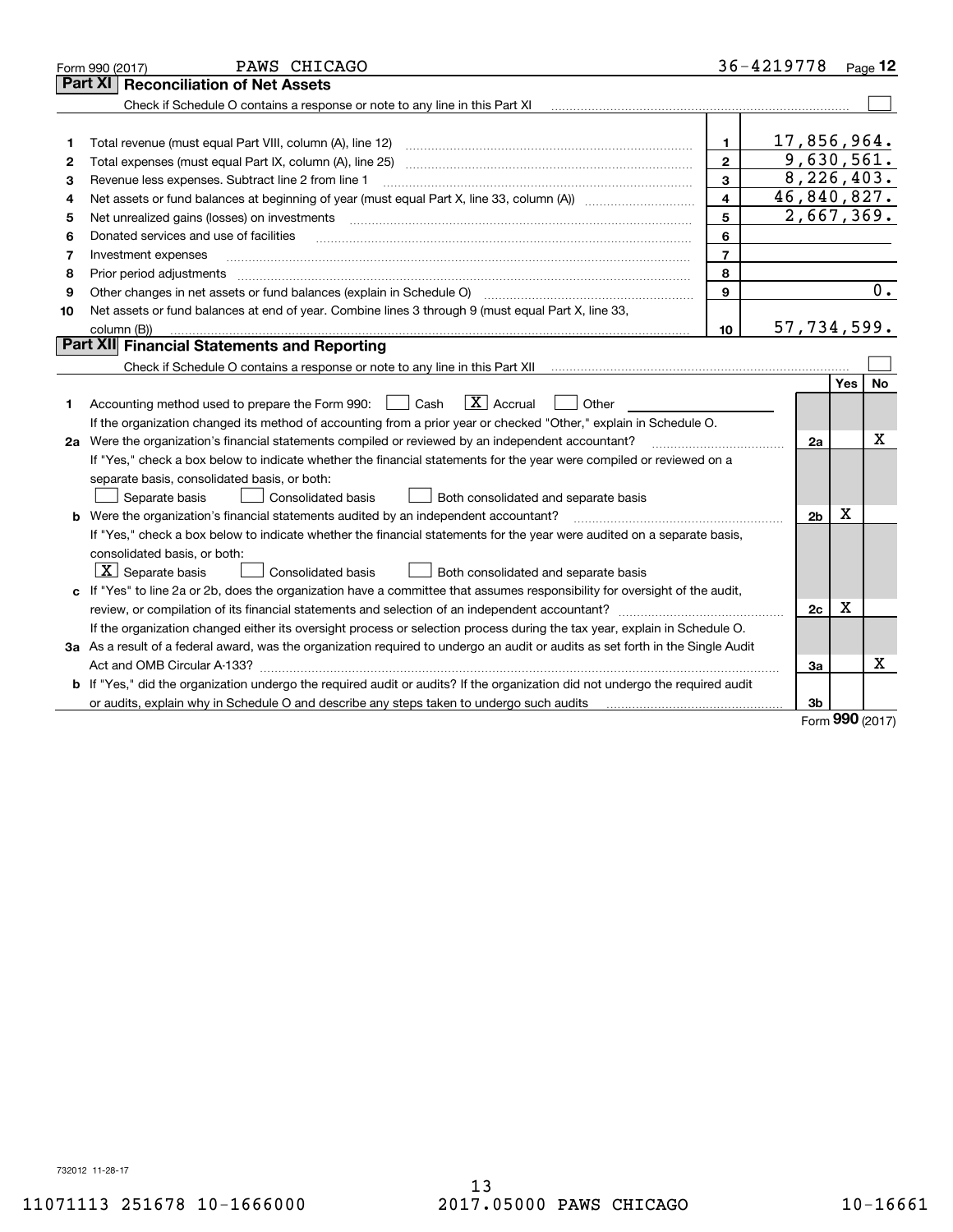|    | PAWS CHICAGO<br>Form 990 (2017)                                                                                                      |                         | 36-4219778   |         | Page 12 |
|----|--------------------------------------------------------------------------------------------------------------------------------------|-------------------------|--------------|---------|---------|
|    | Part XI<br><b>Reconciliation of Net Assets</b>                                                                                       |                         |              |         |         |
|    | Check if Schedule O contains a response or note to any line in this Part XI [11] [12] [2] [2] [2] [2] [2] [2] [                      |                         |              |         |         |
|    |                                                                                                                                      |                         |              |         |         |
| 1  | Total revenue (must equal Part VIII, column (A), line 12)                                                                            | $\mathbf{1}$            | 17,856,964.  |         |         |
| 2  | Total expenses (must equal Part IX, column (A), line 25)                                                                             | $\mathbf{2}$            | 9,630,561.   |         |         |
| 3  | Revenue less expenses. Subtract line 2 from line 1                                                                                   | 3                       | 8, 226, 403. |         |         |
| 4  |                                                                                                                                      | $\overline{\mathbf{A}}$ | 46,840,827.  |         |         |
| 5  | Net unrealized gains (losses) on investments                                                                                         | 5                       | 2,667,369.   |         |         |
| 6  | Donated services and use of facilities                                                                                               | 6                       |              |         |         |
| 7  | Investment expenses                                                                                                                  | $\overline{7}$          |              |         |         |
| 8  | Prior period adjustments                                                                                                             | 8                       |              |         |         |
| 9  | Other changes in net assets or fund balances (explain in Schedule O)                                                                 | 9                       |              |         | 0.      |
| 10 | Net assets or fund balances at end of year. Combine lines 3 through 9 (must equal Part X, line 33,                                   |                         |              |         |         |
|    | column (B))                                                                                                                          | 10                      | 57,734,599.  |         |         |
|    | Part XII Financial Statements and Reporting                                                                                          |                         |              |         |         |
|    |                                                                                                                                      |                         |              |         |         |
|    |                                                                                                                                      |                         |              | Yes     | No      |
| 1  | $\boxed{\mathbf{X}}$ Accrual<br>Accounting method used to prepare the Form 990: <u>[</u> Cash<br>Other                               |                         |              |         |         |
|    | If the organization changed its method of accounting from a prior year or checked "Other," explain in Schedule O.                    |                         |              |         |         |
|    | 2a Were the organization's financial statements compiled or reviewed by an independent accountant?                                   |                         | 2a           |         | х       |
|    | If "Yes," check a box below to indicate whether the financial statements for the year were compiled or reviewed on a                 |                         |              |         |         |
|    | separate basis, consolidated basis, or both:                                                                                         |                         |              |         |         |
|    | Both consolidated and separate basis<br>Separate basis<br>Consolidated basis                                                         |                         |              |         |         |
|    | <b>b</b> Were the organization's financial statements audited by an independent accountant?                                          |                         | 2b           | Χ       |         |
|    | If "Yes," check a box below to indicate whether the financial statements for the year were audited on a separate basis,              |                         |              |         |         |
|    | consolidated basis, or both:                                                                                                         |                         |              |         |         |
|    | $X$ Separate basis<br>Consolidated basis<br>Both consolidated and separate basis                                                     |                         |              |         |         |
|    | c If "Yes" to line 2a or 2b, does the organization have a committee that assumes responsibility for oversight of the audit,          |                         |              |         |         |
|    | review, or compilation of its financial statements and selection of an independent accountant?                                       |                         | 2c           | Χ       |         |
|    | If the organization changed either its oversight process or selection process during the tax year, explain in Schedule O.            |                         |              |         |         |
|    | 3a As a result of a federal award, was the organization required to undergo an audit or audits as set forth in the Single Audit      |                         |              |         |         |
|    |                                                                                                                                      |                         | 3a           |         | х       |
|    | <b>b</b> If "Yes," did the organization undergo the required audit or audits? If the organization did not undergo the required audit |                         |              |         |         |
|    | or audits, explain why in Schedule O and describe any steps taken to undergo such audits matured and the matur                       |                         | 3b           | $000 -$ |         |

Form (2017) **990**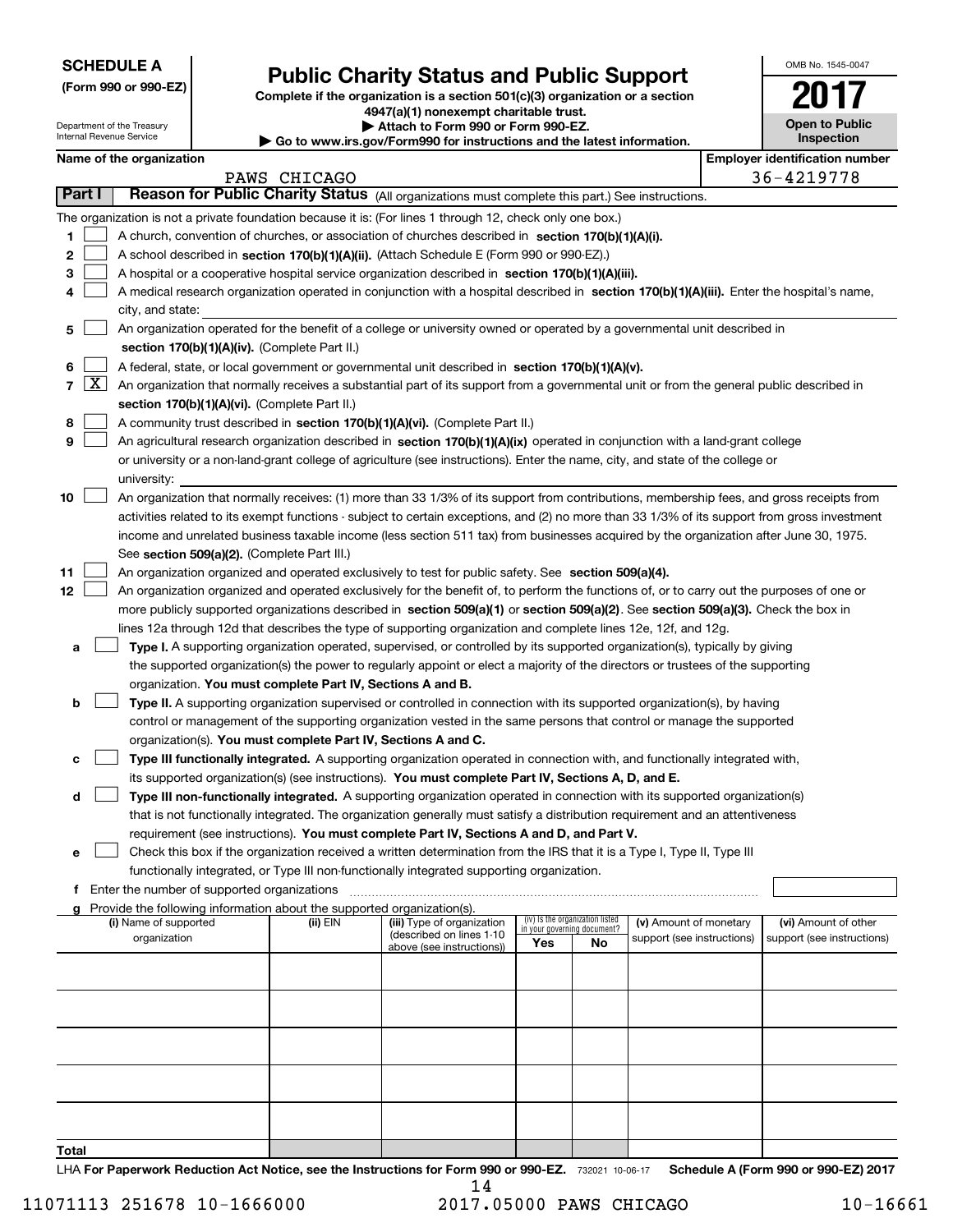| <b>SCHEDULE A</b> |  |
|-------------------|--|
|-------------------|--|

Department of the Treasury

**(Form 990 or 990-EZ)**

# **Public Charity Status and Public Support**

**Complete if the organization is a section 501(c)(3) organization or a section 4947(a)(1) nonexempt charitable trust. | Attach to Form 990 or Form 990-EZ.** 

| OMB No. 1545-0047     |
|-----------------------|
| <b>D'</b>             |
| <b>Open to Public</b> |

|                          | Internal Revenue Service<br><b>Inspection</b><br>$\blacktriangleright$ Go to www.irs.gov/Form990 for instructions and the latest information. |                       |                                               |                                                                        |                                                                                                                                                                                                                                                    |     |                                                                |                            |                            |
|--------------------------|-----------------------------------------------------------------------------------------------------------------------------------------------|-----------------------|-----------------------------------------------|------------------------------------------------------------------------|----------------------------------------------------------------------------------------------------------------------------------------------------------------------------------------------------------------------------------------------------|-----|----------------------------------------------------------------|----------------------------|----------------------------|
| Name of the organization |                                                                                                                                               |                       |                                               |                                                                        |                                                                                                                                                                                                                                                    |     | <b>Employer identification number</b>                          |                            |                            |
|                          |                                                                                                                                               |                       |                                               | PAWS CHICAGO                                                           |                                                                                                                                                                                                                                                    |     |                                                                |                            | 36-4219778                 |
|                          | Part I                                                                                                                                        |                       |                                               |                                                                        | Reason for Public Charity Status (All organizations must complete this part.) See instructions.                                                                                                                                                    |     |                                                                |                            |                            |
|                          |                                                                                                                                               |                       |                                               |                                                                        | The organization is not a private foundation because it is: (For lines 1 through 12, check only one box.)                                                                                                                                          |     |                                                                |                            |                            |
| 1.                       |                                                                                                                                               |                       |                                               |                                                                        | A church, convention of churches, or association of churches described in section 170(b)(1)(A)(i).                                                                                                                                                 |     |                                                                |                            |                            |
| 2                        |                                                                                                                                               |                       |                                               |                                                                        | A school described in section 170(b)(1)(A)(ii). (Attach Schedule E (Form 990 or 990-EZ).)                                                                                                                                                          |     |                                                                |                            |                            |
| 3                        |                                                                                                                                               |                       |                                               |                                                                        | A hospital or a cooperative hospital service organization described in section 170(b)(1)(A)(iii).                                                                                                                                                  |     |                                                                |                            |                            |
| 4                        |                                                                                                                                               |                       |                                               |                                                                        | A medical research organization operated in conjunction with a hospital described in section 170(b)(1)(A)(iii). Enter the hospital's name,                                                                                                         |     |                                                                |                            |                            |
|                          |                                                                                                                                               | city, and state:      |                                               |                                                                        |                                                                                                                                                                                                                                                    |     |                                                                |                            |                            |
| 5                        |                                                                                                                                               |                       |                                               |                                                                        | An organization operated for the benefit of a college or university owned or operated by a governmental unit described in                                                                                                                          |     |                                                                |                            |                            |
|                          |                                                                                                                                               |                       |                                               | section 170(b)(1)(A)(iv). (Complete Part II.)                          |                                                                                                                                                                                                                                                    |     |                                                                |                            |                            |
| 6                        |                                                                                                                                               |                       |                                               |                                                                        | A federal, state, or local government or governmental unit described in section 170(b)(1)(A)(v).                                                                                                                                                   |     |                                                                |                            |                            |
| 7                        | $\lfloor x \rfloor$                                                                                                                           |                       |                                               |                                                                        | An organization that normally receives a substantial part of its support from a governmental unit or from the general public described in                                                                                                          |     |                                                                |                            |                            |
|                          |                                                                                                                                               |                       |                                               | section 170(b)(1)(A)(vi). (Complete Part II.)                          |                                                                                                                                                                                                                                                    |     |                                                                |                            |                            |
| 8                        |                                                                                                                                               |                       |                                               |                                                                        | A community trust described in section 170(b)(1)(A)(vi). (Complete Part II.)                                                                                                                                                                       |     |                                                                |                            |                            |
| 9                        |                                                                                                                                               |                       |                                               |                                                                        | An agricultural research organization described in section 170(b)(1)(A)(ix) operated in conjunction with a land-grant college                                                                                                                      |     |                                                                |                            |                            |
|                          |                                                                                                                                               |                       |                                               |                                                                        | or university or a non-land-grant college of agriculture (see instructions). Enter the name, city, and state of the college or                                                                                                                     |     |                                                                |                            |                            |
|                          |                                                                                                                                               | university:           |                                               |                                                                        |                                                                                                                                                                                                                                                    |     |                                                                |                            |                            |
| 10                       |                                                                                                                                               |                       |                                               |                                                                        | An organization that normally receives: (1) more than 33 1/3% of its support from contributions, membership fees, and gross receipts from                                                                                                          |     |                                                                |                            |                            |
|                          |                                                                                                                                               |                       |                                               |                                                                        | activities related to its exempt functions - subject to certain exceptions, and (2) no more than 33 1/3% of its support from gross investment                                                                                                      |     |                                                                |                            |                            |
|                          |                                                                                                                                               |                       |                                               |                                                                        | income and unrelated business taxable income (less section 511 tax) from businesses acquired by the organization after June 30, 1975.                                                                                                              |     |                                                                |                            |                            |
|                          |                                                                                                                                               |                       |                                               | See section 509(a)(2). (Complete Part III.)                            |                                                                                                                                                                                                                                                    |     |                                                                |                            |                            |
| 11<br>12                 |                                                                                                                                               |                       |                                               |                                                                        | An organization organized and operated exclusively to test for public safety. See section 509(a)(4).<br>An organization organized and operated exclusively for the benefit of, to perform the functions of, or to carry out the purposes of one or |     |                                                                |                            |                            |
|                          |                                                                                                                                               |                       |                                               |                                                                        | more publicly supported organizations described in section 509(a)(1) or section 509(a)(2). See section 509(a)(3). Check the box in                                                                                                                 |     |                                                                |                            |                            |
|                          |                                                                                                                                               |                       |                                               |                                                                        | lines 12a through 12d that describes the type of supporting organization and complete lines 12e, 12f, and 12g.                                                                                                                                     |     |                                                                |                            |                            |
| a                        |                                                                                                                                               |                       |                                               |                                                                        | Type I. A supporting organization operated, supervised, or controlled by its supported organization(s), typically by giving                                                                                                                        |     |                                                                |                            |                            |
|                          |                                                                                                                                               |                       |                                               |                                                                        | the supported organization(s) the power to regularly appoint or elect a majority of the directors or trustees of the supporting                                                                                                                    |     |                                                                |                            |                            |
|                          |                                                                                                                                               |                       |                                               | organization. You must complete Part IV, Sections A and B.             |                                                                                                                                                                                                                                                    |     |                                                                |                            |                            |
| b                        |                                                                                                                                               |                       |                                               |                                                                        | Type II. A supporting organization supervised or controlled in connection with its supported organization(s), by having                                                                                                                            |     |                                                                |                            |                            |
|                          |                                                                                                                                               |                       |                                               |                                                                        | control or management of the supporting organization vested in the same persons that control or manage the supported                                                                                                                               |     |                                                                |                            |                            |
|                          |                                                                                                                                               |                       |                                               |                                                                        | organization(s). You must complete Part IV, Sections A and C.                                                                                                                                                                                      |     |                                                                |                            |                            |
| с                        |                                                                                                                                               |                       |                                               |                                                                        | Type III functionally integrated. A supporting organization operated in connection with, and functionally integrated with,                                                                                                                         |     |                                                                |                            |                            |
|                          |                                                                                                                                               |                       |                                               |                                                                        | its supported organization(s) (see instructions). You must complete Part IV, Sections A, D, and E.                                                                                                                                                 |     |                                                                |                            |                            |
| d                        |                                                                                                                                               |                       |                                               |                                                                        | Type III non-functionally integrated. A supporting organization operated in connection with its supported organization(s)                                                                                                                          |     |                                                                |                            |                            |
|                          |                                                                                                                                               |                       |                                               |                                                                        | that is not functionally integrated. The organization generally must satisfy a distribution requirement and an attentiveness                                                                                                                       |     |                                                                |                            |                            |
|                          |                                                                                                                                               |                       |                                               |                                                                        | requirement (see instructions). You must complete Part IV, Sections A and D, and Part V.                                                                                                                                                           |     |                                                                |                            |                            |
| е                        |                                                                                                                                               |                       |                                               |                                                                        | Check this box if the organization received a written determination from the IRS that it is a Type I, Type II, Type III                                                                                                                            |     |                                                                |                            |                            |
|                          |                                                                                                                                               |                       |                                               |                                                                        | functionally integrated, or Type III non-functionally integrated supporting organization.                                                                                                                                                          |     |                                                                |                            |                            |
|                          |                                                                                                                                               |                       | f Enter the number of supported organizations |                                                                        |                                                                                                                                                                                                                                                    |     |                                                                |                            |                            |
|                          |                                                                                                                                               |                       |                                               | Provide the following information about the supported organization(s). |                                                                                                                                                                                                                                                    |     |                                                                |                            |                            |
|                          |                                                                                                                                               | (i) Name of supported |                                               | (ii) EIN                                                               | (iii) Type of organization<br>(described on lines 1-10                                                                                                                                                                                             |     | (iv) Is the organization listed<br>in your governing document? | (v) Amount of monetary     | (vi) Amount of other       |
|                          |                                                                                                                                               | organization          |                                               |                                                                        | above (see instructions))                                                                                                                                                                                                                          | Yes | No                                                             | support (see instructions) | support (see instructions) |
|                          |                                                                                                                                               |                       |                                               |                                                                        |                                                                                                                                                                                                                                                    |     |                                                                |                            |                            |
|                          |                                                                                                                                               |                       |                                               |                                                                        |                                                                                                                                                                                                                                                    |     |                                                                |                            |                            |
|                          |                                                                                                                                               |                       |                                               |                                                                        |                                                                                                                                                                                                                                                    |     |                                                                |                            |                            |
|                          |                                                                                                                                               |                       |                                               |                                                                        |                                                                                                                                                                                                                                                    |     |                                                                |                            |                            |
|                          |                                                                                                                                               |                       |                                               |                                                                        |                                                                                                                                                                                                                                                    |     |                                                                |                            |                            |
|                          |                                                                                                                                               |                       |                                               |                                                                        |                                                                                                                                                                                                                                                    |     |                                                                |                            |                            |
|                          |                                                                                                                                               |                       |                                               |                                                                        |                                                                                                                                                                                                                                                    |     |                                                                |                            |                            |
|                          |                                                                                                                                               |                       |                                               |                                                                        |                                                                                                                                                                                                                                                    |     |                                                                |                            |                            |
|                          |                                                                                                                                               |                       |                                               |                                                                        |                                                                                                                                                                                                                                                    |     |                                                                |                            |                            |
|                          |                                                                                                                                               |                       |                                               |                                                                        |                                                                                                                                                                                                                                                    |     |                                                                |                            |                            |

**Total**

LHA For Paperwork Reduction Act Notice, see the Instructions for Form 990 or 990-EZ. 732021 10-06-17 Schedule A (Form 990 or 990-EZ) 2017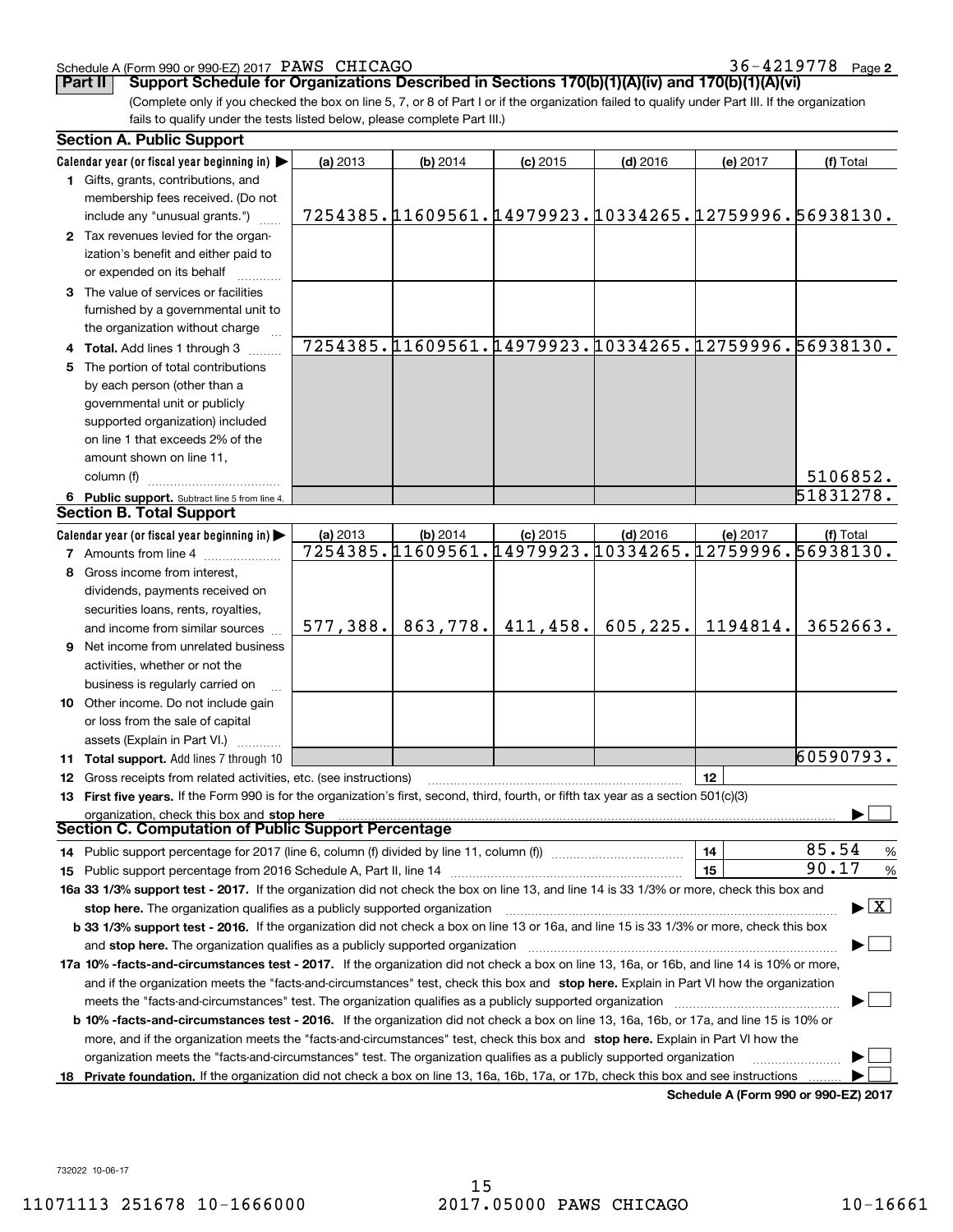#### Schedule A (Form 990 or 990-EZ) 2017 Page PAWS CHICAGO 36-4219778

(Complete only if you checked the box on line 5, 7, or 8 of Part I or if the organization failed to qualify under Part III. If the organization fails to qualify under the tests listed below, please complete Part III.) **Part II Support Schedule for Organizations Described in Sections 170(b)(1)(A)(iv) and 170(b)(1)(A)(vi)**

|    | <b>Section A. Public Support</b>                                                                                                               |          |          |            |            |                                                       |                                          |
|----|------------------------------------------------------------------------------------------------------------------------------------------------|----------|----------|------------|------------|-------------------------------------------------------|------------------------------------------|
|    | Calendar year (or fiscal year beginning in)                                                                                                    | (a) 2013 | (b) 2014 | $(c)$ 2015 | $(d)$ 2016 | (e) 2017                                              | (f) Total                                |
|    | 1 Gifts, grants, contributions, and                                                                                                            |          |          |            |            |                                                       |                                          |
|    | membership fees received. (Do not                                                                                                              |          |          |            |            |                                                       |                                          |
|    | include any "unusual grants.")                                                                                                                 |          |          |            |            | 7254385.11609561.14979923.10334265.12759996.56938130. |                                          |
|    | 2 Tax revenues levied for the organ-                                                                                                           |          |          |            |            |                                                       |                                          |
|    | ization's benefit and either paid to                                                                                                           |          |          |            |            |                                                       |                                          |
|    | or expended on its behalf                                                                                                                      |          |          |            |            |                                                       |                                          |
|    | 3 The value of services or facilities                                                                                                          |          |          |            |            |                                                       |                                          |
|    | furnished by a governmental unit to                                                                                                            |          |          |            |            |                                                       |                                          |
|    | the organization without charge                                                                                                                |          |          |            |            |                                                       |                                          |
|    | 4 Total. Add lines 1 through 3                                                                                                                 |          |          |            |            | 7254385.11609561.14979923.10334265.12759996.56938130. |                                          |
|    |                                                                                                                                                |          |          |            |            |                                                       |                                          |
| 5. | The portion of total contributions                                                                                                             |          |          |            |            |                                                       |                                          |
|    | by each person (other than a                                                                                                                   |          |          |            |            |                                                       |                                          |
|    | governmental unit or publicly                                                                                                                  |          |          |            |            |                                                       |                                          |
|    | supported organization) included                                                                                                               |          |          |            |            |                                                       |                                          |
|    | on line 1 that exceeds 2% of the                                                                                                               |          |          |            |            |                                                       |                                          |
|    | amount shown on line 11,                                                                                                                       |          |          |            |            |                                                       |                                          |
|    | column (f)                                                                                                                                     |          |          |            |            |                                                       | 5106852.                                 |
|    | 6 Public support. Subtract line 5 from line 4.                                                                                                 |          |          |            |            |                                                       | 51831278.                                |
|    | <b>Section B. Total Support</b>                                                                                                                |          |          |            |            |                                                       |                                          |
|    | Calendar year (or fiscal year beginning in)                                                                                                    | (a) 2013 | (b) 2014 | $(c)$ 2015 | $(d)$ 2016 | (e) 2017                                              | (f) Total                                |
|    | 7 Amounts from line 4                                                                                                                          |          |          |            |            | 7254385.11609561.14979923.10334265.12759996.56938130. |                                          |
|    | 8 Gross income from interest,                                                                                                                  |          |          |            |            |                                                       |                                          |
|    | dividends, payments received on                                                                                                                |          |          |            |            |                                                       |                                          |
|    | securities loans, rents, royalties,                                                                                                            |          |          |            |            |                                                       |                                          |
|    | and income from similar sources                                                                                                                | 577,388. | 863,778. | 411, 458.  | 605, 225.  | 1194814.                                              | 3652663.                                 |
|    | <b>9</b> Net income from unrelated business                                                                                                    |          |          |            |            |                                                       |                                          |
|    | activities, whether or not the                                                                                                                 |          |          |            |            |                                                       |                                          |
|    | business is regularly carried on                                                                                                               |          |          |            |            |                                                       |                                          |
|    | 10 Other income. Do not include gain                                                                                                           |          |          |            |            |                                                       |                                          |
|    | or loss from the sale of capital                                                                                                               |          |          |            |            |                                                       |                                          |
|    |                                                                                                                                                |          |          |            |            |                                                       |                                          |
|    | assets (Explain in Part VI.)<br>11 Total support. Add lines 7 through 10                                                                       |          |          |            |            |                                                       | 60590793.                                |
|    |                                                                                                                                                |          |          |            |            | 12                                                    |                                          |
|    | 12 Gross receipts from related activities, etc. (see instructions)                                                                             |          |          |            |            |                                                       |                                          |
|    | 13 First five years. If the Form 990 is for the organization's first, second, third, fourth, or fifth tax year as a section 501(c)(3)          |          |          |            |            |                                                       |                                          |
|    | organization, check this box and stop here<br><b>Section C. Computation of Public Support Percentage</b>                                       |          |          |            |            |                                                       |                                          |
|    |                                                                                                                                                |          |          |            |            |                                                       |                                          |
|    | 14 Public support percentage for 2017 (line 6, column (f) divided by line 11, column (f) <i>mummumumum</i>                                     |          |          |            |            | 14                                                    | 85.54<br>%                               |
|    |                                                                                                                                                |          |          |            |            | 15                                                    | 90.17<br>%                               |
|    | 16a 33 1/3% support test - 2017. If the organization did not check the box on line 13, and line 14 is 33 1/3% or more, check this box and      |          |          |            |            |                                                       |                                          |
|    | stop here. The organization qualifies as a publicly supported organization                                                                     |          |          |            |            |                                                       | $\blacktriangleright$ $\boxed{\text{X}}$ |
|    | b 33 1/3% support test - 2016. If the organization did not check a box on line 13 or 16a, and line 15 is 33 1/3% or more, check this box       |          |          |            |            |                                                       |                                          |
|    | and stop here. The organization qualifies as a publicly supported organization                                                                 |          |          |            |            |                                                       |                                          |
|    | 17a 10% -facts-and-circumstances test - 2017. If the organization did not check a box on line 13, 16a, or 16b, and line 14 is 10% or more,     |          |          |            |            |                                                       |                                          |
|    | and if the organization meets the "facts-and-circumstances" test, check this box and stop here. Explain in Part VI how the organization        |          |          |            |            |                                                       |                                          |
|    | meets the "facts-and-circumstances" test. The organization qualifies as a publicly supported organization                                      |          |          |            |            |                                                       |                                          |
|    | <b>b 10% -facts-and-circumstances test - 2016.</b> If the organization did not check a box on line 13, 16a, 16b, or 17a, and line 15 is 10% or |          |          |            |            |                                                       |                                          |
|    | more, and if the organization meets the "facts-and-circumstances" test, check this box and stop here. Explain in Part VI how the               |          |          |            |            |                                                       |                                          |
|    | organization meets the "facts-and-circumstances" test. The organization qualifies as a publicly supported organization                         |          |          |            |            |                                                       |                                          |
|    | 18 Private foundation. If the organization did not check a box on line 13, 16a, 16b, 17a, or 17b, check this box and see instructions          |          |          |            |            |                                                       |                                          |
|    |                                                                                                                                                |          |          |            |            |                                                       |                                          |

**Schedule A (Form 990 or 990-EZ) 2017**

732022 10-06-17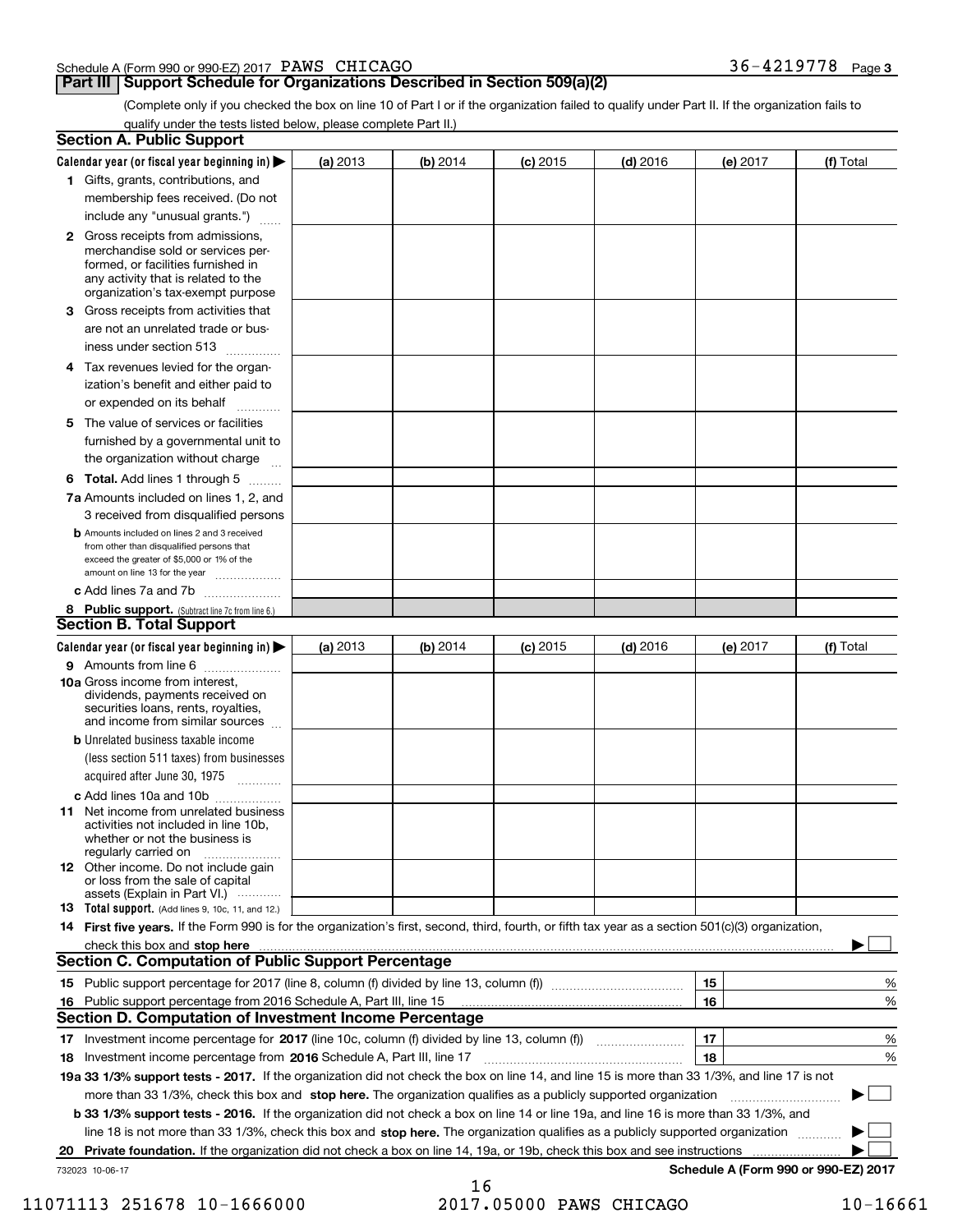#### Schedule A (Form 990 or 990-EZ) 2017 Page PAWS CHICAGO 36-4219778

### **Part III Support Schedule for Organizations Described in Section 509(a)(2)**

(Complete only if you checked the box on line 10 of Part I or if the organization failed to qualify under Part II. If the organization fails to qualify under the tests listed below, please complete Part II.)

|    | <b>Section A. Public Support</b>                                                                                                                                                                                               |          |          |                 |            |          |                                      |
|----|--------------------------------------------------------------------------------------------------------------------------------------------------------------------------------------------------------------------------------|----------|----------|-----------------|------------|----------|--------------------------------------|
|    | Calendar year (or fiscal year beginning in) $\blacktriangleright$                                                                                                                                                              | (a) 2013 | (b) 2014 | $(c)$ 2015      | $(d)$ 2016 | (e) 2017 | (f) Total                            |
|    | 1 Gifts, grants, contributions, and                                                                                                                                                                                            |          |          |                 |            |          |                                      |
|    | membership fees received. (Do not                                                                                                                                                                                              |          |          |                 |            |          |                                      |
|    | include any "unusual grants.")                                                                                                                                                                                                 |          |          |                 |            |          |                                      |
|    | <b>2</b> Gross receipts from admissions,<br>merchandise sold or services per-<br>formed, or facilities furnished in<br>any activity that is related to the<br>organization's tax-exempt purpose                                |          |          |                 |            |          |                                      |
|    | 3 Gross receipts from activities that<br>are not an unrelated trade or bus-                                                                                                                                                    |          |          |                 |            |          |                                      |
|    | iness under section 513                                                                                                                                                                                                        |          |          |                 |            |          |                                      |
|    | 4 Tax revenues levied for the organ-<br>ization's benefit and either paid to<br>or expended on its behalf<br>.                                                                                                                 |          |          |                 |            |          |                                      |
|    | 5 The value of services or facilities<br>furnished by a governmental unit to<br>the organization without charge                                                                                                                |          |          |                 |            |          |                                      |
|    | <b>6 Total.</b> Add lines 1 through 5                                                                                                                                                                                          |          |          |                 |            |          |                                      |
|    | 7a Amounts included on lines 1, 2, and                                                                                                                                                                                         |          |          |                 |            |          |                                      |
|    | 3 received from disqualified persons                                                                                                                                                                                           |          |          |                 |            |          |                                      |
|    | <b>b</b> Amounts included on lines 2 and 3 received<br>from other than disqualified persons that<br>exceed the greater of \$5,000 or 1% of the<br>amount on line 13 for the year                                               |          |          |                 |            |          |                                      |
|    | c Add lines 7a and 7b                                                                                                                                                                                                          |          |          |                 |            |          |                                      |
|    | 8 Public support. (Subtract line 7c from line 6.)                                                                                                                                                                              |          |          |                 |            |          |                                      |
|    | <b>Section B. Total Support</b>                                                                                                                                                                                                |          |          |                 |            |          |                                      |
|    | Calendar year (or fiscal year beginning in)                                                                                                                                                                                    | (a) 2013 | (b) 2014 | <b>(c)</b> 2015 | $(d)$ 2016 | (e) 2017 | (f) Total                            |
|    | 9 Amounts from line 6                                                                                                                                                                                                          |          |          |                 |            |          |                                      |
|    | 10a Gross income from interest,<br>dividends, payments received on<br>securities loans, rents, royalties,<br>and income from similar sources                                                                                   |          |          |                 |            |          |                                      |
|    | <b>b</b> Unrelated business taxable income                                                                                                                                                                                     |          |          |                 |            |          |                                      |
|    | (less section 511 taxes) from businesses<br>acquired after June 30, 1975 [10001]                                                                                                                                               |          |          |                 |            |          |                                      |
|    | c Add lines 10a and 10b<br>11 Net income from unrelated business<br>activities not included in line 10b,<br>whether or not the business is<br>regularly carried on                                                             |          |          |                 |            |          |                                      |
|    | 12 Other income. Do not include gain<br>or loss from the sale of capital<br>assets (Explain in Part VI.)                                                                                                                       |          |          |                 |            |          |                                      |
|    | 13 Total support. (Add lines 9, 10c, 11, and 12.)                                                                                                                                                                              |          |          |                 |            |          |                                      |
|    | 14 First five years. If the Form 990 is for the organization's first, second, third, fourth, or fifth tax year as a section 501(c)(3) organization,                                                                            |          |          |                 |            |          |                                      |
|    | check this box and stop here contain and contain and contain and stop here contained and stop here contained and stop here contained and stop here contained and stop here contained and stop here are all and stop here are a |          |          |                 |            |          |                                      |
|    | <b>Section C. Computation of Public Support Percentage</b>                                                                                                                                                                     |          |          |                 |            |          |                                      |
|    |                                                                                                                                                                                                                                |          |          |                 |            | 15       | %                                    |
| 16 | Public support percentage from 2016 Schedule A, Part III, line 15                                                                                                                                                              |          |          |                 |            | 16       | %                                    |
|    | <b>Section D. Computation of Investment Income Percentage</b>                                                                                                                                                                  |          |          |                 |            |          |                                      |
|    | 17 Investment income percentage for 2017 (line 10c, column (f) divided by line 13, column (f))                                                                                                                                 |          |          |                 |            | 17       | %                                    |
|    | 18 Investment income percentage from 2016 Schedule A, Part III, line 17                                                                                                                                                        |          |          |                 |            | 18       | %                                    |
|    | 19a 33 1/3% support tests - 2017. If the organization did not check the box on line 14, and line 15 is more than 33 1/3%, and line 17 is not                                                                                   |          |          |                 |            |          |                                      |
|    | more than 33 1/3%, check this box and stop here. The organization qualifies as a publicly supported organization                                                                                                               |          |          |                 |            |          | $\sim$ 1                             |
|    | b 33 1/3% support tests - 2016. If the organization did not check a box on line 14 or line 19a, and line 16 is more than 33 1/3%, and                                                                                          |          |          |                 |            |          |                                      |
|    | line 18 is not more than 33 1/3%, check this box and stop here. The organization qualifies as a publicly supported organization                                                                                                |          |          |                 |            |          |                                      |
| 20 | Private foundation. If the organization did not check a box on line 14, 19a, or 19b, check this box and see instructions                                                                                                       |          |          |                 |            |          |                                      |
|    | 732023 10-06-17                                                                                                                                                                                                                |          |          |                 |            |          | Schedule A (Form 990 or 990-EZ) 2017 |

<sup>16</sup>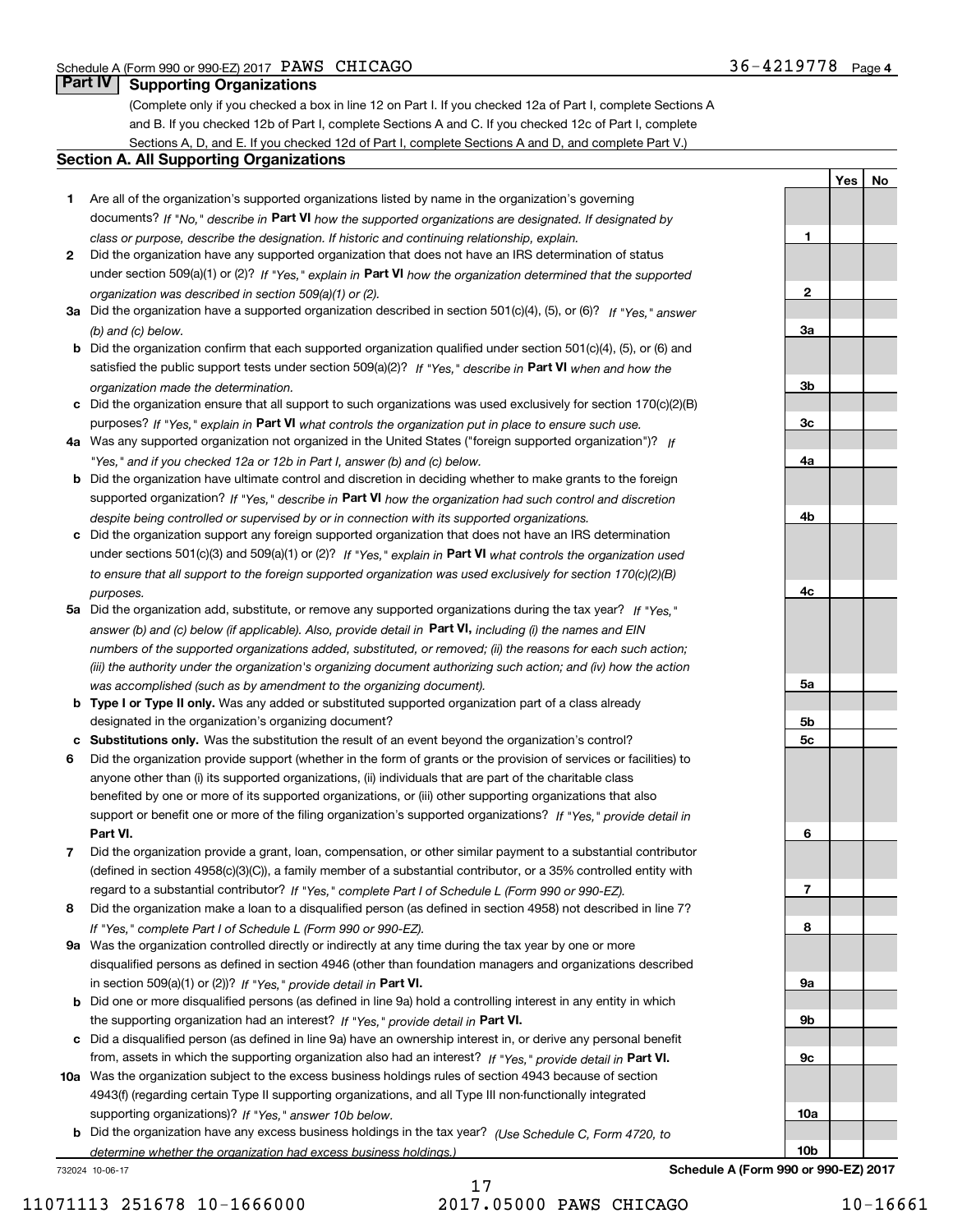**1**

**2**

**3a**

**3b**

**3c**

**4a**

**4b**

**4c**

**5a**

**5b5c**

**6**

**7**

**8**

**9a**

**9b**

**9c**

**10a**

**YesNo**

# **Part IV Supporting Organizations**

(Complete only if you checked a box in line 12 on Part I. If you checked 12a of Part I, complete Sections A and B. If you checked 12b of Part I, complete Sections A and C. If you checked 12c of Part I, complete Sections A, D, and E. If you checked 12d of Part I, complete Sections A and D, and complete Part V.)

#### **Section A. All Supporting Organizations**

- **1** Are all of the organization's supported organizations listed by name in the organization's governing documents? If "No," describe in **Part VI** how the supported organizations are designated. If designated by *class or purpose, describe the designation. If historic and continuing relationship, explain.*
- **2** Did the organization have any supported organization that does not have an IRS determination of status under section 509(a)(1) or (2)? If "Yes," explain in Part VI how the organization determined that the supported *organization was described in section 509(a)(1) or (2).*
- **3a** Did the organization have a supported organization described in section 501(c)(4), (5), or (6)? If "Yes," answer *(b) and (c) below.*
- **b** Did the organization confirm that each supported organization qualified under section 501(c)(4), (5), or (6) and satisfied the public support tests under section 509(a)(2)? If "Yes," describe in **Part VI** when and how the *organization made the determination.*
- **c**Did the organization ensure that all support to such organizations was used exclusively for section 170(c)(2)(B) purposes? If "Yes," explain in **Part VI** what controls the organization put in place to ensure such use.
- **4a***If* Was any supported organization not organized in the United States ("foreign supported organization")? *"Yes," and if you checked 12a or 12b in Part I, answer (b) and (c) below.*
- **b** Did the organization have ultimate control and discretion in deciding whether to make grants to the foreign supported organization? If "Yes," describe in **Part VI** how the organization had such control and discretion *despite being controlled or supervised by or in connection with its supported organizations.*
- **c** Did the organization support any foreign supported organization that does not have an IRS determination under sections 501(c)(3) and 509(a)(1) or (2)? If "Yes," explain in **Part VI** what controls the organization used *to ensure that all support to the foreign supported organization was used exclusively for section 170(c)(2)(B) purposes.*
- **5a** Did the organization add, substitute, or remove any supported organizations during the tax year? If "Yes," answer (b) and (c) below (if applicable). Also, provide detail in **Part VI,** including (i) the names and EIN *numbers of the supported organizations added, substituted, or removed; (ii) the reasons for each such action; (iii) the authority under the organization's organizing document authorizing such action; and (iv) how the action was accomplished (such as by amendment to the organizing document).*
- **b** Type I or Type II only. Was any added or substituted supported organization part of a class already designated in the organization's organizing document?
- **cSubstitutions only.**  Was the substitution the result of an event beyond the organization's control?
- **6** Did the organization provide support (whether in the form of grants or the provision of services or facilities) to **Part VI.** *If "Yes," provide detail in* support or benefit one or more of the filing organization's supported organizations? anyone other than (i) its supported organizations, (ii) individuals that are part of the charitable class benefited by one or more of its supported organizations, or (iii) other supporting organizations that also
- **7**Did the organization provide a grant, loan, compensation, or other similar payment to a substantial contributor *If "Yes," complete Part I of Schedule L (Form 990 or 990-EZ).* regard to a substantial contributor? (defined in section 4958(c)(3)(C)), a family member of a substantial contributor, or a 35% controlled entity with
- **8** Did the organization make a loan to a disqualified person (as defined in section 4958) not described in line 7? *If "Yes," complete Part I of Schedule L (Form 990 or 990-EZ).*
- **9a** Was the organization controlled directly or indirectly at any time during the tax year by one or more in section 509(a)(1) or (2))? If "Yes," *provide detail in* <code>Part VI.</code> disqualified persons as defined in section 4946 (other than foundation managers and organizations described
- **b** Did one or more disqualified persons (as defined in line 9a) hold a controlling interest in any entity in which the supporting organization had an interest? If "Yes," provide detail in P**art VI**.
- **c**Did a disqualified person (as defined in line 9a) have an ownership interest in, or derive any personal benefit from, assets in which the supporting organization also had an interest? If "Yes," provide detail in P**art VI.**
- **10a** Was the organization subject to the excess business holdings rules of section 4943 because of section supporting organizations)? If "Yes," answer 10b below. 4943(f) (regarding certain Type II supporting organizations, and all Type III non-functionally integrated
- **b** Did the organization have any excess business holdings in the tax year? (Use Schedule C, Form 4720, to *determine whether the organization had excess business holdings.)*

732024 10-06-17

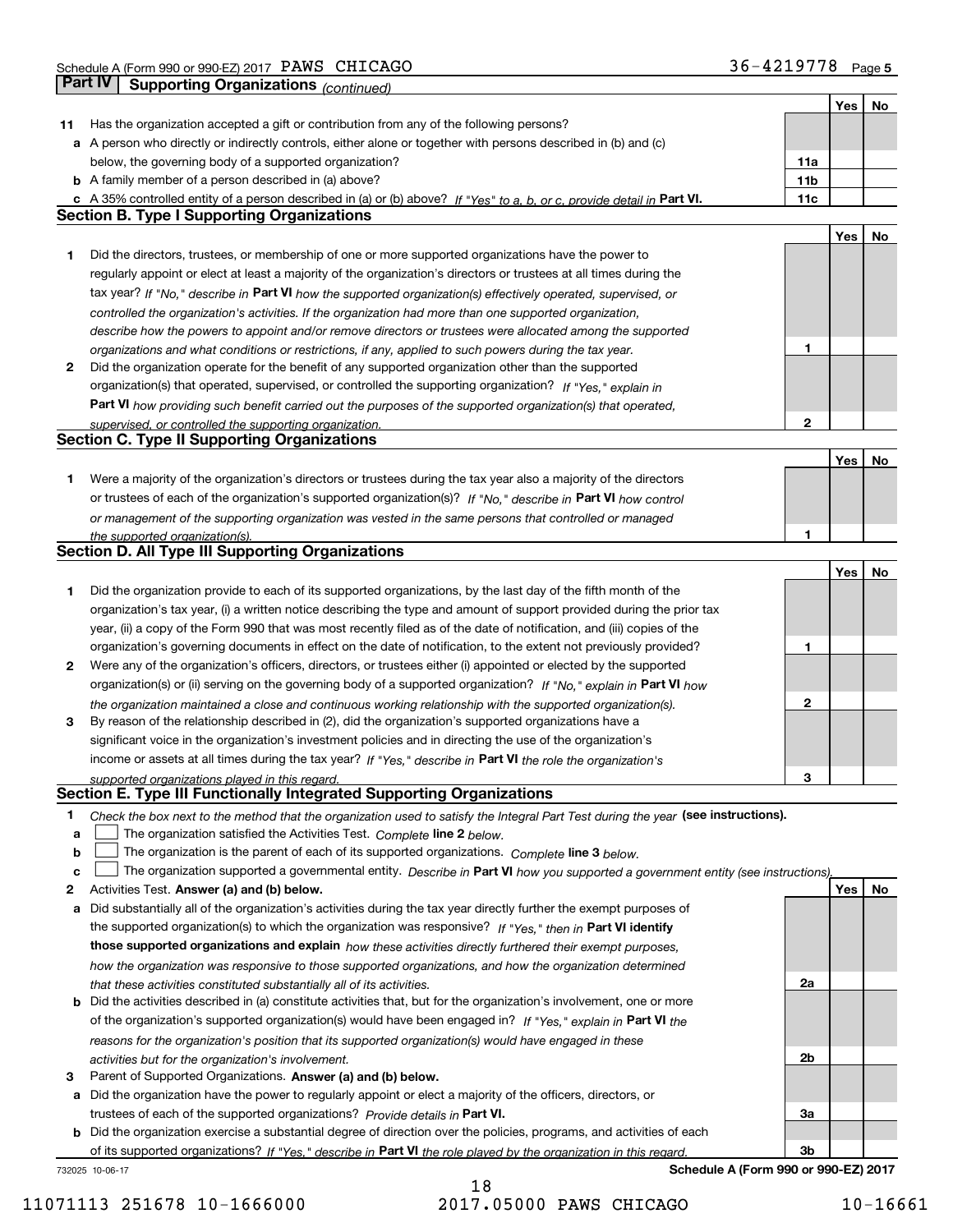|    |                                                                                                                                   |                 | Yes | No |
|----|-----------------------------------------------------------------------------------------------------------------------------------|-----------------|-----|----|
| 11 | Has the organization accepted a gift or contribution from any of the following persons?                                           |                 |     |    |
|    | a A person who directly or indirectly controls, either alone or together with persons described in (b) and (c)                    |                 |     |    |
|    | below, the governing body of a supported organization?                                                                            | 11a             |     |    |
|    | <b>b</b> A family member of a person described in (a) above?                                                                      | 11 <sub>b</sub> |     |    |
|    | c A 35% controlled entity of a person described in (a) or (b) above? If "Yes" to a, b, or c, provide detail in Part VI.           | 11c             |     |    |
|    | <b>Section B. Type I Supporting Organizations</b>                                                                                 |                 |     |    |
|    |                                                                                                                                   |                 | Yes | No |
| 1  | Did the directors, trustees, or membership of one or more supported organizations have the power to                               |                 |     |    |
|    | regularly appoint or elect at least a majority of the organization's directors or trustees at all times during the                |                 |     |    |
|    | tax year? If "No," describe in Part VI how the supported organization(s) effectively operated, supervised, or                     |                 |     |    |
|    | controlled the organization's activities. If the organization had more than one supported organization,                           |                 |     |    |
|    | describe how the powers to appoint and/or remove directors or trustees were allocated among the supported                         |                 |     |    |
|    | organizations and what conditions or restrictions, if any, applied to such powers during the tax year.                            | 1               |     |    |
| 2  | Did the organization operate for the benefit of any supported organization other than the supported                               |                 |     |    |
|    | organization(s) that operated, supervised, or controlled the supporting organization? If "Yes," explain in                        |                 |     |    |
|    | Part VI how providing such benefit carried out the purposes of the supported organization(s) that operated,                       |                 |     |    |
|    | supervised, or controlled the supporting organization.                                                                            | 2               |     |    |
|    | <b>Section C. Type II Supporting Organizations</b>                                                                                |                 |     |    |
|    |                                                                                                                                   |                 | Yes | No |
| 1  | Were a majority of the organization's directors or trustees during the tax year also a majority of the directors                  |                 |     |    |
|    | or trustees of each of the organization's supported organization(s)? If "No," describe in Part VI how control                     |                 |     |    |
|    | or management of the supporting organization was vested in the same persons that controlled or managed                            |                 |     |    |
|    | the supported organization(s).                                                                                                    | 1               |     |    |
|    | Section D. All Type III Supporting Organizations                                                                                  |                 |     |    |
|    |                                                                                                                                   |                 | Yes | No |
| 1  | Did the organization provide to each of its supported organizations, by the last day of the fifth month of the                    |                 |     |    |
|    | organization's tax year, (i) a written notice describing the type and amount of support provided during the prior tax             |                 |     |    |
|    | year, (ii) a copy of the Form 990 that was most recently filed as of the date of notification, and (iii) copies of the            |                 |     |    |
|    | organization's governing documents in effect on the date of notification, to the extent not previously provided?                  | 1               |     |    |
| 2  | Were any of the organization's officers, directors, or trustees either (i) appointed or elected by the supported                  |                 |     |    |
|    | organization(s) or (ii) serving on the governing body of a supported organization? If "No," explain in Part VI how                |                 |     |    |
|    | the organization maintained a close and continuous working relationship with the supported organization(s).                       | 2               |     |    |
| 3  | By reason of the relationship described in (2), did the organization's supported organizations have a                             |                 |     |    |
|    | significant voice in the organization's investment policies and in directing the use of the organization's                        |                 |     |    |
|    | income or assets at all times during the tax year? If "Yes," describe in Part VI the role the organization's                      |                 |     |    |
|    | supported organizations played in this regard.                                                                                    | з               |     |    |
|    | Section E. Type III Functionally Integrated Supporting Organizations                                                              |                 |     |    |
| 1  | Check the box next to the method that the organization used to satisfy the Integral Part Test during the year (see instructions). |                 |     |    |
| a  | The organization satisfied the Activities Test. Complete line 2 below.                                                            |                 |     |    |
| b  | The organization is the parent of each of its supported organizations. Complete line 3 below.                                     |                 |     |    |
| c  | The organization supported a governmental entity. Describe in Part VI how you supported a government entity (see instructions),   |                 |     |    |
| 2  | Activities Test. Answer (a) and (b) below.                                                                                        |                 | Yes | No |
| a  | Did substantially all of the organization's activities during the tax year directly further the exempt purposes of                |                 |     |    |
|    | the supported organization(s) to which the organization was responsive? If "Yes." then in Part VI identify                        |                 |     |    |
|    | those supported organizations and explain how these activities directly furthered their exempt purposes,                          |                 |     |    |
|    | how the organization was responsive to those supported organizations, and how the organization determined                         |                 |     |    |
|    | that these activities constituted substantially all of its activities.                                                            | 2a              |     |    |
|    | <b>b</b> Did the activities described in (a) constitute activities that, but for the organization's involvement, one or more      |                 |     |    |
|    | of the organization's supported organization(s) would have been engaged in? If "Yes," explain in Part VI the                      |                 |     |    |
|    | reasons for the organization's position that its supported organization(s) would have engaged in these                            |                 |     |    |
|    | activities but for the organization's involvement.                                                                                | 2b              |     |    |
| з  | Parent of Supported Organizations. Answer (a) and (b) below.                                                                      |                 |     |    |
| а  | Did the organization have the power to regularly appoint or elect a majority of the officers, directors, or                       |                 |     |    |
|    | trustees of each of the supported organizations? Provide details in Part VI.                                                      | За              |     |    |
|    | <b>b</b> Did the organization exercise a substantial degree of direction over the policies, programs, and activities of each      |                 |     |    |
|    | of its supported organizations? If "Yes," describe in Part VI the role played by the organization in this regard                  | 3b              |     |    |
|    | Schedule A (Form 990 or 990-EZ) 2017<br>732025 10-06-17                                                                           |                 |     |    |

11071113 251678 10-1666000 2017.05000 PAWS CHICAGO 10-16661

18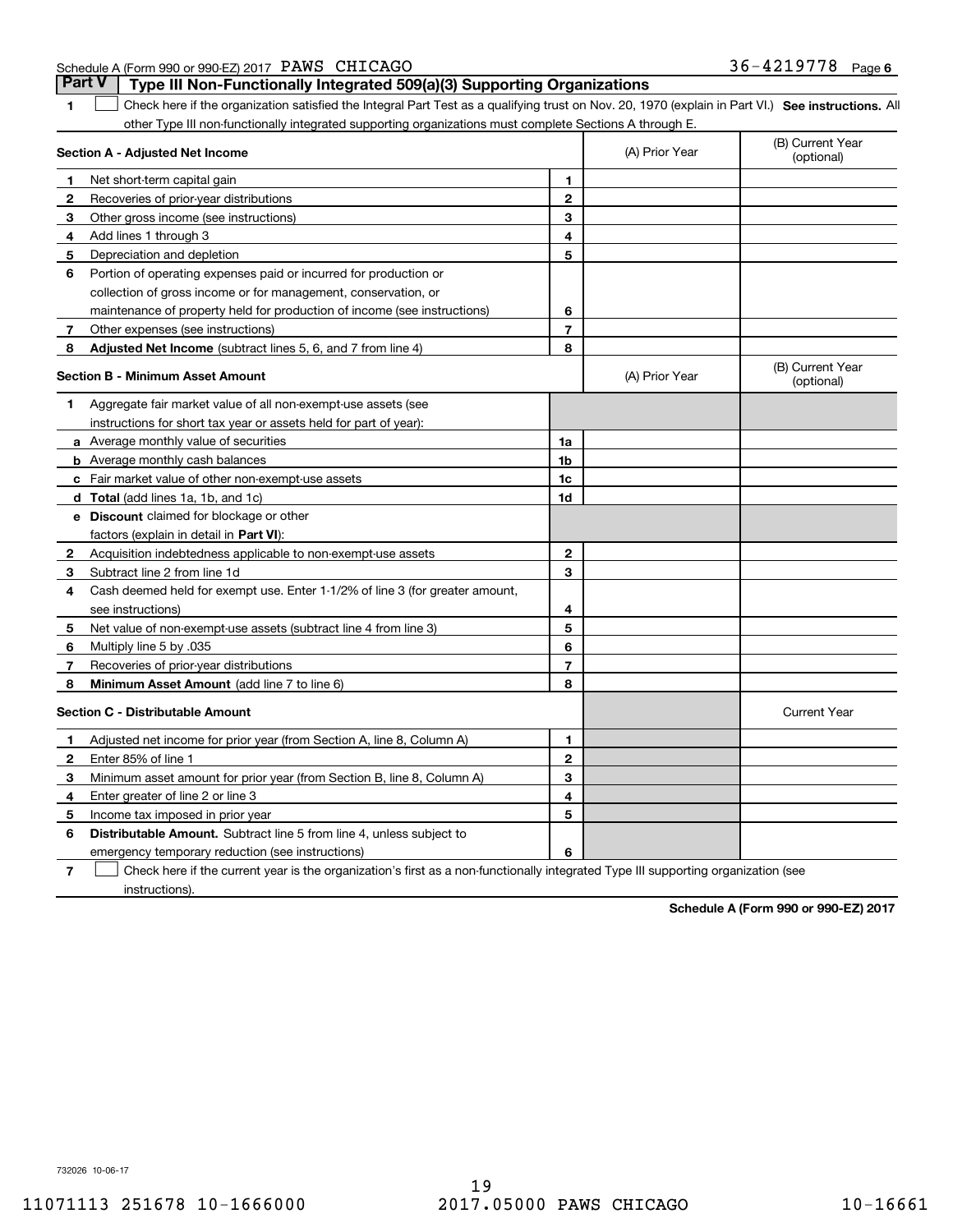|  | Schedule A (Form 990 or 990-EZ) 2017 PAWS CHICAGO |                                                                                       | $36 - 4219778$ Page 6 |  |
|--|---------------------------------------------------|---------------------------------------------------------------------------------------|-----------------------|--|
|  |                                                   | <b>Part V</b> Type III Non-Functionally Integrated 509(a)(3) Supporting Organizations |                       |  |

| other Type III non-functionally integrated supporting organizations must complete Sections A through E.<br>(B) Current Year<br>Section A - Adjusted Net Income<br>(A) Prior Year<br>(optional)<br>1<br>1<br>Net short-term capital gain<br>$\mathbf{2}$<br>2<br>Recoveries of prior-year distributions<br>3<br>3<br>Other gross income (see instructions)<br>4<br>4<br>Add lines 1 through 3<br>5<br>5<br>Depreciation and depletion<br>6<br>Portion of operating expenses paid or incurred for production or<br>collection of gross income or for management, conservation, or<br>6<br>maintenance of property held for production of income (see instructions)<br>$\overline{7}$<br>7<br>Other expenses (see instructions)<br>8<br><b>Adjusted Net Income</b> (subtract lines 5, 6, and 7 from line 4)<br>8<br>(B) Current Year<br><b>Section B - Minimum Asset Amount</b><br>(A) Prior Year<br>(optional)<br>1<br>Aggregate fair market value of all non-exempt-use assets (see<br>instructions for short tax year or assets held for part of year):<br>1a<br><b>a</b> Average monthly value of securities<br>1b<br><b>b</b> Average monthly cash balances<br>1c<br>c Fair market value of other non-exempt-use assets<br>1d<br><b>d</b> Total (add lines 1a, 1b, and 1c)<br><b>e</b> Discount claimed for blockage or other<br>factors (explain in detail in Part VI):<br>$\mathbf{2}$<br>$\mathbf{2}$<br>Acquisition indebtedness applicable to non-exempt-use assets<br>3<br>Subtract line 2 from line 1d<br>3<br>Cash deemed held for exempt use. Enter 1-1/2% of line 3 (for greater amount,<br>4<br>4<br>see instructions)<br>5<br>Net value of non-exempt-use assets (subtract line 4 from line 3)<br>5<br>6<br>6<br>Multiply line 5 by .035<br>$\overline{7}$<br>7<br>Recoveries of prior-year distributions<br>8<br>8<br><b>Minimum Asset Amount</b> (add line 7 to line 6)<br><b>Section C - Distributable Amount</b><br><b>Current Year</b><br>1<br>Adjusted net income for prior year (from Section A, line 8, Column A)<br>1<br>$\mathbf{2}$<br>$\mathbf{2}$<br>Enter 85% of line 1<br>3<br>3<br>Minimum asset amount for prior year (from Section B, line 8, Column A)<br>4<br>4<br>Enter greater of line 2 or line 3<br>5<br>5<br>Income tax imposed in prior year<br>6<br><b>Distributable Amount.</b> Subtract line 5 from line 4, unless subject to<br>6<br>emergency temporary reduction (see instructions) | 1 | Check here if the organization satisfied the Integral Part Test as a qualifying trust on Nov. 20, 1970 (explain in Part VI.) See instructions. All |  |  |
|-----------------------------------------------------------------------------------------------------------------------------------------------------------------------------------------------------------------------------------------------------------------------------------------------------------------------------------------------------------------------------------------------------------------------------------------------------------------------------------------------------------------------------------------------------------------------------------------------------------------------------------------------------------------------------------------------------------------------------------------------------------------------------------------------------------------------------------------------------------------------------------------------------------------------------------------------------------------------------------------------------------------------------------------------------------------------------------------------------------------------------------------------------------------------------------------------------------------------------------------------------------------------------------------------------------------------------------------------------------------------------------------------------------------------------------------------------------------------------------------------------------------------------------------------------------------------------------------------------------------------------------------------------------------------------------------------------------------------------------------------------------------------------------------------------------------------------------------------------------------------------------------------------------------------------------------------------------------------------------------------------------------------------------------------------------------------------------------------------------------------------------------------------------------------------------------------------------------------------------------------------------------------------------------------------------------------------------------------------------------------------------------------------------------------------------|---|----------------------------------------------------------------------------------------------------------------------------------------------------|--|--|
|                                                                                                                                                                                                                                                                                                                                                                                                                                                                                                                                                                                                                                                                                                                                                                                                                                                                                                                                                                                                                                                                                                                                                                                                                                                                                                                                                                                                                                                                                                                                                                                                                                                                                                                                                                                                                                                                                                                                                                                                                                                                                                                                                                                                                                                                                                                                                                                                                                   |   |                                                                                                                                                    |  |  |
|                                                                                                                                                                                                                                                                                                                                                                                                                                                                                                                                                                                                                                                                                                                                                                                                                                                                                                                                                                                                                                                                                                                                                                                                                                                                                                                                                                                                                                                                                                                                                                                                                                                                                                                                                                                                                                                                                                                                                                                                                                                                                                                                                                                                                                                                                                                                                                                                                                   |   |                                                                                                                                                    |  |  |
|                                                                                                                                                                                                                                                                                                                                                                                                                                                                                                                                                                                                                                                                                                                                                                                                                                                                                                                                                                                                                                                                                                                                                                                                                                                                                                                                                                                                                                                                                                                                                                                                                                                                                                                                                                                                                                                                                                                                                                                                                                                                                                                                                                                                                                                                                                                                                                                                                                   |   |                                                                                                                                                    |  |  |
|                                                                                                                                                                                                                                                                                                                                                                                                                                                                                                                                                                                                                                                                                                                                                                                                                                                                                                                                                                                                                                                                                                                                                                                                                                                                                                                                                                                                                                                                                                                                                                                                                                                                                                                                                                                                                                                                                                                                                                                                                                                                                                                                                                                                                                                                                                                                                                                                                                   |   |                                                                                                                                                    |  |  |
|                                                                                                                                                                                                                                                                                                                                                                                                                                                                                                                                                                                                                                                                                                                                                                                                                                                                                                                                                                                                                                                                                                                                                                                                                                                                                                                                                                                                                                                                                                                                                                                                                                                                                                                                                                                                                                                                                                                                                                                                                                                                                                                                                                                                                                                                                                                                                                                                                                   |   |                                                                                                                                                    |  |  |
|                                                                                                                                                                                                                                                                                                                                                                                                                                                                                                                                                                                                                                                                                                                                                                                                                                                                                                                                                                                                                                                                                                                                                                                                                                                                                                                                                                                                                                                                                                                                                                                                                                                                                                                                                                                                                                                                                                                                                                                                                                                                                                                                                                                                                                                                                                                                                                                                                                   |   |                                                                                                                                                    |  |  |
|                                                                                                                                                                                                                                                                                                                                                                                                                                                                                                                                                                                                                                                                                                                                                                                                                                                                                                                                                                                                                                                                                                                                                                                                                                                                                                                                                                                                                                                                                                                                                                                                                                                                                                                                                                                                                                                                                                                                                                                                                                                                                                                                                                                                                                                                                                                                                                                                                                   |   |                                                                                                                                                    |  |  |
|                                                                                                                                                                                                                                                                                                                                                                                                                                                                                                                                                                                                                                                                                                                                                                                                                                                                                                                                                                                                                                                                                                                                                                                                                                                                                                                                                                                                                                                                                                                                                                                                                                                                                                                                                                                                                                                                                                                                                                                                                                                                                                                                                                                                                                                                                                                                                                                                                                   |   |                                                                                                                                                    |  |  |
|                                                                                                                                                                                                                                                                                                                                                                                                                                                                                                                                                                                                                                                                                                                                                                                                                                                                                                                                                                                                                                                                                                                                                                                                                                                                                                                                                                                                                                                                                                                                                                                                                                                                                                                                                                                                                                                                                                                                                                                                                                                                                                                                                                                                                                                                                                                                                                                                                                   |   |                                                                                                                                                    |  |  |
|                                                                                                                                                                                                                                                                                                                                                                                                                                                                                                                                                                                                                                                                                                                                                                                                                                                                                                                                                                                                                                                                                                                                                                                                                                                                                                                                                                                                                                                                                                                                                                                                                                                                                                                                                                                                                                                                                                                                                                                                                                                                                                                                                                                                                                                                                                                                                                                                                                   |   |                                                                                                                                                    |  |  |
|                                                                                                                                                                                                                                                                                                                                                                                                                                                                                                                                                                                                                                                                                                                                                                                                                                                                                                                                                                                                                                                                                                                                                                                                                                                                                                                                                                                                                                                                                                                                                                                                                                                                                                                                                                                                                                                                                                                                                                                                                                                                                                                                                                                                                                                                                                                                                                                                                                   |   |                                                                                                                                                    |  |  |
|                                                                                                                                                                                                                                                                                                                                                                                                                                                                                                                                                                                                                                                                                                                                                                                                                                                                                                                                                                                                                                                                                                                                                                                                                                                                                                                                                                                                                                                                                                                                                                                                                                                                                                                                                                                                                                                                                                                                                                                                                                                                                                                                                                                                                                                                                                                                                                                                                                   |   |                                                                                                                                                    |  |  |
|                                                                                                                                                                                                                                                                                                                                                                                                                                                                                                                                                                                                                                                                                                                                                                                                                                                                                                                                                                                                                                                                                                                                                                                                                                                                                                                                                                                                                                                                                                                                                                                                                                                                                                                                                                                                                                                                                                                                                                                                                                                                                                                                                                                                                                                                                                                                                                                                                                   |   |                                                                                                                                                    |  |  |
|                                                                                                                                                                                                                                                                                                                                                                                                                                                                                                                                                                                                                                                                                                                                                                                                                                                                                                                                                                                                                                                                                                                                                                                                                                                                                                                                                                                                                                                                                                                                                                                                                                                                                                                                                                                                                                                                                                                                                                                                                                                                                                                                                                                                                                                                                                                                                                                                                                   |   |                                                                                                                                                    |  |  |
|                                                                                                                                                                                                                                                                                                                                                                                                                                                                                                                                                                                                                                                                                                                                                                                                                                                                                                                                                                                                                                                                                                                                                                                                                                                                                                                                                                                                                                                                                                                                                                                                                                                                                                                                                                                                                                                                                                                                                                                                                                                                                                                                                                                                                                                                                                                                                                                                                                   |   |                                                                                                                                                    |  |  |
|                                                                                                                                                                                                                                                                                                                                                                                                                                                                                                                                                                                                                                                                                                                                                                                                                                                                                                                                                                                                                                                                                                                                                                                                                                                                                                                                                                                                                                                                                                                                                                                                                                                                                                                                                                                                                                                                                                                                                                                                                                                                                                                                                                                                                                                                                                                                                                                                                                   |   |                                                                                                                                                    |  |  |
|                                                                                                                                                                                                                                                                                                                                                                                                                                                                                                                                                                                                                                                                                                                                                                                                                                                                                                                                                                                                                                                                                                                                                                                                                                                                                                                                                                                                                                                                                                                                                                                                                                                                                                                                                                                                                                                                                                                                                                                                                                                                                                                                                                                                                                                                                                                                                                                                                                   |   |                                                                                                                                                    |  |  |
|                                                                                                                                                                                                                                                                                                                                                                                                                                                                                                                                                                                                                                                                                                                                                                                                                                                                                                                                                                                                                                                                                                                                                                                                                                                                                                                                                                                                                                                                                                                                                                                                                                                                                                                                                                                                                                                                                                                                                                                                                                                                                                                                                                                                                                                                                                                                                                                                                                   |   |                                                                                                                                                    |  |  |
|                                                                                                                                                                                                                                                                                                                                                                                                                                                                                                                                                                                                                                                                                                                                                                                                                                                                                                                                                                                                                                                                                                                                                                                                                                                                                                                                                                                                                                                                                                                                                                                                                                                                                                                                                                                                                                                                                                                                                                                                                                                                                                                                                                                                                                                                                                                                                                                                                                   |   |                                                                                                                                                    |  |  |
|                                                                                                                                                                                                                                                                                                                                                                                                                                                                                                                                                                                                                                                                                                                                                                                                                                                                                                                                                                                                                                                                                                                                                                                                                                                                                                                                                                                                                                                                                                                                                                                                                                                                                                                                                                                                                                                                                                                                                                                                                                                                                                                                                                                                                                                                                                                                                                                                                                   |   |                                                                                                                                                    |  |  |
|                                                                                                                                                                                                                                                                                                                                                                                                                                                                                                                                                                                                                                                                                                                                                                                                                                                                                                                                                                                                                                                                                                                                                                                                                                                                                                                                                                                                                                                                                                                                                                                                                                                                                                                                                                                                                                                                                                                                                                                                                                                                                                                                                                                                                                                                                                                                                                                                                                   |   |                                                                                                                                                    |  |  |
|                                                                                                                                                                                                                                                                                                                                                                                                                                                                                                                                                                                                                                                                                                                                                                                                                                                                                                                                                                                                                                                                                                                                                                                                                                                                                                                                                                                                                                                                                                                                                                                                                                                                                                                                                                                                                                                                                                                                                                                                                                                                                                                                                                                                                                                                                                                                                                                                                                   |   |                                                                                                                                                    |  |  |
|                                                                                                                                                                                                                                                                                                                                                                                                                                                                                                                                                                                                                                                                                                                                                                                                                                                                                                                                                                                                                                                                                                                                                                                                                                                                                                                                                                                                                                                                                                                                                                                                                                                                                                                                                                                                                                                                                                                                                                                                                                                                                                                                                                                                                                                                                                                                                                                                                                   |   |                                                                                                                                                    |  |  |
|                                                                                                                                                                                                                                                                                                                                                                                                                                                                                                                                                                                                                                                                                                                                                                                                                                                                                                                                                                                                                                                                                                                                                                                                                                                                                                                                                                                                                                                                                                                                                                                                                                                                                                                                                                                                                                                                                                                                                                                                                                                                                                                                                                                                                                                                                                                                                                                                                                   |   |                                                                                                                                                    |  |  |
|                                                                                                                                                                                                                                                                                                                                                                                                                                                                                                                                                                                                                                                                                                                                                                                                                                                                                                                                                                                                                                                                                                                                                                                                                                                                                                                                                                                                                                                                                                                                                                                                                                                                                                                                                                                                                                                                                                                                                                                                                                                                                                                                                                                                                                                                                                                                                                                                                                   |   |                                                                                                                                                    |  |  |
|                                                                                                                                                                                                                                                                                                                                                                                                                                                                                                                                                                                                                                                                                                                                                                                                                                                                                                                                                                                                                                                                                                                                                                                                                                                                                                                                                                                                                                                                                                                                                                                                                                                                                                                                                                                                                                                                                                                                                                                                                                                                                                                                                                                                                                                                                                                                                                                                                                   |   |                                                                                                                                                    |  |  |
|                                                                                                                                                                                                                                                                                                                                                                                                                                                                                                                                                                                                                                                                                                                                                                                                                                                                                                                                                                                                                                                                                                                                                                                                                                                                                                                                                                                                                                                                                                                                                                                                                                                                                                                                                                                                                                                                                                                                                                                                                                                                                                                                                                                                                                                                                                                                                                                                                                   |   |                                                                                                                                                    |  |  |
|                                                                                                                                                                                                                                                                                                                                                                                                                                                                                                                                                                                                                                                                                                                                                                                                                                                                                                                                                                                                                                                                                                                                                                                                                                                                                                                                                                                                                                                                                                                                                                                                                                                                                                                                                                                                                                                                                                                                                                                                                                                                                                                                                                                                                                                                                                                                                                                                                                   |   |                                                                                                                                                    |  |  |
|                                                                                                                                                                                                                                                                                                                                                                                                                                                                                                                                                                                                                                                                                                                                                                                                                                                                                                                                                                                                                                                                                                                                                                                                                                                                                                                                                                                                                                                                                                                                                                                                                                                                                                                                                                                                                                                                                                                                                                                                                                                                                                                                                                                                                                                                                                                                                                                                                                   |   |                                                                                                                                                    |  |  |
|                                                                                                                                                                                                                                                                                                                                                                                                                                                                                                                                                                                                                                                                                                                                                                                                                                                                                                                                                                                                                                                                                                                                                                                                                                                                                                                                                                                                                                                                                                                                                                                                                                                                                                                                                                                                                                                                                                                                                                                                                                                                                                                                                                                                                                                                                                                                                                                                                                   |   |                                                                                                                                                    |  |  |
|                                                                                                                                                                                                                                                                                                                                                                                                                                                                                                                                                                                                                                                                                                                                                                                                                                                                                                                                                                                                                                                                                                                                                                                                                                                                                                                                                                                                                                                                                                                                                                                                                                                                                                                                                                                                                                                                                                                                                                                                                                                                                                                                                                                                                                                                                                                                                                                                                                   |   |                                                                                                                                                    |  |  |
|                                                                                                                                                                                                                                                                                                                                                                                                                                                                                                                                                                                                                                                                                                                                                                                                                                                                                                                                                                                                                                                                                                                                                                                                                                                                                                                                                                                                                                                                                                                                                                                                                                                                                                                                                                                                                                                                                                                                                                                                                                                                                                                                                                                                                                                                                                                                                                                                                                   |   |                                                                                                                                                    |  |  |
|                                                                                                                                                                                                                                                                                                                                                                                                                                                                                                                                                                                                                                                                                                                                                                                                                                                                                                                                                                                                                                                                                                                                                                                                                                                                                                                                                                                                                                                                                                                                                                                                                                                                                                                                                                                                                                                                                                                                                                                                                                                                                                                                                                                                                                                                                                                                                                                                                                   |   |                                                                                                                                                    |  |  |
|                                                                                                                                                                                                                                                                                                                                                                                                                                                                                                                                                                                                                                                                                                                                                                                                                                                                                                                                                                                                                                                                                                                                                                                                                                                                                                                                                                                                                                                                                                                                                                                                                                                                                                                                                                                                                                                                                                                                                                                                                                                                                                                                                                                                                                                                                                                                                                                                                                   |   |                                                                                                                                                    |  |  |
|                                                                                                                                                                                                                                                                                                                                                                                                                                                                                                                                                                                                                                                                                                                                                                                                                                                                                                                                                                                                                                                                                                                                                                                                                                                                                                                                                                                                                                                                                                                                                                                                                                                                                                                                                                                                                                                                                                                                                                                                                                                                                                                                                                                                                                                                                                                                                                                                                                   |   |                                                                                                                                                    |  |  |
|                                                                                                                                                                                                                                                                                                                                                                                                                                                                                                                                                                                                                                                                                                                                                                                                                                                                                                                                                                                                                                                                                                                                                                                                                                                                                                                                                                                                                                                                                                                                                                                                                                                                                                                                                                                                                                                                                                                                                                                                                                                                                                                                                                                                                                                                                                                                                                                                                                   |   |                                                                                                                                                    |  |  |
|                                                                                                                                                                                                                                                                                                                                                                                                                                                                                                                                                                                                                                                                                                                                                                                                                                                                                                                                                                                                                                                                                                                                                                                                                                                                                                                                                                                                                                                                                                                                                                                                                                                                                                                                                                                                                                                                                                                                                                                                                                                                                                                                                                                                                                                                                                                                                                                                                                   |   |                                                                                                                                                    |  |  |

**7** Check here if the current year is the organization's first as a non-functionally integrated Type III supporting organization (see instructions).

**Schedule A (Form 990 or 990-EZ) 2017**

732026 10-06-17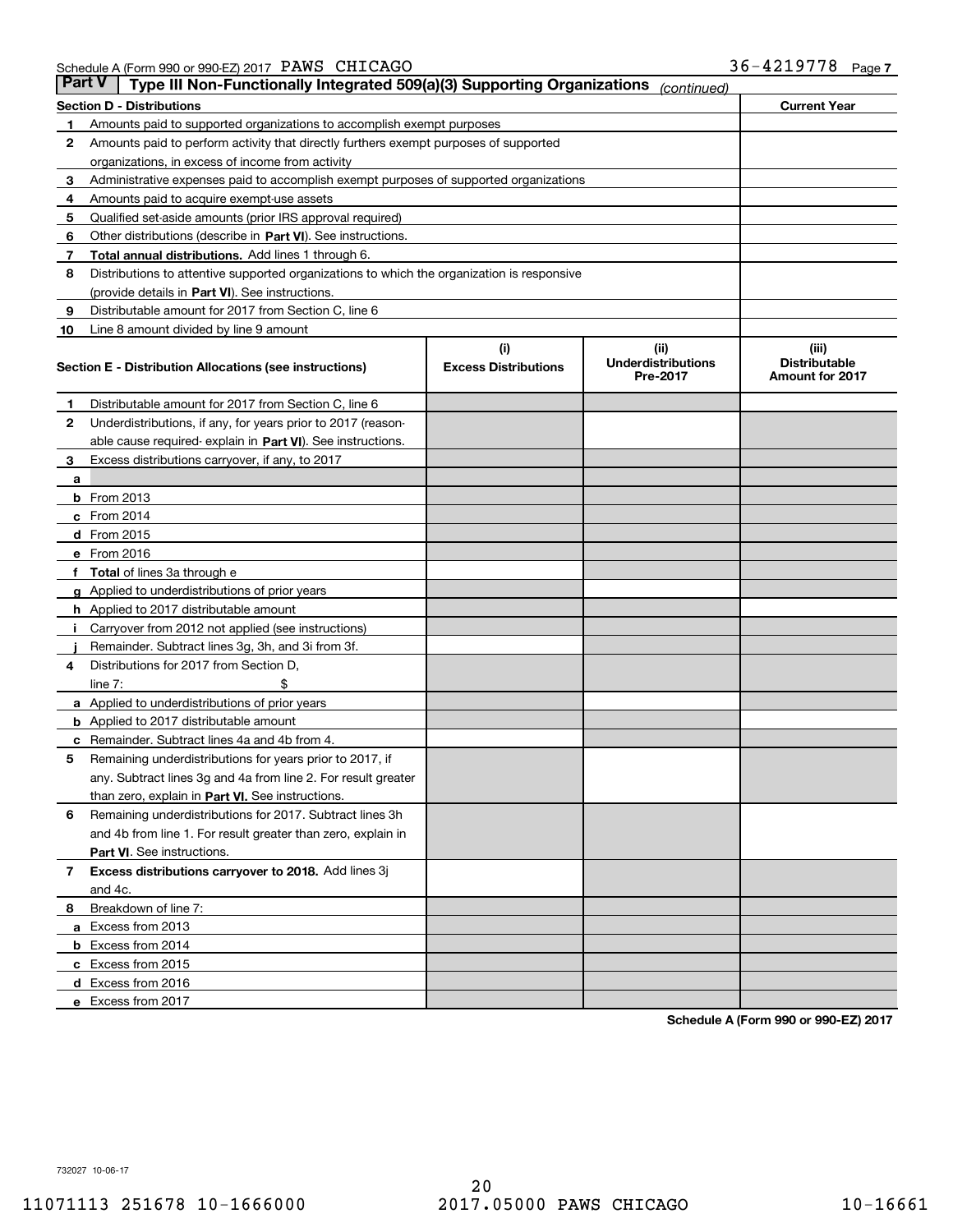|                  | <b>Part V</b><br>Type III Non-Functionally Integrated 509(a)(3) Supporting Organizations                                                                                                                                                                                                                                                                                                                                                                                                                                                                                                                                                                       |                             | (continued)                           |                                                |
|------------------|----------------------------------------------------------------------------------------------------------------------------------------------------------------------------------------------------------------------------------------------------------------------------------------------------------------------------------------------------------------------------------------------------------------------------------------------------------------------------------------------------------------------------------------------------------------------------------------------------------------------------------------------------------------|-----------------------------|---------------------------------------|------------------------------------------------|
|                  | <b>Section D - Distributions</b>                                                                                                                                                                                                                                                                                                                                                                                                                                                                                                                                                                                                                               |                             |                                       | <b>Current Year</b>                            |
| 1                | Amounts paid to supported organizations to accomplish exempt purposes                                                                                                                                                                                                                                                                                                                                                                                                                                                                                                                                                                                          |                             |                                       |                                                |
| 2                | Amounts paid to perform activity that directly furthers exempt purposes of supported                                                                                                                                                                                                                                                                                                                                                                                                                                                                                                                                                                           |                             |                                       |                                                |
|                  | organizations, in excess of income from activity                                                                                                                                                                                                                                                                                                                                                                                                                                                                                                                                                                                                               |                             |                                       |                                                |
| з                | Administrative expenses paid to accomplish exempt purposes of supported organizations                                                                                                                                                                                                                                                                                                                                                                                                                                                                                                                                                                          |                             |                                       |                                                |
| 4                | Amounts paid to acquire exempt-use assets                                                                                                                                                                                                                                                                                                                                                                                                                                                                                                                                                                                                                      |                             |                                       |                                                |
| 5                | Qualified set-aside amounts (prior IRS approval required)                                                                                                                                                                                                                                                                                                                                                                                                                                                                                                                                                                                                      |                             |                                       |                                                |
| 6                | Other distributions (describe in Part VI). See instructions.                                                                                                                                                                                                                                                                                                                                                                                                                                                                                                                                                                                                   |                             |                                       |                                                |
| 7                | Total annual distributions. Add lines 1 through 6.                                                                                                                                                                                                                                                                                                                                                                                                                                                                                                                                                                                                             |                             |                                       |                                                |
| 8                | Distributions to attentive supported organizations to which the organization is responsive                                                                                                                                                                                                                                                                                                                                                                                                                                                                                                                                                                     |                             |                                       |                                                |
|                  | (provide details in Part VI). See instructions.                                                                                                                                                                                                                                                                                                                                                                                                                                                                                                                                                                                                                |                             |                                       |                                                |
| 9                | Distributable amount for 2017 from Section C, line 6                                                                                                                                                                                                                                                                                                                                                                                                                                                                                                                                                                                                           |                             |                                       |                                                |
| 10               | Line 8 amount divided by line 9 amount                                                                                                                                                                                                                                                                                                                                                                                                                                                                                                                                                                                                                         |                             |                                       |                                                |
|                  |                                                                                                                                                                                                                                                                                                                                                                                                                                                                                                                                                                                                                                                                | (i)                         | (iii)                                 | (iii)                                          |
|                  | Section E - Distribution Allocations (see instructions)                                                                                                                                                                                                                                                                                                                                                                                                                                                                                                                                                                                                        | <b>Excess Distributions</b> | <b>Underdistributions</b><br>Pre-2017 | <b>Distributable</b><br><b>Amount for 2017</b> |
| 1                | Distributable amount for 2017 from Section C, line 6                                                                                                                                                                                                                                                                                                                                                                                                                                                                                                                                                                                                           |                             |                                       |                                                |
| 2                | Underdistributions, if any, for years prior to 2017 (reason-                                                                                                                                                                                                                                                                                                                                                                                                                                                                                                                                                                                                   |                             |                                       |                                                |
|                  | able cause required- explain in <b>Part VI</b> ). See instructions.                                                                                                                                                                                                                                                                                                                                                                                                                                                                                                                                                                                            |                             |                                       |                                                |
| 3                | Excess distributions carryover, if any, to 2017                                                                                                                                                                                                                                                                                                                                                                                                                                                                                                                                                                                                                |                             |                                       |                                                |
| а                |                                                                                                                                                                                                                                                                                                                                                                                                                                                                                                                                                                                                                                                                |                             |                                       |                                                |
|                  | <b>b</b> From 2013                                                                                                                                                                                                                                                                                                                                                                                                                                                                                                                                                                                                                                             |                             |                                       |                                                |
|                  | $c$ From 2014                                                                                                                                                                                                                                                                                                                                                                                                                                                                                                                                                                                                                                                  |                             |                                       |                                                |
|                  | <b>d</b> From 2015                                                                                                                                                                                                                                                                                                                                                                                                                                                                                                                                                                                                                                             |                             |                                       |                                                |
|                  | e From 2016                                                                                                                                                                                                                                                                                                                                                                                                                                                                                                                                                                                                                                                    |                             |                                       |                                                |
|                  | Total of lines 3a through e                                                                                                                                                                                                                                                                                                                                                                                                                                                                                                                                                                                                                                    |                             |                                       |                                                |
|                  | <b>g</b> Applied to underdistributions of prior years                                                                                                                                                                                                                                                                                                                                                                                                                                                                                                                                                                                                          |                             |                                       |                                                |
|                  | <b>h</b> Applied to 2017 distributable amount                                                                                                                                                                                                                                                                                                                                                                                                                                                                                                                                                                                                                  |                             |                                       |                                                |
|                  | Carryover from 2012 not applied (see instructions)                                                                                                                                                                                                                                                                                                                                                                                                                                                                                                                                                                                                             |                             |                                       |                                                |
|                  | Remainder. Subtract lines 3g, 3h, and 3i from 3f.                                                                                                                                                                                                                                                                                                                                                                                                                                                                                                                                                                                                              |                             |                                       |                                                |
| 4                | Distributions for 2017 from Section D,                                                                                                                                                                                                                                                                                                                                                                                                                                                                                                                                                                                                                         |                             |                                       |                                                |
|                  | line $7:$                                                                                                                                                                                                                                                                                                                                                                                                                                                                                                                                                                                                                                                      |                             |                                       |                                                |
|                  | <b>a</b> Applied to underdistributions of prior years                                                                                                                                                                                                                                                                                                                                                                                                                                                                                                                                                                                                          |                             |                                       |                                                |
|                  |                                                                                                                                                                                                                                                                                                                                                                                                                                                                                                                                                                                                                                                                |                             |                                       |                                                |
|                  |                                                                                                                                                                                                                                                                                                                                                                                                                                                                                                                                                                                                                                                                |                             |                                       |                                                |
| 5                |                                                                                                                                                                                                                                                                                                                                                                                                                                                                                                                                                                                                                                                                |                             |                                       |                                                |
|                  |                                                                                                                                                                                                                                                                                                                                                                                                                                                                                                                                                                                                                                                                |                             |                                       |                                                |
|                  |                                                                                                                                                                                                                                                                                                                                                                                                                                                                                                                                                                                                                                                                |                             |                                       |                                                |
|                  |                                                                                                                                                                                                                                                                                                                                                                                                                                                                                                                                                                                                                                                                |                             |                                       |                                                |
|                  |                                                                                                                                                                                                                                                                                                                                                                                                                                                                                                                                                                                                                                                                |                             |                                       |                                                |
|                  |                                                                                                                                                                                                                                                                                                                                                                                                                                                                                                                                                                                                                                                                |                             |                                       |                                                |
|                  |                                                                                                                                                                                                                                                                                                                                                                                                                                                                                                                                                                                                                                                                |                             |                                       |                                                |
|                  |                                                                                                                                                                                                                                                                                                                                                                                                                                                                                                                                                                                                                                                                |                             |                                       |                                                |
|                  |                                                                                                                                                                                                                                                                                                                                                                                                                                                                                                                                                                                                                                                                |                             |                                       |                                                |
|                  |                                                                                                                                                                                                                                                                                                                                                                                                                                                                                                                                                                                                                                                                |                             |                                       |                                                |
|                  |                                                                                                                                                                                                                                                                                                                                                                                                                                                                                                                                                                                                                                                                |                             |                                       |                                                |
|                  |                                                                                                                                                                                                                                                                                                                                                                                                                                                                                                                                                                                                                                                                |                             |                                       |                                                |
|                  |                                                                                                                                                                                                                                                                                                                                                                                                                                                                                                                                                                                                                                                                |                             |                                       |                                                |
|                  |                                                                                                                                                                                                                                                                                                                                                                                                                                                                                                                                                                                                                                                                |                             |                                       |                                                |
| с<br>6<br>7<br>8 | <b>b</b> Applied to 2017 distributable amount<br>Remainder. Subtract lines 4a and 4b from 4.<br>Remaining underdistributions for years prior to 2017, if<br>any. Subtract lines 3g and 4a from line 2. For result greater<br>than zero, explain in Part VI. See instructions.<br>Remaining underdistributions for 2017. Subtract lines 3h<br>and 4b from line 1. For result greater than zero, explain in<br>Part VI. See instructions.<br>Excess distributions carryover to 2018. Add lines 3j<br>and 4c.<br>Breakdown of line 7:<br><b>a</b> Excess from 2013<br><b>b</b> Excess from 2014<br>c Excess from 2015<br>d Excess from 2016<br>e Excess from 2017 |                             |                                       |                                                |

**Schedule A (Form 990 or 990-EZ) 2017**

732027 10-06-17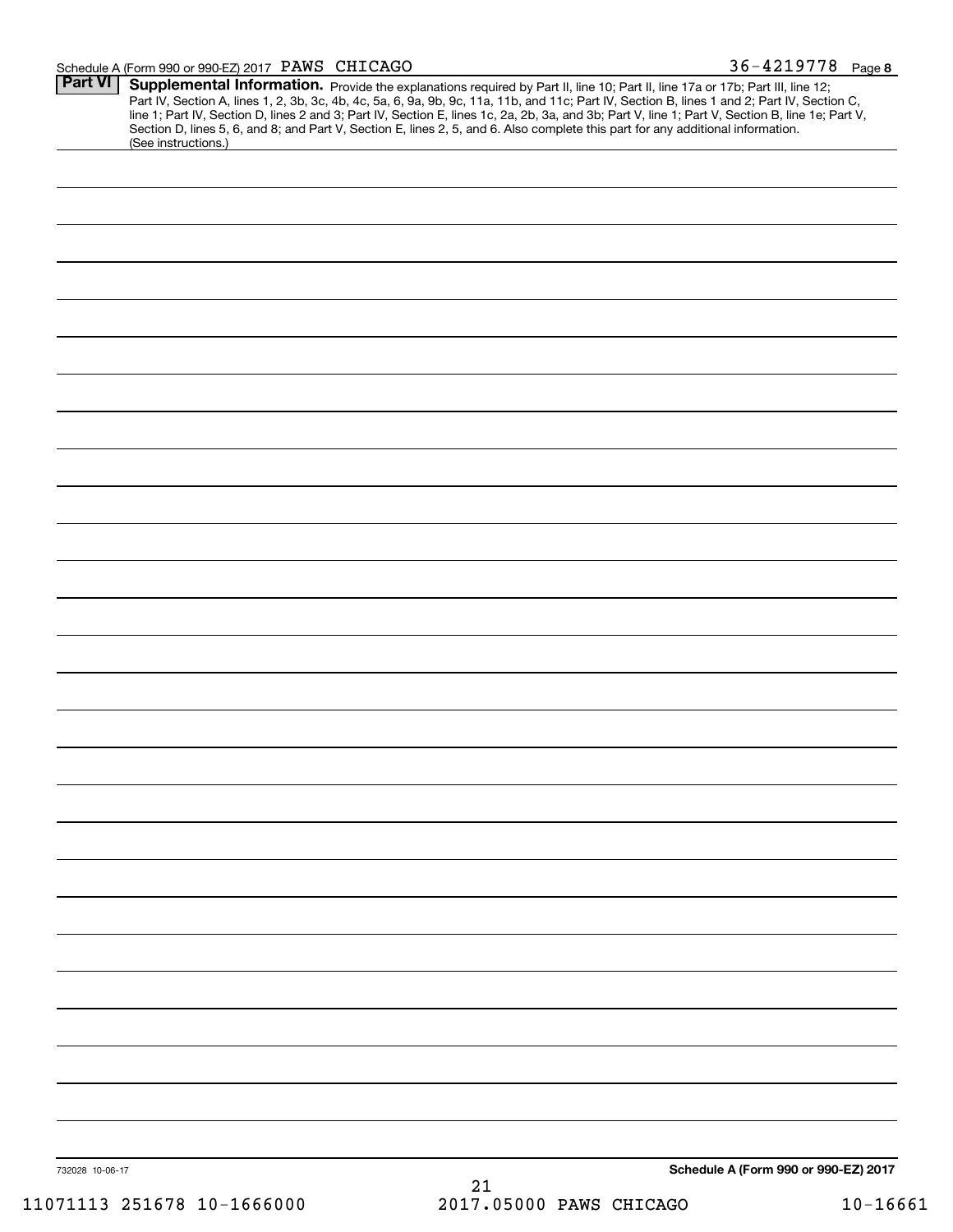#### Schedule A (Form 990 or 990-EZ) 2017 Page PAWS CHICAGO 36-4219778

| <b>Part VI</b> | Supplemental Information. Provide the explanations required by Part II, line 10; Part II, line 17a or 17b; Part III, line 12;<br>Part IV, Section A, lines 1, 2, 3b, 3c, 4b, 4c, 5a, 6, 9a, 9b, 9c, 11a, 11b, and 11c; Part IV, Section B, lines 1 and 2; Part IV, Section C,<br>line 1; Part IV, Section D, lines 2 and 3; Part IV, Section E, lines 1c, 2a, 2b, 3a, and 3b; Part V, line 1; Part V, Section B, line 1e; Part V,<br>Section D, lines 5, 6, and 8; and Part V, Section E, lines 2, 5, and 6. Also complete this part for any additional information.<br>(See instructions.) |  |
|----------------|---------------------------------------------------------------------------------------------------------------------------------------------------------------------------------------------------------------------------------------------------------------------------------------------------------------------------------------------------------------------------------------------------------------------------------------------------------------------------------------------------------------------------------------------------------------------------------------------|--|
|                |                                                                                                                                                                                                                                                                                                                                                                                                                                                                                                                                                                                             |  |
|                |                                                                                                                                                                                                                                                                                                                                                                                                                                                                                                                                                                                             |  |
|                |                                                                                                                                                                                                                                                                                                                                                                                                                                                                                                                                                                                             |  |
|                |                                                                                                                                                                                                                                                                                                                                                                                                                                                                                                                                                                                             |  |
|                |                                                                                                                                                                                                                                                                                                                                                                                                                                                                                                                                                                                             |  |
|                |                                                                                                                                                                                                                                                                                                                                                                                                                                                                                                                                                                                             |  |
|                |                                                                                                                                                                                                                                                                                                                                                                                                                                                                                                                                                                                             |  |
|                |                                                                                                                                                                                                                                                                                                                                                                                                                                                                                                                                                                                             |  |
|                |                                                                                                                                                                                                                                                                                                                                                                                                                                                                                                                                                                                             |  |
|                |                                                                                                                                                                                                                                                                                                                                                                                                                                                                                                                                                                                             |  |
|                |                                                                                                                                                                                                                                                                                                                                                                                                                                                                                                                                                                                             |  |
|                |                                                                                                                                                                                                                                                                                                                                                                                                                                                                                                                                                                                             |  |
|                |                                                                                                                                                                                                                                                                                                                                                                                                                                                                                                                                                                                             |  |
|                |                                                                                                                                                                                                                                                                                                                                                                                                                                                                                                                                                                                             |  |
|                |                                                                                                                                                                                                                                                                                                                                                                                                                                                                                                                                                                                             |  |
|                |                                                                                                                                                                                                                                                                                                                                                                                                                                                                                                                                                                                             |  |
|                |                                                                                                                                                                                                                                                                                                                                                                                                                                                                                                                                                                                             |  |
|                |                                                                                                                                                                                                                                                                                                                                                                                                                                                                                                                                                                                             |  |
|                |                                                                                                                                                                                                                                                                                                                                                                                                                                                                                                                                                                                             |  |
|                |                                                                                                                                                                                                                                                                                                                                                                                                                                                                                                                                                                                             |  |
|                |                                                                                                                                                                                                                                                                                                                                                                                                                                                                                                                                                                                             |  |
|                |                                                                                                                                                                                                                                                                                                                                                                                                                                                                                                                                                                                             |  |
|                |                                                                                                                                                                                                                                                                                                                                                                                                                                                                                                                                                                                             |  |
|                |                                                                                                                                                                                                                                                                                                                                                                                                                                                                                                                                                                                             |  |
|                |                                                                                                                                                                                                                                                                                                                                                                                                                                                                                                                                                                                             |  |
|                |                                                                                                                                                                                                                                                                                                                                                                                                                                                                                                                                                                                             |  |
|                |                                                                                                                                                                                                                                                                                                                                                                                                                                                                                                                                                                                             |  |
|                |                                                                                                                                                                                                                                                                                                                                                                                                                                                                                                                                                                                             |  |
|                |                                                                                                                                                                                                                                                                                                                                                                                                                                                                                                                                                                                             |  |
|                |                                                                                                                                                                                                                                                                                                                                                                                                                                                                                                                                                                                             |  |
|                |                                                                                                                                                                                                                                                                                                                                                                                                                                                                                                                                                                                             |  |
|                |                                                                                                                                                                                                                                                                                                                                                                                                                                                                                                                                                                                             |  |
|                |                                                                                                                                                                                                                                                                                                                                                                                                                                                                                                                                                                                             |  |
|                |                                                                                                                                                                                                                                                                                                                                                                                                                                                                                                                                                                                             |  |
|                | Schedule A (Form 990 or 990-EZ) 2017                                                                                                                                                                                                                                                                                                                                                                                                                                                                                                                                                        |  |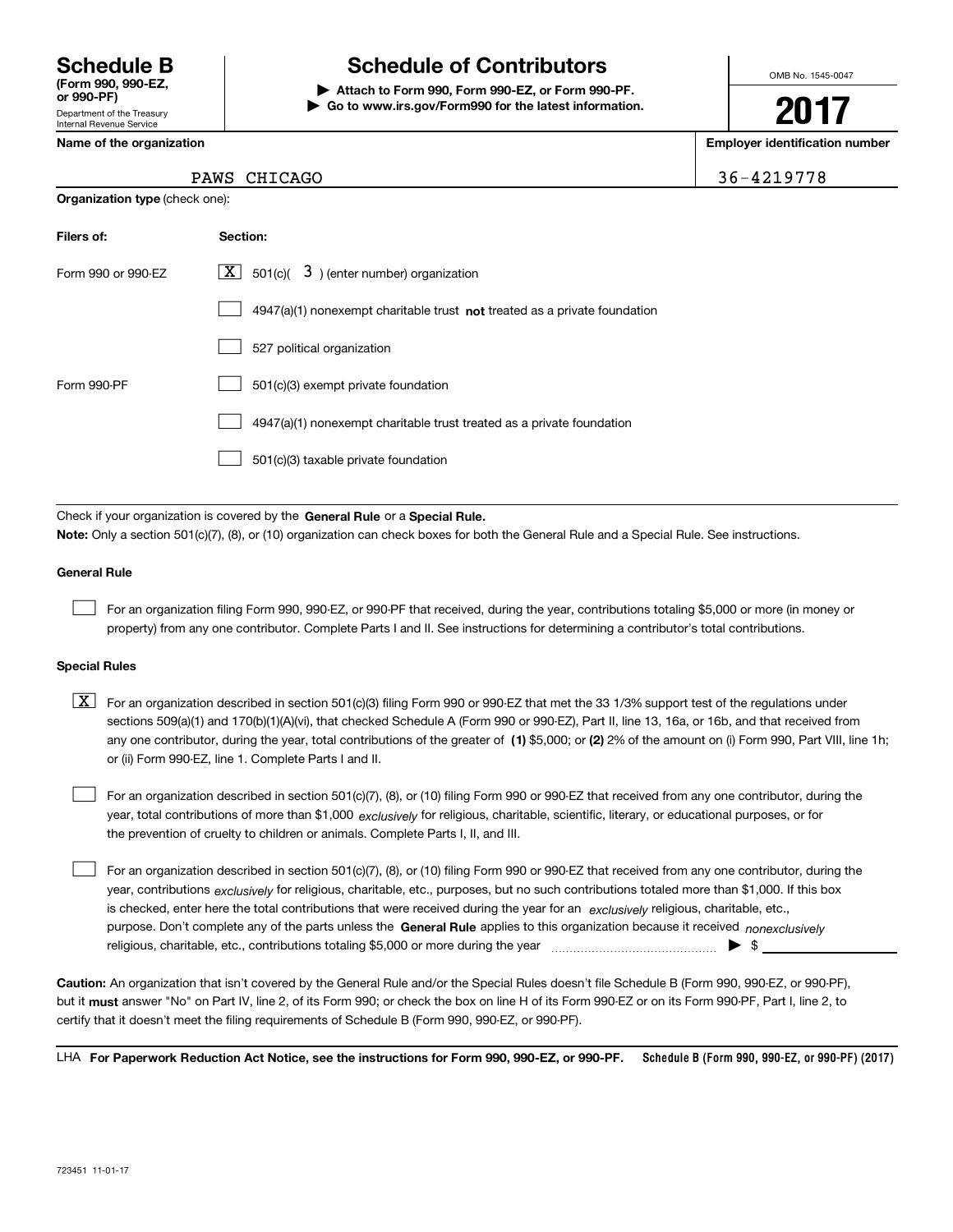# **(Form 990, 990-EZ,**

Department of the Treasury Internal Revenue Service **or 990-PF)**

**Organization type** (check one):

# **Schedule B Schedule of Contributors**

**| Attach to Form 990, Form 990-EZ, or Form 990-PF. | Go to www.irs.gov/Form990 for the latest information.** OMB No. 1545-0047

**2017**

**Name of the organization Employer identification number**

| PAWS CHICAGO | 36-4219778 |
|--------------|------------|
|              |            |

| $6 - 4219778$ |  |
|---------------|--|

| Filers of:         | <b>Section:</b>                                                             |
|--------------------|-----------------------------------------------------------------------------|
| Form 990 or 990-EZ | $\lfloor x \rfloor$ 501(c)( 3) (enter number) organization                  |
|                    | $4947(a)(1)$ nonexempt charitable trust not treated as a private foundation |
|                    | 527 political organization                                                  |
| Form 990-PF        | 501(c)(3) exempt private foundation                                         |
|                    | 4947(a)(1) nonexempt charitable trust treated as a private foundation       |
|                    | 501(c)(3) taxable private foundation                                        |

Check if your organization is covered by the **General Rule** or a **Special Rule. Note:**  Only a section 501(c)(7), (8), or (10) organization can check boxes for both the General Rule and a Special Rule. See instructions.

### **General Rule**

 $\mathcal{L}^{\text{max}}$ 

For an organization filing Form 990, 990-EZ, or 990-PF that received, during the year, contributions totaling \$5,000 or more (in money or property) from any one contributor. Complete Parts I and II. See instructions for determining a contributor's total contributions.

#### **Special Rules**

 $\mathcal{L}^{\text{max}}$ 

any one contributor, during the year, total contributions of the greater of  $\,$  (1) \$5,000; or **(2)** 2% of the amount on (i) Form 990, Part VIII, line 1h;  $\boxed{\textbf{X}}$  For an organization described in section 501(c)(3) filing Form 990 or 990-EZ that met the 33 1/3% support test of the regulations under sections 509(a)(1) and 170(b)(1)(A)(vi), that checked Schedule A (Form 990 or 990-EZ), Part II, line 13, 16a, or 16b, and that received from or (ii) Form 990-EZ, line 1. Complete Parts I and II.

year, total contributions of more than \$1,000 *exclusively* for religious, charitable, scientific, literary, or educational purposes, or for For an organization described in section 501(c)(7), (8), or (10) filing Form 990 or 990-EZ that received from any one contributor, during the the prevention of cruelty to children or animals. Complete Parts I, II, and III.  $\mathcal{L}^{\text{max}}$ 

purpose. Don't complete any of the parts unless the **General Rule** applies to this organization because it received *nonexclusively* year, contributions <sub>exclusively</sub> for religious, charitable, etc., purposes, but no such contributions totaled more than \$1,000. If this box is checked, enter here the total contributions that were received during the year for an  $\;$ exclusively religious, charitable, etc., For an organization described in section 501(c)(7), (8), or (10) filing Form 990 or 990-EZ that received from any one contributor, during the religious, charitable, etc., contributions totaling \$5,000 or more during the year  $\ldots$  $\ldots$  $\ldots$  $\ldots$  $\ldots$  $\ldots$ 

**Caution:**  An organization that isn't covered by the General Rule and/or the Special Rules doesn't file Schedule B (Form 990, 990-EZ, or 990-PF),  **must** but it answer "No" on Part IV, line 2, of its Form 990; or check the box on line H of its Form 990-EZ or on its Form 990-PF, Part I, line 2, to certify that it doesn't meet the filing requirements of Schedule B (Form 990, 990-EZ, or 990-PF).

**Schedule B (Form 990, 990-EZ, or 990-PF) (2017) For Paperwork Reduction Act Notice, see the instructions for Form 990, 990-EZ, or 990-PF.** LHA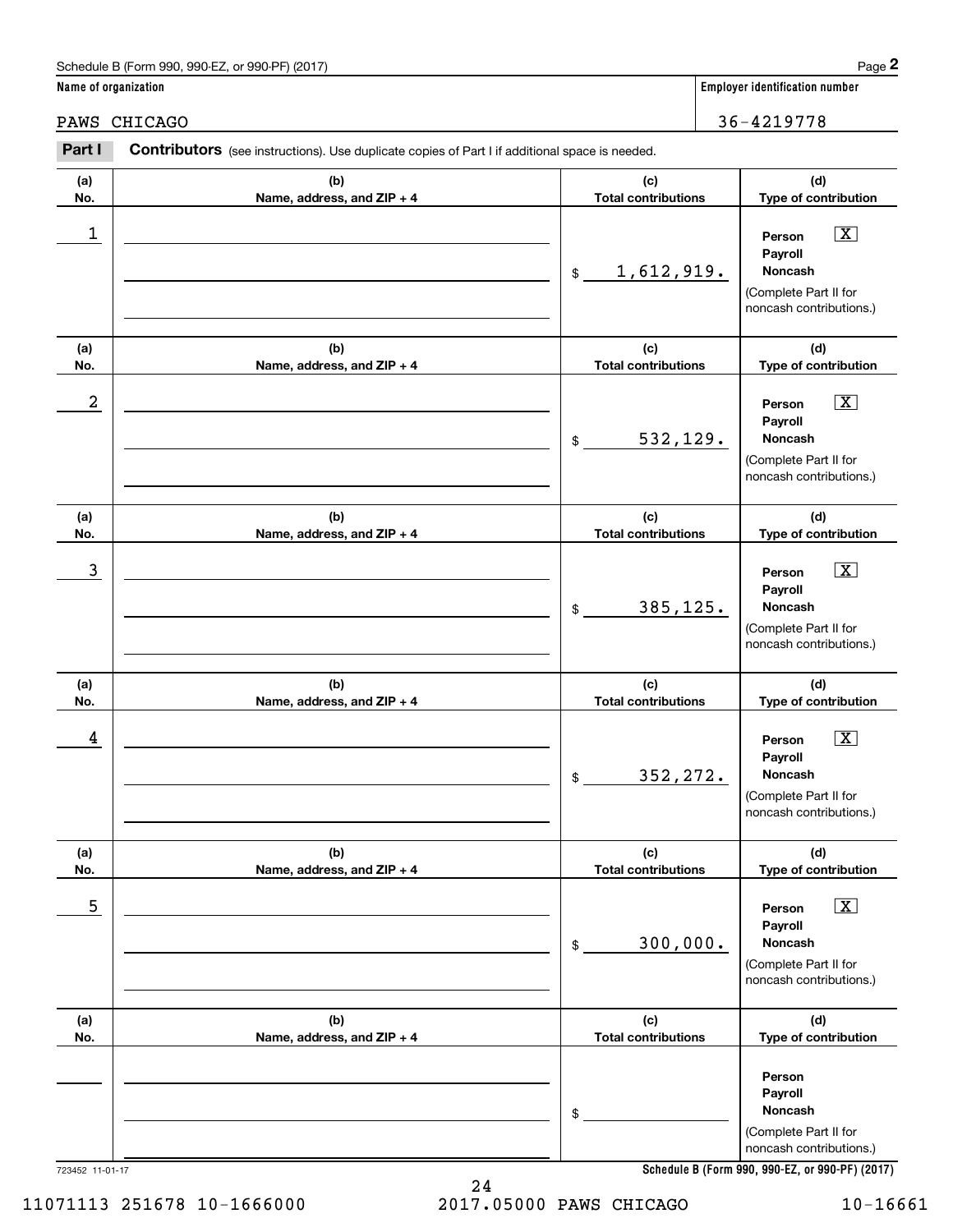|            | Schedule B (Form 990, 990-EZ, or 990-PF) (2017)                                                       |                                   | Page 2                                                                                                 |
|------------|-------------------------------------------------------------------------------------------------------|-----------------------------------|--------------------------------------------------------------------------------------------------------|
|            | Name of organization                                                                                  |                                   | Employer identification number                                                                         |
| PAWS       | <b>CHICAGO</b>                                                                                        |                                   | 36-4219778                                                                                             |
| Part I     | <b>Contributors</b> (see instructions). Use duplicate copies of Part I if additional space is needed. |                                   |                                                                                                        |
| (a)<br>No. | (b)<br>Name, address, and ZIP + 4                                                                     | (c)<br><b>Total contributions</b> | (d)<br>Type of contribution                                                                            |
| 1          |                                                                                                       | 1,612,919.<br>\$                  | $\boxed{\text{X}}$<br>Person<br>Payroll<br>Noncash<br>(Complete Part II for<br>noncash contributions.) |
| (a)<br>No. | (b)<br>Name, address, and ZIP + 4                                                                     | (c)<br><b>Total contributions</b> | (d)<br>Type of contribution                                                                            |
| 2          |                                                                                                       | 532,129.<br>\$                    | $\boxed{\text{X}}$<br>Person<br>Payroll<br>Noncash<br>(Complete Part II for<br>noncash contributions.) |
| (a)<br>No. | (b)<br>Name, address, and ZIP + 4                                                                     | (c)<br><b>Total contributions</b> | (d)<br>Type of contribution                                                                            |
| 3          |                                                                                                       | 385,125.<br>\$                    | $\boxed{\text{X}}$<br>Person<br>Payroll<br>Noncash<br>(Complete Part II for<br>noncash contributions.) |
| (a)<br>No. | (b)<br>Name, address, and ZIP + 4                                                                     | (c)<br><b>Total contributions</b> | (d)<br>Type of contribution                                                                            |
| 4          |                                                                                                       | 352,272.<br>\$                    | $\boxed{\text{X}}$<br>Person<br>Payroll<br>Noncash<br>(Complete Part II for<br>noncash contributions.) |
| (a)<br>No. | (b)<br>Name, address, and ZIP + 4                                                                     | (c)<br><b>Total contributions</b> | (d)<br>Type of contribution                                                                            |
| 5          |                                                                                                       | 300,000.<br>\$                    | $\boxed{\text{X}}$<br>Person<br>Payroll<br>Noncash<br>(Complete Part II for<br>noncash contributions.) |
| (a)<br>No. | (b)<br>Name, address, and ZIP + 4                                                                     | (c)<br><b>Total contributions</b> | (d)<br>Type of contribution                                                                            |

**Person PayrollNoncash**

(Complete Part II for noncash contributions.)

\$

# Schedule B (Form 990, 990-EZ, or 990-PF) (2017) **Page 2**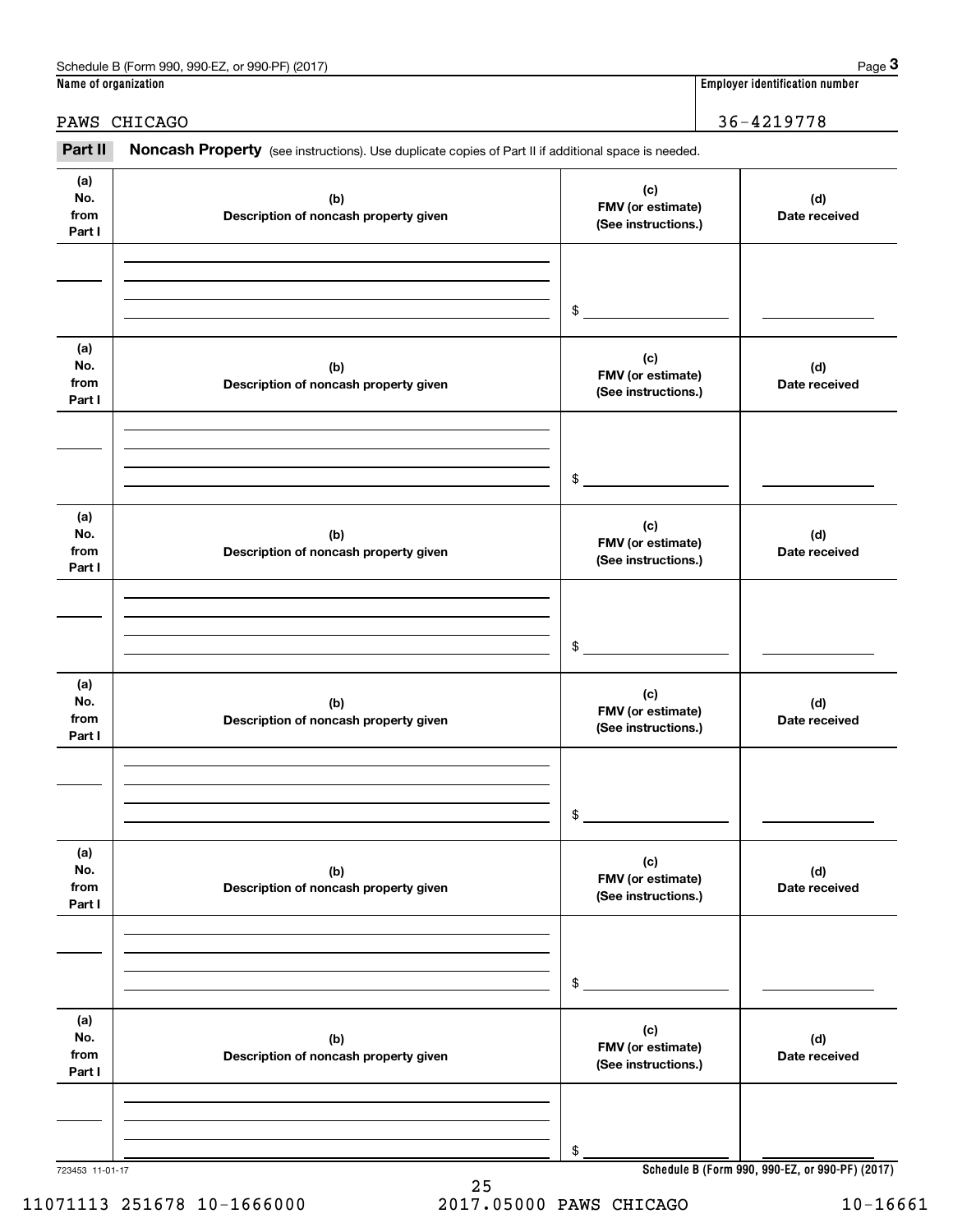| Schedule B (Form 990, 990-EZ, or 990-PF) (2017) | Page                                  |
|-------------------------------------------------|---------------------------------------|
| Name of organization                            | <b>Employer identification number</b> |

|                              | Schedule B (Form 990, 990-EZ, or 990-PF) (2017)                                                     |                                                 | Page 3                                          |
|------------------------------|-----------------------------------------------------------------------------------------------------|-------------------------------------------------|-------------------------------------------------|
| Name of organization         |                                                                                                     |                                                 | Employer identification number                  |
| PAWS                         | <b>CHICAGO</b>                                                                                      | 36-4219778                                      |                                                 |
| Part II                      | Noncash Property (see instructions). Use duplicate copies of Part II if additional space is needed. |                                                 |                                                 |
| (a)<br>No.<br>from<br>Part I | (b)<br>Description of noncash property given                                                        | (c)<br>FMV (or estimate)<br>(See instructions.) | (d)<br>Date received                            |
|                              |                                                                                                     | \$                                              |                                                 |
| (a)<br>No.<br>from<br>Part I | (b)<br>Description of noncash property given                                                        | (c)<br>FMV (or estimate)<br>(See instructions.) | (d)<br>Date received                            |
|                              |                                                                                                     | \$                                              |                                                 |
| (a)<br>No.<br>from<br>Part I | (b)<br>Description of noncash property given                                                        | (c)<br>FMV (or estimate)<br>(See instructions.) | (d)<br>Date received                            |
|                              |                                                                                                     | \$                                              |                                                 |
| (a)<br>No.<br>from<br>Part I | (b)<br>Description of noncash property given                                                        | (c)<br>FMV (or estimate)<br>(See instructions.) | (d)<br>Date received                            |
|                              |                                                                                                     | \$                                              |                                                 |
| (a)<br>No.<br>from<br>Part I | (b)<br>Description of noncash property given                                                        | (c)<br>FMV (or estimate)<br>(See instructions.) | (d)<br>Date received                            |
|                              |                                                                                                     | \$                                              |                                                 |
| (a)<br>No.<br>from<br>Part I | (b)<br>Description of noncash property given                                                        | (c)<br>FMV (or estimate)<br>(See instructions.) | (d)<br>Date received                            |
|                              |                                                                                                     | \$                                              |                                                 |
| 723453 11-01-17              |                                                                                                     |                                                 | Schedule B (Form 990, 990-EZ, or 990-PF) (2017) |

# 11071113 251678 10-1666000 2017.05000 PAWS CHICAGO 10-16661

25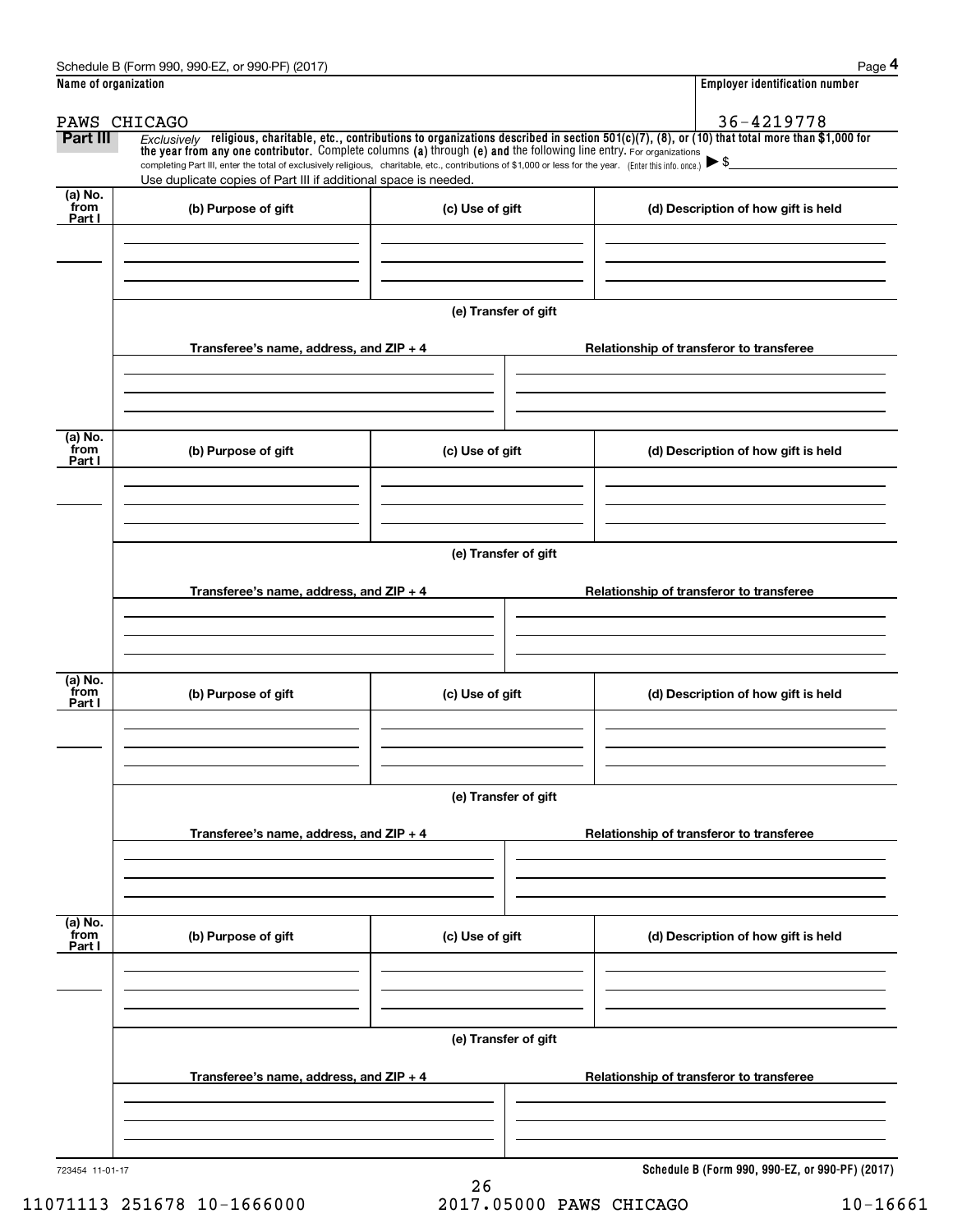|                           | Schedule B (Form 990, 990-EZ, or 990-PF) (2017)                                                                                                                                                                                                      |                      | Page 4                                                                                                                                                   |
|---------------------------|------------------------------------------------------------------------------------------------------------------------------------------------------------------------------------------------------------------------------------------------------|----------------------|----------------------------------------------------------------------------------------------------------------------------------------------------------|
| Name of organization      |                                                                                                                                                                                                                                                      |                      | <b>Employer identification number</b>                                                                                                                    |
|                           | PAWS CHICAGO                                                                                                                                                                                                                                         |                      | 36-4219778                                                                                                                                               |
| Part III                  | the year from any one contributor. Complete columns (a) through (e) and the following line entry. For organizations                                                                                                                                  |                      | Exclusively religious, charitable, etc., contributions to organizations described in section $501(c)(7)$ , (8), or (10) that total more than \$1,000 for |
|                           | completing Part III, enter the total of exclusively religious, charitable, etc., contributions of \$1,000 or less for the year. (Enter this info. once.) $\blacktriangleright$ \$<br>Use duplicate copies of Part III if additional space is needed. |                      |                                                                                                                                                          |
| $(a)$ No.                 |                                                                                                                                                                                                                                                      |                      |                                                                                                                                                          |
| from<br>Part I            | (b) Purpose of gift                                                                                                                                                                                                                                  | (c) Use of gift      | (d) Description of how gift is held                                                                                                                      |
|                           |                                                                                                                                                                                                                                                      |                      |                                                                                                                                                          |
|                           |                                                                                                                                                                                                                                                      |                      |                                                                                                                                                          |
|                           |                                                                                                                                                                                                                                                      |                      |                                                                                                                                                          |
|                           |                                                                                                                                                                                                                                                      | (e) Transfer of gift |                                                                                                                                                          |
|                           | Transferee's name, address, and $ZIP + 4$                                                                                                                                                                                                            |                      | Relationship of transferor to transferee                                                                                                                 |
|                           |                                                                                                                                                                                                                                                      |                      |                                                                                                                                                          |
|                           |                                                                                                                                                                                                                                                      |                      |                                                                                                                                                          |
| (a) No.                   |                                                                                                                                                                                                                                                      |                      |                                                                                                                                                          |
| from<br>Part I            | (b) Purpose of gift                                                                                                                                                                                                                                  | (c) Use of gift      | (d) Description of how gift is held                                                                                                                      |
|                           |                                                                                                                                                                                                                                                      |                      |                                                                                                                                                          |
|                           |                                                                                                                                                                                                                                                      |                      |                                                                                                                                                          |
|                           |                                                                                                                                                                                                                                                      |                      |                                                                                                                                                          |
|                           |                                                                                                                                                                                                                                                      | (e) Transfer of gift |                                                                                                                                                          |
|                           | Transferee's name, address, and $ZIP + 4$                                                                                                                                                                                                            |                      | Relationship of transferor to transferee                                                                                                                 |
|                           |                                                                                                                                                                                                                                                      |                      |                                                                                                                                                          |
|                           |                                                                                                                                                                                                                                                      |                      |                                                                                                                                                          |
| (a) No.                   |                                                                                                                                                                                                                                                      |                      |                                                                                                                                                          |
| from<br>Part I            | (b) Purpose of gift                                                                                                                                                                                                                                  | (c) Use of gift      | (d) Description of how gift is held                                                                                                                      |
|                           |                                                                                                                                                                                                                                                      |                      |                                                                                                                                                          |
|                           |                                                                                                                                                                                                                                                      |                      |                                                                                                                                                          |
|                           |                                                                                                                                                                                                                                                      |                      |                                                                                                                                                          |
|                           |                                                                                                                                                                                                                                                      | (e) Transfer of gift |                                                                                                                                                          |
|                           | Transferee's name, address, and $ZIP + 4$                                                                                                                                                                                                            |                      | Relationship of transferor to transferee                                                                                                                 |
|                           |                                                                                                                                                                                                                                                      |                      |                                                                                                                                                          |
|                           |                                                                                                                                                                                                                                                      |                      |                                                                                                                                                          |
|                           |                                                                                                                                                                                                                                                      |                      |                                                                                                                                                          |
| (a) No.<br>from<br>Part I | (b) Purpose of gift                                                                                                                                                                                                                                  | (c) Use of gift      | (d) Description of how gift is held                                                                                                                      |
|                           |                                                                                                                                                                                                                                                      |                      |                                                                                                                                                          |
|                           |                                                                                                                                                                                                                                                      |                      |                                                                                                                                                          |
|                           |                                                                                                                                                                                                                                                      |                      |                                                                                                                                                          |
|                           |                                                                                                                                                                                                                                                      | (e) Transfer of gift |                                                                                                                                                          |
|                           | Transferee's name, address, and $ZIP + 4$                                                                                                                                                                                                            |                      | Relationship of transferor to transferee                                                                                                                 |
|                           |                                                                                                                                                                                                                                                      |                      |                                                                                                                                                          |
|                           |                                                                                                                                                                                                                                                      |                      |                                                                                                                                                          |
|                           |                                                                                                                                                                                                                                                      |                      |                                                                                                                                                          |
| 723454 11-01-17           |                                                                                                                                                                                                                                                      | 26                   | Schedule B (Form 990, 990-EZ, or 990-PF) (2017)                                                                                                          |

# 11071113 251678 10-1666000 2017.05000 PAWS CHICAGO 10-16661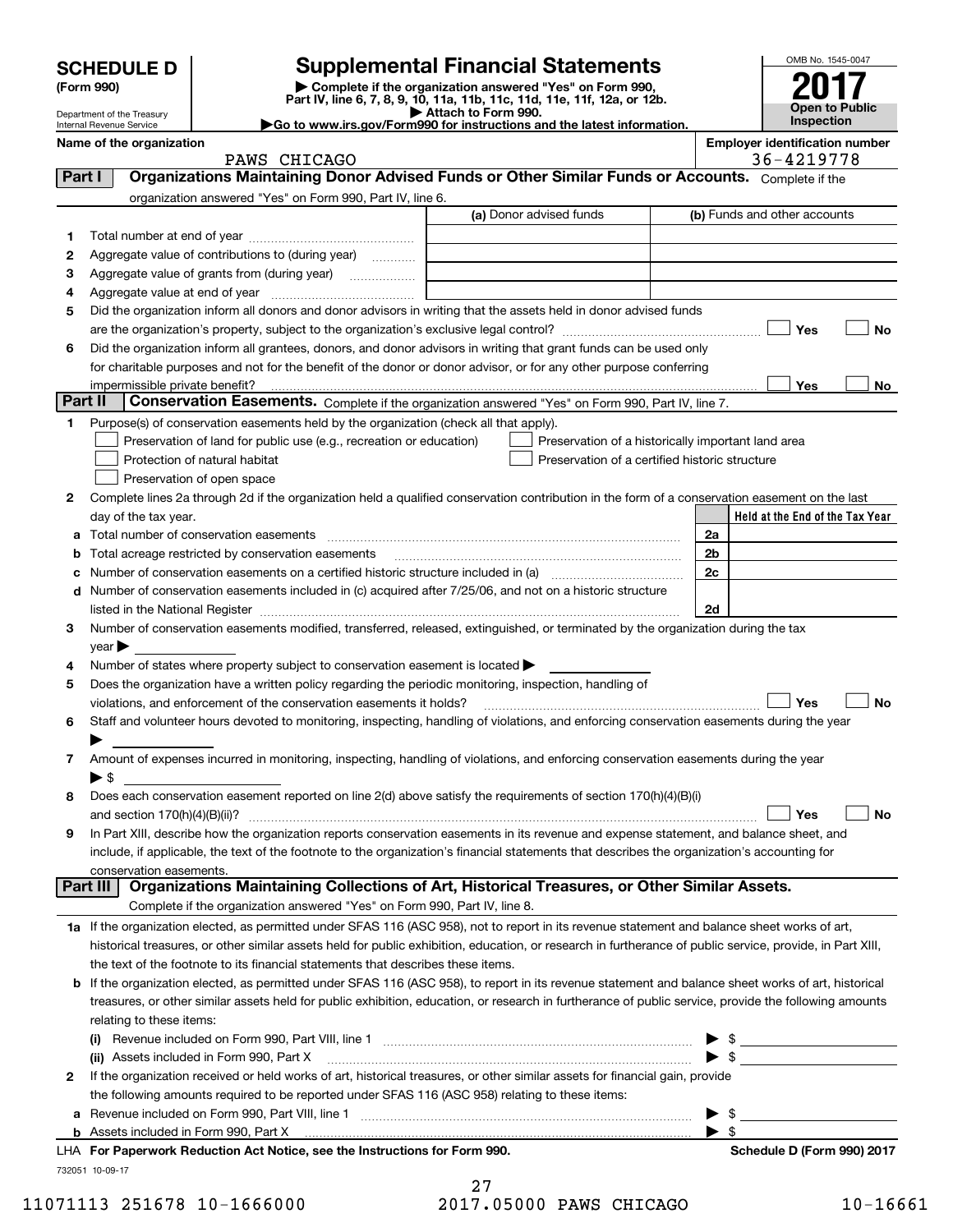| <b>SCHEDULE D</b> |  |
|-------------------|--|
|-------------------|--|

| (Form 990) |  |
|------------|--|
|------------|--|

# **Supplemental Financial Statements**

(Form 990)<br>
Pepartment of the Treasury<br>
Department of the Treasury<br>
Department of the Treasury<br>
Department of the Treasury<br> **Co to www.irs.gov/Form990 for instructions and the latest information.**<br> **Co to www.irs.gov/Form9** 



**Name of the organization Employer identification number**

|        | PAWS CHICAGO                                                                                                                                                                                                                  | 36-4219778                      |  |  |  |  |  |
|--------|-------------------------------------------------------------------------------------------------------------------------------------------------------------------------------------------------------------------------------|---------------------------------|--|--|--|--|--|
| Part I | Organizations Maintaining Donor Advised Funds or Other Similar Funds or Accounts. Complete if the                                                                                                                             |                                 |  |  |  |  |  |
|        | organization answered "Yes" on Form 990, Part IV, line 6.                                                                                                                                                                     |                                 |  |  |  |  |  |
|        | (a) Donor advised funds                                                                                                                                                                                                       | (b) Funds and other accounts    |  |  |  |  |  |
| 1.     |                                                                                                                                                                                                                               |                                 |  |  |  |  |  |
| 2      | Aggregate value of contributions to (during year)                                                                                                                                                                             |                                 |  |  |  |  |  |
| з      | Aggregate value of grants from (during year) <i>mimimimimial</i>                                                                                                                                                              |                                 |  |  |  |  |  |
| 4      |                                                                                                                                                                                                                               |                                 |  |  |  |  |  |
| 5      | Did the organization inform all donors and donor advisors in writing that the assets held in donor advised funds                                                                                                              |                                 |  |  |  |  |  |
|        |                                                                                                                                                                                                                               | Yes<br>No                       |  |  |  |  |  |
| 6      | Did the organization inform all grantees, donors, and donor advisors in writing that grant funds can be used only                                                                                                             |                                 |  |  |  |  |  |
|        | for charitable purposes and not for the benefit of the donor or donor advisor, or for any other purpose conferring                                                                                                            |                                 |  |  |  |  |  |
|        | impermissible private benefit?                                                                                                                                                                                                | Yes<br>No                       |  |  |  |  |  |
|        | Part II<br>Conservation Easements. Complete if the organization answered "Yes" on Form 990, Part IV, line 7.                                                                                                                  |                                 |  |  |  |  |  |
| 1.     | Purpose(s) of conservation easements held by the organization (check all that apply).                                                                                                                                         |                                 |  |  |  |  |  |
|        | Preservation of land for public use (e.g., recreation or education)<br>Preservation of a historically important land area                                                                                                     |                                 |  |  |  |  |  |
|        | Preservation of a certified historic structure<br>Protection of natural habitat                                                                                                                                               |                                 |  |  |  |  |  |
|        | Preservation of open space                                                                                                                                                                                                    |                                 |  |  |  |  |  |
|        |                                                                                                                                                                                                                               |                                 |  |  |  |  |  |
| 2      | Complete lines 2a through 2d if the organization held a qualified conservation contribution in the form of a conservation easement on the last                                                                                |                                 |  |  |  |  |  |
|        | day of the tax year.                                                                                                                                                                                                          | Held at the End of the Tax Year |  |  |  |  |  |
| a      | Total number of conservation easements                                                                                                                                                                                        | 2a                              |  |  |  |  |  |
| b      | Total acreage restricted by conservation easements                                                                                                                                                                            | 2b                              |  |  |  |  |  |
| c      | Number of conservation easements on a certified historic structure included in (a)                                                                                                                                            | 2c                              |  |  |  |  |  |
| d      | Number of conservation easements included in (c) acquired after 7/25/06, and not on a historic structure                                                                                                                      |                                 |  |  |  |  |  |
|        | listed in the National Register [11, 1200] [12] The National Register [11, 1200] [12] The National Register [11, 1200] [12] The National Register [11, 1200] [12] The National Register [11, 1200] [12] The National Register | 2d                              |  |  |  |  |  |
| 3      | Number of conservation easements modified, transferred, released, extinguished, or terminated by the organization during the tax                                                                                              |                                 |  |  |  |  |  |
|        | $year \blacktriangleright$                                                                                                                                                                                                    |                                 |  |  |  |  |  |
| 4      | Number of states where property subject to conservation easement is located >                                                                                                                                                 |                                 |  |  |  |  |  |
| 5      | Does the organization have a written policy regarding the periodic monitoring, inspection, handling of                                                                                                                        |                                 |  |  |  |  |  |
|        | violations, and enforcement of the conservation easements it holds?                                                                                                                                                           | <b>No</b><br>Yes                |  |  |  |  |  |
| 6      | Staff and volunteer hours devoted to monitoring, inspecting, handling of violations, and enforcing conservation easements during the year                                                                                     |                                 |  |  |  |  |  |
|        |                                                                                                                                                                                                                               |                                 |  |  |  |  |  |
| 7      | Amount of expenses incurred in monitoring, inspecting, handling of violations, and enforcing conservation easements during the year                                                                                           |                                 |  |  |  |  |  |
|        | $\blacktriangleright$ \$                                                                                                                                                                                                      |                                 |  |  |  |  |  |
| 8      | Does each conservation easement reported on line 2(d) above satisfy the requirements of section 170(h)(4)(B)(i)                                                                                                               |                                 |  |  |  |  |  |
|        | and section $170(h)(4)(B)(ii)?$                                                                                                                                                                                               | <b>No</b><br>Yes                |  |  |  |  |  |
| 9      | In Part XIII, describe how the organization reports conservation easements in its revenue and expense statement, and balance sheet, and                                                                                       |                                 |  |  |  |  |  |
|        | include, if applicable, the text of the footnote to the organization's financial statements that describes the organization's accounting for                                                                                  |                                 |  |  |  |  |  |
|        | conservation easements.<br>Organizations Maintaining Collections of Art, Historical Treasures, or Other Similar Assets.<br>Part III                                                                                           |                                 |  |  |  |  |  |
|        | Complete if the organization answered "Yes" on Form 990, Part IV, line 8.                                                                                                                                                     |                                 |  |  |  |  |  |
|        |                                                                                                                                                                                                                               |                                 |  |  |  |  |  |
|        | 1a If the organization elected, as permitted under SFAS 116 (ASC 958), not to report in its revenue statement and balance sheet works of art,                                                                                 |                                 |  |  |  |  |  |
|        | historical treasures, or other similar assets held for public exhibition, education, or research in furtherance of public service, provide, in Part XIII,                                                                     |                                 |  |  |  |  |  |
|        | the text of the footnote to its financial statements that describes these items.                                                                                                                                              |                                 |  |  |  |  |  |
|        | <b>b</b> If the organization elected, as permitted under SFAS 116 (ASC 958), to report in its revenue statement and balance sheet works of art, historical                                                                    |                                 |  |  |  |  |  |
|        | treasures, or other similar assets held for public exhibition, education, or research in furtherance of public service, provide the following amounts                                                                         |                                 |  |  |  |  |  |
|        | relating to these items:                                                                                                                                                                                                      |                                 |  |  |  |  |  |
|        |                                                                                                                                                                                                                               | \$                              |  |  |  |  |  |
|        | (ii) Assets included in Form 990, Part X                                                                                                                                                                                      | $\blacktriangleright$ \$        |  |  |  |  |  |
| 2      | If the organization received or held works of art, historical treasures, or other similar assets for financial gain, provide                                                                                                  |                                 |  |  |  |  |  |
|        | the following amounts required to be reported under SFAS 116 (ASC 958) relating to these items:                                                                                                                               |                                 |  |  |  |  |  |
| а      |                                                                                                                                                                                                                               | - \$                            |  |  |  |  |  |
| b      | Assets included in Form 990, Part X                                                                                                                                                                                           | $\blacktriangleright$ \$        |  |  |  |  |  |
|        | LHA For Paperwork Reduction Act Notice, see the Instructions for Form 990.                                                                                                                                                    | Schedule D (Form 990) 2017      |  |  |  |  |  |

732051 10-09-17

27 11071113 251678 10-1666000 2017.05000 PAWS CHICAGO 10-16661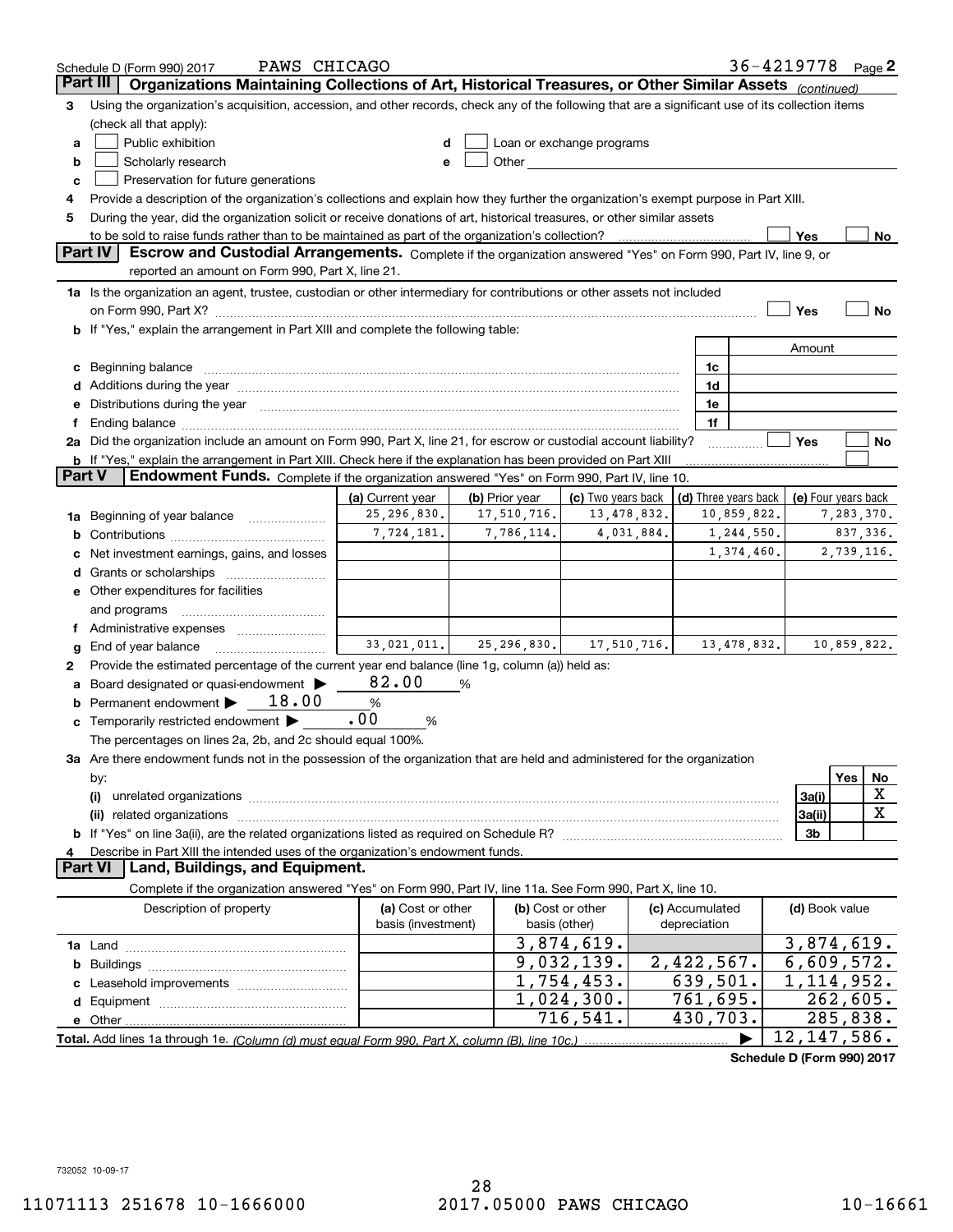|                 | PAWS CHICAGO<br>Schedule D (Form 990) 2017                                                                                                                                                                                     |                    |                |                           |                 |                      |                | $36 - 4219778$ Page 2      |
|-----------------|--------------------------------------------------------------------------------------------------------------------------------------------------------------------------------------------------------------------------------|--------------------|----------------|---------------------------|-----------------|----------------------|----------------|----------------------------|
| <b>Part III</b> | Organizations Maintaining Collections of Art, Historical Treasures, or Other Similar Assets (continued)                                                                                                                        |                    |                |                           |                 |                      |                |                            |
| 3               | Using the organization's acquisition, accession, and other records, check any of the following that are a significant use of its collection items                                                                              |                    |                |                           |                 |                      |                |                            |
|                 | (check all that apply):                                                                                                                                                                                                        |                    |                |                           |                 |                      |                |                            |
| а               | Public exhibition                                                                                                                                                                                                              |                    |                | Loan or exchange programs |                 |                      |                |                            |
| b               | Scholarly research                                                                                                                                                                                                             | е                  |                |                           |                 |                      |                |                            |
| c               | Preservation for future generations                                                                                                                                                                                            |                    |                |                           |                 |                      |                |                            |
| 4               | Provide a description of the organization's collections and explain how they further the organization's exempt purpose in Part XIII.                                                                                           |                    |                |                           |                 |                      |                |                            |
| 5               | During the year, did the organization solicit or receive donations of art, historical treasures, or other similar assets                                                                                                       |                    |                |                           |                 |                      |                |                            |
|                 |                                                                                                                                                                                                                                |                    |                |                           |                 |                      | Yes            | No                         |
|                 | <b>Part IV</b><br>Escrow and Custodial Arrangements. Complete if the organization answered "Yes" on Form 990, Part IV, line 9, or                                                                                              |                    |                |                           |                 |                      |                |                            |
|                 | reported an amount on Form 990, Part X, line 21.                                                                                                                                                                               |                    |                |                           |                 |                      |                |                            |
|                 | 1a Is the organization an agent, trustee, custodian or other intermediary for contributions or other assets not included                                                                                                       |                    |                |                           |                 |                      |                |                            |
|                 |                                                                                                                                                                                                                                |                    |                |                           |                 |                      | Yes            | No                         |
|                 | b If "Yes," explain the arrangement in Part XIII and complete the following table:                                                                                                                                             |                    |                |                           |                 |                      |                |                            |
|                 |                                                                                                                                                                                                                                |                    |                |                           |                 |                      | Amount         |                            |
| c               | Beginning balance                                                                                                                                                                                                              |                    |                |                           | 1c              |                      |                |                            |
| d               | Additions during the year manufactured and an account of the year manufactured and account of the year manufactured and account of the year manufactured and account of the year manufactured and account of the year manufact |                    |                |                           | 1d              |                      |                |                            |
| е               | Distributions during the year manufactured and continuum and contact the year manufactured and contact the year                                                                                                                |                    |                |                           | 1e              |                      |                |                            |
| f               | Ending balance manufactured and contract and contract of the contract of the contract of the contract of the contract of the contract of the contract of the contract of the contract of the contract of the contract of the c |                    |                |                           | 1f              |                      |                |                            |
|                 | 2a Did the organization include an amount on Form 990, Part X, line 21, for escrow or custodial account liability?                                                                                                             |                    |                |                           |                 |                      | <b>Yes</b>     | No                         |
|                 | <b>b</b> If "Yes," explain the arrangement in Part XIII. Check here if the explanation has been provided on Part XIII                                                                                                          |                    |                |                           |                 |                      |                |                            |
| <b>Part V</b>   | Endowment Funds. Complete if the organization answered "Yes" on Form 990, Part IV, line 10.                                                                                                                                    |                    |                |                           |                 |                      |                |                            |
|                 |                                                                                                                                                                                                                                | (a) Current year   | (b) Prior year | (c) Two years back        |                 | (d) Three years back |                | (e) Four years back        |
| 1a              | Beginning of year balance                                                                                                                                                                                                      | 25, 296, 830.      | 17,510,716.    | 13,478,832.               |                 | 10,859,822.          |                | 7,283,370.                 |
| b               |                                                                                                                                                                                                                                | 7,724,181.         | 7,786,114.     | 4,031,884.                |                 | 1,244,550.           |                | 837,336.                   |
|                 | Net investment earnings, gains, and losses                                                                                                                                                                                     |                    |                |                           |                 | 1,374,460.           |                | 2,739,116.                 |
| d               |                                                                                                                                                                                                                                |                    |                |                           |                 |                      |                |                            |
|                 | e Other expenditures for facilities                                                                                                                                                                                            |                    |                |                           |                 |                      |                |                            |
|                 | and programs                                                                                                                                                                                                                   |                    |                |                           |                 |                      |                |                            |
|                 | f Administrative expenses <i></i>                                                                                                                                                                                              |                    |                |                           |                 |                      |                |                            |
|                 | End of year balance                                                                                                                                                                                                            | 33,021,011.        | 25, 296, 830.  | 17,510,716.               |                 | 13,478,832.          |                | 10,859,822.                |
| g<br>2          | Provide the estimated percentage of the current year end balance (line 1g, column (a)) held as:                                                                                                                                |                    |                |                           |                 |                      |                |                            |
|                 | Board designated or quasi-endowment >                                                                                                                                                                                          | 82.00              | %              |                           |                 |                      |                |                            |
| а<br>b          | Permanent endowment > 18.00                                                                                                                                                                                                    | $\%$               |                |                           |                 |                      |                |                            |
|                 | Temporarily restricted endowment                                                                                                                                                                                               | .00<br>%           |                |                           |                 |                      |                |                            |
| c               | The percentages on lines 2a, 2b, and 2c should equal 100%.                                                                                                                                                                     |                    |                |                           |                 |                      |                |                            |
|                 | 3a Are there endowment funds not in the possession of the organization that are held and administered for the organization                                                                                                     |                    |                |                           |                 |                      |                |                            |
|                 |                                                                                                                                                                                                                                |                    |                |                           |                 |                      |                | <b>Yes</b><br>No           |
|                 | by:<br>(i)                                                                                                                                                                                                                     |                    |                |                           |                 |                      | 3a(i)          | х                          |
|                 | related organizations<br>(ii)                                                                                                                                                                                                  |                    |                |                           |                 |                      | 3a(ii)         | X                          |
|                 |                                                                                                                                                                                                                                |                    |                |                           |                 |                      | 3 <sub>b</sub> |                            |
|                 | Describe in Part XIII the intended uses of the organization's endowment funds.                                                                                                                                                 |                    |                |                           |                 |                      |                |                            |
|                 | <b>Part VI</b><br>Land, Buildings, and Equipment.                                                                                                                                                                              |                    |                |                           |                 |                      |                |                            |
|                 | Complete if the organization answered "Yes" on Form 990, Part IV, line 11a. See Form 990, Part X, line 10.                                                                                                                     |                    |                |                           |                 |                      |                |                            |
|                 | Description of property                                                                                                                                                                                                        | (a) Cost or other  |                | (b) Cost or other         | (c) Accumulated |                      | (d) Book value |                            |
|                 |                                                                                                                                                                                                                                | basis (investment) |                | basis (other)             | depreciation    |                      |                |                            |
|                 |                                                                                                                                                                                                                                |                    |                | 3,874,619.                |                 |                      |                | 3,874,619.                 |
|                 |                                                                                                                                                                                                                                |                    |                | 9,032,139.                | 2,422,567.      |                      |                | 6,609,572.                 |
| b               |                                                                                                                                                                                                                                |                    |                | $\overline{1,754}$ , 453. |                 | 639,501.             |                | $\overline{1,114}$ , 952.  |
|                 |                                                                                                                                                                                                                                |                    |                | 1,024,300.                |                 | 761,695.             |                | 262,605.                   |
|                 |                                                                                                                                                                                                                                |                    |                | 716,541.                  | 430,703.        |                      |                | 285,838.                   |
|                 |                                                                                                                                                                                                                                |                    |                |                           |                 |                      | 12, 147, 586.  |                            |
|                 | Total. Add lines 1a through 1e. (Column (d) must equal Form 990. Part X. column (B). line 10c.)                                                                                                                                |                    |                |                           |                 |                      |                |                            |
|                 |                                                                                                                                                                                                                                |                    |                |                           |                 |                      |                | Schedule D (Form 990) 2017 |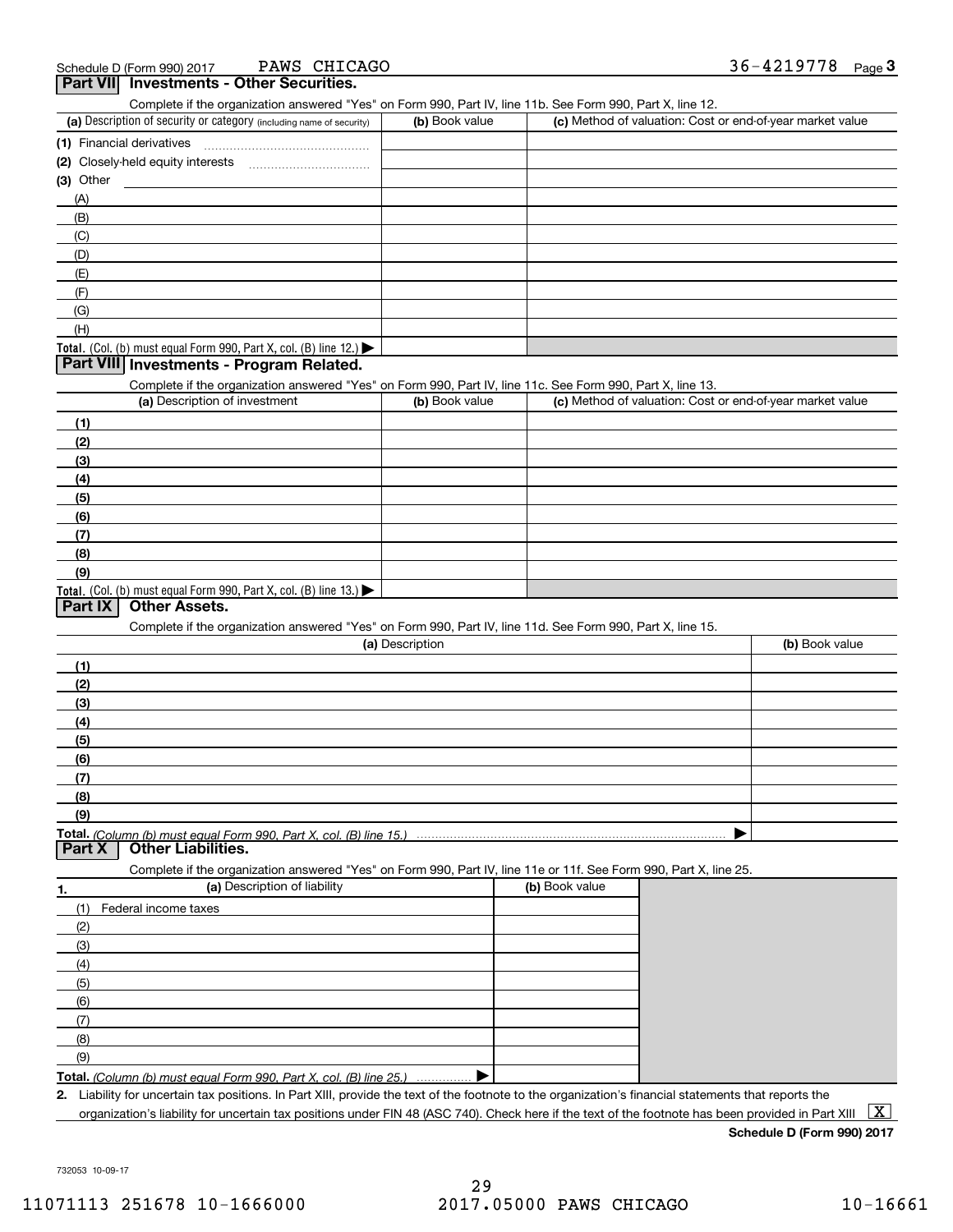PAWS CHICAGO

| (a) Description of security or category (including name of security)                                              | Complete if the organization answered "Yes" on Form 990, Part IV, line 11b. See Form 990, Part X, line 12.<br>(b) Book value |                | (c) Method of valuation: Cost or end-of-year market value |
|-------------------------------------------------------------------------------------------------------------------|------------------------------------------------------------------------------------------------------------------------------|----------------|-----------------------------------------------------------|
|                                                                                                                   |                                                                                                                              |                |                                                           |
| (1) Financial derivatives                                                                                         |                                                                                                                              |                |                                                           |
| (2) Closely-held equity interests                                                                                 |                                                                                                                              |                |                                                           |
| $(3)$ Other                                                                                                       |                                                                                                                              |                |                                                           |
| (A)                                                                                                               |                                                                                                                              |                |                                                           |
| (B)                                                                                                               |                                                                                                                              |                |                                                           |
| (C)                                                                                                               |                                                                                                                              |                |                                                           |
| (D)                                                                                                               |                                                                                                                              |                |                                                           |
| (E)                                                                                                               |                                                                                                                              |                |                                                           |
| (F)                                                                                                               |                                                                                                                              |                |                                                           |
| (G)                                                                                                               |                                                                                                                              |                |                                                           |
| (H)                                                                                                               |                                                                                                                              |                |                                                           |
| Total. (Col. (b) must equal Form 990, Part X, col. (B) line 12.)                                                  |                                                                                                                              |                |                                                           |
| Part VIII Investments - Program Related.                                                                          |                                                                                                                              |                |                                                           |
| Complete if the organization answered "Yes" on Form 990, Part IV, line 11c. See Form 990, Part X, line 13.        |                                                                                                                              |                |                                                           |
| (a) Description of investment                                                                                     | (b) Book value                                                                                                               |                | (c) Method of valuation: Cost or end-of-year market value |
| (1)                                                                                                               |                                                                                                                              |                |                                                           |
| (2)                                                                                                               |                                                                                                                              |                |                                                           |
| (3)                                                                                                               |                                                                                                                              |                |                                                           |
| (4)                                                                                                               |                                                                                                                              |                |                                                           |
| (5)                                                                                                               |                                                                                                                              |                |                                                           |
| (6)                                                                                                               |                                                                                                                              |                |                                                           |
| (7)                                                                                                               |                                                                                                                              |                |                                                           |
| (8)                                                                                                               |                                                                                                                              |                |                                                           |
| (9)                                                                                                               |                                                                                                                              |                |                                                           |
| Total. (Col. (b) must equal Form 990, Part X, col. (B) line 13.)                                                  |                                                                                                                              |                |                                                           |
| <b>Other Assets.</b><br><b>Part IX</b>                                                                            |                                                                                                                              |                |                                                           |
| Complete if the organization answered "Yes" on Form 990, Part IV, line 11d. See Form 990, Part X, line 15.        |                                                                                                                              |                |                                                           |
|                                                                                                                   |                                                                                                                              |                |                                                           |
|                                                                                                                   |                                                                                                                              |                |                                                           |
|                                                                                                                   | (a) Description                                                                                                              |                | (b) Book value                                            |
| (1)                                                                                                               |                                                                                                                              |                |                                                           |
| (2)                                                                                                               |                                                                                                                              |                |                                                           |
| (3)                                                                                                               |                                                                                                                              |                |                                                           |
| (4)                                                                                                               |                                                                                                                              |                |                                                           |
| (5)                                                                                                               |                                                                                                                              |                |                                                           |
| (6)                                                                                                               |                                                                                                                              |                |                                                           |
| (7)                                                                                                               |                                                                                                                              |                |                                                           |
| (8)                                                                                                               |                                                                                                                              |                |                                                           |
| (9)                                                                                                               |                                                                                                                              |                |                                                           |
|                                                                                                                   |                                                                                                                              |                |                                                           |
| <b>Other Liabilities.</b>                                                                                         |                                                                                                                              |                |                                                           |
| Complete if the organization answered "Yes" on Form 990, Part IV, line 11e or 11f. See Form 990, Part X, line 25. |                                                                                                                              |                |                                                           |
| (a) Description of liability                                                                                      |                                                                                                                              | (b) Book value |                                                           |
| (1)<br>Federal income taxes                                                                                       |                                                                                                                              |                |                                                           |
| (2)                                                                                                               |                                                                                                                              |                |                                                           |
| (3)                                                                                                               |                                                                                                                              |                |                                                           |
| (4)                                                                                                               |                                                                                                                              |                |                                                           |
| (5)                                                                                                               |                                                                                                                              |                |                                                           |
| (6)                                                                                                               |                                                                                                                              |                |                                                           |
|                                                                                                                   |                                                                                                                              |                |                                                           |
| (7)                                                                                                               |                                                                                                                              |                |                                                           |
| Total. (Column (b) must equal Form 990. Part X. col. (B) line 15.)<br>Part X<br>1.<br>(8)<br>(9)                  |                                                                                                                              |                |                                                           |

organization's liability for uncertain tax positions under FIN 48 (ASC 740). Check here if the text of the footnote has been provided in Part XIII  $~\boxed{\rm X}$ 

**Schedule D (Form 990) 2017**

732053 10-09-17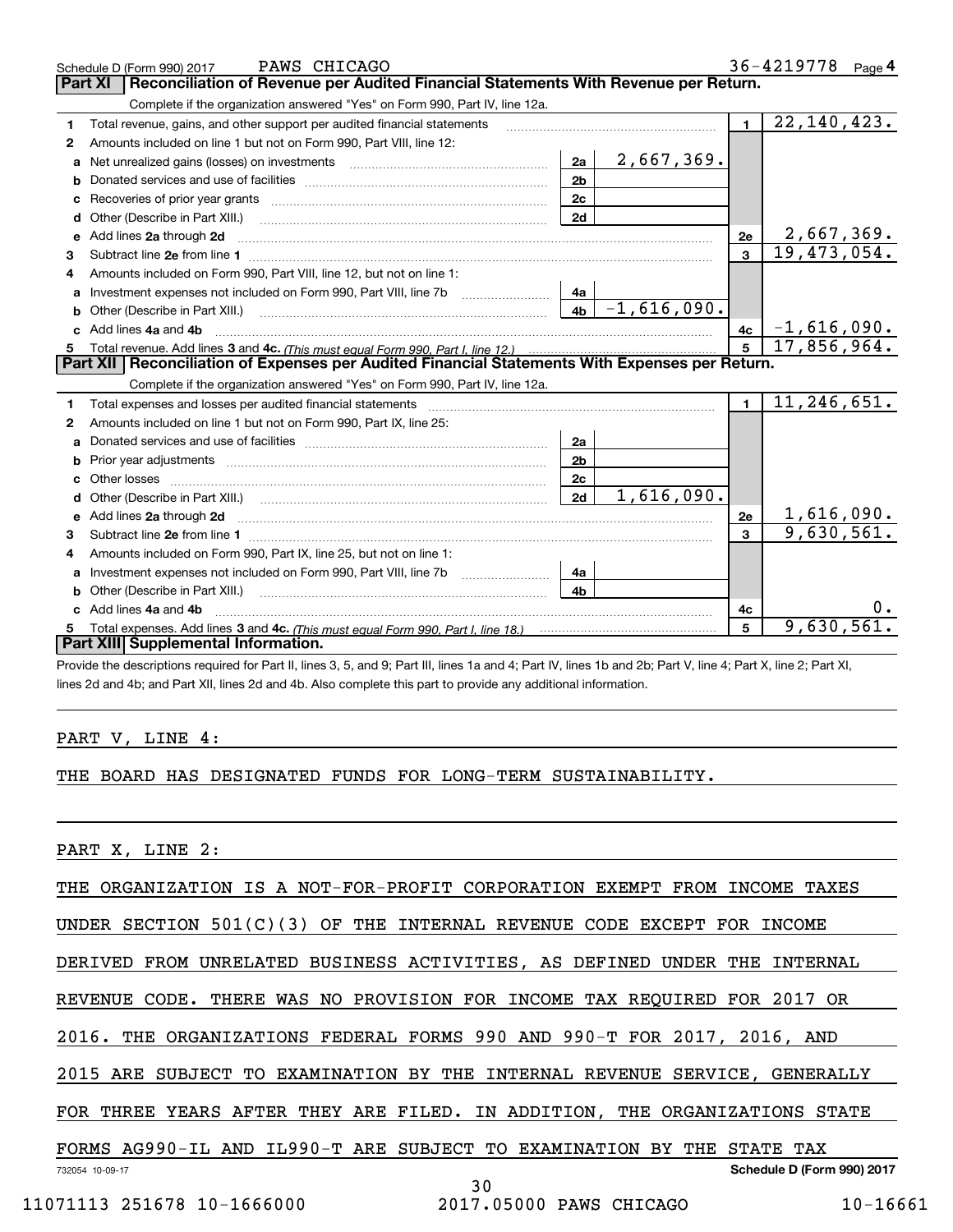|              | PAWS CHICAGO<br>Schedule D (Form 990) 2017                                                                                                                                                                                          |                |                          |                | 36-4219778<br>Page $4$    |
|--------------|-------------------------------------------------------------------------------------------------------------------------------------------------------------------------------------------------------------------------------------|----------------|--------------------------|----------------|---------------------------|
|              | Reconciliation of Revenue per Audited Financial Statements With Revenue per Return.<br>Part XI                                                                                                                                      |                |                          |                |                           |
|              | Complete if the organization answered "Yes" on Form 990, Part IV, line 12a.                                                                                                                                                         |                |                          |                |                           |
| 1            | Total revenue, gains, and other support per audited financial statements                                                                                                                                                            |                |                          | $\mathbf{1}$   | $\overline{22,140,423}$ . |
| $\mathbf{2}$ | Amounts included on line 1 but not on Form 990, Part VIII, line 12:                                                                                                                                                                 |                |                          |                |                           |
| a            | Net unrealized gains (losses) on investments [11] matter contracts and the unrealized gains (losses) on investments                                                                                                                 | 2a             | 2,667,369.               |                |                           |
|              | 2 <sub>b</sub>                                                                                                                                                                                                                      |                |                          |                |                           |
|              | 2c                                                                                                                                                                                                                                  |                |                          |                |                           |
| d            |                                                                                                                                                                                                                                     | 2d             |                          |                |                           |
| е            | Add lines 2a through 2d                                                                                                                                                                                                             |                |                          | 2e             | 2,667,369.                |
| з            |                                                                                                                                                                                                                                     |                |                          | $\overline{3}$ | $\overline{19,473,054}$ . |
| 4            | Amounts included on Form 990, Part VIII, line 12, but not on line 1:                                                                                                                                                                |                |                          |                |                           |
|              | ∣ 4a l                                                                                                                                                                                                                              |                |                          |                |                           |
| b            | Other (Describe in Part XIII.) <b>Construction Contract Construction</b>                                                                                                                                                            | 4 <sub>b</sub> | $-1,616,090.$            |                |                           |
| c.           | Add lines 4a and 4b                                                                                                                                                                                                                 |                |                          | 4c             | $-1,616,090.$             |
|              |                                                                                                                                                                                                                                     |                |                          | $5^{\circ}$    | 17,856,964.               |
|              |                                                                                                                                                                                                                                     |                |                          |                |                           |
|              | Part XII   Reconciliation of Expenses per Audited Financial Statements With Expenses per Return.                                                                                                                                    |                |                          |                |                           |
|              | Complete if the organization answered "Yes" on Form 990, Part IV, line 12a.                                                                                                                                                         |                |                          |                |                           |
| 1            | Total expenses and losses per audited financial statements [11] [12] contraction control of the statements [11] [12] and the statements [11] [12] and the statements [12] and the statements [12] and the statements [12] and       |                |                          | $\blacksquare$ | 11, 246, 651.             |
| 2            | Amounts included on line 1 but not on Form 990, Part IX, line 25:                                                                                                                                                                   |                |                          |                |                           |
| a            |                                                                                                                                                                                                                                     | 2a             |                          |                |                           |
|              | 2 <sub>b</sub>                                                                                                                                                                                                                      |                |                          |                |                           |
|              | 2c                                                                                                                                                                                                                                  |                |                          |                |                           |
| d            | Other (Describe in Part XIII.) (2000) (2000) (2000) (2000) (2000) (2000) (2000) (2000) (2000) (2000) (2000) (2000) (2000) (2000) (2000) (2000) (2000) (2000) (2000) (2000) (2000) (2000) (2000) (2000) (2000) (2000) (2000) (2      | 2d             | $\overline{1,616,090}$ . |                |                           |
|              | Add lines 2a through 2d <b>contained a contained a contained a contained a</b> contained a contained a contained a contained a contained a contained a contained a contained a contained a contained a contained a contained a cont |                |                          | 2e             |                           |
| 3            |                                                                                                                                                                                                                                     |                |                          | 3              | 1,616,090.<br>9,630,561.  |
| 4            | Amounts included on Form 990, Part IX, line 25, but not on line 1:                                                                                                                                                                  |                |                          |                |                           |
|              | Investment expenses not included on Form 990, Part VIII, line 7b [1000000000000000000000000000000000                                                                                                                                | 4a             |                          |                |                           |
| b            |                                                                                                                                                                                                                                     | 4 <sub>b</sub> |                          |                |                           |
|              | Add lines 4a and 4b                                                                                                                                                                                                                 |                |                          | 4с             |                           |
|              | Part XIII Supplemental Information.                                                                                                                                                                                                 |                |                          | 5              | 9,630,561.                |

Provide the descriptions required for Part II, lines 3, 5, and 9; Part III, lines 1a and 4; Part IV, lines 1b and 2b; Part V, line 4; Part X, line 2; Part XI, lines 2d and 4b; and Part XII, lines 2d and 4b. Also complete this part to provide any additional information.

## PART V, LINE 4:

### THE BOARD HAS DESIGNATED FUNDS FOR LONG-TERM SUSTAINABILITY.

PART X, LINE 2:

THE ORGANIZATION IS A NOT-FOR-PROFIT CORPORATION EXEMPT FROM INCOME TAXES

UNDER SECTION 501(C)(3) OF THE INTERNAL REVENUE CODE EXCEPT FOR INCOME

DERIVED FROM UNRELATED BUSINESS ACTIVITIES, AS DEFINED UNDER THE INTERNAL

REVENUE CODE. THERE WAS NO PROVISION FOR INCOME TAX REQUIRED FOR 2017 OR

2016. THE ORGANIZATIONS FEDERAL FORMS 990 AND 990-T FOR 2017, 2016, AND

2015 ARE SUBJECT TO EXAMINATION BY THE INTERNAL REVENUE SERVICE, GENERALLY

FOR THREE YEARS AFTER THEY ARE FILED. IN ADDITION, THE ORGANIZATIONS STATE

**Schedule D (Form 990) 2017** FORMS AG990-IL AND IL990-T ARE SUBJECT TO EXAMINATION BY THE STATE TAX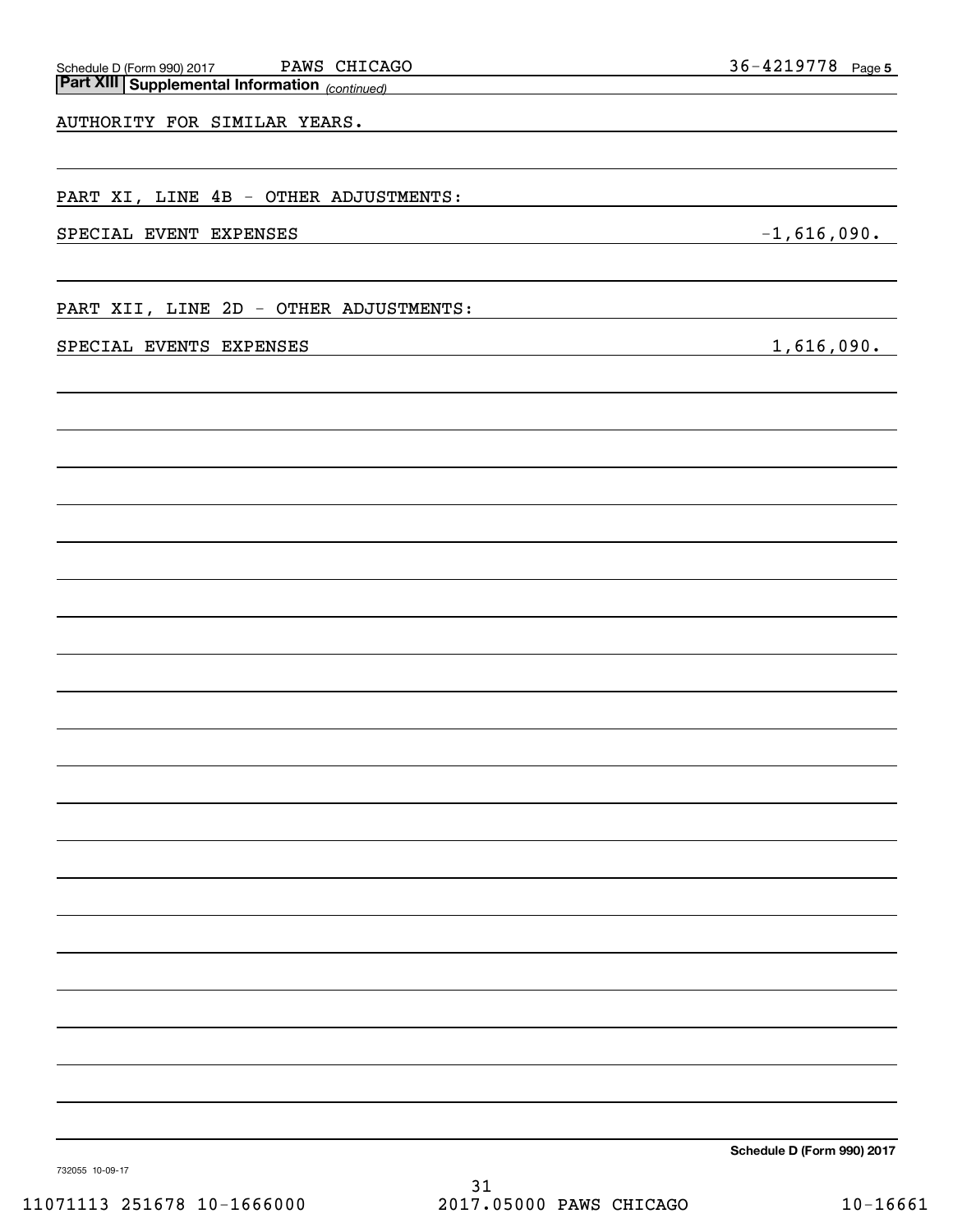| SPECIAL EVENT EXPENSES                 | $-1,616,090.$              |
|----------------------------------------|----------------------------|
|                                        |                            |
| PART XII, LINE 2D - OTHER ADJUSTMENTS: |                            |
| SPECIAL EVENTS EXPENSES                | 1,616,090.                 |
|                                        |                            |
|                                        |                            |
|                                        |                            |
|                                        |                            |
|                                        |                            |
|                                        |                            |
|                                        |                            |
|                                        |                            |
|                                        |                            |
|                                        |                            |
|                                        |                            |
|                                        |                            |
|                                        |                            |
|                                        |                            |
|                                        |                            |
|                                        |                            |
|                                        |                            |
|                                        |                            |
|                                        |                            |
|                                        |                            |
|                                        |                            |
|                                        | Schedule D (Form 990) 2017 |
| 732055 10-09-17<br>31                  |                            |

PART XI, LINE 4B - OTHER ADJUSTMENTS:

**Part XIII Supplemental Information** 

AUTHORITY FOR SIMILAR YEARS.

31 11071113 251678 10-1666000 2017.05000 PAWS CHICAGO 10-16661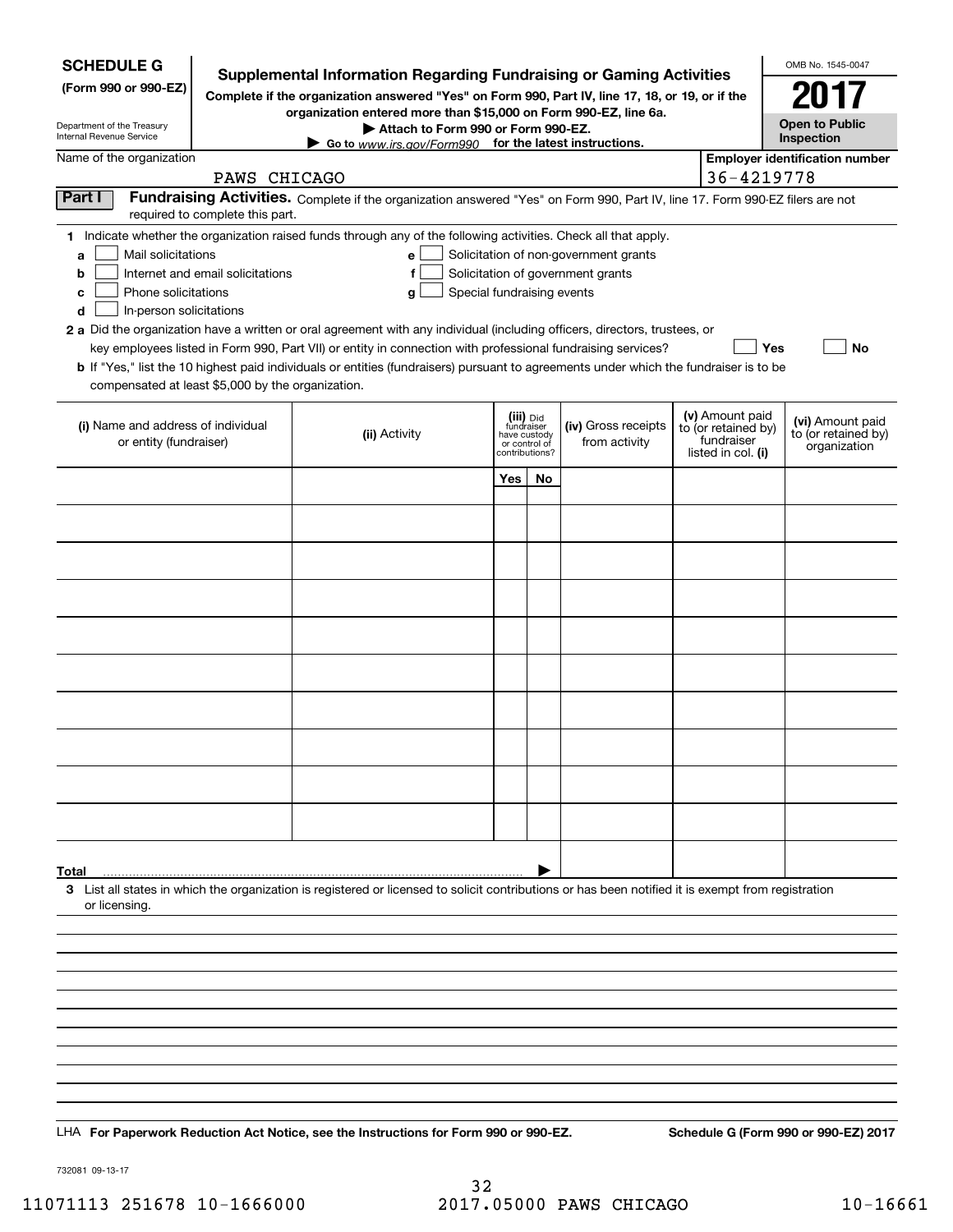| <b>SCHEDULE G</b>                                            |                                  | Supplemental Information Regarding Fundraising or Gaming Activities                                                                                |                                                          |    |                                       |                                   | OMB No. 1545-0047                       |
|--------------------------------------------------------------|----------------------------------|----------------------------------------------------------------------------------------------------------------------------------------------------|----------------------------------------------------------|----|---------------------------------------|-----------------------------------|-----------------------------------------|
| (Form 990 or 990-EZ)                                         |                                  | Complete if the organization answered "Yes" on Form 990, Part IV, line 17, 18, or 19, or if the                                                    |                                                          |    |                                       |                                   | 2017                                    |
| Department of the Treasury                                   |                                  | organization entered more than \$15,000 on Form 990-EZ, line 6a.<br>Attach to Form 990 or Form 990-EZ.                                             |                                                          |    |                                       |                                   | <b>Open to Public</b>                   |
| Internal Revenue Service                                     |                                  | Go to www.irs.gov/Form990 for the latest instructions.                                                                                             |                                                          |    |                                       |                                   | Inspection                              |
| Name of the organization                                     | PAWS CHICAGO                     |                                                                                                                                                    |                                                          |    |                                       | 36-4219778                        | <b>Employer identification number</b>   |
| Part I                                                       |                                  | Fundraising Activities. Complete if the organization answered "Yes" on Form 990, Part IV, line 17. Form 990-EZ filers are not                      |                                                          |    |                                       |                                   |                                         |
|                                                              | required to complete this part.  |                                                                                                                                                    |                                                          |    |                                       |                                   |                                         |
| Mail solicitations<br>a                                      |                                  | 1 Indicate whether the organization raised funds through any of the following activities. Check all that apply.<br>e                               |                                                          |    | Solicitation of non-government grants |                                   |                                         |
| b                                                            | Internet and email solicitations | f                                                                                                                                                  |                                                          |    | Solicitation of government grants     |                                   |                                         |
| Phone solicitations<br>c<br>d<br>In-person solicitations     |                                  | Special fundraising events<br>g                                                                                                                    |                                                          |    |                                       |                                   |                                         |
|                                                              |                                  | 2 a Did the organization have a written or oral agreement with any individual (including officers, directors, trustees, or                         |                                                          |    |                                       |                                   |                                         |
|                                                              |                                  | key employees listed in Form 990, Part VII) or entity in connection with professional fundraising services?                                        |                                                          |    |                                       | Yes                               | No                                      |
| compensated at least \$5,000 by the organization.            |                                  | <b>b</b> If "Yes," list the 10 highest paid individuals or entities (fundraisers) pursuant to agreements under which the fundraiser is to be       |                                                          |    |                                       |                                   |                                         |
|                                                              |                                  |                                                                                                                                                    |                                                          |    |                                       | (v) Amount paid                   |                                         |
| (i) Name and address of individual<br>or entity (fundraiser) |                                  | (ii) Activity                                                                                                                                      | (iii) Did<br>fundraiser<br>have custody<br>or control of |    | (iv) Gross receipts<br>from activity  | to (or retained by)<br>fundraiser | (vi) Amount paid<br>to (or retained by) |
|                                                              |                                  |                                                                                                                                                    | contributions?                                           |    |                                       | listed in col. (i)                | organization                            |
|                                                              |                                  |                                                                                                                                                    | Yes                                                      | No |                                       |                                   |                                         |
|                                                              |                                  |                                                                                                                                                    |                                                          |    |                                       |                                   |                                         |
|                                                              |                                  |                                                                                                                                                    |                                                          |    |                                       |                                   |                                         |
|                                                              |                                  |                                                                                                                                                    |                                                          |    |                                       |                                   |                                         |
|                                                              |                                  |                                                                                                                                                    |                                                          |    |                                       |                                   |                                         |
|                                                              |                                  |                                                                                                                                                    |                                                          |    |                                       |                                   |                                         |
|                                                              |                                  |                                                                                                                                                    |                                                          |    |                                       |                                   |                                         |
|                                                              |                                  |                                                                                                                                                    |                                                          |    |                                       |                                   |                                         |
|                                                              |                                  |                                                                                                                                                    |                                                          |    |                                       |                                   |                                         |
|                                                              |                                  |                                                                                                                                                    |                                                          |    |                                       |                                   |                                         |
|                                                              |                                  |                                                                                                                                                    |                                                          |    |                                       |                                   |                                         |
|                                                              |                                  |                                                                                                                                                    |                                                          |    |                                       |                                   |                                         |
|                                                              |                                  |                                                                                                                                                    |                                                          |    |                                       |                                   |                                         |
|                                                              |                                  |                                                                                                                                                    |                                                          |    |                                       |                                   |                                         |
| Total                                                        |                                  |                                                                                                                                                    |                                                          |    |                                       |                                   |                                         |
|                                                              |                                  | 3 List all states in which the organization is registered or licensed to solicit contributions or has been notified it is exempt from registration |                                                          |    |                                       |                                   |                                         |
| or licensing.                                                |                                  |                                                                                                                                                    |                                                          |    |                                       |                                   |                                         |
|                                                              |                                  |                                                                                                                                                    |                                                          |    |                                       |                                   |                                         |
|                                                              |                                  |                                                                                                                                                    |                                                          |    |                                       |                                   |                                         |
|                                                              |                                  |                                                                                                                                                    |                                                          |    |                                       |                                   |                                         |
|                                                              |                                  |                                                                                                                                                    |                                                          |    |                                       |                                   |                                         |
|                                                              |                                  |                                                                                                                                                    |                                                          |    |                                       |                                   |                                         |
|                                                              |                                  |                                                                                                                                                    |                                                          |    |                                       |                                   |                                         |
|                                                              |                                  |                                                                                                                                                    |                                                          |    |                                       |                                   |                                         |
|                                                              |                                  | LHA For Paperwork Reduction Act Notice, see the Instructions for Form 990 or 990-EZ.                                                               |                                                          |    |                                       |                                   | Schedule G (Form 990 or 990-EZ) 2017    |

732081 09-13-17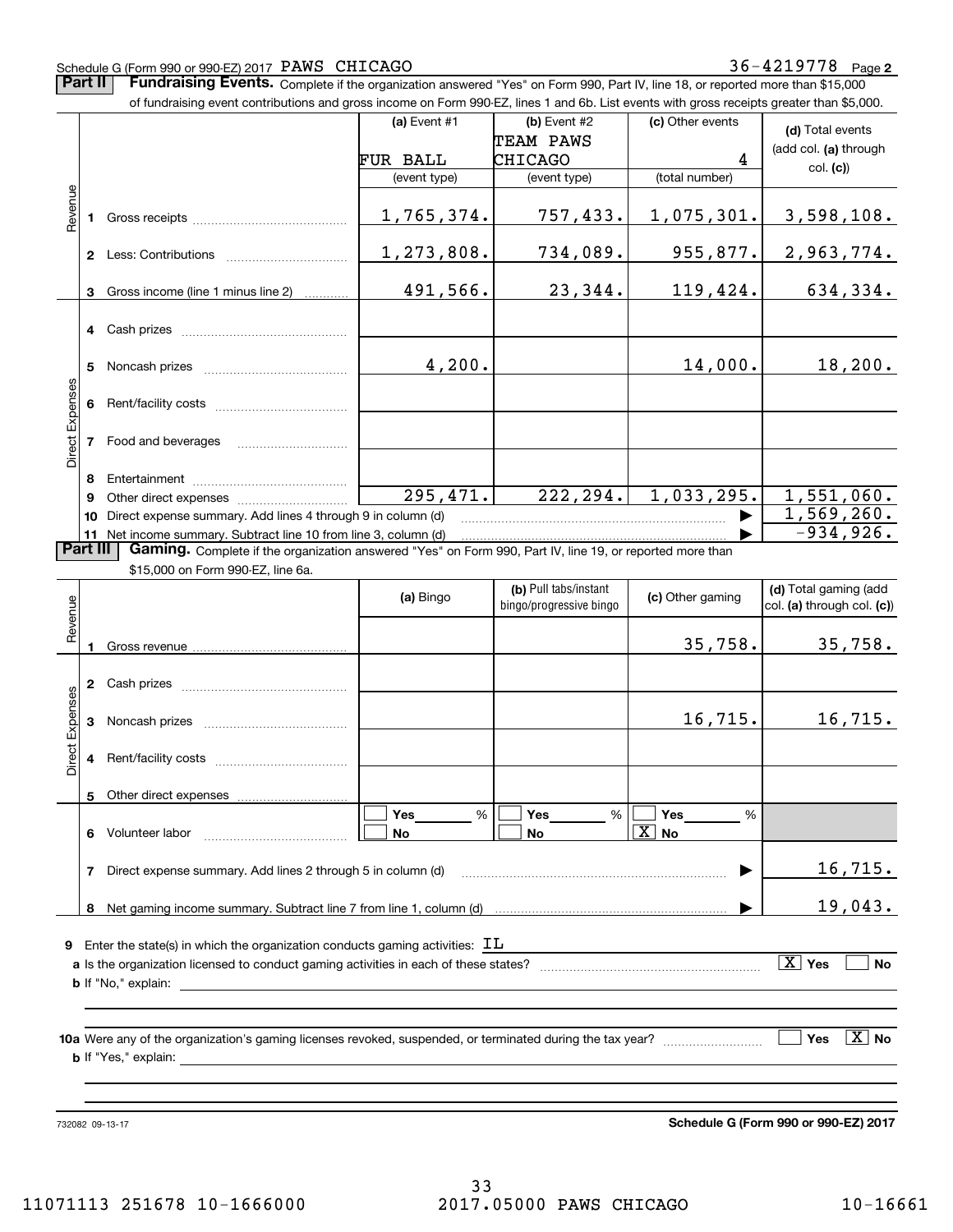#### Schedule G (Form 990 or 990-EZ) 2017 Page PAWS CHICAGO 36-4219778

**Part II** | Fundraising Events. Complete if the organization answered "Yes" on Form 990, Part IV, line 18, or reported more than \$15,000

|                 |              | of fundraising event contributions and gross income on Form 990-EZ, lines 1 and 6b. List events with gross receipts greater than \$5,000.                                   |                        |                                                  |                                   |                                                         |
|-----------------|--------------|-----------------------------------------------------------------------------------------------------------------------------------------------------------------------------|------------------------|--------------------------------------------------|-----------------------------------|---------------------------------------------------------|
|                 |              |                                                                                                                                                                             | (a) Event #1           | (b) Event #2<br>TEAM PAWS                        | (c) Other events                  | (d) Total events<br>(add col. (a) through               |
|                 |              |                                                                                                                                                                             | FUR BALL               | <b>CHICAGO</b>                                   | 4                                 | col. (c)                                                |
|                 |              |                                                                                                                                                                             | (event type)           | (event type)                                     | (total number)                    |                                                         |
| Revenue         |              |                                                                                                                                                                             | 1,765,374.             | 757,433.                                         | 1,075,301.                        | 3,598,108.                                              |
|                 |              |                                                                                                                                                                             | 1,273,808.             | 734,089.                                         | 955,877.                          | 2,963,774.                                              |
|                 | 3            | Gross income (line 1 minus line 2)                                                                                                                                          | 491,566.               | 23,344.                                          | 119,424.                          | 634,334.                                                |
|                 |              | 4 Cash prizes                                                                                                                                                               |                        |                                                  |                                   |                                                         |
|                 |              |                                                                                                                                                                             | 4,200.                 |                                                  | 14,000.                           | 18,200.                                                 |
|                 |              |                                                                                                                                                                             |                        |                                                  |                                   |                                                         |
| Direct Expenses |              | 7 Food and beverages                                                                                                                                                        |                        |                                                  |                                   |                                                         |
|                 | 8            |                                                                                                                                                                             |                        |                                                  |                                   |                                                         |
|                 | 9            |                                                                                                                                                                             | $\overline{295, 471.}$ | 222, 294.                                        | 1,033,295.                        | 1,551,060.                                              |
|                 | 10           | Direct expense summary. Add lines 4 through 9 in column (d)                                                                                                                 |                        |                                                  |                                   | 1,569,260.                                              |
|                 | Part III     | 11 Net income summary. Subtract line 10 from line 3, column (d)<br>Gaming. Complete if the organization answered "Yes" on Form 990, Part IV, line 19, or reported more than |                        |                                                  |                                   | $-934,926.$                                             |
|                 |              | \$15,000 on Form 990-EZ, line 6a.                                                                                                                                           |                        |                                                  |                                   |                                                         |
|                 |              |                                                                                                                                                                             | (a) Bingo              | (b) Pull tabs/instant<br>bingo/progressive bingo | (c) Other gaming                  | (d) Total gaming (add<br>$ col. (a)$ through col. $(c)$ |
| Revenue         |              |                                                                                                                                                                             |                        |                                                  |                                   |                                                         |
|                 |              |                                                                                                                                                                             |                        |                                                  | 35,758.                           | 35,758.                                                 |
|                 |              |                                                                                                                                                                             |                        |                                                  |                                   |                                                         |
|                 |              |                                                                                                                                                                             |                        |                                                  | 16, 715.                          | 16,715.                                                 |
| Expenses        |              |                                                                                                                                                                             |                        |                                                  |                                   |                                                         |
| <b>Direct</b>   |              |                                                                                                                                                                             |                        |                                                  |                                   |                                                         |
|                 | 5            | Other direct expenses<br>6 Volunteer labor                                                                                                                                  | Yes<br>$\%$<br>No      | <b>Yes</b><br>%<br>No                            | Yes<br>%<br>$\boxed{\text{X}}$ No |                                                         |
|                 | $\mathbf{7}$ | Direct expense summary. Add lines 2 through 5 in column (d)                                                                                                                 |                        |                                                  |                                   | 16,715.                                                 |
|                 | 8            |                                                                                                                                                                             |                        |                                                  |                                   | 19,043.                                                 |
| 9               |              | Enter the state(s) in which the organization conducts gaming activities: $\, \mathtt{IL}$                                                                                   |                        |                                                  |                                   |                                                         |
|                 |              | a Is the organization licensed to conduct gaming activities in each of these states?<br><b>b</b> If "No," explain:                                                          |                        |                                                  |                                   | $\boxed{\text{X}}$ Yes<br><b>No</b>                     |
|                 |              |                                                                                                                                                                             |                        |                                                  |                                   |                                                         |
|                 |              | <b>b</b> If "Yes," explain:                                                                                                                                                 |                        |                                                  |                                   | $\boxed{\text{X}}$ No<br>Yes                            |

732082 09-13-17

**Schedule G (Form 990 or 990-EZ) 2017**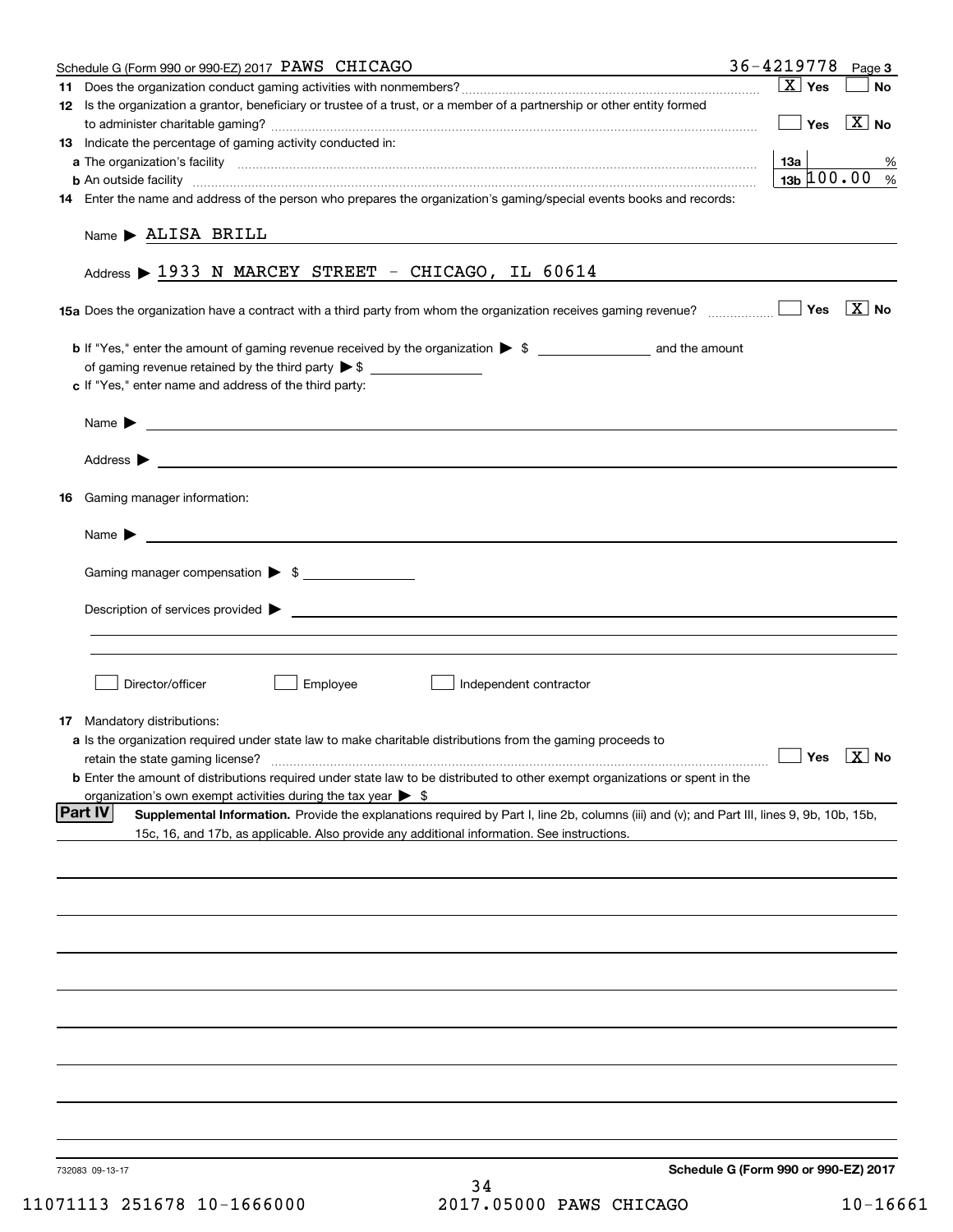|    | Schedule G (Form 990 or 990-EZ) 2017 PAWS CHICAGO                                                                                                                                                                                                                  | $36 - 4219778$ Page 3                           |           |
|----|--------------------------------------------------------------------------------------------------------------------------------------------------------------------------------------------------------------------------------------------------------------------|-------------------------------------------------|-----------|
|    |                                                                                                                                                                                                                                                                    | $X$ Yes                                         | <b>No</b> |
|    | 12 Is the organization a grantor, beneficiary or trustee of a trust, or a member of a partnership or other entity formed                                                                                                                                           |                                                 |           |
|    |                                                                                                                                                                                                                                                                    | $\boxed{\phantom{1}}$ Yes $\boxed{\text{X}}$ No |           |
|    | 13 Indicate the percentage of gaming activity conducted in:                                                                                                                                                                                                        |                                                 |           |
|    |                                                                                                                                                                                                                                                                    | 13а                                             | %         |
|    | <b>b</b> An outside facility <i>machine and an accordination of the content of the content of the content of the content of the content of the content of the content of the content of the content of the content of the content of </i>                          | $13b \, 100.00$ %                               |           |
|    | 14 Enter the name and address of the person who prepares the organization's gaming/special events books and records:                                                                                                                                               |                                                 |           |
|    |                                                                                                                                                                                                                                                                    |                                                 |           |
|    | Name > ALISA BRILL                                                                                                                                                                                                                                                 |                                                 |           |
|    |                                                                                                                                                                                                                                                                    |                                                 |           |
|    | Address > 1933 N MARCEY STREET - CHICAGO, IL 60614                                                                                                                                                                                                                 |                                                 |           |
|    | <b>15a</b> Does the organization have a contract with a third party from whom the organization receives gaming revenue? $\Box$ Thes $\Box$ No                                                                                                                      |                                                 |           |
|    |                                                                                                                                                                                                                                                                    |                                                 |           |
|    |                                                                                                                                                                                                                                                                    |                                                 |           |
|    | c If "Yes," enter name and address of the third party:                                                                                                                                                                                                             |                                                 |           |
|    |                                                                                                                                                                                                                                                                    |                                                 |           |
|    |                                                                                                                                                                                                                                                                    |                                                 |           |
|    |                                                                                                                                                                                                                                                                    |                                                 |           |
|    |                                                                                                                                                                                                                                                                    |                                                 |           |
|    |                                                                                                                                                                                                                                                                    |                                                 |           |
|    |                                                                                                                                                                                                                                                                    |                                                 |           |
| 16 | Gaming manager information:                                                                                                                                                                                                                                        |                                                 |           |
|    |                                                                                                                                                                                                                                                                    |                                                 |           |
|    | <u>and the state of the state of the state of the state of the state of the state of the state of the state of the state of the state of the state of the state of the state of the state of the state of the state of the state</u><br>Name $\blacktriangleright$ |                                                 |           |
|    |                                                                                                                                                                                                                                                                    |                                                 |           |
|    | Gaming manager compensation > \$                                                                                                                                                                                                                                   |                                                 |           |
|    |                                                                                                                                                                                                                                                                    |                                                 |           |
|    |                                                                                                                                                                                                                                                                    |                                                 |           |
|    |                                                                                                                                                                                                                                                                    |                                                 |           |
|    |                                                                                                                                                                                                                                                                    |                                                 |           |
|    |                                                                                                                                                                                                                                                                    |                                                 |           |
|    | Director/officer<br>Employee<br>$\Box$ Independent contractor                                                                                                                                                                                                      |                                                 |           |
|    |                                                                                                                                                                                                                                                                    |                                                 |           |
|    | 17 Mandatory distributions:                                                                                                                                                                                                                                        |                                                 |           |
|    | a Is the organization required under state law to make charitable distributions from the gaming proceeds to                                                                                                                                                        |                                                 |           |
|    | retain the state gaming license?                                                                                                                                                                                                                                   | $\Box$ Yes $\boxed{\text{X}}$ No                |           |
|    | <b>b</b> Enter the amount of distributions required under state law to be distributed to other exempt organizations or spent in the                                                                                                                                |                                                 |           |
|    | organization's own exempt activities during the tax year $\triangleright$ \$                                                                                                                                                                                       |                                                 |           |
|    | <b>Part IV</b><br>Supplemental Information. Provide the explanations required by Part I, line 2b, columns (iii) and (v); and Part III, lines 9, 9b, 10b, 15b,                                                                                                      |                                                 |           |
|    | 15c, 16, and 17b, as applicable. Also provide any additional information. See instructions.                                                                                                                                                                        |                                                 |           |
|    |                                                                                                                                                                                                                                                                    |                                                 |           |
|    |                                                                                                                                                                                                                                                                    |                                                 |           |
|    |                                                                                                                                                                                                                                                                    |                                                 |           |
|    |                                                                                                                                                                                                                                                                    |                                                 |           |
|    |                                                                                                                                                                                                                                                                    |                                                 |           |
|    |                                                                                                                                                                                                                                                                    |                                                 |           |
|    |                                                                                                                                                                                                                                                                    |                                                 |           |
|    |                                                                                                                                                                                                                                                                    |                                                 |           |
|    |                                                                                                                                                                                                                                                                    |                                                 |           |
|    |                                                                                                                                                                                                                                                                    |                                                 |           |
|    |                                                                                                                                                                                                                                                                    |                                                 |           |
|    |                                                                                                                                                                                                                                                                    |                                                 |           |
|    |                                                                                                                                                                                                                                                                    |                                                 |           |
|    |                                                                                                                                                                                                                                                                    |                                                 |           |
|    |                                                                                                                                                                                                                                                                    |                                                 |           |
|    |                                                                                                                                                                                                                                                                    |                                                 |           |
|    |                                                                                                                                                                                                                                                                    |                                                 |           |
|    |                                                                                                                                                                                                                                                                    |                                                 |           |
|    | 732083 09-13-17                                                                                                                                                                                                                                                    | Schedule G (Form 990 or 990-EZ) 2017            |           |
|    | 34                                                                                                                                                                                                                                                                 |                                                 |           |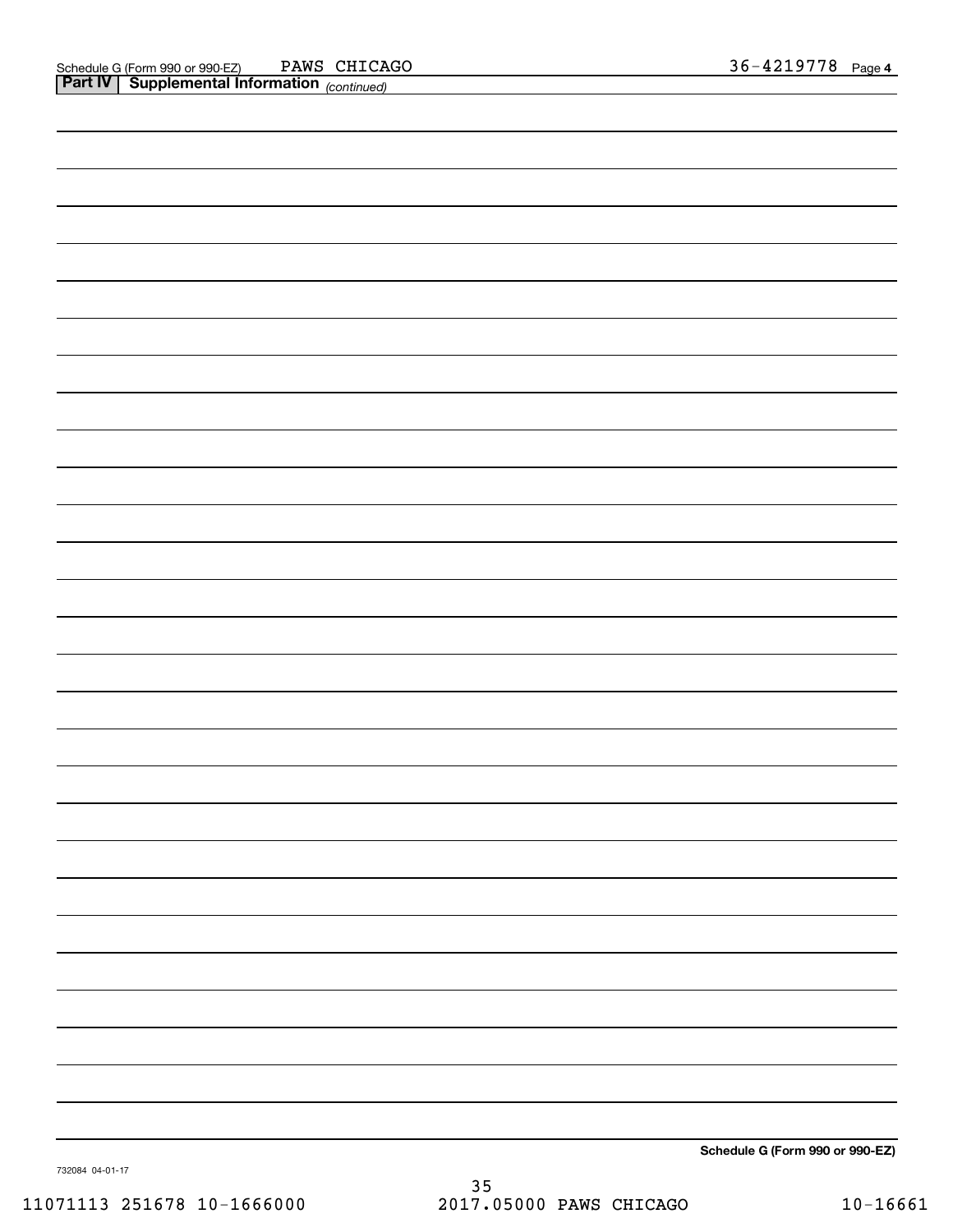| <b>Part IV Supplemental Information</b> (continued) |  |                                 |  |
|-----------------------------------------------------|--|---------------------------------|--|
|                                                     |  |                                 |  |
|                                                     |  |                                 |  |
|                                                     |  |                                 |  |
|                                                     |  |                                 |  |
|                                                     |  |                                 |  |
|                                                     |  |                                 |  |
|                                                     |  |                                 |  |
|                                                     |  |                                 |  |
|                                                     |  |                                 |  |
|                                                     |  |                                 |  |
|                                                     |  |                                 |  |
|                                                     |  |                                 |  |
|                                                     |  |                                 |  |
|                                                     |  |                                 |  |
|                                                     |  |                                 |  |
|                                                     |  |                                 |  |
|                                                     |  |                                 |  |
|                                                     |  |                                 |  |
|                                                     |  |                                 |  |
|                                                     |  |                                 |  |
|                                                     |  |                                 |  |
|                                                     |  |                                 |  |
|                                                     |  |                                 |  |
|                                                     |  |                                 |  |
|                                                     |  |                                 |  |
|                                                     |  |                                 |  |
|                                                     |  |                                 |  |
|                                                     |  |                                 |  |
|                                                     |  |                                 |  |
|                                                     |  |                                 |  |
|                                                     |  |                                 |  |
|                                                     |  |                                 |  |
|                                                     |  |                                 |  |
|                                                     |  |                                 |  |
|                                                     |  |                                 |  |
|                                                     |  |                                 |  |
|                                                     |  |                                 |  |
|                                                     |  | Schedule G (Form 990 or 990-EZ) |  |

732084 04-01-17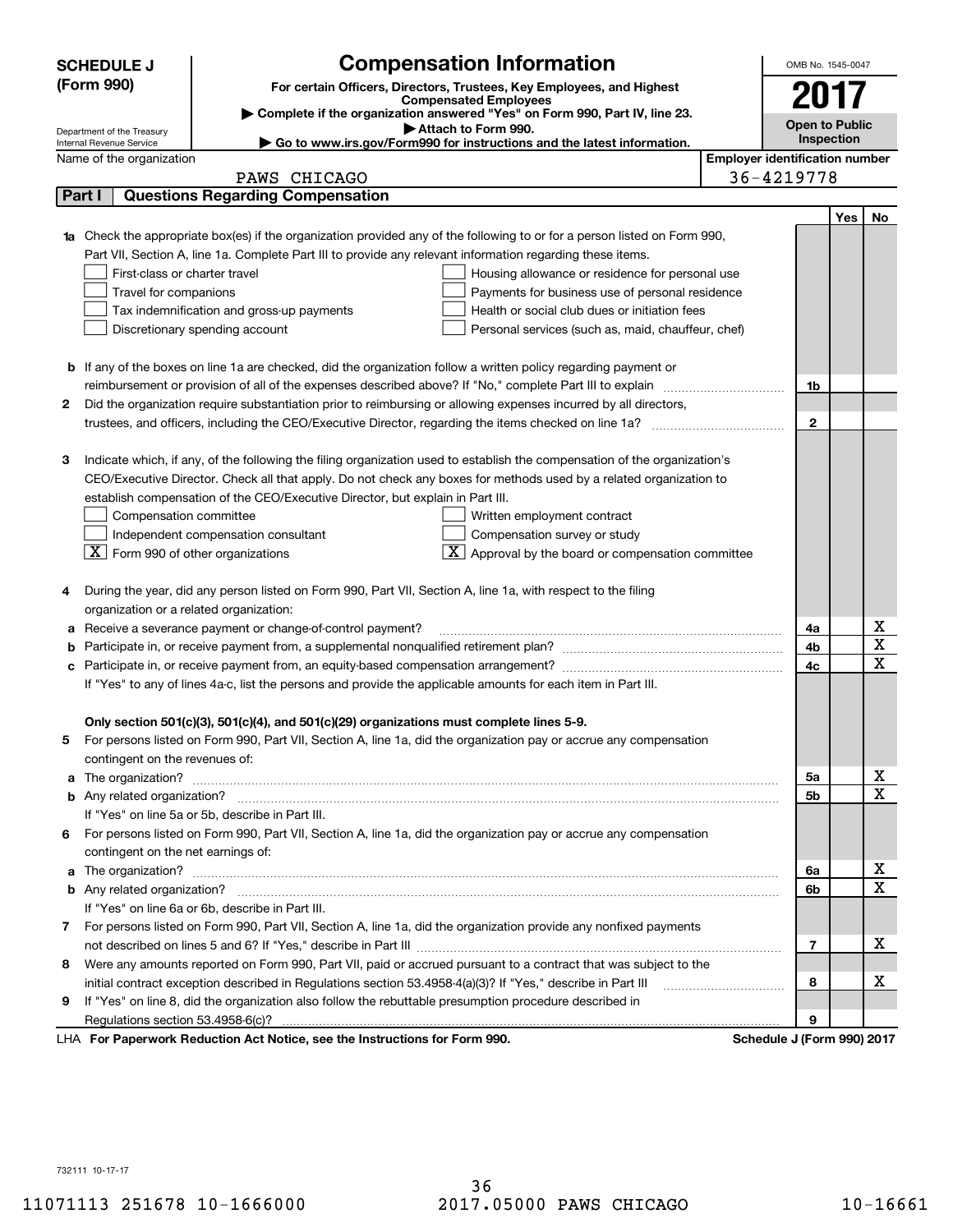|        | <b>SCHEDULE J</b>                                                                                                 |                                                                                                                             | OMB No. 1545-0047                                                  |                                       |                            |     |    |  |
|--------|-------------------------------------------------------------------------------------------------------------------|-----------------------------------------------------------------------------------------------------------------------------|--------------------------------------------------------------------|---------------------------------------|----------------------------|-----|----|--|
|        | (Form 990)                                                                                                        | <b>Compensation Information</b><br>For certain Officers, Directors, Trustees, Key Employees, and Highest                    |                                                                    |                                       |                            |     |    |  |
|        |                                                                                                                   | <b>Compensated Employees</b>                                                                                                |                                                                    |                                       | 2017                       |     |    |  |
|        |                                                                                                                   | Complete if the organization answered "Yes" on Form 990, Part IV, line 23.<br>Attach to Form 990.                           |                                                                    |                                       | <b>Open to Public</b>      |     |    |  |
|        | Department of the Treasury<br>Internal Revenue Service                                                            | Go to www.irs.gov/Form990 for instructions and the latest information.                                                      |                                                                    |                                       | Inspection                 |     |    |  |
|        | Name of the organization                                                                                          |                                                                                                                             |                                                                    | <b>Employer identification number</b> |                            |     |    |  |
|        | PAWS CHICAGO                                                                                                      |                                                                                                                             |                                                                    |                                       | 36-4219778                 |     |    |  |
|        | <b>Questions Regarding Compensation</b><br>Part I                                                                 |                                                                                                                             |                                                                    |                                       |                            |     |    |  |
|        |                                                                                                                   |                                                                                                                             |                                                                    |                                       |                            | Yes | No |  |
|        |                                                                                                                   | Check the appropriate box(es) if the organization provided any of the following to or for a person listed on Form 990,      |                                                                    |                                       |                            |     |    |  |
|        |                                                                                                                   | Part VII, Section A, line 1a. Complete Part III to provide any relevant information regarding these items.                  |                                                                    |                                       |                            |     |    |  |
|        | First-class or charter travel                                                                                     |                                                                                                                             | Housing allowance or residence for personal use                    |                                       |                            |     |    |  |
|        | Travel for companions                                                                                             |                                                                                                                             | Payments for business use of personal residence                    |                                       |                            |     |    |  |
|        | Tax indemnification and gross-up payments                                                                         |                                                                                                                             | Health or social club dues or initiation fees                      |                                       |                            |     |    |  |
|        | Discretionary spending account                                                                                    |                                                                                                                             | Personal services (such as, maid, chauffeur, chef)                 |                                       |                            |     |    |  |
|        |                                                                                                                   |                                                                                                                             |                                                                    |                                       |                            |     |    |  |
|        |                                                                                                                   | <b>b</b> If any of the boxes on line 1a are checked, did the organization follow a written policy regarding payment or      |                                                                    |                                       |                            |     |    |  |
|        |                                                                                                                   | reimbursement or provision of all of the expenses described above? If "No," complete Part III to explain                    |                                                                    |                                       | 1b                         |     |    |  |
| 2      |                                                                                                                   | Did the organization require substantiation prior to reimbursing or allowing expenses incurred by all directors,            |                                                                    |                                       |                            |     |    |  |
|        |                                                                                                                   |                                                                                                                             |                                                                    |                                       | $\mathbf{2}$               |     |    |  |
|        |                                                                                                                   |                                                                                                                             |                                                                    |                                       |                            |     |    |  |
| 3      |                                                                                                                   | Indicate which, if any, of the following the filing organization used to establish the compensation of the organization's   |                                                                    |                                       |                            |     |    |  |
|        |                                                                                                                   | CEO/Executive Director. Check all that apply. Do not check any boxes for methods used by a related organization to          |                                                                    |                                       |                            |     |    |  |
|        | establish compensation of the CEO/Executive Director, but explain in Part III.                                    |                                                                                                                             |                                                                    |                                       |                            |     |    |  |
|        | Compensation committee                                                                                            | Written employment contract                                                                                                 |                                                                    |                                       |                            |     |    |  |
|        | Independent compensation consultant                                                                               |                                                                                                                             | Compensation survey or study                                       |                                       |                            |     |    |  |
|        | $\boxed{\textbf{X}}$ Form 990 of other organizations                                                              |                                                                                                                             | $\boxed{\text{X}}$ Approval by the board or compensation committee |                                       |                            |     |    |  |
|        |                                                                                                                   |                                                                                                                             |                                                                    |                                       |                            |     |    |  |
| 4      |                                                                                                                   | During the year, did any person listed on Form 990, Part VII, Section A, line 1a, with respect to the filing                |                                                                    |                                       |                            |     |    |  |
|        | organization or a related organization:                                                                           |                                                                                                                             |                                                                    |                                       |                            |     | х  |  |
| а      | Receive a severance payment or change-of-control payment?                                                         |                                                                                                                             |                                                                    |                                       | 4a<br>4b                   |     | X  |  |
| b<br>с |                                                                                                                   |                                                                                                                             |                                                                    |                                       | 4c                         |     | X  |  |
|        |                                                                                                                   | If "Yes" to any of lines 4a-c, list the persons and provide the applicable amounts for each item in Part III.               |                                                                    |                                       |                            |     |    |  |
|        |                                                                                                                   |                                                                                                                             |                                                                    |                                       |                            |     |    |  |
|        |                                                                                                                   | Only section 501(c)(3), 501(c)(4), and 501(c)(29) organizations must complete lines 5-9.                                    |                                                                    |                                       |                            |     |    |  |
|        |                                                                                                                   | For persons listed on Form 990, Part VII, Section A, line 1a, did the organization pay or accrue any compensation           |                                                                    |                                       |                            |     |    |  |
|        | contingent on the revenues of:                                                                                    |                                                                                                                             |                                                                    |                                       |                            |     |    |  |
| a      |                                                                                                                   | The organization? <b>With the organization</b> ? <b>With the organization with the organization? With the organization?</b> |                                                                    |                                       | 5а                         |     | X  |  |
|        |                                                                                                                   |                                                                                                                             |                                                                    |                                       | 5b                         |     | X  |  |
|        | If "Yes" on line 5a or 5b, describe in Part III.                                                                  |                                                                                                                             |                                                                    |                                       |                            |     |    |  |
|        |                                                                                                                   | 6 For persons listed on Form 990, Part VII, Section A, line 1a, did the organization pay or accrue any compensation         |                                                                    |                                       |                            |     |    |  |
|        | contingent on the net earnings of:                                                                                |                                                                                                                             |                                                                    |                                       |                            |     |    |  |
| a      |                                                                                                                   |                                                                                                                             |                                                                    |                                       | 6а                         |     | x  |  |
|        |                                                                                                                   |                                                                                                                             |                                                                    |                                       | 6b                         |     | X  |  |
|        | If "Yes" on line 6a or 6b, describe in Part III.                                                                  |                                                                                                                             |                                                                    |                                       |                            |     |    |  |
|        |                                                                                                                   | 7 For persons listed on Form 990, Part VII, Section A, line 1a, did the organization provide any nonfixed payments          |                                                                    |                                       |                            |     |    |  |
|        |                                                                                                                   |                                                                                                                             |                                                                    |                                       | 7                          |     | x  |  |
|        | 8 Were any amounts reported on Form 990, Part VII, paid or accrued pursuant to a contract that was subject to the |                                                                                                                             |                                                                    |                                       |                            |     |    |  |
|        | initial contract exception described in Regulations section 53.4958-4(a)(3)? If "Yes," describe in Part III       |                                                                                                                             |                                                                    |                                       |                            |     |    |  |
| 9      |                                                                                                                   | If "Yes" on line 8, did the organization also follow the rebuttable presumption procedure described in                      |                                                                    |                                       | 8                          |     |    |  |
|        | Regulations section 53.4958-6(c)?                                                                                 |                                                                                                                             |                                                                    |                                       | 9                          |     |    |  |
|        | LHA For Paperwork Reduction Act Notice, see the Instructions for Form 990.                                        |                                                                                                                             |                                                                    |                                       | Schedule J (Form 990) 2017 |     |    |  |

732111 10-17-17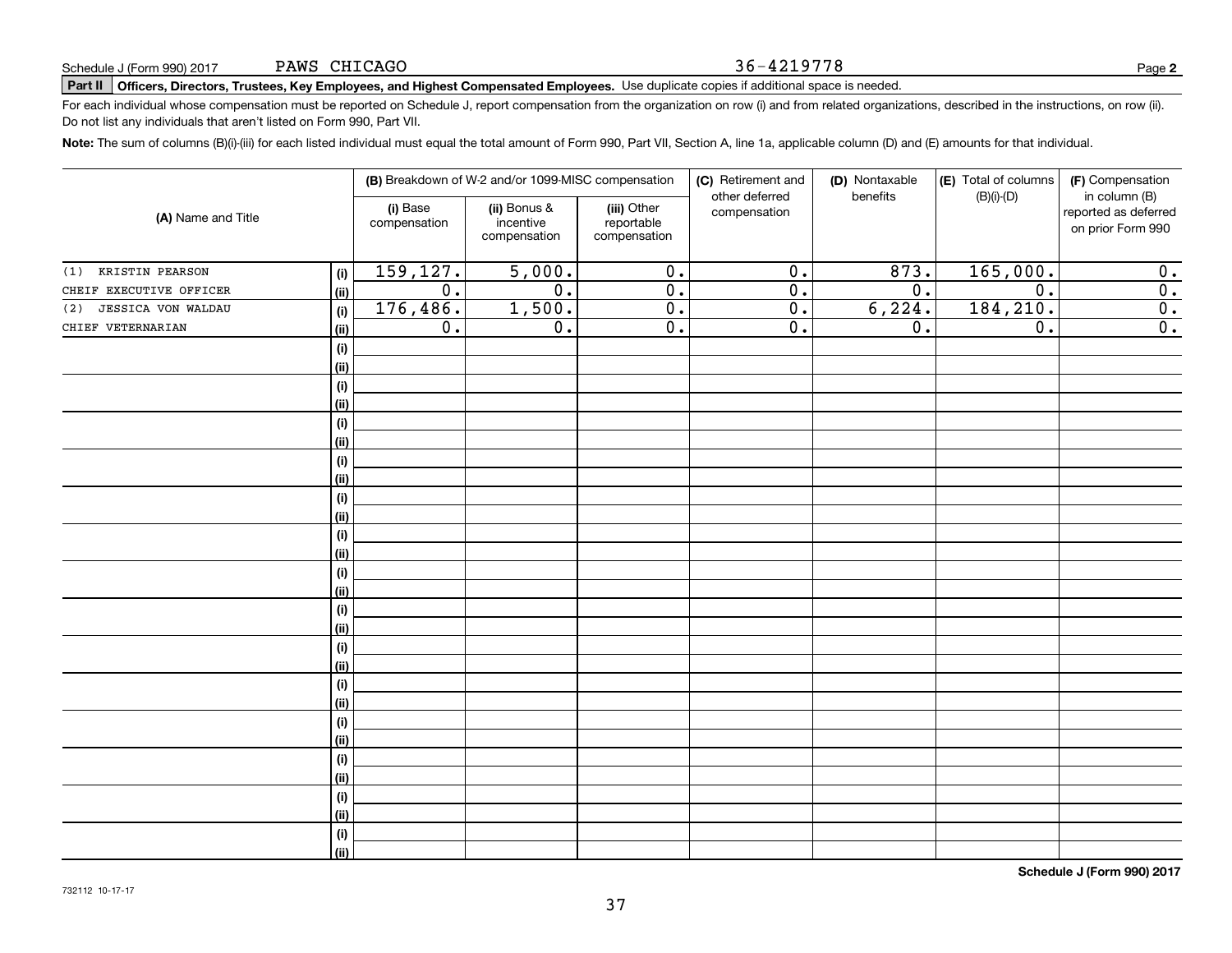#### 36-4219778

**2**

# **Part II Officers, Directors, Trustees, Key Employees, and Highest Compensated Employees.**  Schedule J (Form 990) 2017 Page Use duplicate copies if additional space is needed.

For each individual whose compensation must be reported on Schedule J, report compensation from the organization on row (i) and from related organizations, described in the instructions, on row (ii). Do not list any individuals that aren't listed on Form 990, Part VII.

**Note:**  The sum of columns (B)(i)-(iii) for each listed individual must equal the total amount of Form 990, Part VII, Section A, line 1a, applicable column (D) and (E) amounts for that individual.

|                                  |             | (B) Breakdown of W-2 and/or 1099-MISC compensation |                                           | (C) Retirement and<br>other deferred      | (D) Nontaxable<br>benefits | (E) Total of columns<br>$(B)(i)-(D)$ | (F) Compensation<br>in column (B) |                                           |
|----------------------------------|-------------|----------------------------------------------------|-------------------------------------------|-------------------------------------------|----------------------------|--------------------------------------|-----------------------------------|-------------------------------------------|
| (A) Name and Title               |             | (i) Base<br>compensation                           | (ii) Bonus &<br>incentive<br>compensation | (iii) Other<br>reportable<br>compensation | compensation               |                                      |                                   | reported as deferred<br>on prior Form 990 |
| KRISTIN PEARSON<br>(1)           | (i)         | 159,127.                                           | 5,000.                                    | $\overline{0}$ .                          | $\overline{0}$ .           | 873.                                 | 165,000.                          | 0.                                        |
| CHEIF EXECUTIVE OFFICER          | (ii)        | $\overline{0}$ .                                   | $\overline{0}$ .                          | $\overline{0}$ .                          | $\overline{0}$ .           | $\overline{0}$ .                     | $\overline{0}$ .                  | $\overline{0}$ .                          |
| <b>JESSICA VON WALDAU</b><br>(2) | (i)         | 176,486.                                           | 1,500.                                    | $\overline{0}$ .                          | $\overline{0}$ .           | 6,224.                               | 184,210.                          | $\overline{0}$ .                          |
| CHIEF VETERNARIAN                | (ii)        | $\overline{0}$ .                                   | $\overline{0}$ .                          | $\overline{0}$ .                          | $\overline{0}$ .           | $\overline{0}$ .                     | $\overline{0}$ .                  | $\overline{0}$ .                          |
|                                  | (i)         |                                                    |                                           |                                           |                            |                                      |                                   |                                           |
|                                  | (ii)        |                                                    |                                           |                                           |                            |                                      |                                   |                                           |
|                                  | (i)         |                                                    |                                           |                                           |                            |                                      |                                   |                                           |
|                                  | (ii)        |                                                    |                                           |                                           |                            |                                      |                                   |                                           |
|                                  | (i)         |                                                    |                                           |                                           |                            |                                      |                                   |                                           |
|                                  | (ii)        |                                                    |                                           |                                           |                            |                                      |                                   |                                           |
|                                  | (i)         |                                                    |                                           |                                           |                            |                                      |                                   |                                           |
|                                  | (ii)        |                                                    |                                           |                                           |                            |                                      |                                   |                                           |
|                                  | (i)         |                                                    |                                           |                                           |                            |                                      |                                   |                                           |
|                                  | (ii)        |                                                    |                                           |                                           |                            |                                      |                                   |                                           |
|                                  | (i)         |                                                    |                                           |                                           |                            |                                      |                                   |                                           |
|                                  | (ii)        |                                                    |                                           |                                           |                            |                                      |                                   |                                           |
|                                  | (i)         |                                                    |                                           |                                           |                            |                                      |                                   |                                           |
|                                  | (ii)        |                                                    |                                           |                                           |                            |                                      |                                   |                                           |
|                                  | (i)         |                                                    |                                           |                                           |                            |                                      |                                   |                                           |
|                                  | (ii)        |                                                    |                                           |                                           |                            |                                      |                                   |                                           |
|                                  | (i)<br>(ii) |                                                    |                                           |                                           |                            |                                      |                                   |                                           |
|                                  | (i)         |                                                    |                                           |                                           |                            |                                      |                                   |                                           |
|                                  | (ii)        |                                                    |                                           |                                           |                            |                                      |                                   |                                           |
|                                  | (i)         |                                                    |                                           |                                           |                            |                                      |                                   |                                           |
|                                  | (ii)        |                                                    |                                           |                                           |                            |                                      |                                   |                                           |
|                                  | (i)         |                                                    |                                           |                                           |                            |                                      |                                   |                                           |
|                                  | (ii)        |                                                    |                                           |                                           |                            |                                      |                                   |                                           |
|                                  | (i)         |                                                    |                                           |                                           |                            |                                      |                                   |                                           |
|                                  | (ii)        |                                                    |                                           |                                           |                            |                                      |                                   |                                           |
|                                  | (i)         |                                                    |                                           |                                           |                            |                                      |                                   |                                           |
|                                  | (ii)        |                                                    |                                           |                                           |                            |                                      |                                   |                                           |

**Schedule J (Form 990) 2017**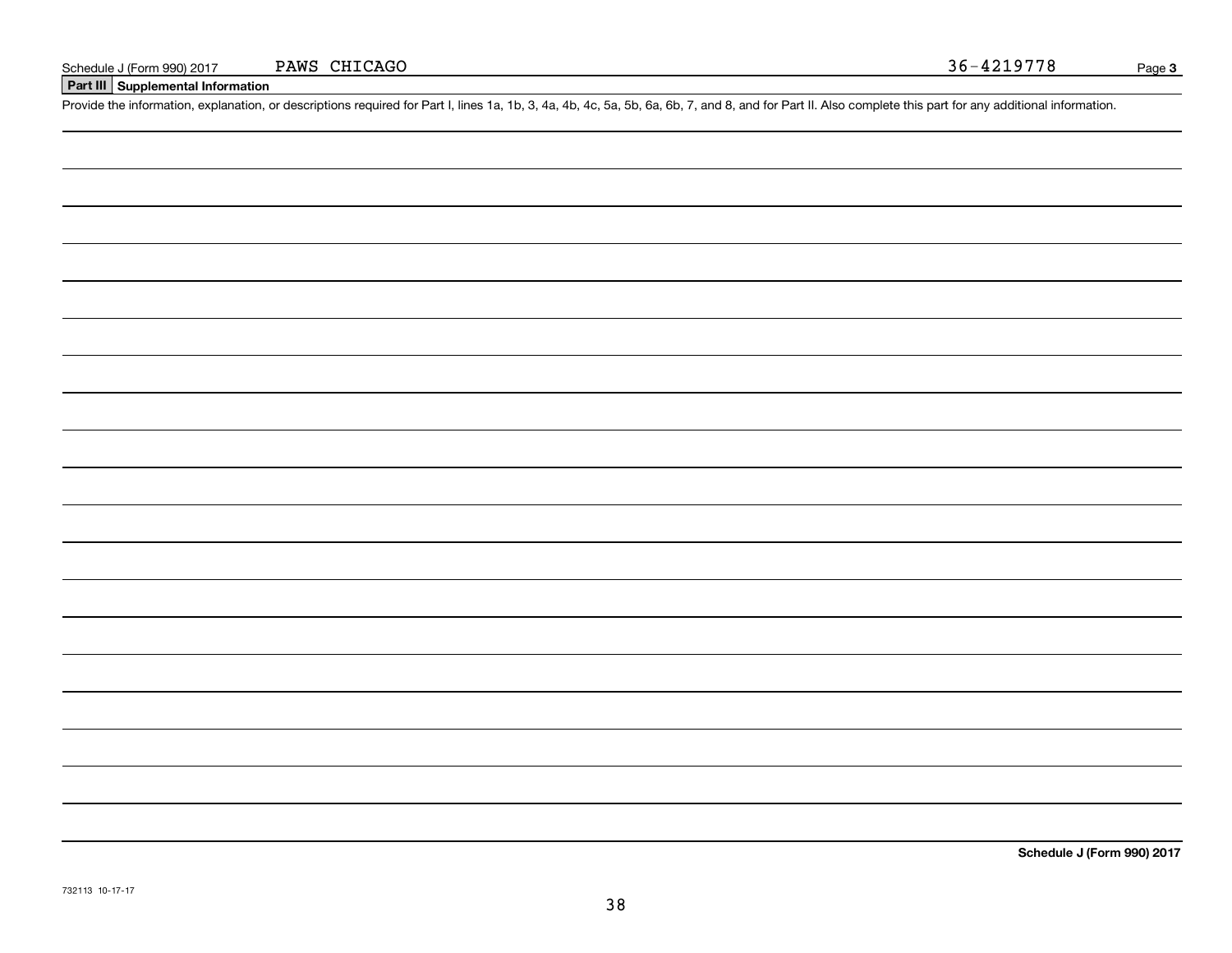### **Part III Supplemental Information**

Schedule J (Form 990) 2017 PAWS CHICAGO<br>Part III Supplemental Information<br>Provide the information, explanation, or descriptions required for Part I, lines 1a, 1b, 3, 4a, 4b, 4c, 5a, 5b, 6a, 6b, 7, and 8, and for Part II. A

**Schedule J (Form 990) 2017**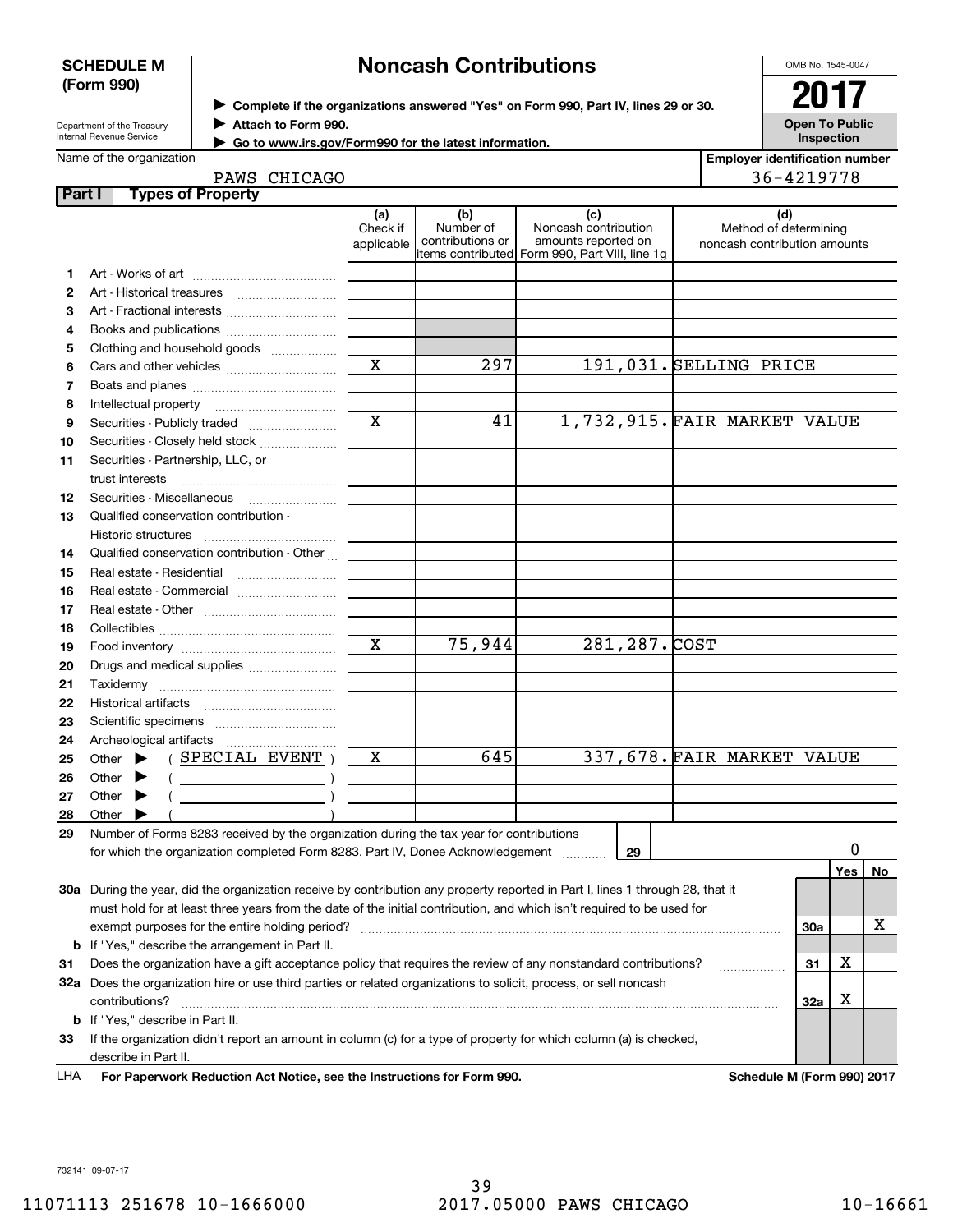### **SCHEDULE M (Form 990)**

# **Noncash Contributions**

OMB No. 1545-0047

Department of the Treasury Internal Revenue Service

**33**

**Attach to Form 990.** J

 $\blacktriangleright$  Complete if the organizations answered "Yes" on Form 990, Part IV, lines 29 or 30.  $\vert$   $\vert$   $\rm{2017}$ **Open To Public Inspection**

**Employer identification number**

36-4219778

| Name of the organization |  |
|--------------------------|--|
|--------------------------|--|

 **Go to www.irs.gov/Form990 for the latest information.** J

PAWS CHICAGO

| <b>Part I</b> | <b>Types of Property</b>                                                                                                                            |                         |                  |                                                 |                              |            |     |    |
|---------------|-----------------------------------------------------------------------------------------------------------------------------------------------------|-------------------------|------------------|-------------------------------------------------|------------------------------|------------|-----|----|
|               |                                                                                                                                                     | (a)<br>Check if         | (b)<br>Number of | (c)<br>Noncash contribution                     | (d)<br>Method of determining |            |     |    |
|               |                                                                                                                                                     | applicable              | contributions or | amounts reported on                             | noncash contribution amounts |            |     |    |
|               |                                                                                                                                                     |                         |                  | items contributed  Form 990, Part VIII, line 1g |                              |            |     |    |
| 1             |                                                                                                                                                     |                         |                  |                                                 |                              |            |     |    |
| 2             |                                                                                                                                                     |                         |                  |                                                 |                              |            |     |    |
| з             | Art - Fractional interests                                                                                                                          |                         |                  |                                                 |                              |            |     |    |
| 4             | Books and publications                                                                                                                              |                         |                  |                                                 |                              |            |     |    |
| 5             | Clothing and household goods                                                                                                                        |                         |                  |                                                 |                              |            |     |    |
| 6             |                                                                                                                                                     | $\overline{\mathbf{x}}$ | 297              |                                                 | 191,031. SELLING PRICE       |            |     |    |
| 7             |                                                                                                                                                     |                         |                  |                                                 |                              |            |     |    |
| 8             |                                                                                                                                                     |                         |                  |                                                 |                              |            |     |    |
| 9             | Securities - Publicly traded                                                                                                                        | $\overline{\mathbf{x}}$ | 41               |                                                 | 1,732,915.FAIR MARKET VALUE  |            |     |    |
| 10            | Securities - Closely held stock                                                                                                                     |                         |                  |                                                 |                              |            |     |    |
| 11            | Securities - Partnership, LLC, or                                                                                                                   |                         |                  |                                                 |                              |            |     |    |
|               | trust interests                                                                                                                                     |                         |                  |                                                 |                              |            |     |    |
| 12            |                                                                                                                                                     |                         |                  |                                                 |                              |            |     |    |
| 13            | Qualified conservation contribution                                                                                                                 |                         |                  |                                                 |                              |            |     |    |
|               | Historic structures                                                                                                                                 |                         |                  |                                                 |                              |            |     |    |
| 14            | Qualified conservation contribution - Other                                                                                                         |                         |                  |                                                 |                              |            |     |    |
| 15            | Real estate - Residential                                                                                                                           |                         |                  |                                                 |                              |            |     |    |
| 16            |                                                                                                                                                     |                         |                  |                                                 |                              |            |     |    |
| 17            |                                                                                                                                                     |                         |                  |                                                 |                              |            |     |    |
| 18            |                                                                                                                                                     |                         |                  |                                                 |                              |            |     |    |
| 19            |                                                                                                                                                     | $\mathbf x$             | 75,944           | $\overline{281,287}$ . COST                     |                              |            |     |    |
| 20            | Drugs and medical supplies                                                                                                                          |                         |                  |                                                 |                              |            |     |    |
| 21            | Taxidermy                                                                                                                                           |                         |                  |                                                 |                              |            |     |    |
| 22            |                                                                                                                                                     |                         |                  |                                                 |                              |            |     |    |
| 23            |                                                                                                                                                     |                         |                  |                                                 |                              |            |     |    |
| 24            |                                                                                                                                                     |                         |                  |                                                 |                              |            |     |    |
| 25            | $($ SPECIAL EVENT $)$<br>Other $\blacktriangleright$                                                                                                | х                       | 645              |                                                 | 337,678. FAIR MARKET VALUE   |            |     |    |
| 26            | Other $\blacktriangleright$<br><u> Territoria de la contenentación de la contenentación de la contenentación de la contenentación de la contene</u> |                         |                  |                                                 |                              |            |     |    |
| 27            | Other $\blacktriangleright$                                                                                                                         |                         |                  |                                                 |                              |            |     |    |
| 28            | Other $\blacktriangleright$                                                                                                                         |                         |                  |                                                 |                              |            |     |    |
| 29            | Number of Forms 8283 received by the organization during the tax year for contributions                                                             |                         |                  |                                                 |                              |            |     |    |
|               | for which the organization completed Form 8283, Part IV, Donee Acknowledgement                                                                      |                         |                  | 29                                              |                              |            | 0   |    |
|               |                                                                                                                                                     |                         |                  |                                                 |                              |            | Yes | No |
|               | 30a During the year, did the organization receive by contribution any property reported in Part I, lines 1 through 28, that it                      |                         |                  |                                                 |                              |            |     |    |
|               | must hold for at least three years from the date of the initial contribution, and which isn't required to be used for                               |                         |                  |                                                 |                              |            |     |    |
|               | exempt purposes for the entire holding period?                                                                                                      |                         |                  |                                                 |                              | <b>30a</b> |     | х  |
| b             | If "Yes," describe the arrangement in Part II.                                                                                                      |                         |                  |                                                 |                              |            |     |    |
| 31            | Does the organization have a gift acceptance policy that requires the review of any nonstandard contributions?                                      |                         |                  |                                                 |                              | 31         | х   |    |
|               | 32a Does the organization hire or use third parties or related organizations to solicit, process, or sell noncash                                   |                         |                  |                                                 |                              |            |     |    |
|               | contributions?                                                                                                                                      |                         |                  |                                                 |                              | 32a        | х   |    |

**For Paperwork Reduction Act Notice, see the Instructions for Form 990. Schedule M (Form 990) 2017** describe in Part II. LHA

If the organization didn't report an amount in column (c) for a type of property for which column (a) is checked,

732141 09-07-17

**b**If "Yes," describe in Part II.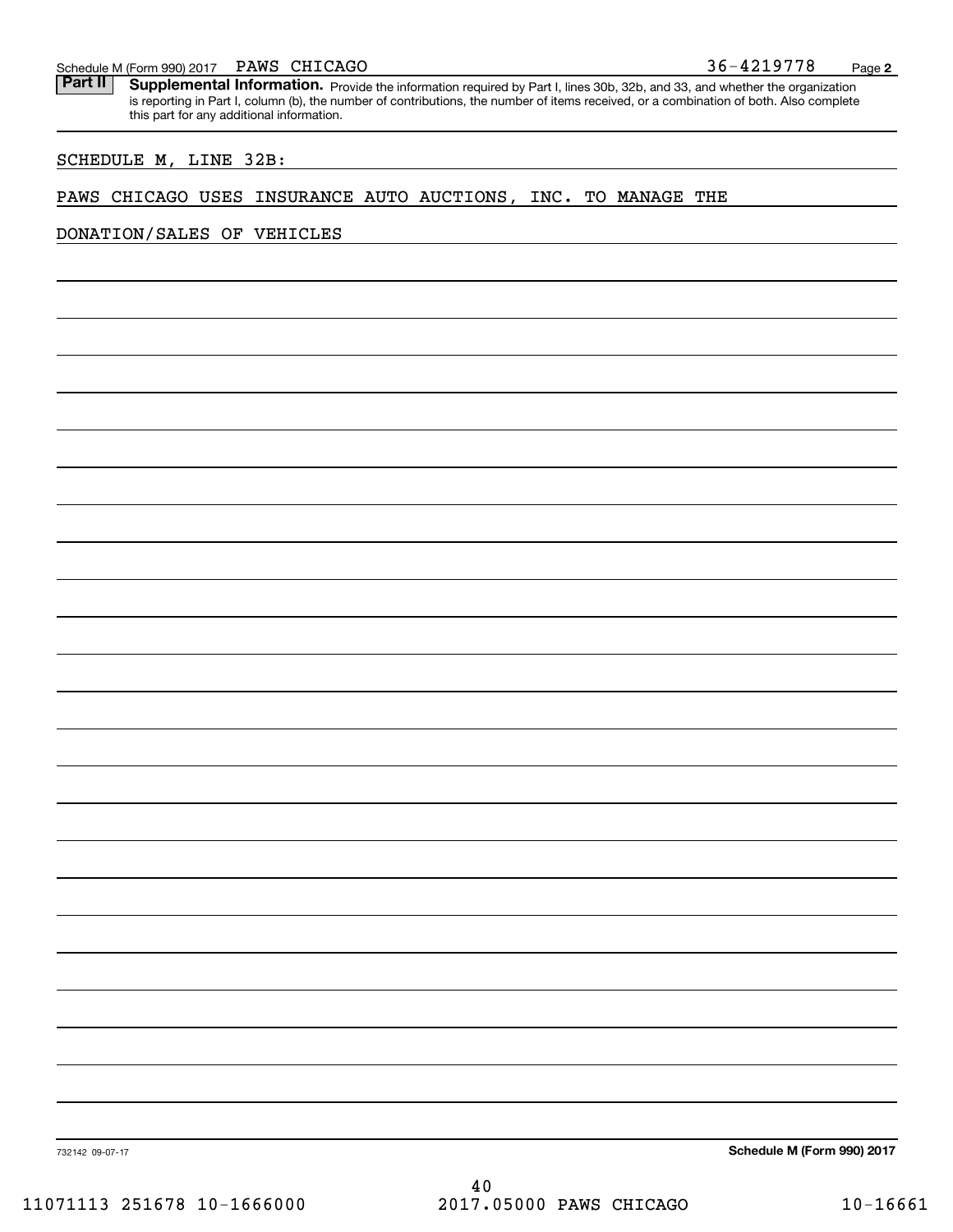### PAWS CHICAGO

#### SCHEDULE M, LINE 32B:

### PAWS CHICAGO USES INSURANCE AUTO AUCTIONS, INC. TO MANAGE THE

## DONATION/SALES OF VEHICLES

**Schedule M (Form 990) 2017**

**2**

11071113 251678 10-1666000 2017.05000 PAWS CHICAGO 10-16661

732142 09-07-17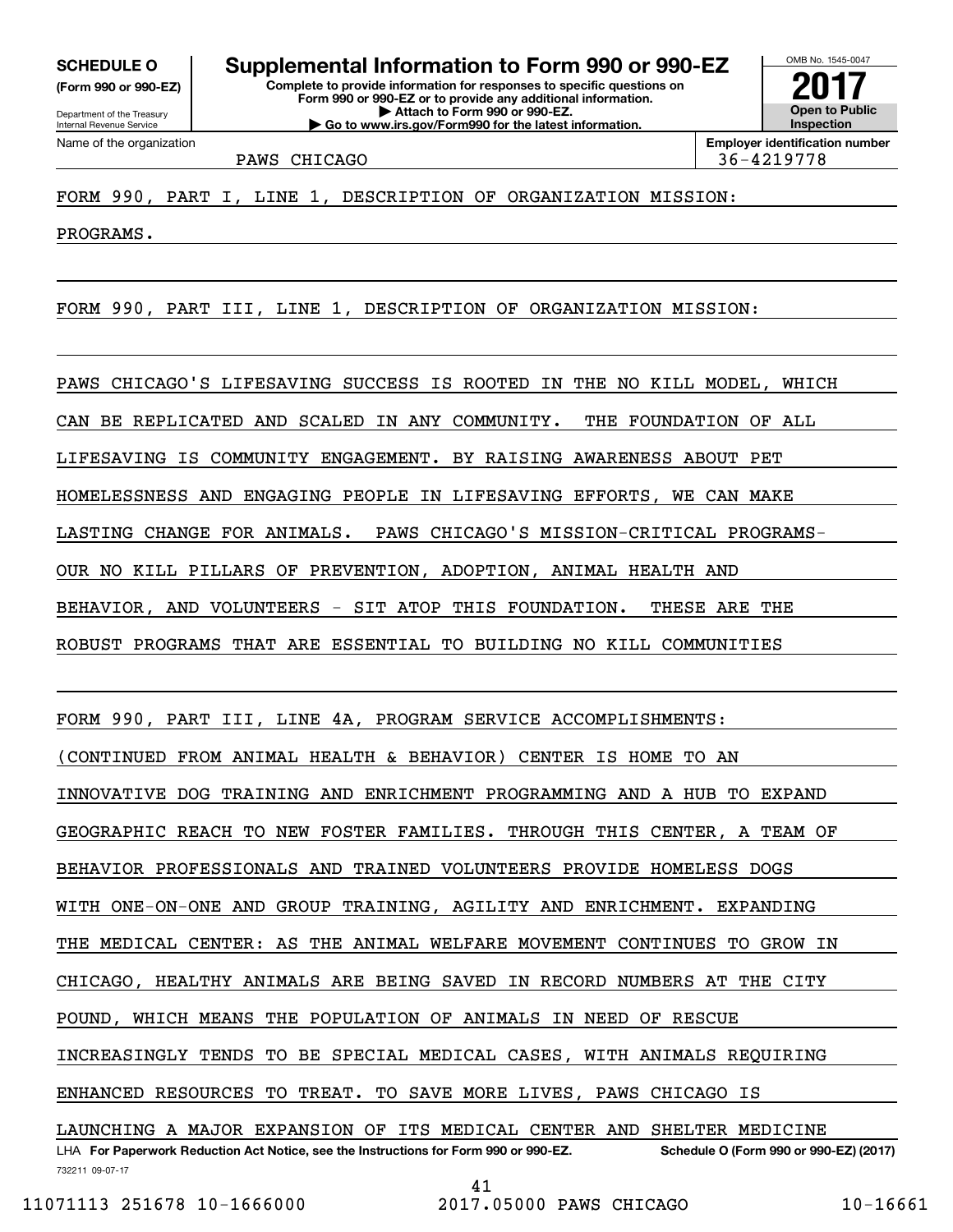**(Form 990 or 990-EZ)**

Department of the Treasury Internal Revenue Service Name of the organization

**Complete to provide information for responses to specific questions on Form 990 or 990-EZ or to provide any additional information. | Attach to Form 990 or 990-EZ. | Go to www.irs.gov/Form990 for the latest information. SCHEDULE O Supplemental Information to Form 990 or 990-EZ**



PAWS CHICAGO 36-4219778

PROGRAMS.

FORM 990, PART III, LINE 1, DESCRIPTION OF ORGANIZATION MISSION:

PAWS CHICAGO'S LIFESAVING SUCCESS IS ROOTED IN THE NO KILL MODEL, WHICH CAN BE REPLICATED AND SCALED IN ANY COMMUNITY. THE FOUNDATION OF ALL LIFESAVING IS COMMUNITY ENGAGEMENT. BY RAISING AWARENESS ABOUT PET HOMELESSNESS AND ENGAGING PEOPLE IN LIFESAVING EFFORTS, WE CAN MAKE LASTING CHANGE FOR ANIMALS. PAWS CHICAGO'S MISSION-CRITICAL PROGRAMS-OUR NO KILL PILLARS OF PREVENTION, ADOPTION, ANIMAL HEALTH AND BEHAVIOR, AND VOLUNTEERS - SIT ATOP THIS FOUNDATION. THESE ARE THE ROBUST PROGRAMS THAT ARE ESSENTIAL TO BUILDING NO KILL COMMUNITIES

LHA For Paperwork Reduction Act Notice, see the Instructions for Form 990 or 990-EZ. Schedule O (Form 990 or 990-EZ) (2017) FORM 990, PART III, LINE 4A, PROGRAM SERVICE ACCOMPLISHMENTS: (CONTINUED FROM ANIMAL HEALTH & BEHAVIOR) CENTER IS HOME TO AN INNOVATIVE DOG TRAINING AND ENRICHMENT PROGRAMMING AND A HUB TO EXPAND GEOGRAPHIC REACH TO NEW FOSTER FAMILIES. THROUGH THIS CENTER, A TEAM OF BEHAVIOR PROFESSIONALS AND TRAINED VOLUNTEERS PROVIDE HOMELESS DOGS WITH ONE-ON-ONE AND GROUP TRAINING, AGILITY AND ENRICHMENT. EXPANDING THE MEDICAL CENTER: AS THE ANIMAL WELFARE MOVEMENT CONTINUES TO GROW IN CHICAGO, HEALTHY ANIMALS ARE BEING SAVED IN RECORD NUMBERS AT THE CITY POUND, WHICH MEANS THE POPULATION OF ANIMALS IN NEED OF RESCUE INCREASINGLY TENDS TO BE SPECIAL MEDICAL CASES, WITH ANIMALS REQUIRING ENHANCED RESOURCES TO TREAT. TO SAVE MORE LIVES, PAWS CHICAGO IS LAUNCHING A MAJOR EXPANSION OF ITS MEDICAL CENTER AND SHELTER MEDICINE

<sup>41</sup>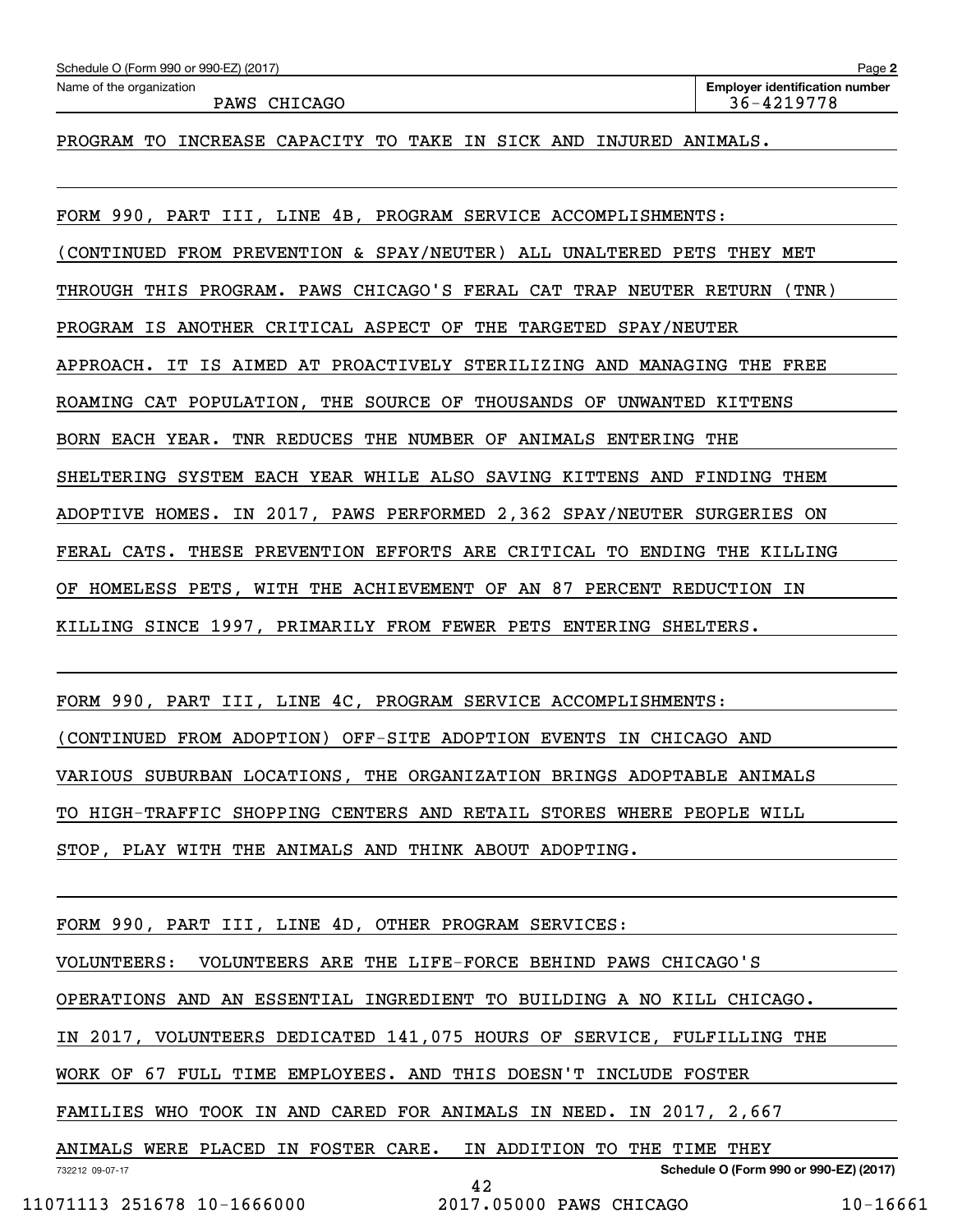| Name of the organization                                          |            |  |  |  | <b>Employer identification number</b> |  |  |
|-------------------------------------------------------------------|------------|--|--|--|---------------------------------------|--|--|
| PAWS CHICAGO                                                      | 36-4219778 |  |  |  |                                       |  |  |
| PROGRAM TO INCREASE CAPACITY TO TAKE IN SICK AND INJURED ANIMALS. |            |  |  |  |                                       |  |  |
|                                                                   |            |  |  |  |                                       |  |  |
|                                                                   |            |  |  |  |                                       |  |  |

FORM 990, PART III, LINE 4B, PROGRAM SERVICE ACCOMPLISHMENTS: (CONTINUED FROM PREVENTION & SPAY/NEUTER) ALL UNALTERED PETS THEY MET THROUGH THIS PROGRAM. PAWS CHICAGO'S FERAL CAT TRAP NEUTER RETURN (TNR) PROGRAM IS ANOTHER CRITICAL ASPECT OF THE TARGETED SPAY/NEUTER APPROACH. IT IS AIMED AT PROACTIVELY STERILIZING AND MANAGING THE FREE ROAMING CAT POPULATION, THE SOURCE OF THOUSANDS OF UNWANTED KITTENS BORN EACH YEAR. TNR REDUCES THE NUMBER OF ANIMALS ENTERING THE SHELTERING SYSTEM EACH YEAR WHILE ALSO SAVING KITTENS AND FINDING THEM ADOPTIVE HOMES. IN 2017, PAWS PERFORMED 2,362 SPAY/NEUTER SURGERIES ON FERAL CATS. THESE PREVENTION EFFORTS ARE CRITICAL TO ENDING THE KILLING OF HOMELESS PETS, WITH THE ACHIEVEMENT OF AN 87 PERCENT REDUCTION IN KILLING SINCE 1997, PRIMARILY FROM FEWER PETS ENTERING SHELTERS.

FORM 990, PART III, LINE 4C, PROGRAM SERVICE ACCOMPLISHMENTS: (CONTINUED FROM ADOPTION) OFF-SITE ADOPTION EVENTS IN CHICAGO AND VARIOUS SUBURBAN LOCATIONS, THE ORGANIZATION BRINGS ADOPTABLE ANIMALS TO HIGH-TRAFFIC SHOPPING CENTERS AND RETAIL STORES WHERE PEOPLE WILL STOP, PLAY WITH THE ANIMALS AND THINK ABOUT ADOPTING.

732212 09-07-17 **Schedule O (Form 990 or 990-EZ) (2017)** FORM 990, PART III, LINE 4D, OTHER PROGRAM SERVICES: VOLUNTEERS: VOLUNTEERS ARE THE LIFE-FORCE BEHIND PAWS CHICAGO'S OPERATIONS AND AN ESSENTIAL INGREDIENT TO BUILDING A NO KILL CHICAGO. IN 2017, VOLUNTEERS DEDICATED 141,075 HOURS OF SERVICE, FULFILLING THE WORK OF 67 FULL TIME EMPLOYEES. AND THIS DOESN'T INCLUDE FOSTER FAMILIES WHO TOOK IN AND CARED FOR ANIMALS IN NEED. IN 2017, 2,667 ANIMALS WERE PLACED IN FOSTER CARE. IN ADDITION TO THE TIME THEY 42

**Page 2**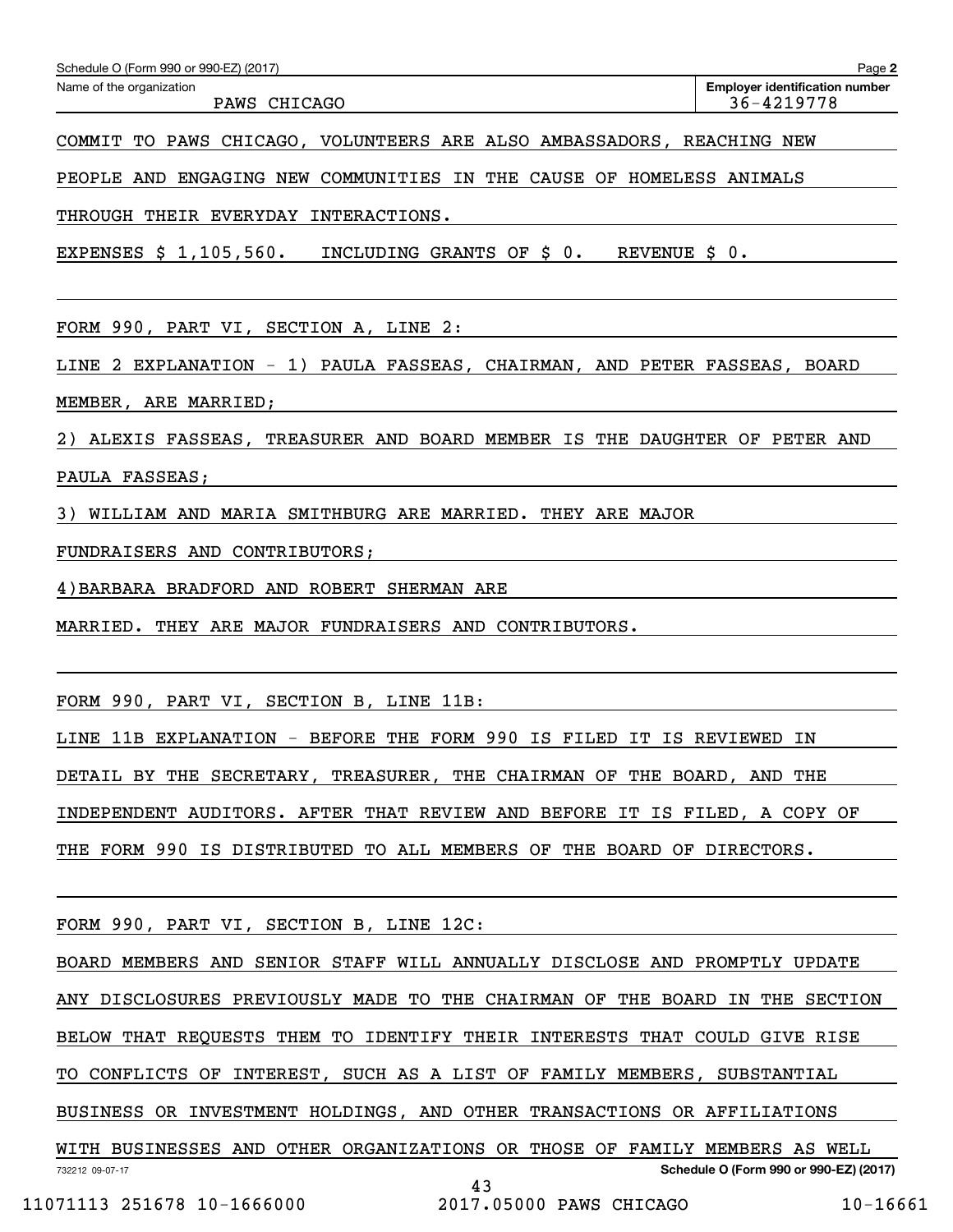| Schedule O (Form 990 or 990-EZ) (2017)                                           | Page 2                                              |
|----------------------------------------------------------------------------------|-----------------------------------------------------|
| Name of the organization<br>PAWS CHICAGO                                         | <b>Employer identification number</b><br>36-4219778 |
| COMMIT TO PAWS CHICAGO, VOLUNTEERS ARE ALSO AMBASSADORS, REACHING NEW            |                                                     |
| PEOPLE AND ENGAGING NEW COMMUNITIES IN THE CAUSE OF HOMELESS ANIMALS             |                                                     |
| THROUGH THEIR EVERYDAY INTERACTIONS.                                             |                                                     |
| EXPENSES $\sharp$ 1,105,560. INCLUDING GRANTS OF $\sharp$ 0. REVENUE $\sharp$ 0. |                                                     |
|                                                                                  |                                                     |
| FORM 990, PART VI, SECTION A, LINE 2:                                            |                                                     |
| LINE 2 EXPLANATION - 1) PAULA FASSEAS, CHAIRMAN, AND PETER FASSEAS, BOARD        |                                                     |
| MEMBER, ARE MARRIED;                                                             |                                                     |
| 2) ALEXIS FASSEAS, TREASURER AND BOARD MEMBER IS THE DAUGHTER OF PETER AND       |                                                     |
| PAULA FASSEAS;                                                                   |                                                     |
| 3) WILLIAM AND MARIA SMITHBURG ARE MARRIED. THEY ARE MAJOR                       |                                                     |
| FUNDRAISERS AND CONTRIBUTORS;                                                    |                                                     |
| 4) BARBARA BRADFORD AND ROBERT SHERMAN ARE                                       |                                                     |
| MARRIED. THEY ARE MAJOR FUNDRAISERS AND CONTRIBUTORS.                            |                                                     |
| FORM 990, PART VI, SECTION B, LINE 11B:                                          |                                                     |

LINE 11B EXPLANATION - BEFORE THE FORM 990 IS FILED IT IS REVIEWED IN

DETAIL BY THE SECRETARY, TREASURER, THE CHAIRMAN OF THE BOARD, AND THE

INDEPENDENT AUDITORS. AFTER THAT REVIEW AND BEFORE IT IS FILED, A COPY OF

THE FORM 990 IS DISTRIBUTED TO ALL MEMBERS OF THE BOARD OF DIRECTORS.

FORM 990, PART VI, SECTION B, LINE 12C:

732212 09-07-17 **Schedule O (Form 990 or 990-EZ) (2017)** BOARD MEMBERS AND SENIOR STAFF WILL ANNUALLY DISCLOSE AND PROMPTLY UPDATE ANY DISCLOSURES PREVIOUSLY MADE TO THE CHAIRMAN OF THE BOARD IN THE SECTION BELOW THAT REQUESTS THEM TO IDENTIFY THEIR INTERESTS THAT COULD GIVE RISE TO CONFLICTS OF INTEREST, SUCH AS A LIST OF FAMILY MEMBERS, SUBSTANTIAL BUSINESS OR INVESTMENT HOLDINGS, AND OTHER TRANSACTIONS OR AFFILIATIONS WITH BUSINESSES AND OTHER ORGANIZATIONS OR THOSE OF FAMILY MEMBERS AS WELL 43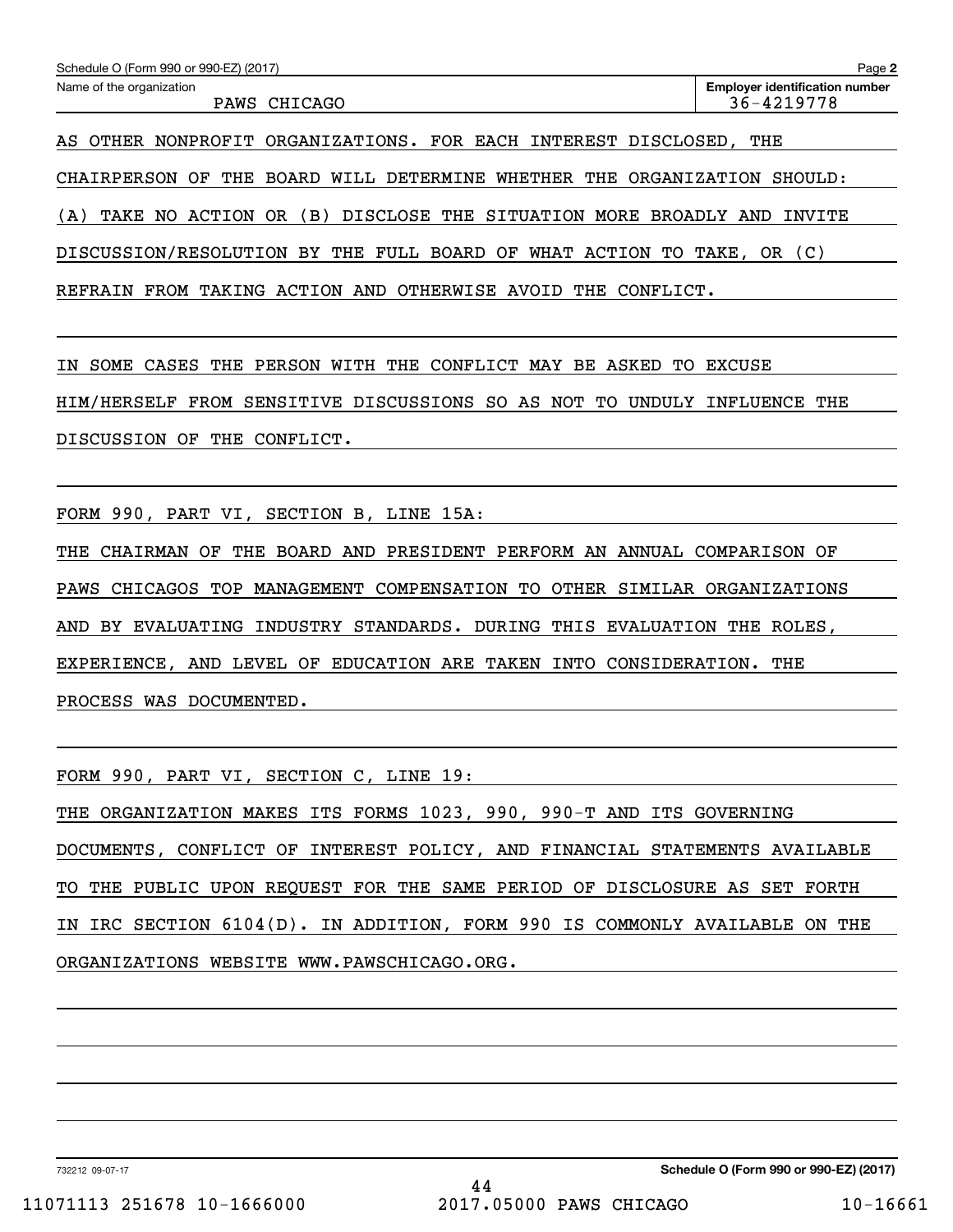AS OTHER NONPROFIT ORGANIZATIONS. FOR EACH INTEREST DISCLOSED, THE CHAIRPERSON OF THE BOARD WILL DETERMINE WHETHER THE ORGANIZATION SHOULD:

(A) TAKE NO ACTION OR (B) DISCLOSE THE SITUATION MORE BROADLY AND INVITE

DISCUSSION/RESOLUTION BY THE FULL BOARD OF WHAT ACTION TO TAKE, OR (C)

REFRAIN FROM TAKING ACTION AND OTHERWISE AVOID THE CONFLICT.

IN SOME CASES THE PERSON WITH THE CONFLICT MAY BE ASKED TO EXCUSE HIM/HERSELF FROM SENSITIVE DISCUSSIONS SO AS NOT TO UNDULY INFLUENCE THE DISCUSSION OF THE CONFLICT.

FORM 990, PART VI, SECTION B, LINE 15A:

THE CHAIRMAN OF THE BOARD AND PRESIDENT PERFORM AN ANNUAL COMPARISON OF PAWS CHICAGOS TOP MANAGEMENT COMPENSATION TO OTHER SIMILAR ORGANIZATIONS AND BY EVALUATING INDUSTRY STANDARDS. DURING THIS EVALUATION THE ROLES, EXPERIENCE, AND LEVEL OF EDUCATION ARE TAKEN INTO CONSIDERATION. THE PROCESS WAS DOCUMENTED.

FORM 990, PART VI, SECTION C, LINE 19:

THE ORGANIZATION MAKES ITS FORMS 1023, 990, 990-T AND ITS GOVERNING DOCUMENTS, CONFLICT OF INTEREST POLICY, AND FINANCIAL STATEMENTS AVAILABLE TO THE PUBLIC UPON REQUEST FOR THE SAME PERIOD OF DISCLOSURE AS SET FORTH IN IRC SECTION 6104(D). IN ADDITION, FORM 990 IS COMMONLY AVAILABLE ON THE ORGANIZATIONS WEBSITE WWW.PAWSCHICAGO.ORG.

732212 09-07-17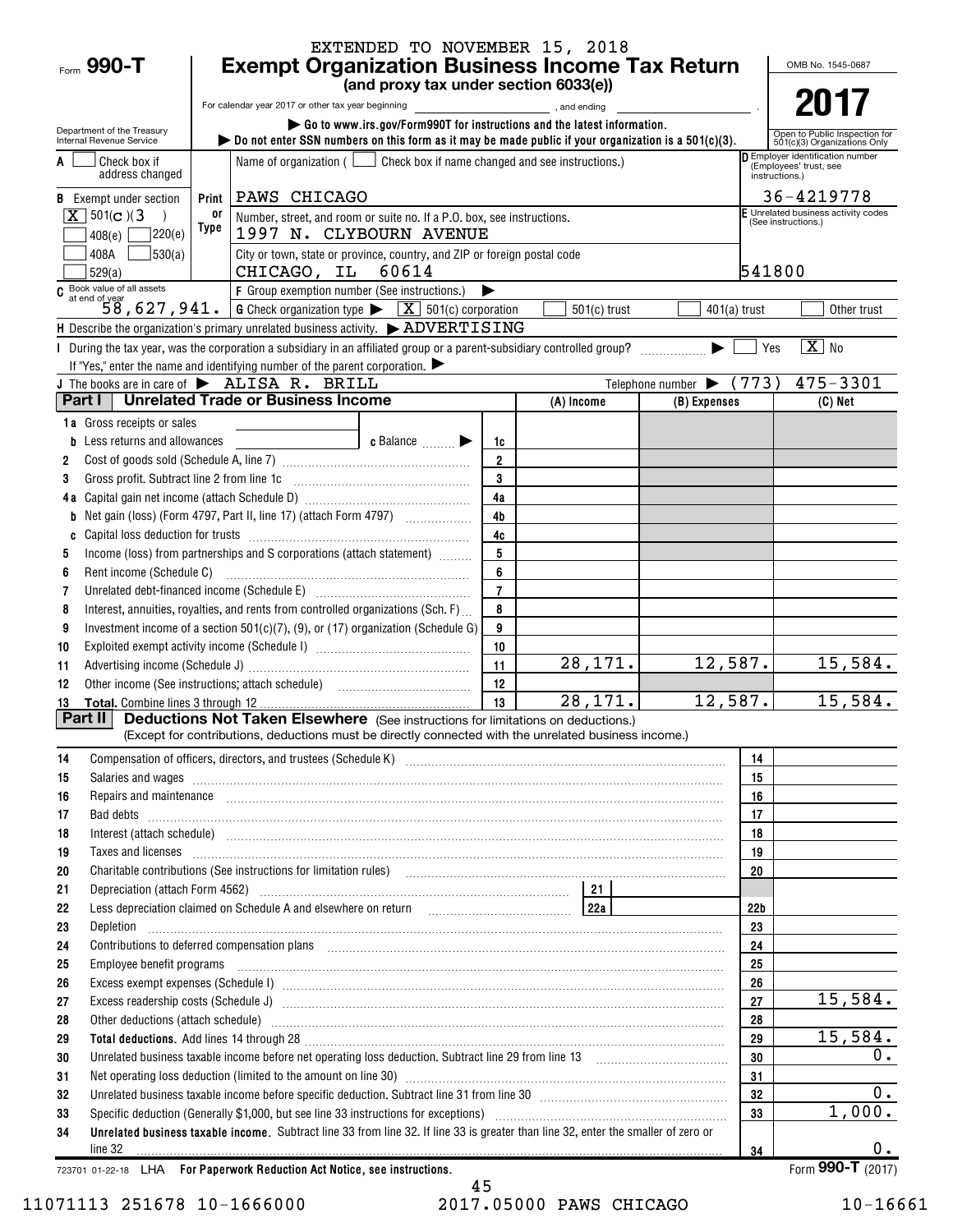| Form 990-T                                                             | EXTENDED TO NOVEMBER 15, 2018<br><b>Exempt Organization Business Income Tax Return</b>                                                                                                                                               |                |                |                                | OMB No. 1545-0687                                              |
|------------------------------------------------------------------------|--------------------------------------------------------------------------------------------------------------------------------------------------------------------------------------------------------------------------------------|----------------|----------------|--------------------------------|----------------------------------------------------------------|
|                                                                        | (and proxy tax under section 6033(e))                                                                                                                                                                                                |                |                |                                |                                                                |
|                                                                        | For calendar year 2017 or other tax year beginning                                                                                                                                                                                   |                | , and ending   |                                | 2017                                                           |
| Department of the Treasury                                             | $\triangleright$ Go to www.irs.gov/Form990T for instructions and the latest information.                                                                                                                                             |                |                |                                | Open to Public Inspection for                                  |
| Internal Revenue Service                                               | bo not enter SSN numbers on this form as it may be made public if your organization is a $501(c)(3)$ .                                                                                                                               |                |                |                                | 501(c)(3) Organizations Only<br>Employer identification number |
| Check box if<br>address changed                                        | Name of organization $($<br>Check box if name changed and see instructions.)                                                                                                                                                         |                |                |                                | (Employees' trust, see<br>instructions.)                       |
| <b>B</b> Exempt under section                                          | PAWS CHICAGO<br>Print                                                                                                                                                                                                                |                |                |                                | 36-4219778                                                     |
| $X \ 501(c)$ (3                                                        | 0r<br>Number, street, and room or suite no. If a P.O. box, see instructions.<br>Type                                                                                                                                                 |                |                |                                | E Unrelated business activity codes<br>(See instructions.)     |
| 7220(e)<br>408(e)                                                      | 1997 N. CLYBOURN AVENUE                                                                                                                                                                                                              |                |                |                                |                                                                |
| 530(a) <br>408A<br>529(a)                                              | City or town, state or province, country, and ZIP or foreign postal code<br>CHICAGO, IL 60614                                                                                                                                        |                |                |                                | 541800                                                         |
| $\overline{c}$ Book value of all assets<br>$\overline{58}$ , 627, 941. | F Group exemption number (See instructions.)                                                                                                                                                                                         | ▶              |                |                                |                                                                |
|                                                                        | <b>G</b> Check organization type $\blacktriangleright \boxed{X}$ 501(c) corporation                                                                                                                                                  |                | $501(c)$ trust | $401(a)$ trust                 | Other trust                                                    |
|                                                                        | H Describe the organization's primary unrelated business activity. $\blacktriangleright$ ADVERTISING                                                                                                                                 |                |                |                                |                                                                |
|                                                                        | During the tax year, was the corporation a subsidiary in an affiliated group or a parent-subsidiary controlled group?<br>If "Yes," enter the name and identifying number of the parent corporation. $\blacktriangleright$            |                |                |                                | $\overline{X}$ No<br>Yes                                       |
|                                                                        | J The books are in care of $\blacktriangleright$ ALISA R. BRILL                                                                                                                                                                      |                |                | (773)<br>▶<br>Telephone number | $475 - 3301$                                                   |
| Part I                                                                 | <b>Unrelated Trade or Business Income</b>                                                                                                                                                                                            |                | (A) Income     | (B) Expenses                   | (C) Net                                                        |
| 1a Gross receipts or sales                                             |                                                                                                                                                                                                                                      |                |                |                                |                                                                |
| Less returns and allowances<br>b                                       | $c$ Balance                                                                                                                                                                                                                          | 1c             |                |                                |                                                                |
| 2                                                                      |                                                                                                                                                                                                                                      | $\overline{2}$ |                |                                |                                                                |
| Gross profit. Subtract line 2 from line 1c<br>3                        |                                                                                                                                                                                                                                      | 3              |                |                                |                                                                |
|                                                                        |                                                                                                                                                                                                                                      | 4a             |                |                                |                                                                |
| b                                                                      |                                                                                                                                                                                                                                      | 4b             |                |                                |                                                                |
| C                                                                      |                                                                                                                                                                                                                                      | 4c             |                |                                |                                                                |
| 5                                                                      | Income (loss) from partnerships and S corporations (attach statement)                                                                                                                                                                | 5              |                |                                |                                                                |
| 6<br>Rent income (Schedule C)                                          |                                                                                                                                                                                                                                      | 6              |                |                                |                                                                |
| 7                                                                      | Unrelated debt-financed income (Schedule E) [11] [2010] [2010] [2010] [2010] [2010] [2010] [2010] [2010] [2010                                                                                                                       | $\overline{7}$ |                |                                |                                                                |
| 8                                                                      | Interest, annuities, royalties, and rents from controlled organizations (Sch. F)                                                                                                                                                     | 8              |                |                                |                                                                |
| 9                                                                      | Investment income of a section 501(c)(7), (9), or (17) organization (Schedule G)                                                                                                                                                     | 9<br>10        |                |                                |                                                                |
| 10<br>11                                                               |                                                                                                                                                                                                                                      | 11             | 28,171.        | 12,587.                        | 15,584.                                                        |
| 12                                                                     |                                                                                                                                                                                                                                      | 12             |                |                                |                                                                |
| 13                                                                     |                                                                                                                                                                                                                                      | 13             | 28,171.        | 12,587.                        | 15,584.                                                        |
| Part II                                                                | <b>Deductions Not Taken Elsewhere</b> (See instructions for limitations on deductions.)                                                                                                                                              |                |                |                                |                                                                |
|                                                                        | (Except for contributions, deductions must be directly connected with the unrelated business income.)                                                                                                                                |                |                |                                |                                                                |
| 14                                                                     |                                                                                                                                                                                                                                      |                |                |                                | 14                                                             |
| 15                                                                     |                                                                                                                                                                                                                                      |                |                |                                | 15                                                             |
| 16                                                                     | Repairs and maintenance <i>[1] [1] [1] [1] [1] [1] [1] [1] [1] [1]</i> [1] <b>[1] [1] [1] [1] [1] [1] [1] [1] [1] [1] [1] [1] [1] [1] [1] [1] [1] [1] [1] [1] [1] [1] [1] [1] [1] [</b>                                              |                |                |                                | 16                                                             |
| 17                                                                     |                                                                                                                                                                                                                                      |                |                |                                | 17                                                             |
| 18                                                                     | Interest (attach schedule) <i>machine and accordinational content and accordinational content and accordinational</i>                                                                                                                |                |                |                                | 18                                                             |
| 19                                                                     | Taxes and licenses <b>contract the contract of the contract of the contract of the contract of the contract of the contract of the contract of the contract of the contract of the contract of the contract of the contract of t</b> |                |                |                                | 19                                                             |
| 20                                                                     | Charitable contributions (See instructions for limitation rules) [11] manufacture in the contributions (See instructions for limitation rules) [11] manufacture in the contributions (See instructions for limitation rules) [       |                |                |                                | 20                                                             |
| 21<br>22                                                               |                                                                                                                                                                                                                                      |                |                |                                | 22 <sub>b</sub>                                                |
| 23                                                                     |                                                                                                                                                                                                                                      |                |                |                                | 23                                                             |
| 24                                                                     | Contributions to deferred compensation plans [11] manufactured manufactured manufactured manufactured manufactured manufactured manufactured manufactured manufactured manufactured manufactured manufactured manufactured man       |                |                |                                | 24                                                             |
| 25                                                                     | Employee benefit programs in the continuum contract of the contract of the contract of the contract of the contract of the contract of the contract of the contract of the contract of the contract of the contract of the con       |                |                |                                | 25                                                             |
| 26                                                                     |                                                                                                                                                                                                                                      |                |                |                                | 26                                                             |
| 27                                                                     |                                                                                                                                                                                                                                      |                |                |                                | 15,584.<br>27                                                  |
| 28                                                                     | Other deductions (attach schedule) manufactured and contract and contract and contract and contract and contract and contract and contract and contract and contract and contract and contract and contract and contract and c       |                |                |                                | 28                                                             |
| 29                                                                     | Total deductions. Add lines 14 through 28 [11] manufactures in the contract of the contract of the contract of the contract of the contract of the contract of the contract of the contract of the contract of the contract of       |                |                |                                | 15,584.<br>29                                                  |
| 30                                                                     |                                                                                                                                                                                                                                      |                |                |                                | 0.<br>30                                                       |
| 31                                                                     | Net operating loss deduction (limited to the amount on line 30) [11] manufacture in the contraction of the amount on line 30) [11] manufacture in the contraction of the state of the amount of the amount of the state of the       |                |                |                                | 31                                                             |
| 32                                                                     | Unrelated business taxable income before specific deduction. Subtract line 31 from line 30 [11] Unrelated business taxable income before specific deduction. Subtract line 31 from line 30                                           |                |                |                                | 0.<br>32                                                       |
| 33                                                                     | Specific deduction (Generally \$1,000, but see line 33 instructions for exceptions) manufactured manufactured manufactured manufactured manufactured manufactured manufactured manufactured manufactured manufactured manufactu      |                |                |                                | 1,000.<br>33                                                   |
| 34                                                                     | Unrelated business taxable income. Subtract line 33 from line 32. If line 33 is greater than line 32, enter the smaller of zero or                                                                                                   |                |                |                                | 0.                                                             |
|                                                                        | line 32                                                                                                                                                                                                                              |                |                | 34                             | $0.00T$ $(0.017)$                                              |

723701 01-22-18 **For Paperwork Reduction Act Notice, see instructions.** LHA

45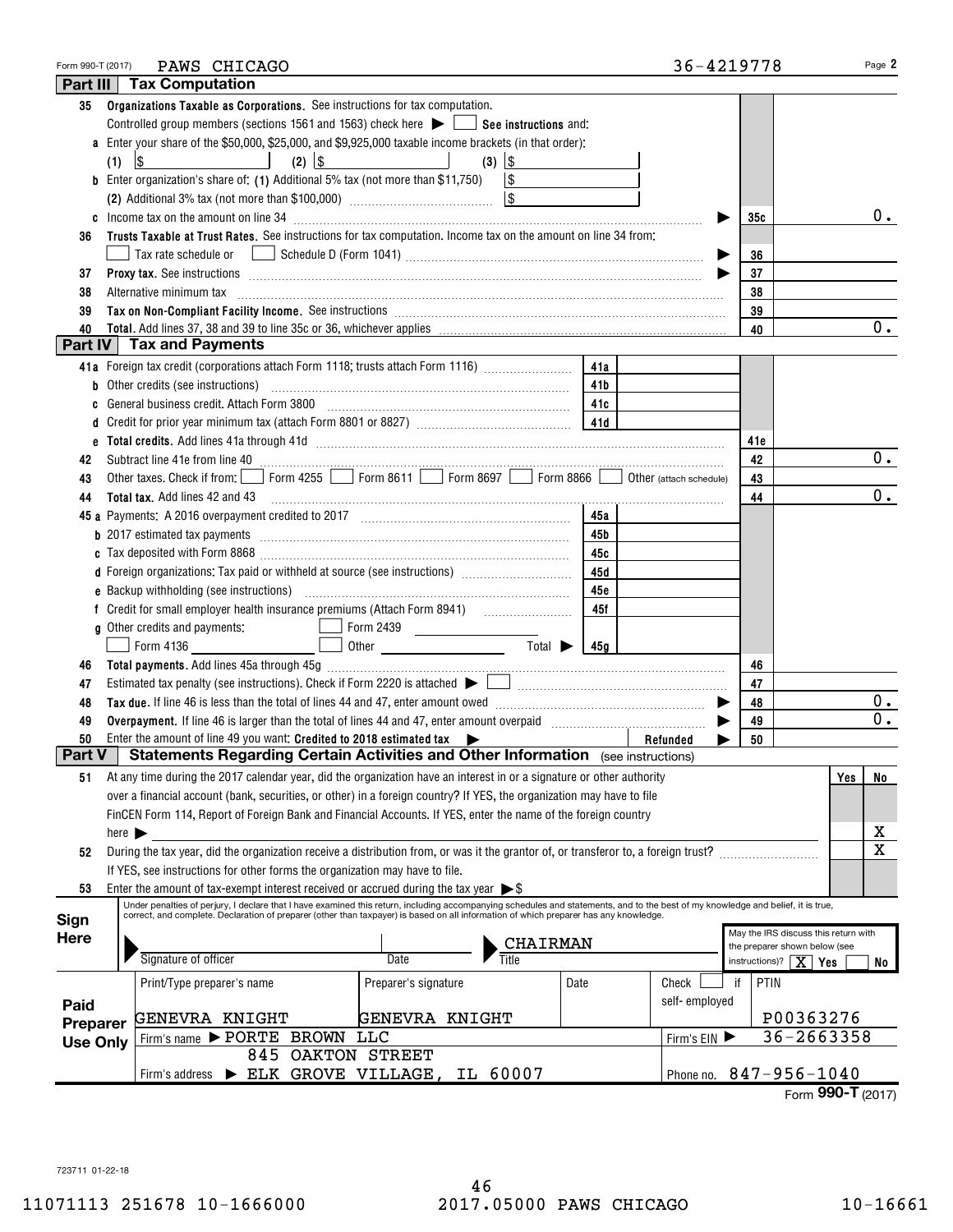| Form 990-T (2017) |                            | PAWS CHICAGO                                                                                                                                                                                                                   |                                                                                                                                                                                                                                     |                 |      | 36-4219778              |            |                                                                       | Page 2              |
|-------------------|----------------------------|--------------------------------------------------------------------------------------------------------------------------------------------------------------------------------------------------------------------------------|-------------------------------------------------------------------------------------------------------------------------------------------------------------------------------------------------------------------------------------|-----------------|------|-------------------------|------------|-----------------------------------------------------------------------|---------------------|
|                   |                            | Part III   Tax Computation                                                                                                                                                                                                     |                                                                                                                                                                                                                                     |                 |      |                         |            |                                                                       |                     |
| 35                |                            |                                                                                                                                                                                                                                | Organizations Taxable as Corporations. See instructions for tax computation.                                                                                                                                                        |                 |      |                         |            |                                                                       |                     |
|                   |                            |                                                                                                                                                                                                                                | Controlled group members (sections 1561 and 1563) check here $\blacktriangleright$ $\Box$ See instructions and:                                                                                                                     |                 |      |                         |            |                                                                       |                     |
|                   |                            |                                                                                                                                                                                                                                | a Enter your share of the \$50,000, \$25,000, and \$9,925,000 taxable income brackets (in that order):                                                                                                                              |                 |      |                         |            |                                                                       |                     |
|                   | (1)                        | <b>Contract Contract Contract Contract</b><br>$(2)$ $ $ \$<br>$\frac{1}{2}$                                                                                                                                                    |                                                                                                                                                                                                                                     |                 |      |                         |            |                                                                       |                     |
|                   |                            |                                                                                                                                                                                                                                | $(3)$ $5$<br><b>b</b> Enter organization's share of: (1) Additional 5% tax (not more than \$11,750)                                                                                                                                 | $\sim$          |      |                         |            |                                                                       |                     |
|                   |                            |                                                                                                                                                                                                                                |                                                                                                                                                                                                                                     |                 |      |                         |            |                                                                       |                     |
|                   |                            |                                                                                                                                                                                                                                |                                                                                                                                                                                                                                     |                 |      |                         | 35с        |                                                                       | $0$ .               |
| 36                |                            |                                                                                                                                                                                                                                | Trusts Taxable at Trust Rates. See instructions for tax computation. Income tax on the amount on line 34 from:                                                                                                                      |                 |      |                         |            |                                                                       |                     |
|                   |                            | Tax rate schedule or                                                                                                                                                                                                           | 36                                                                                                                                                                                                                                  |                 |      |                         |            |                                                                       |                     |
| 37                |                            | Proxy tax. See instructions information and contact the contract of the contract of the contract of the contract of the contract of the contract of the contract of the contract of the contract of the contract of the contra | 37                                                                                                                                                                                                                                  |                 |      |                         |            |                                                                       |                     |
| 38                |                            | Alternative minimum tax                                                                                                                                                                                                        |                                                                                                                                                                                                                                     |                 |      |                         | 38         |                                                                       |                     |
| 39                |                            |                                                                                                                                                                                                                                | Tax on Non-Compliant Facility Income. See instructions [11] The manument content in the compliant Facility Income.                                                                                                                  |                 |      |                         | 39         |                                                                       |                     |
| 40                |                            |                                                                                                                                                                                                                                |                                                                                                                                                                                                                                     |                 |      |                         | 40         |                                                                       | $0$ .               |
|                   |                            | Part IV   Tax and Payments                                                                                                                                                                                                     |                                                                                                                                                                                                                                     |                 |      |                         |            |                                                                       |                     |
|                   |                            |                                                                                                                                                                                                                                | 41a Foreign tax credit (corporations attach Form 1118; trusts attach Form 1116)                                                                                                                                                     |                 | 41a  |                         |            |                                                                       |                     |
| b                 |                            | Other credits (see instructions)                                                                                                                                                                                               |                                                                                                                                                                                                                                     |                 | 41b  |                         |            |                                                                       |                     |
| c                 |                            | General business credit. Attach Form 3800                                                                                                                                                                                      |                                                                                                                                                                                                                                     |                 | 41c  |                         |            |                                                                       |                     |
| d                 |                            |                                                                                                                                                                                                                                |                                                                                                                                                                                                                                     |                 |      |                         |            |                                                                       |                     |
|                   |                            |                                                                                                                                                                                                                                |                                                                                                                                                                                                                                     |                 |      |                         | 41e        |                                                                       |                     |
| 42                |                            |                                                                                                                                                                                                                                | Subtract line 41e from line 40 <b>magical contract the 40</b> magical contract line 41e from line 40 magical contract line and the substantial contract line and the substantial contract of the substantial contract of the substa |                 |      |                         | 42         |                                                                       | 0.                  |
| 43                |                            |                                                                                                                                                                                                                                | Other taxes. Check if from: Form 4255 Form 8611 Form 8697 Form 8866                                                                                                                                                                 |                 |      | Other (attach schedule) | 43         |                                                                       |                     |
| 44                |                            | Total tax. Add lines 42 and 43                                                                                                                                                                                                 |                                                                                                                                                                                                                                     |                 |      |                         | 44         |                                                                       | $0$ .               |
|                   |                            |                                                                                                                                                                                                                                |                                                                                                                                                                                                                                     |                 | 45a  |                         |            |                                                                       |                     |
|                   |                            |                                                                                                                                                                                                                                |                                                                                                                                                                                                                                     |                 | 45 b |                         |            |                                                                       |                     |
|                   |                            |                                                                                                                                                                                                                                |                                                                                                                                                                                                                                     |                 | 45c  |                         |            |                                                                       |                     |
|                   |                            |                                                                                                                                                                                                                                | d Foreign organizations: Tax paid or withheld at source (see instructions) [                                                                                                                                                        |                 | 45d  |                         |            |                                                                       |                     |
|                   |                            |                                                                                                                                                                                                                                |                                                                                                                                                                                                                                     |                 | 45e  |                         |            |                                                                       |                     |
|                   |                            |                                                                                                                                                                                                                                |                                                                                                                                                                                                                                     |                 | 45f  |                         |            |                                                                       |                     |
|                   |                            | g Other credits and payments:                                                                                                                                                                                                  | Form 2439                                                                                                                                                                                                                           |                 |      |                         |            |                                                                       |                     |
|                   |                            | Form 4136 $\qquad \qquad \qquad$                                                                                                                                                                                               |                                                                                                                                                                                                                                     |                 | 45g  |                         |            |                                                                       |                     |
| 46                |                            |                                                                                                                                                                                                                                |                                                                                                                                                                                                                                     |                 |      |                         | 46         |                                                                       |                     |
| 47                |                            |                                                                                                                                                                                                                                | Estimated tax penalty (see instructions). Check if Form 2220 is attached $\blacktriangleright \begin{bmatrix} \boxed{\phantom{0}} \\ \end{bmatrix}$                                                                                 |                 |      |                         | 47         |                                                                       |                     |
| 48                |                            |                                                                                                                                                                                                                                |                                                                                                                                                                                                                                     |                 |      |                         | 48         |                                                                       | 0.                  |
| 49                |                            |                                                                                                                                                                                                                                | Overpayment. If line 46 is larger than the total of lines 44 and 47, enter amount overpaid manufactured contains                                                                                                                    |                 |      |                         | 49         |                                                                       | 0.                  |
| 50                |                            |                                                                                                                                                                                                                                | Enter the amount of line 49 you want: Credited to 2018 estimated tax $\blacktriangleright$                                                                                                                                          |                 |      | Refunded                | 50         |                                                                       |                     |
| Part V            |                            |                                                                                                                                                                                                                                | Statements Regarding Certain Activities and Other Information (see instructions)                                                                                                                                                    |                 |      |                         |            |                                                                       |                     |
| 51                |                            |                                                                                                                                                                                                                                | At any time during the 2017 calendar year, did the organization have an interest in or a signature or other authority                                                                                                               |                 |      |                         |            |                                                                       | Yes<br>No           |
|                   |                            |                                                                                                                                                                                                                                | over a financial account (bank, securities, or other) in a foreign country? If YES, the organization may have to file                                                                                                               |                 |      |                         |            |                                                                       |                     |
|                   |                            |                                                                                                                                                                                                                                | FinCEN Form 114, Report of Foreign Bank and Financial Accounts. If YES, enter the name of the foreign country                                                                                                                       |                 |      |                         |            |                                                                       |                     |
|                   | here $\blacktriangleright$ |                                                                                                                                                                                                                                |                                                                                                                                                                                                                                     |                 |      |                         |            |                                                                       | х                   |
| 52                |                            |                                                                                                                                                                                                                                | During the tax year, did the organization receive a distribution from, or was it the grantor of, or transferor to, a foreign trust?                                                                                                 |                 |      |                         |            |                                                                       | $\mathbf X$         |
|                   |                            | If YES, see instructions for other forms the organization may have to file.                                                                                                                                                    |                                                                                                                                                                                                                                     |                 |      |                         |            |                                                                       |                     |
| 53                |                            |                                                                                                                                                                                                                                | Enter the amount of tax-exempt interest received or accrued during the tax year $\triangleright$ \$                                                                                                                                 |                 |      |                         |            |                                                                       |                     |
|                   |                            |                                                                                                                                                                                                                                | Under penalties of perjury, I declare that I have examined this return, including accompanying schedules and statements, and to the best of my knowledge and belief, it is true,                                                    |                 |      |                         |            |                                                                       |                     |
| Sign              |                            |                                                                                                                                                                                                                                | correct, and complete. Declaration of preparer (other than taxpayer) is based on all information of which preparer has any knowledge.                                                                                               |                 |      |                         |            |                                                                       |                     |
| Here              |                            |                                                                                                                                                                                                                                |                                                                                                                                                                                                                                     | <b>CHAIRMAN</b> |      |                         |            | May the IRS discuss this return with<br>the preparer shown below (see |                     |
|                   |                            | Signature of officer                                                                                                                                                                                                           | Date                                                                                                                                                                                                                                | <b>Title</b>    |      |                         |            | instructions)? $\boxed{\mathbf{X}}$ Yes                               | No                  |
|                   |                            | Print/Type preparer's name                                                                                                                                                                                                     | Preparer's signature                                                                                                                                                                                                                |                 | Date | Check                   | PTIN<br>if |                                                                       |                     |
|                   |                            |                                                                                                                                                                                                                                |                                                                                                                                                                                                                                     |                 |      | self-employed           |            |                                                                       |                     |
| Paid              |                            | <b>GENEVRA KNIGHT</b>                                                                                                                                                                                                          | <b>GENEVRA KNIGHT</b>                                                                                                                                                                                                               |                 |      |                         |            | P00363276                                                             |                     |
| Preparer          |                            | Firm's name > PORTE BROWN                                                                                                                                                                                                      | LLC                                                                                                                                                                                                                                 |                 |      | Firm's EIN              |            | 36-2663358                                                            |                     |
| <b>Use Only</b>   |                            | 845                                                                                                                                                                                                                            | OAKTON STREET                                                                                                                                                                                                                       |                 |      |                         |            |                                                                       |                     |
|                   |                            |                                                                                                                                                                                                                                | Firm's address > ELK GROVE VILLAGE, IL 60007                                                                                                                                                                                        |                 |      |                         |            | Phone no. $847 - 956 - 1040$                                          |                     |
|                   |                            |                                                                                                                                                                                                                                |                                                                                                                                                                                                                                     |                 |      |                         |            |                                                                       | Form 990-T $(2017)$ |
|                   |                            |                                                                                                                                                                                                                                |                                                                                                                                                                                                                                     |                 |      |                         |            |                                                                       |                     |

723711 01-22-18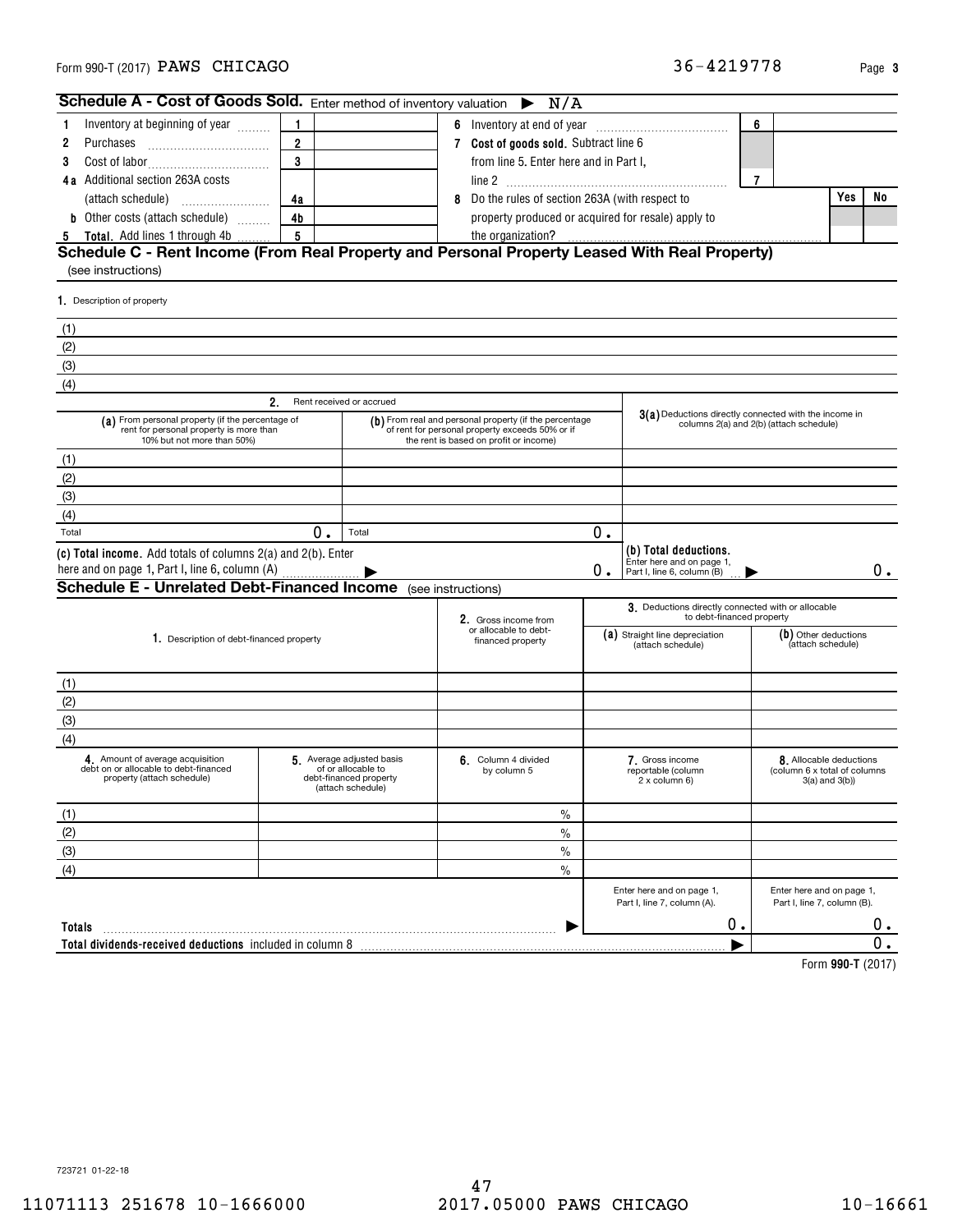#### Form 990-T (2017) Page PAWS CHICAGO 36-4219778

**Schedule A - Cost of Goods Sold.** Enter method of inventory valuation  $\blacktriangleright$  N/A

| Inventory at beginning of year                                                                                            |                | 6                                                                                              |  |                                                                                                                                                                                                                                                         |                                                                                 | 6                                                                                |                |                                                                                |    |
|---------------------------------------------------------------------------------------------------------------------------|----------------|------------------------------------------------------------------------------------------------|--|---------------------------------------------------------------------------------------------------------------------------------------------------------------------------------------------------------------------------------------------------------|---------------------------------------------------------------------------------|----------------------------------------------------------------------------------|----------------|--------------------------------------------------------------------------------|----|
| Purchases                                                                                                                 | $\overline{2}$ |                                                                                                |  | 7 Cost of goods sold. Subtract line 6                                                                                                                                                                                                                   |                                                                                 |                                                                                  |                |                                                                                |    |
| 3                                                                                                                         | $\mathbf{3}$   |                                                                                                |  | from line 5. Enter here and in Part I,                                                                                                                                                                                                                  |                                                                                 |                                                                                  |                |                                                                                |    |
| 4a Additional section 263A costs                                                                                          |                |                                                                                                |  |                                                                                                                                                                                                                                                         |                                                                                 |                                                                                  | $\overline{7}$ |                                                                                |    |
|                                                                                                                           | 4a             |                                                                                                |  | Do the rules of section 263A (with respect to                                                                                                                                                                                                           |                                                                                 |                                                                                  |                |                                                                                | No |
| <b>b</b> Other costs (attach schedule)                                                                                    | 4 <sub>b</sub> |                                                                                                |  | property produced or acquired for resale) apply to                                                                                                                                                                                                      |                                                                                 |                                                                                  |                |                                                                                |    |
| <b>5</b> Total. Add lines 1 through 4b                                                                                    | 5              |                                                                                                |  |                                                                                                                                                                                                                                                         |                                                                                 |                                                                                  |                |                                                                                |    |
| Schedule C - Rent Income (From Real Property and Personal Property Leased With Real Property)                             |                |                                                                                                |  |                                                                                                                                                                                                                                                         |                                                                                 |                                                                                  |                |                                                                                |    |
| (see instructions)                                                                                                        |                |                                                                                                |  |                                                                                                                                                                                                                                                         |                                                                                 |                                                                                  |                |                                                                                |    |
| 1. Description of property                                                                                                |                |                                                                                                |  |                                                                                                                                                                                                                                                         |                                                                                 |                                                                                  |                |                                                                                |    |
| (1)                                                                                                                       |                |                                                                                                |  |                                                                                                                                                                                                                                                         |                                                                                 |                                                                                  |                |                                                                                |    |
| (2)                                                                                                                       |                |                                                                                                |  |                                                                                                                                                                                                                                                         |                                                                                 |                                                                                  |                |                                                                                |    |
| (3)                                                                                                                       |                |                                                                                                |  |                                                                                                                                                                                                                                                         |                                                                                 |                                                                                  |                |                                                                                |    |
| (4)                                                                                                                       |                |                                                                                                |  |                                                                                                                                                                                                                                                         |                                                                                 |                                                                                  |                |                                                                                |    |
| 2.                                                                                                                        |                | Rent received or accrued                                                                       |  |                                                                                                                                                                                                                                                         |                                                                                 |                                                                                  |                |                                                                                |    |
| (a) From personal property (if the percentage of<br>rent for personal property is more than<br>10% but not more than 50%) |                |                                                                                                |  | 3(a) Deductions directly connected with the income in<br>(b) From real and personal property (if the percentage<br>columns 2(a) and 2(b) (attach schedule)<br>of rent for personal property exceeds 50% or if<br>the rent is based on profit or income) |                                                                                 |                                                                                  |                |                                                                                |    |
| (1)                                                                                                                       |                |                                                                                                |  |                                                                                                                                                                                                                                                         |                                                                                 |                                                                                  |                |                                                                                |    |
| (2)                                                                                                                       |                |                                                                                                |  |                                                                                                                                                                                                                                                         |                                                                                 |                                                                                  |                |                                                                                |    |
| (3)                                                                                                                       |                |                                                                                                |  |                                                                                                                                                                                                                                                         |                                                                                 |                                                                                  |                |                                                                                |    |
| (4)                                                                                                                       |                |                                                                                                |  |                                                                                                                                                                                                                                                         |                                                                                 |                                                                                  |                |                                                                                |    |
| Total                                                                                                                     | $0$ .          | Total                                                                                          |  |                                                                                                                                                                                                                                                         | 0.                                                                              |                                                                                  |                |                                                                                |    |
| (c) Total income. Add totals of columns 2(a) and 2(b). Enter<br>here and on page 1, Part I, line 6, column (A)            |                |                                                                                                |  |                                                                                                                                                                                                                                                         | $0$ .                                                                           | (b) Total deductions.<br>Enter here and on page 1,<br>Part I, line 6, column (B) |                |                                                                                | 0. |
| <b>Schedule E - Unrelated Debt-Financed Income</b> (see instructions)                                                     |                |                                                                                                |  |                                                                                                                                                                                                                                                         |                                                                                 |                                                                                  |                |                                                                                |    |
|                                                                                                                           |                |                                                                                                |  | 2. Gross income from<br>or allocable to debt-                                                                                                                                                                                                           | 3. Deductions directly connected with or allocable<br>to debt-financed property |                                                                                  |                |                                                                                |    |
| 1. Description of debt-financed property                                                                                  |                |                                                                                                |  | financed property                                                                                                                                                                                                                                       | (a) Straight line depreciation<br>(attach schedule)                             |                                                                                  |                | (b) Other deductions<br>(attach schedule)                                      |    |
| (1)                                                                                                                       |                |                                                                                                |  |                                                                                                                                                                                                                                                         |                                                                                 |                                                                                  |                |                                                                                |    |
| (2)                                                                                                                       |                |                                                                                                |  |                                                                                                                                                                                                                                                         |                                                                                 |                                                                                  |                |                                                                                |    |
| (3)                                                                                                                       |                |                                                                                                |  |                                                                                                                                                                                                                                                         |                                                                                 |                                                                                  |                |                                                                                |    |
| (4)                                                                                                                       |                |                                                                                                |  |                                                                                                                                                                                                                                                         |                                                                                 |                                                                                  |                |                                                                                |    |
| 4. Amount of average acquisition<br>debt on or allocable to debt-financed<br>property (attach schedule)                   |                | 5. Average adjusted basis<br>of or allocable to<br>debt-financed property<br>(attach schedule) |  | 6. Column 4 divided<br>by column 5                                                                                                                                                                                                                      |                                                                                 | 7. Gross income<br>reportable (column<br>2 x column 6)                           |                | 8. Allocable deductions<br>(column 6 x total of columns<br>$3(a)$ and $3(b)$ ) |    |
| (1)                                                                                                                       |                |                                                                                                |  | $\%$                                                                                                                                                                                                                                                    |                                                                                 |                                                                                  |                |                                                                                |    |
| (2)                                                                                                                       |                |                                                                                                |  | $\%$                                                                                                                                                                                                                                                    |                                                                                 |                                                                                  |                |                                                                                |    |
| (3)                                                                                                                       |                |                                                                                                |  | $\%$                                                                                                                                                                                                                                                    |                                                                                 |                                                                                  |                |                                                                                |    |
| (4)                                                                                                                       |                |                                                                                                |  | $\frac{0}{0}$                                                                                                                                                                                                                                           |                                                                                 |                                                                                  |                |                                                                                |    |
|                                                                                                                           |                |                                                                                                |  |                                                                                                                                                                                                                                                         |                                                                                 | Enter here and on page 1,                                                        |                | Enter here and on page 1,                                                      |    |
|                                                                                                                           |                |                                                                                                |  |                                                                                                                                                                                                                                                         |                                                                                 | Part I, line 7, column (A).                                                      |                | Part I, line 7, column (B).                                                    |    |
| Totals                                                                                                                    |                |                                                                                                |  |                                                                                                                                                                                                                                                         |                                                                                 | 0.                                                                               |                |                                                                                | 0. |
| Total dividends-received deductions included in column 8                                                                  |                |                                                                                                |  |                                                                                                                                                                                                                                                         |                                                                                 |                                                                                  |                |                                                                                | 0. |

**990-T**  Form (2017)

$$
11071113\ \ 251678\ \ 10-166600
$$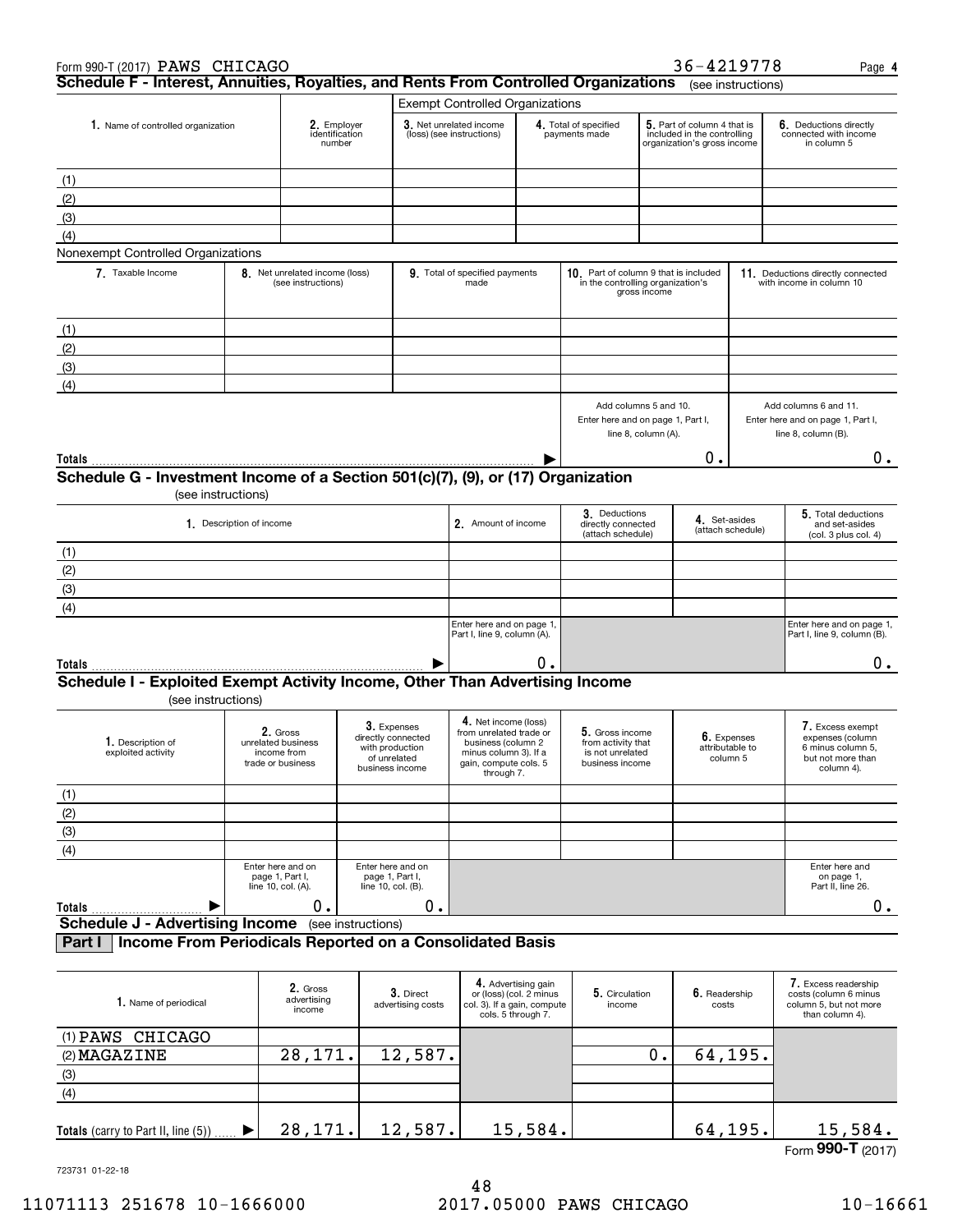| Form 990-T (2017) PAWS CHICAGO                                                                          |                          |                                                                    |                                                                                         |                                                                                                                                       |                                                                                                     |                                                                              |                     | 36-4219778                                                                                |                         | Page 4                                                                                       |
|---------------------------------------------------------------------------------------------------------|--------------------------|--------------------------------------------------------------------|-----------------------------------------------------------------------------------------|---------------------------------------------------------------------------------------------------------------------------------------|-----------------------------------------------------------------------------------------------------|------------------------------------------------------------------------------|---------------------|-------------------------------------------------------------------------------------------|-------------------------|----------------------------------------------------------------------------------------------|
| Schedule F - Interest, Annuities, Royalties, and Rents From Controlled Organizations (see instructions) |                          |                                                                    |                                                                                         |                                                                                                                                       |                                                                                                     |                                                                              |                     |                                                                                           |                         |                                                                                              |
|                                                                                                         |                          |                                                                    |                                                                                         | <b>Exempt Controlled Organizations</b>                                                                                                |                                                                                                     |                                                                              |                     |                                                                                           |                         |                                                                                              |
| 1. Name of controlled organization                                                                      |                          | 2. Employer<br>identification<br>number                            |                                                                                         | 3. Net unrelated income<br>(loss) (see instructions)                                                                                  |                                                                                                     | 4. Total of specified<br>payments made                                       |                     | 5. Part of column 4 that is<br>included in the controlling<br>organization's gross income |                         | 6. Deductions directly<br>connected with income<br>in column 5                               |
| (1)                                                                                                     |                          |                                                                    |                                                                                         |                                                                                                                                       |                                                                                                     |                                                                              |                     |                                                                                           |                         |                                                                                              |
| (2)                                                                                                     |                          |                                                                    |                                                                                         |                                                                                                                                       |                                                                                                     |                                                                              |                     |                                                                                           |                         |                                                                                              |
| (3)                                                                                                     |                          |                                                                    |                                                                                         |                                                                                                                                       |                                                                                                     |                                                                              |                     |                                                                                           |                         |                                                                                              |
| (4)                                                                                                     |                          |                                                                    |                                                                                         |                                                                                                                                       |                                                                                                     |                                                                              |                     |                                                                                           |                         |                                                                                              |
| Nonexempt Controlled Organizations                                                                      |                          |                                                                    |                                                                                         |                                                                                                                                       |                                                                                                     |                                                                              |                     |                                                                                           |                         |                                                                                              |
| 7. Taxable Income                                                                                       |                          | 8. Net unrelated income (loss)<br>(see instructions)               |                                                                                         | 9. Total of specified payments<br>made                                                                                                |                                                                                                     | 10. Part of column 9 that is included<br>in the controlling organization's   | gross income        |                                                                                           |                         | 11. Deductions directly connected<br>with income in column 10                                |
| (1)                                                                                                     |                          |                                                                    |                                                                                         |                                                                                                                                       |                                                                                                     |                                                                              |                     |                                                                                           |                         |                                                                                              |
| (2)                                                                                                     |                          |                                                                    |                                                                                         |                                                                                                                                       |                                                                                                     |                                                                              |                     |                                                                                           |                         |                                                                                              |
| (3)                                                                                                     |                          |                                                                    |                                                                                         |                                                                                                                                       |                                                                                                     |                                                                              |                     |                                                                                           |                         |                                                                                              |
| (4)                                                                                                     |                          |                                                                    |                                                                                         |                                                                                                                                       |                                                                                                     |                                                                              |                     |                                                                                           |                         |                                                                                              |
|                                                                                                         |                          |                                                                    |                                                                                         |                                                                                                                                       |                                                                                                     | Add columns 5 and 10.                                                        |                     |                                                                                           |                         | Add columns 6 and 11.                                                                        |
|                                                                                                         |                          |                                                                    |                                                                                         |                                                                                                                                       |                                                                                                     | Enter here and on page 1, Part I,                                            | line 8, column (A). |                                                                                           |                         | Enter here and on page 1, Part I,<br>line 8, column (B).                                     |
| Totals                                                                                                  |                          |                                                                    |                                                                                         |                                                                                                                                       |                                                                                                     |                                                                              |                     | Ο.                                                                                        |                         | 0.                                                                                           |
| Schedule G - Investment Income of a Section 501(c)(7), (9), or (17) Organization                        |                          |                                                                    |                                                                                         |                                                                                                                                       |                                                                                                     |                                                                              |                     |                                                                                           |                         |                                                                                              |
|                                                                                                         | (see instructions)       |                                                                    |                                                                                         |                                                                                                                                       |                                                                                                     |                                                                              |                     |                                                                                           |                         |                                                                                              |
|                                                                                                         | 1. Description of income |                                                                    |                                                                                         | 2. Amount of income                                                                                                                   |                                                                                                     | 3. Deductions<br>directly connected<br>(attach schedule)                     |                     | 4. Set-asides                                                                             | (attach schedule)       | 5. Total deductions<br>and set-asides<br>(col. 3 plus col. 4)                                |
| (1)                                                                                                     |                          |                                                                    |                                                                                         |                                                                                                                                       |                                                                                                     |                                                                              |                     |                                                                                           |                         |                                                                                              |
| (2)                                                                                                     |                          |                                                                    |                                                                                         |                                                                                                                                       |                                                                                                     |                                                                              |                     |                                                                                           |                         |                                                                                              |
| (3)                                                                                                     |                          |                                                                    |                                                                                         |                                                                                                                                       |                                                                                                     |                                                                              |                     |                                                                                           |                         |                                                                                              |
| (4)                                                                                                     |                          |                                                                    |                                                                                         |                                                                                                                                       |                                                                                                     |                                                                              |                     |                                                                                           |                         |                                                                                              |
|                                                                                                         |                          |                                                                    |                                                                                         | Enter here and on page 1,<br>Part I, line 9, column (A).                                                                              |                                                                                                     |                                                                              |                     |                                                                                           |                         | Enter here and on page 1,<br>Part I, line 9, column (B).                                     |
| Totals                                                                                                  |                          |                                                                    |                                                                                         |                                                                                                                                       | о.                                                                                                  |                                                                              |                     |                                                                                           |                         | 0.                                                                                           |
| Schedule I - Exploited Exempt Activity Income, Other Than Advertising Income                            |                          |                                                                    |                                                                                         |                                                                                                                                       |                                                                                                     |                                                                              |                     |                                                                                           |                         |                                                                                              |
| (see instructions)                                                                                      |                          |                                                                    |                                                                                         |                                                                                                                                       |                                                                                                     |                                                                              |                     |                                                                                           |                         |                                                                                              |
| 1. Description of<br>exploited activity                                                                 |                          | 2. Gross<br>unrelated business<br>income from<br>trade or business | 3. Expenses<br>directly connected<br>with production<br>of unrelated<br>business income | 4. Net income (loss)<br>from unrelated trade or<br>business (column 2<br>minus column 3). If a<br>gain, compute cols. 5<br>through 7. |                                                                                                     | 5. Gross income<br>from activity that<br>is not unrelated<br>business income |                     | attributable to                                                                           | 6. Expenses<br>column 5 | 7. Excess exempt<br>expenses (column<br>6 minus column 5,<br>but not more than<br>column 4). |
| (1)                                                                                                     |                          |                                                                    |                                                                                         |                                                                                                                                       |                                                                                                     |                                                                              |                     |                                                                                           |                         |                                                                                              |
| (2)                                                                                                     |                          |                                                                    |                                                                                         |                                                                                                                                       |                                                                                                     |                                                                              |                     |                                                                                           |                         |                                                                                              |
| (3)                                                                                                     |                          |                                                                    |                                                                                         |                                                                                                                                       |                                                                                                     |                                                                              |                     |                                                                                           |                         |                                                                                              |
| (4)                                                                                                     |                          |                                                                    |                                                                                         |                                                                                                                                       |                                                                                                     |                                                                              |                     |                                                                                           |                         |                                                                                              |
|                                                                                                         |                          | Enter here and on<br>page 1, Part I,<br>line 10, col. (A).         | Enter here and on<br>page 1, Part I,<br>line 10, col. (B).                              |                                                                                                                                       |                                                                                                     |                                                                              |                     |                                                                                           |                         | Enter here and<br>on page 1,<br>Part II, line 26.                                            |
| Totals                                                                                                  |                          | 0.                                                                 | 0.                                                                                      |                                                                                                                                       |                                                                                                     |                                                                              |                     |                                                                                           |                         | 0.                                                                                           |
| <b>Schedule J - Advertising Income</b> (see instructions)                                               |                          |                                                                    |                                                                                         |                                                                                                                                       |                                                                                                     |                                                                              |                     |                                                                                           |                         |                                                                                              |
| Income From Periodicals Reported on a Consolidated Basis<br>Part I                                      |                          |                                                                    |                                                                                         |                                                                                                                                       |                                                                                                     |                                                                              |                     |                                                                                           |                         |                                                                                              |
| 1. Name of periodical                                                                                   |                          | 2. Gross<br>advertising<br>income                                  | 3. Direct<br>advertising costs                                                          |                                                                                                                                       | 4. Advertising gain<br>or (loss) (col. 2 minus<br>col. 3). If a gain, compute<br>cols. 5 through 7. | 5. Circulation<br>income                                                     |                     | 6. Readership<br>costs                                                                    |                         | 7. Excess readership<br>costs (column 6 minus<br>column 5, but not more<br>than column 4).   |
| (1) PAWS CHICAGO                                                                                        |                          |                                                                    |                                                                                         |                                                                                                                                       |                                                                                                     |                                                                              |                     |                                                                                           |                         |                                                                                              |
| (2) MAGAZINE                                                                                            |                          | 28,171.                                                            | 12,587.                                                                                 |                                                                                                                                       |                                                                                                     |                                                                              | 0.                  |                                                                                           | 64,195.                 |                                                                                              |
| (3)                                                                                                     |                          |                                                                    |                                                                                         |                                                                                                                                       |                                                                                                     |                                                                              |                     |                                                                                           |                         |                                                                                              |
| (4)                                                                                                     |                          |                                                                    |                                                                                         |                                                                                                                                       |                                                                                                     |                                                                              |                     |                                                                                           |                         |                                                                                              |

723731 01-22-18

**Totals** (carry to Part II, line (5))

 $\blacktriangleright$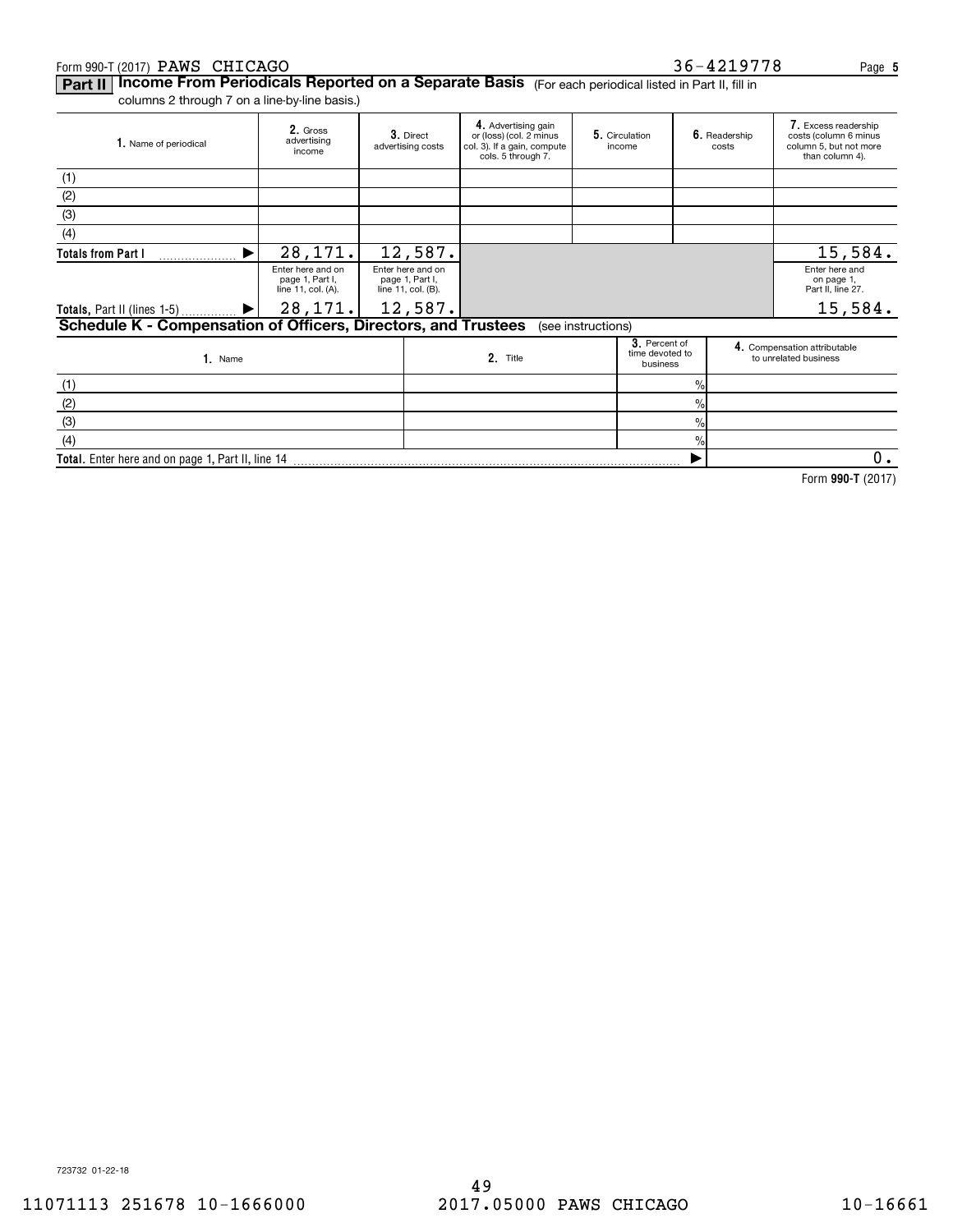#### Form 990-T (2017) Page PAWS CHICAGO 36-4219778

 $\%$  $\overline{\blacktriangleright}$ 

**Part II | Income From Periodicals Reported on a Separate Basis** (For each periodical listed in Part II, fill in

**Total.**  Enter here and on page 1, Part II, line 14

columns 2 through 7 on a line-by-line basis.)

| 1. Name of periodical                                          | 2. Gross<br>advertising<br>income                          | 3. Direct<br>advertising costs                             |  | 4. Advertising gain<br>or (loss) (col. 2 minus<br>col. 3). If a gain, compute<br>cols. 5 through 7. |                    | 5. Circulation<br>income |                                              | 6. Readership<br>costs                            | 7. Excess readership<br>costs (column 6 minus<br>column 5, but not more<br>than column 4). |  |
|----------------------------------------------------------------|------------------------------------------------------------|------------------------------------------------------------|--|-----------------------------------------------------------------------------------------------------|--------------------|--------------------------|----------------------------------------------|---------------------------------------------------|--------------------------------------------------------------------------------------------|--|
| (1)                                                            |                                                            |                                                            |  |                                                                                                     |                    |                          |                                              |                                                   |                                                                                            |  |
| (2)                                                            |                                                            |                                                            |  |                                                                                                     |                    |                          |                                              |                                                   |                                                                                            |  |
| (3)                                                            |                                                            |                                                            |  |                                                                                                     |                    |                          |                                              |                                                   |                                                                                            |  |
| (4)                                                            |                                                            |                                                            |  |                                                                                                     |                    |                          |                                              |                                                   |                                                                                            |  |
| Totals from Part I                                             | 28, 171.                                                   | 12,587.                                                    |  |                                                                                                     |                    |                          |                                              |                                                   | 15,584.                                                                                    |  |
|                                                                | Enter here and on<br>page 1, Part I,<br>line 11, col. (A). | Enter here and on<br>page 1, Part I,<br>line 11, col. (B). |  |                                                                                                     |                    |                          |                                              | Enter here and<br>on page 1,<br>Part II, line 27. |                                                                                            |  |
| Totals, Part II (lines 1-5)  ▶                                 | 28,171.                                                    | 12,587.                                                    |  |                                                                                                     |                    |                          |                                              |                                                   | 15,584.                                                                                    |  |
| Schedule K - Compensation of Officers, Directors, and Trustees |                                                            |                                                            |  |                                                                                                     | (see instructions) |                          |                                              |                                                   |                                                                                            |  |
| 1. Name                                                        |                                                            |                                                            |  | 2. Title                                                                                            |                    |                          | 3. Percent of<br>time devoted to<br>business |                                                   | 4. Compensation attributable<br>to unrelated business                                      |  |
| (1)                                                            |                                                            |                                                            |  |                                                                                                     |                    |                          | %                                            |                                                   |                                                                                            |  |
| (2)                                                            |                                                            |                                                            |  |                                                                                                     |                    |                          | $\%$                                         |                                                   |                                                                                            |  |
| (3)                                                            |                                                            |                                                            |  |                                                                                                     |                    |                          | $\%$                                         |                                                   |                                                                                            |  |

(4)

**990-T**  Form (2017)

 $0.$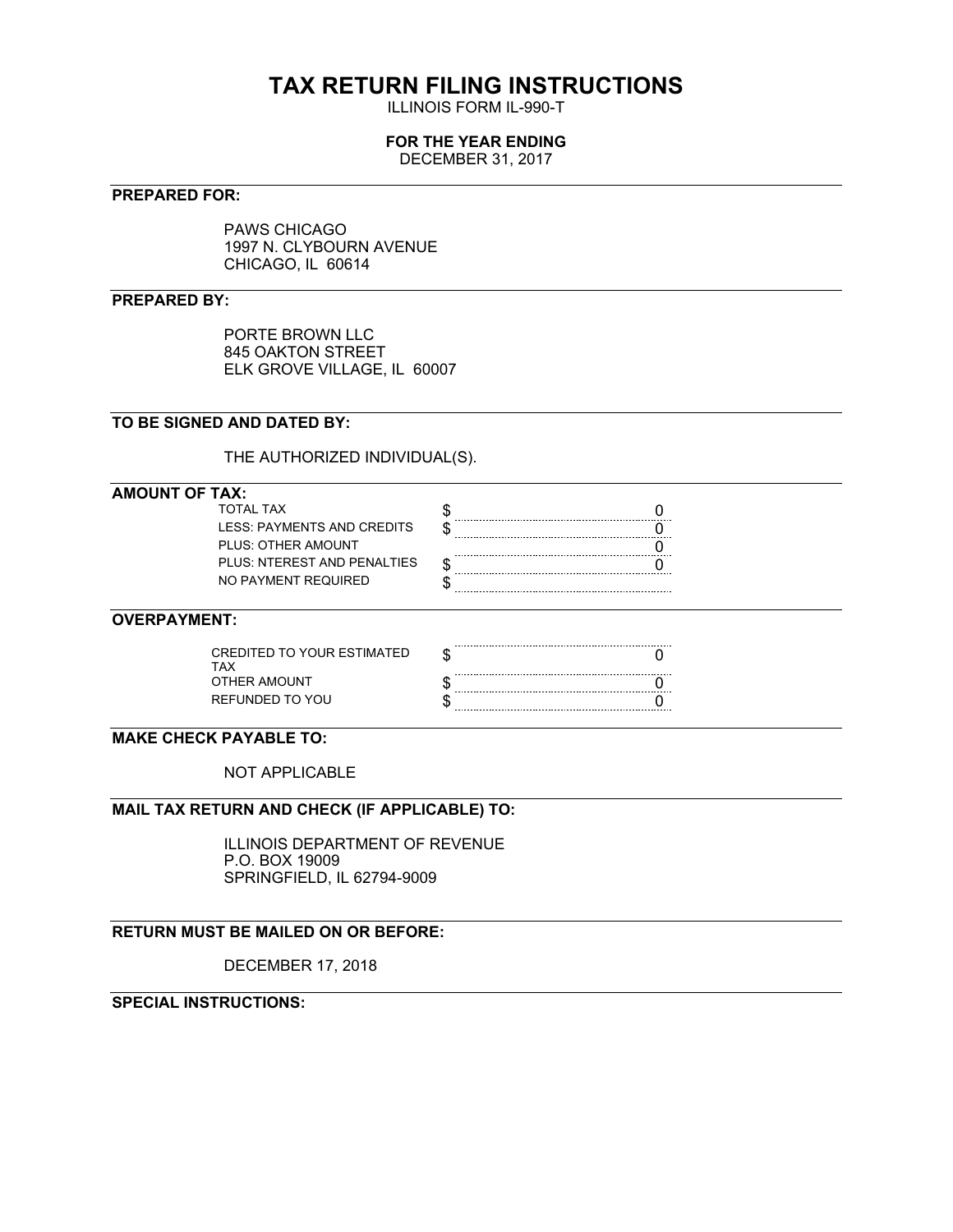# **TAX RETURN FILING INSTRUCTIONS**

ILLINOIS FORM IL-990-T

# **FOR THE YEAR ENDING**

DECEMBER 31, 2017

## **PREPARED FOR:**

PAWS CHICAGO 1997 N. CLYBOURN AVENUE CHICAGO, IL 60614

# **PREPARED BY:**

PORTE BROWN LLC 845 OAKTON STREET ELK GROVE VILLAGE, IL 60007

# **TO BE SIGNED AND DATED BY:**

THE AUTHORIZED INDIVIDUAL(S).

## **AMOUNT OF TAX:**

| TOTAL TAX                   |  |
|-----------------------------|--|
| LESS: PAYMENTS AND CREDITS  |  |
| PLUS: OTHER AMOUNT          |  |
| PLUS: NTEREST AND PENALTIES |  |
| NO PAYMENT REQUIRED         |  |
|                             |  |

# **OVERPAYMENT:**

| CREDITED TO YOUR ESTIMATED<br><b>TAX</b> |  |
|------------------------------------------|--|
| OTHER AMOUNT                             |  |
| REFUNDED TO YOU                          |  |

# **MAKE CHECK PAYABLE TO:**

NOT APPLICABLE

## **MAIL TAX RETURN AND CHECK (IF APPLICABLE) TO:**

ILLINOIS DEPARTMENT OF REVENUE P.O. BOX 19009 SPRINGFIELD, IL 62794-9009

# **RETURN MUST BE MAILED ON OR BEFORE:**

DECEMBER 17, 2018

# **SPECIAL INSTRUCTIONS:**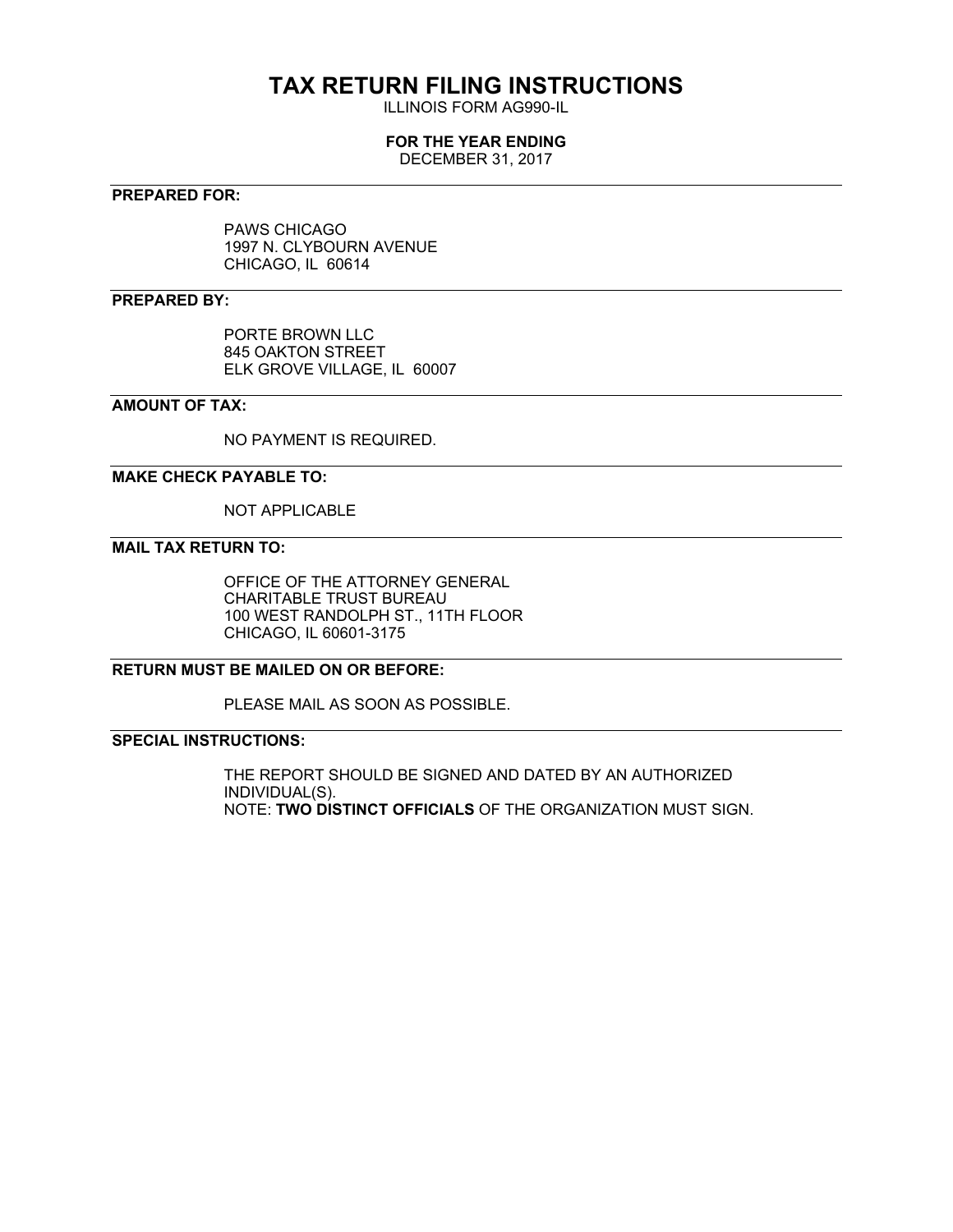# **TAX RETURN FILING INSTRUCTIONS**

ILLINOIS FORM AG990-IL

# **FOR THE YEAR ENDING**

DECEMBER 31, 2017

### **PREPARED FOR:**

PAWS CHICAGO 1997 N. CLYBOURN AVENUE CHICAGO, IL 60614

## **PREPARED BY:**

PORTE BROWN LLC 845 OAKTON STREET ELK GROVE VILLAGE, IL 60007

## **AMOUNT OF TAX:**

NO PAYMENT IS REQUIRED.

### **MAKE CHECK PAYABLE TO:**

NOT APPLICABLE

# **MAIL TAX RETURN TO:**

OFFICE OF THE ATTORNEY GENERAL CHARITABLE TRUST BUREAU 100 WEST RANDOLPH ST., 11TH FLOOR CHICAGO, IL 60601-3175

## **RETURN MUST BE MAILED ON OR BEFORE:**

PLEASE MAIL AS SOON AS POSSIBLE.

# **SPECIAL INSTRUCTIONS:**

THE REPORT SHOULD BE SIGNED AND DATED BY AN AUTHORIZED INDIVIDUAL(S). NOTE: **TWO DISTINCT OFFICIALS** OF THE ORGANIZATION MUST SIGN.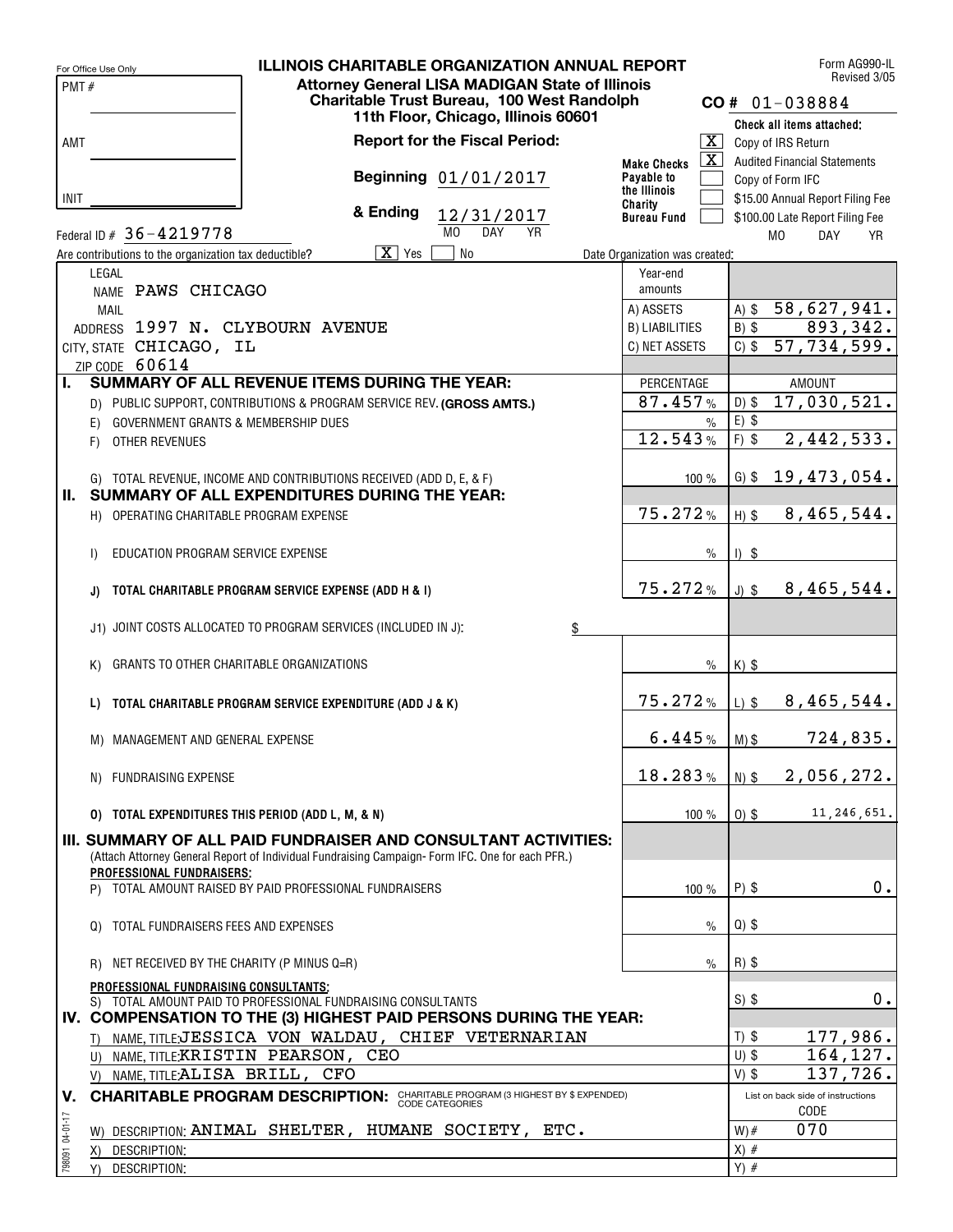|                 | <b>ILLINOIS CHARITABLE ORGANIZATION ANNUAL REPORT</b><br>For Office Use Only                    |                                |                    |         |                                           | Form AG990-IL |
|-----------------|-------------------------------------------------------------------------------------------------|--------------------------------|--------------------|---------|-------------------------------------------|---------------|
| PMT#            | <b>Attorney General LISA MADIGAN State of Illinois</b>                                          |                                |                    |         |                                           | Revised 3/05  |
|                 | Charitable Trust Bureau, 100 West Randolph                                                      |                                |                    |         | $CO # 01-038884$                          |               |
|                 | 11th Floor, Chicago, Illinois 60601                                                             |                                |                    |         | Check all items attached:                 |               |
| AMT             | <b>Report for the Fiscal Period:</b>                                                            |                                | $\boxed{\text{X}}$ |         | Copy of IRS Return                        |               |
|                 |                                                                                                 | <b>Make Checks</b>             | $\boxed{\text{X}}$ |         | <b>Audited Financial Statements</b>       |               |
|                 | Beginning 01/01/2017                                                                            | Payable to                     |                    |         | Copy of Form IFC                          |               |
|                 |                                                                                                 | the Illinois                   |                    |         |                                           |               |
| INIT            | & Ending                                                                                        | Charity                        |                    |         | \$15.00 Annual Report Filing Fee          |               |
|                 | 12/31/2017<br>M <sub>0</sub><br><b>DAY</b><br><b>YR</b>                                         | <b>Bureau Fund</b>             |                    |         | \$100.00 Late Report Filing Fee           |               |
|                 | Federal ID # 36-4219778                                                                         |                                |                    |         | M <sub>0</sub><br><b>DAY</b>              | <b>YR</b>     |
|                 | $\overline{X}$ Yes<br>No<br>Are contributions to the organization tax deductible?               | Date Organization was created: |                    |         |                                           |               |
|                 | LEGAL                                                                                           | Year-end                       |                    |         |                                           |               |
|                 | NAME PAWS CHICAGO                                                                               | amounts                        |                    |         |                                           |               |
|                 | <b>MAIL</b>                                                                                     | A) ASSETS                      |                    | $A)$ \$ | 58,627,941.                               |               |
|                 | ADDRESS 1997 N. CLYBOURN AVENUE                                                                 | <b>B) LIABILITIES</b>          |                    | $B)$ \$ |                                           | 893, 342.     |
|                 | CITY, STATE CHICAGO, IL                                                                         | C) NET ASSETS                  |                    | $C)$ \$ | $\overline{57,734,599}$ .                 |               |
|                 | ZIP CODE 60614                                                                                  |                                |                    |         |                                           |               |
| Ι.              | SUMMARY OF ALL REVENUE ITEMS DURING THE YEAR:                                                   | PERCENTAGE                     |                    |         | <b>AMOUNT</b>                             |               |
|                 | D) PUBLIC SUPPORT, CONTRIBUTIONS & PROGRAM SERVICE REV. (GROSS AMTS.)                           | 87.457%                        |                    | $D)$ \$ | 17,030,521.                               |               |
|                 |                                                                                                 |                                |                    | $E)$ \$ |                                           |               |
|                 | <b>GOVERNMENT GRANTS &amp; MEMBERSHIP DUES</b><br>E).                                           |                                | $\frac{0}{0}$      |         |                                           |               |
|                 | OTHER REVENUES<br>F)                                                                            | 12.543%                        |                    | $F)$ \$ | 2,442,533.                                |               |
|                 |                                                                                                 |                                |                    |         |                                           |               |
|                 | G) TOTAL REVENUE, INCOME AND CONTRIBUTIONS RECEIVED (ADD D, E, & F)                             |                                | 100%               | $G)$ \$ | 19,473,054.                               |               |
| II. I           | SUMMARY OF ALL EXPENDITURES DURING THE YEAR:                                                    |                                |                    |         |                                           |               |
|                 | H) OPERATING CHARITABLE PROGRAM EXPENSE                                                         | 75.272%                        |                    | $H)$ \$ | 8,465,544.                                |               |
|                 |                                                                                                 |                                |                    |         |                                           |               |
|                 | EDUCATION PROGRAM SERVICE EXPENSE<br>$\mathsf{D}$                                               |                                | $\frac{0}{0}$      | $1)$ \$ |                                           |               |
|                 |                                                                                                 |                                |                    |         |                                           |               |
|                 | TOTAL CHARITABLE PROGRAM SERVICE EXPENSE (ADD H & I)<br>J)                                      | 75.272%                        |                    | $J)$ \$ | 8,465,544.                                |               |
|                 |                                                                                                 |                                |                    |         |                                           |               |
|                 |                                                                                                 |                                |                    |         |                                           |               |
|                 | J1) JOINT COSTS ALLOCATED TO PROGRAM SERVICES (INCLUDED IN J):<br>\$                            |                                |                    |         |                                           |               |
|                 |                                                                                                 |                                |                    |         |                                           |               |
|                 | GRANTS TO OTHER CHARITABLE ORGANIZATIONS<br>K)                                                  |                                | $\frac{0}{0}$      | $K)$ \$ |                                           |               |
|                 |                                                                                                 |                                |                    |         |                                           |               |
|                 | TOTAL CHARITABLE PROGRAM SERVICE EXPENDITURE (ADD J & K)<br>L)                                  | 75.272%                        |                    | $L)$ \$ | 8,465,544.                                |               |
|                 |                                                                                                 |                                |                    |         |                                           |               |
|                 | M) MANAGEMENT AND GENERAL EXPENSE                                                               | 6.445%                         |                    | $M)$ \$ |                                           | 724,835.      |
|                 |                                                                                                 |                                |                    |         |                                           |               |
|                 | N) FUNDRAISING EXPENSE                                                                          | 18.283%                        |                    | $N)$ \$ | 2,056,272.                                |               |
|                 |                                                                                                 |                                |                    |         |                                           |               |
|                 | 0) TOTAL EXPENDITURES THIS PERIOD (ADD L, M, & N)                                               |                                | 100 %              | $0)$ \$ |                                           | 11, 246, 651. |
|                 |                                                                                                 |                                |                    |         |                                           |               |
|                 | <b>III. SUMMARY OF ALL PAID FUNDRAISER AND CONSULTANT ACTIVITIES:</b>                           |                                |                    |         |                                           |               |
|                 | (Attach Attorney General Report of Individual Fundraising Campaign-Form IFC. One for each PFR.) |                                |                    |         |                                           |               |
|                 | PROFESSIONAL FUNDRAISERS:                                                                       |                                |                    | $P)$ \$ |                                           | $0$ .         |
|                 | P) TOTAL AMOUNT RAISED BY PAID PROFESSIONAL FUNDRAISERS                                         |                                | 100%               |         |                                           |               |
|                 |                                                                                                 |                                |                    |         |                                           |               |
|                 | TOTAL FUNDRAISERS FEES AND EXPENSES<br>Q)                                                       |                                | $\%$               | $Q)$ \$ |                                           |               |
|                 |                                                                                                 |                                |                    |         |                                           |               |
|                 | NET RECEIVED BY THE CHARITY (P MINUS Q=R)<br>R)                                                 |                                | $\frac{0}{0}$      | $R)$ \$ |                                           |               |
|                 | PROFESSIONAL FUNDRAISING CONSULTANTS;                                                           |                                |                    |         |                                           |               |
|                 | S) TOTAL AMOUNT PAID TO PROFESSIONAL FUNDRAISING CONSULTANTS                                    |                                |                    | $S)$ \$ |                                           | 0.            |
|                 | IV. COMPENSATION TO THE (3) HIGHEST PAID PERSONS DURING THE YEAR:                               |                                |                    |         |                                           |               |
|                 | T) NAME, TITLE;JESSICA VON WALDAU, CHIEF VETERNARIAN                                            |                                |                    | $T)$ \$ |                                           | 177,986.      |
|                 | U) NAME, TITLE: KRISTIN PEARSON, CEO                                                            |                                |                    | $U)$ \$ |                                           | 164, 127.     |
|                 | V) NAME, TITLE: ALISA BRILL, CFO                                                                |                                |                    | $V)$ \$ |                                           | 137,726.      |
|                 |                                                                                                 |                                |                    |         |                                           |               |
| V.              | <b>CHARITABLE PROGRAM DESCRIPTION:</b> CHARITABLE PROGRAM (3 HIGHEST BY \$ EXPENDED)            |                                |                    |         | List on back side of instructions<br>CODE |               |
|                 |                                                                                                 |                                |                    |         |                                           |               |
| 798091 04-01-17 | W) DESCRIPTION: ANIMAL SHELTER, HUMANE SOCIETY, ETC.                                            |                                |                    | $W)$ #  | 070                                       |               |
|                 | DESCRIPTION:<br>X)                                                                              |                                |                    | $X)$ #  |                                           |               |
|                 | Y) DESCRIPTION:                                                                                 |                                |                    | Y) $#$  |                                           |               |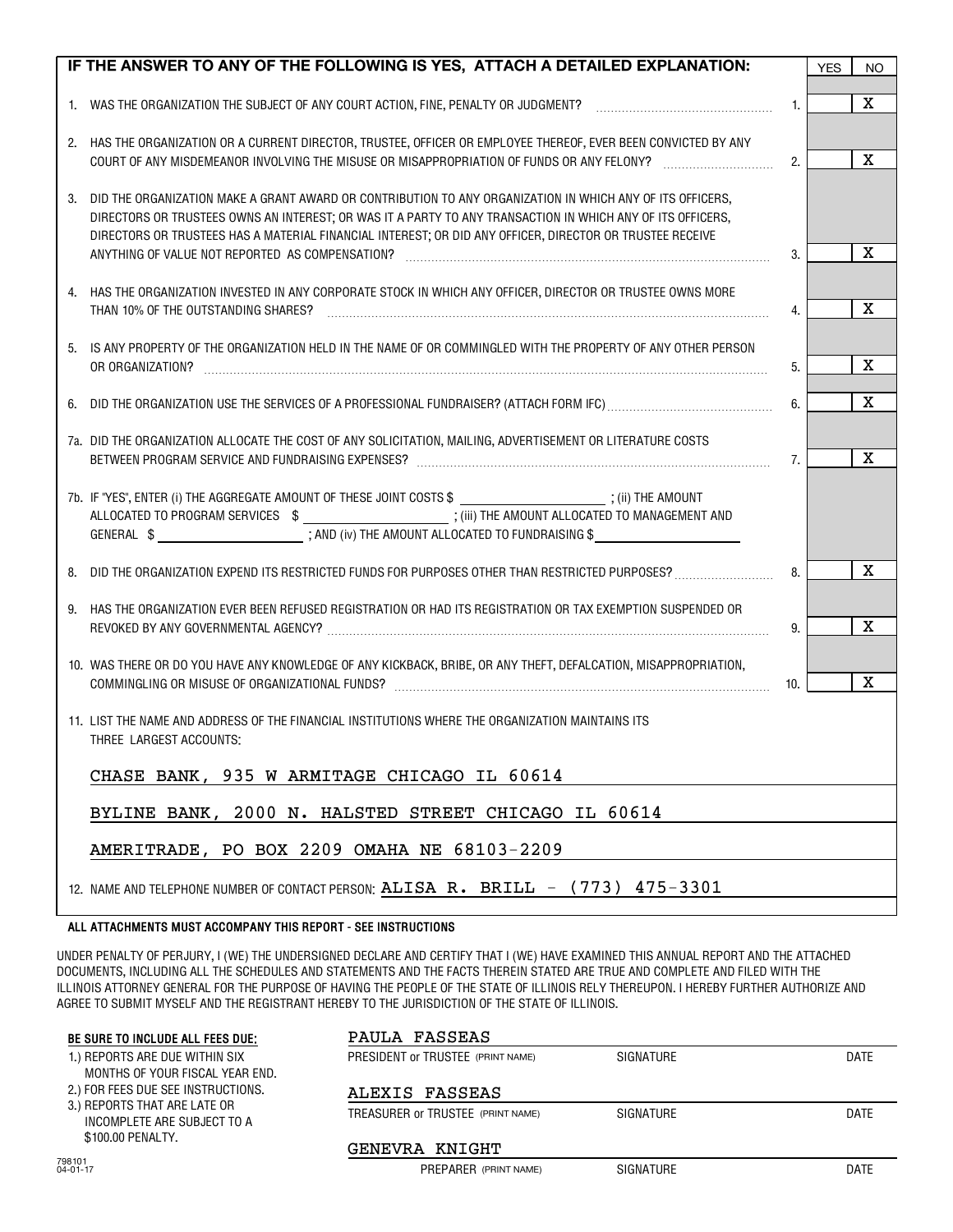|    | IF THE ANSWER TO ANY OF THE FOLLOWING IS YES, ATTACH A DETAILED EXPLANATION:                                                                                                                                                                                                                                                                                                           |     | <b>YES</b> | NO          |
|----|----------------------------------------------------------------------------------------------------------------------------------------------------------------------------------------------------------------------------------------------------------------------------------------------------------------------------------------------------------------------------------------|-----|------------|-------------|
|    |                                                                                                                                                                                                                                                                                                                                                                                        | 1.  |            | $\mathbf X$ |
|    | 2. HAS THE ORGANIZATION OR A CURRENT DIRECTOR, TRUSTEE, OFFICER OR EMPLOYEE THEREOF, EVER BEEN CONVICTED BY ANY<br>COURT OF ANY MISDEMEANOR INVOLVING THE MISUSE OR MISAPPROPRIATION OF FUNDS OR ANY FELONY? <b>COURT OF ANY ACCOUNT</b>                                                                                                                                               | 2.  |            | $\mathbf X$ |
| 3. | DID THE ORGANIZATION MAKE A GRANT AWARD OR CONTRIBUTION TO ANY ORGANIZATION IN WHICH ANY OF ITS OFFICERS,<br>DIRECTORS OR TRUSTEES OWNS AN INTEREST; OR WAS IT A PARTY TO ANY TRANSACTION IN WHICH ANY OF ITS OFFICERS,<br>DIRECTORS OR TRUSTEES HAS A MATERIAL FINANCIAL INTEREST; OR DID ANY OFFICER, DIRECTOR OR TRUSTEE RECEIVE<br>ANYTHING OF VALUE NOT REPORTED AS COMPENSATION? | 3.  |            | х           |
| 4. | HAS THE ORGANIZATION INVESTED IN ANY CORPORATE STOCK IN WHICH ANY OFFICER, DIRECTOR OR TRUSTEE OWNS MORE<br>THAN 10% OF THE OUTSTANDING SHARES?                                                                                                                                                                                                                                        | 4.  |            | $\mathbf X$ |
| 5. | IS ANY PROPERTY OF THE ORGANIZATION HELD IN THE NAME OF OR COMMINGLED WITH THE PROPERTY OF ANY OTHER PERSON<br>OR ORGANIZATION?                                                                                                                                                                                                                                                        | 5.  |            | х           |
| 6. |                                                                                                                                                                                                                                                                                                                                                                                        | 6.  |            | х           |
|    | 7a. DID THE ORGANIZATION ALLOCATE THE COST OF ANY SOLICITATION, MAILING, ADVERTISEMENT OR LITERATURE COSTS                                                                                                                                                                                                                                                                             | 7.  |            | $\mathbf X$ |
|    | 7b. IF "YES", ENTER (i) THE AGGREGATE AMOUNT OF THESE JOINT COSTS \$ ______________________; (ii) THE AMOUNT<br>ALLOCATED TO PROGRAM SERVICES \$ _____________________; (iii) THE AMOUNT ALLOCATED TO MANAGEMENT AND<br>GENERAL \$ ________________________; AND (iv) THE AMOUNT ALLOCATED TO FUNDRAISING \$                                                                           |     |            |             |
|    | 8. DID THE ORGANIZATION EXPEND ITS RESTRICTED FUNDS FOR PURPOSES OTHER THAN RESTRICTED PURPOSES?                                                                                                                                                                                                                                                                                       | 8.  |            | X           |
| 9. | HAS THE ORGANIZATION EVER BEEN REFUSED REGISTRATION OR HAD ITS REGISTRATION OR TAX EXEMPTION SUSPENDED OR<br>REVOKED BY ANY GOVERNMENTAL AGENCY? MARALLER AND ACCORDINATION CONTROL ASSESSMENT AND A CONTROLLER AND A CONTR                                                                                                                                                            | 9.  |            | х           |
|    | 10. WAS THERE OR DO YOU HAVE ANY KNOWLEDGE OF ANY KICKBACK, BRIBE, OR ANY THEFT, DEFALCATION, MISAPPROPRIATION,                                                                                                                                                                                                                                                                        | 10. |            | $\mathbf X$ |
|    | 11. LIST THE NAME AND ADDRESS OF THE FINANCIAL INSTITUTIONS WHERE THE ORGANIZATION MAINTAINS ITS<br>THREE LARGEST ACCOUNTS:                                                                                                                                                                                                                                                            |     |            |             |
|    | CHASE BANK, 935 W ARMITAGE CHICAGO IL 60614                                                                                                                                                                                                                                                                                                                                            |     |            |             |
|    | BYLINE BANK, 2000 N. HALSTED STREET CHICAGO IL 60614                                                                                                                                                                                                                                                                                                                                   |     |            |             |
|    | AMERITRADE, PO BOX 2209 OMAHA NE 68103-2209                                                                                                                                                                                                                                                                                                                                            |     |            |             |
|    | 12. NAME AND TELEPHONE NUMBER OF CONTACT PERSON: ALISA R. BRILL - (773) 475-3301                                                                                                                                                                                                                                                                                                       |     |            |             |

## **ALL ATTACHMENTS MUST ACCOMPANY THIS REPORT - SEE INSTRUCTIONS**

 $\mathsf{l}$ 

UNDER PENALTY OF PERJURY, I (WE) THE UNDERSIGNED DECLARE AND CERTIFY THAT I (WE) HAVE EXAMINED THIS ANNUAL REPORT AND THE ATTACHED DOCUMENTS, INCLUDING ALL THE SCHEDULES AND STATEMENTS AND THE FACTS THEREIN STATED ARE TRUE AND COMPLETE AND FILED WITH THE ILLINOIS ATTORNEY GENERAL FOR THE PURPOSE OF HAVING THE PEOPLE OF THE STATE OF ILLINOIS RELY THEREUPON. I HEREBY FURTHER AUTHORIZE AND AGREE TO SUBMIT MYSELF AND THE REGISTRANT HEREBY TO THE JURISDICTION OF THE STATE OF ILLINOIS.

| BE SURE TO INCLUDE ALL FEES DUE;                                                 | PAULA FASSEAS                     |           |             |
|----------------------------------------------------------------------------------|-----------------------------------|-----------|-------------|
| 1.) REPORTS ARE DUE WITHIN SIX<br>MONTHS OF YOUR FISCAL YEAR END.                | PRESIDENT OF TRUSTEE (PRINT NAME) | SIGNATURE | <b>DATE</b> |
| 2.) FOR FEES DUE SEE INSTRUCTIONS.                                               | ALEXIS FASSEAS                    |           |             |
| 3.) REPORTS THAT ARE LATE OR<br>INCOMPLETE ARE SUBJECT TO A<br>\$100.00 PENALTY. | TREASURER OF TRUSTEE (PRINT NAME) | SIGNATURE | <b>DATE</b> |
|                                                                                  | GENEVRA KNIGHT                    |           |             |
| 798101<br>04-01-17                                                               | PREPARER (PRINT NAME)             | SIGNATURE | DATE        |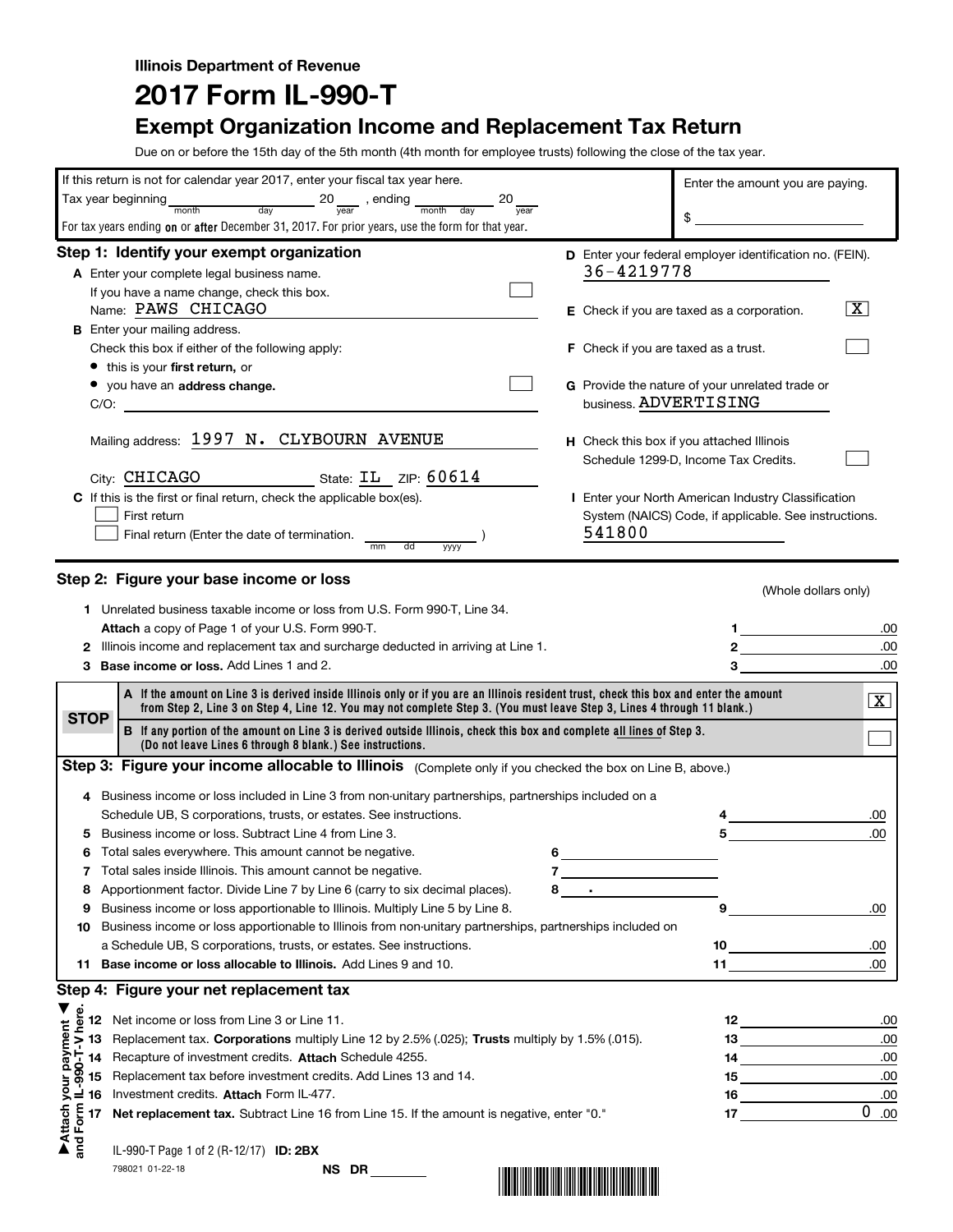# **Illinois Department of Revenue**

# **2017 Form IL-990-T**

# **Exempt Organization Income and Replacement Tax Return**

Due on or before the 15th day of the 5th month (4th month for employee trusts) following the close of the tax year.

| If this return is not for calendar year 2017, enter your fiscal tax year here.                                                                                                                                                                                     | Enter the amount you are paying.                         |
|--------------------------------------------------------------------------------------------------------------------------------------------------------------------------------------------------------------------------------------------------------------------|----------------------------------------------------------|
| Tax year beginning<br>$\frac{1}{\text{month}}$ and $\frac{20}{\text{year}}$ , ending $\frac{1}{\text{month}}$ and $\frac{20}{\text{year}}$                                                                                                                         |                                                          |
| For tax years ending on or after December 31, 2017. For prior years, use the form for that year.                                                                                                                                                                   |                                                          |
|                                                                                                                                                                                                                                                                    |                                                          |
| Step 1: Identify your exempt organization                                                                                                                                                                                                                          | D Enter your federal employer identification no. (FEIN). |
| A Enter your complete legal business name.                                                                                                                                                                                                                         | 36-4219778                                               |
| If you have a name change, check this box.                                                                                                                                                                                                                         |                                                          |
| Name: PAWS CHICAGO                                                                                                                                                                                                                                                 | ΙX.<br>E Check if you are taxed as a corporation.        |
| <b>B</b> Enter your mailing address.                                                                                                                                                                                                                               |                                                          |
| Check this box if either of the following apply:                                                                                                                                                                                                                   | <b>F</b> Check if you are taxed as a trust.              |
| • this is your first return, or                                                                                                                                                                                                                                    |                                                          |
| • you have an address change.                                                                                                                                                                                                                                      | G Provide the nature of your unrelated trade or          |
| $C/O$ :                                                                                                                                                                                                                                                            | business. ADVERTISING                                    |
|                                                                                                                                                                                                                                                                    |                                                          |
| Mailing address: 1997 N. CLYBOURN AVENUE                                                                                                                                                                                                                           | H Check this box if you attached Illinois                |
|                                                                                                                                                                                                                                                                    | Schedule 1299-D, Income Tax Credits.                     |
| City: $CHICAGO$ State: $IL$ $ZIP$ : $60614$                                                                                                                                                                                                                        |                                                          |
| C If this is the first or final return, check the applicable box(es).                                                                                                                                                                                              | I Enter your North American Industry Classification      |
| First return                                                                                                                                                                                                                                                       | System (NAICS) Code, if applicable. See instructions.    |
| Final return (Enter the date of termination.<br>mm                                                                                                                                                                                                                 | 541800                                                   |
|                                                                                                                                                                                                                                                                    |                                                          |
| Step 2: Figure your base income or loss                                                                                                                                                                                                                            | (Whole dollars only)                                     |
| 1 Unrelated business taxable income or loss from U.S. Form 990-T, Line 34.                                                                                                                                                                                         |                                                          |
| Attach a copy of Page 1 of your U.S. Form 990-T.                                                                                                                                                                                                                   |                                                          |
| Illinois income and replacement tax and surcharge deducted in arriving at Line 1.<br>2                                                                                                                                                                             |                                                          |
| 3 Base income or loss, Add Lines 1 and 2.                                                                                                                                                                                                                          | 3                                                        |
|                                                                                                                                                                                                                                                                    |                                                          |
| A If the amount on Line 3 is derived inside Illinois only or if you are an Illinois resident trust, check this box and enter the amount<br>from Step 2, Line 3 on Step 4, Line 12. You may not complete Step 3. (You must leave Step 3, Lines 4 through 11 blank.) | $\overline{\mathbf{x}}$                                  |
| <b>STOP</b>                                                                                                                                                                                                                                                        |                                                          |
| B If any portion of the amount on Line 3 is derived outside Illinois, check this box and complete all lines of Step 3.<br>(Do not leave Lines 6 through 8 blank.) See instructions.                                                                                |                                                          |
| Step 3: Figure your income allocable to Illinois (Complete only if you checked the box on Line B, above.)                                                                                                                                                          |                                                          |
|                                                                                                                                                                                                                                                                    |                                                          |
| 4 Business income or loss included in Line 3 from non-unitary partnerships, partnerships included on a                                                                                                                                                             |                                                          |
| Schedule UB, S corporations, trusts, or estates. See instructions.                                                                                                                                                                                                 | .00                                                      |
| Business income or loss. Subtract Line 4 from Line 3.<br>5                                                                                                                                                                                                         | .00                                                      |
| 6 Total sales everywhere. This amount cannot be negative.                                                                                                                                                                                                          | 6                                                        |
| Total sales inside Illinois. This amount cannot be negative.<br>7                                                                                                                                                                                                  | $7 \underline{\hspace{1cm}}$                             |
| Apportionment factor. Divide Line 7 by Line 6 (carry to six decimal places).<br>8                                                                                                                                                                                  | 8 - 1                                                    |
| Business income or loss apportionable to Illinois. Multiply Line 5 by Line 8.<br>9                                                                                                                                                                                 | 9<br>.00                                                 |
| Business income or loss apportionable to Illinois from non-unitary partnerships, partnerships included on<br>10                                                                                                                                                    |                                                          |
| a Schedule UB, S corporations, trusts, or estates. See instructions.                                                                                                                                                                                               | 10<br>.00                                                |
| Base income or loss allocable to Illinois. Add Lines 9 and 10.<br>11.                                                                                                                                                                                              | .00<br>11 and $\sim$ 10 and $\sim$                       |
| Step 4: Figure your net replacement tax                                                                                                                                                                                                                            |                                                          |
|                                                                                                                                                                                                                                                                    |                                                          |
| V here.<br>Net income or loss from Line 3 or Line 11.<br>12                                                                                                                                                                                                        |                                                          |
| Replacement tax. Corporations multiply Line 12 by 2.5% (.025); Trusts multiply by 1.5% (.015).<br>13                                                                                                                                                               |                                                          |
| Recapture of investment credits. Attach Schedule 4255.<br>14                                                                                                                                                                                                       | .00                                                      |
| your payment<br>990<br>15<br>Replacement tax before investment credits. Add Lines 13 and 14.                                                                                                                                                                       | .00                                                      |
| Investment credits. Attach Form IL-477.<br>16                                                                                                                                                                                                                      |                                                          |
|                                                                                                                                                                                                                                                                    | .00                                                      |
| Net replacement tax. Subtract Line 16 from Line 15. If the amount is negative, enter "0."<br>17                                                                                                                                                                    | $\overline{0}$ . 0<br>17                                 |
| Attach<br>and Form<br>IL-990-T Page 1 of 2 (R-12/17) ID: 2BX                                                                                                                                                                                                       |                                                          |

798021 01-22-18

**NS DR**